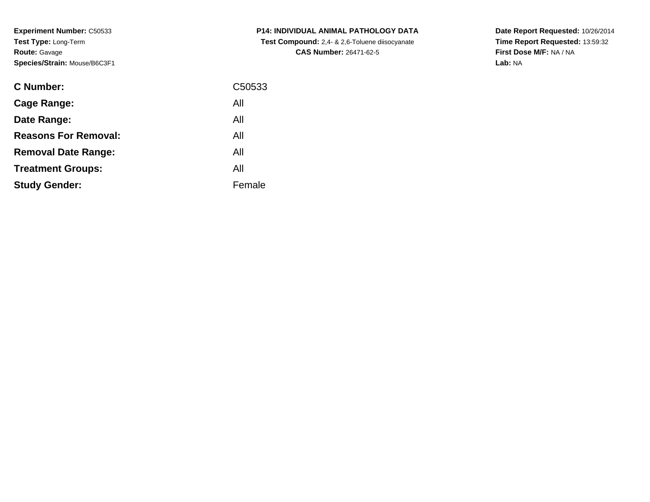**Experiment Number:** C50533**Test Type:** Long-Term**Route:** Gavage**Species/Strain:** Mouse/B6C3F1

| <b>C Number:</b>            | C <sub>50533</sub> |
|-----------------------------|--------------------|
| <b>Cage Range:</b>          | All                |
| Date Range:                 | All                |
| <b>Reasons For Removal:</b> | All                |
| <b>Removal Date Range:</b>  | All                |
| <b>Treatment Groups:</b>    | All                |
| <b>Study Gender:</b>        | Female             |
|                             |                    |

**P14: INDIVIDUAL ANIMAL PATHOLOGY DATA Test Compound:** 2,4- & 2,6-Toluene diisocyanate**CAS Number:** 26471-62-5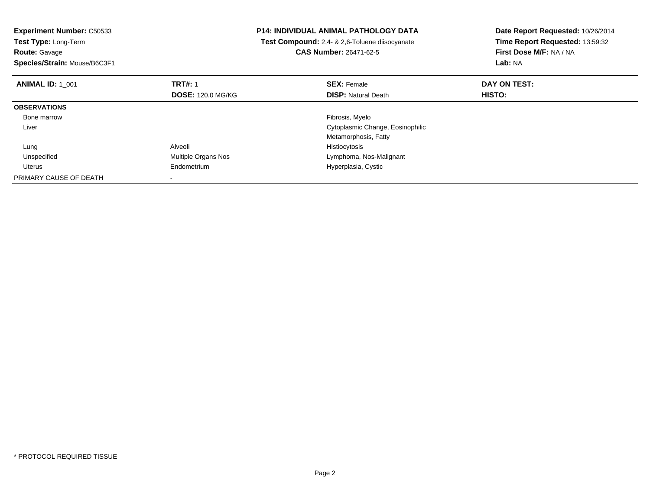| <b>Experiment Number: C50533</b><br>Test Type: Long-Term<br><b>Route: Gavage</b><br>Species/Strain: Mouse/B6C3F1 |                          | <b>P14: INDIVIDUAL ANIMAL PATHOLOGY DATA</b><br>Test Compound: 2,4- & 2,6-Toluene diisocyanate<br>CAS Number: 26471-62-5 | Date Report Requested: 10/26/2014<br>Time Report Requested: 13:59:32<br>First Dose M/F: NA / NA<br>Lab: NA |
|------------------------------------------------------------------------------------------------------------------|--------------------------|--------------------------------------------------------------------------------------------------------------------------|------------------------------------------------------------------------------------------------------------|
| <b>ANIMAL ID: 1 001</b>                                                                                          | <b>TRT#: 1</b>           | <b>SEX: Female</b>                                                                                                       | DAY ON TEST:                                                                                               |
|                                                                                                                  | <b>DOSE: 120.0 MG/KG</b> | <b>DISP: Natural Death</b>                                                                                               | HISTO:                                                                                                     |
| <b>OBSERVATIONS</b>                                                                                              |                          |                                                                                                                          |                                                                                                            |
| Bone marrow                                                                                                      |                          | Fibrosis, Myelo                                                                                                          |                                                                                                            |
| Liver                                                                                                            |                          | Cytoplasmic Change, Eosinophilic                                                                                         |                                                                                                            |
|                                                                                                                  |                          | Metamorphosis, Fatty                                                                                                     |                                                                                                            |
| Lung                                                                                                             | Alveoli                  | Histiocytosis                                                                                                            |                                                                                                            |
| Unspecified                                                                                                      | Multiple Organs Nos      | Lymphoma, Nos-Malignant                                                                                                  |                                                                                                            |
| Uterus                                                                                                           | Endometrium              | Hyperplasia, Cystic                                                                                                      |                                                                                                            |
| PRIMARY CAUSE OF DEATH                                                                                           |                          |                                                                                                                          |                                                                                                            |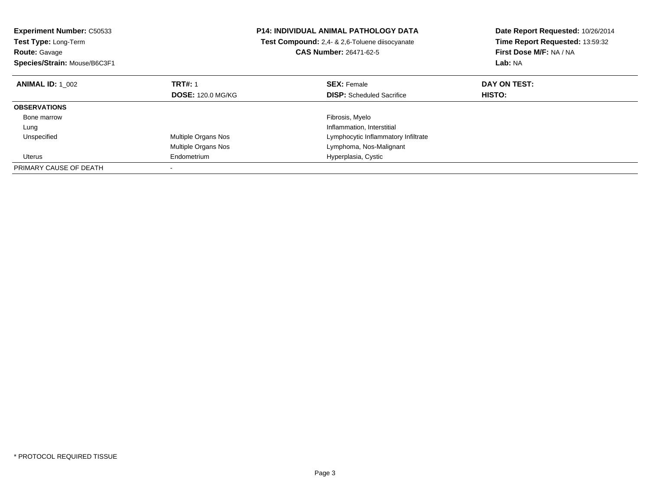| <b>Experiment Number: C50533</b><br><b>Test Type: Long-Term</b> |                          | P14: INDIVIDUAL ANIMAL PATHOLOGY DATA<br>Test Compound: 2,4- & 2,6-Toluene diisocyanate |                                     | Date Report Requested: 10/26/2014 |
|-----------------------------------------------------------------|--------------------------|-----------------------------------------------------------------------------------------|-------------------------------------|-----------------------------------|
|                                                                 |                          |                                                                                         |                                     | Time Report Requested: 13:59:32   |
| <b>Route: Gavage</b>                                            |                          | <b>CAS Number: 26471-62-5</b>                                                           |                                     | First Dose M/F: NA / NA           |
| Species/Strain: Mouse/B6C3F1                                    |                          |                                                                                         |                                     | Lab: NA                           |
| <b>ANIMAL ID: 1 002</b>                                         | <b>TRT#: 1</b>           |                                                                                         | <b>SEX: Female</b>                  | DAY ON TEST:                      |
|                                                                 | <b>DOSE: 120.0 MG/KG</b> |                                                                                         | <b>DISP:</b> Scheduled Sacrifice    | <b>HISTO:</b>                     |
| <b>OBSERVATIONS</b>                                             |                          |                                                                                         |                                     |                                   |
| Bone marrow                                                     |                          |                                                                                         | Fibrosis, Myelo                     |                                   |
| Lung                                                            |                          |                                                                                         | Inflammation, Interstitial          |                                   |
| Unspecified                                                     | Multiple Organs Nos      |                                                                                         | Lymphocytic Inflammatory Infiltrate |                                   |
|                                                                 | Multiple Organs Nos      |                                                                                         | Lymphoma, Nos-Malignant             |                                   |
| Uterus                                                          | Endometrium              |                                                                                         | Hyperplasia, Cystic                 |                                   |
| PRIMARY CAUSE OF DEATH                                          |                          |                                                                                         |                                     |                                   |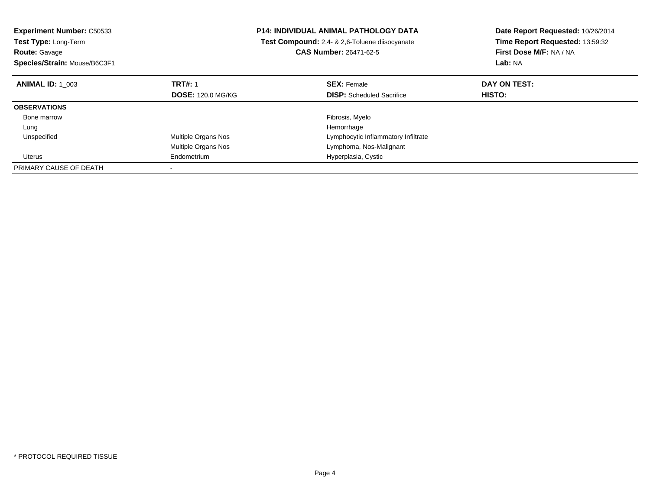| <b>Experiment Number: C50533</b><br>Test Type: Long-Term |                          | <b>P14: INDIVIDUAL ANIMAL PATHOLOGY DATA</b><br>Test Compound: 2.4- & 2.6-Toluene diisocyanate |                                     | Date Report Requested: 10/26/2014 |
|----------------------------------------------------------|--------------------------|------------------------------------------------------------------------------------------------|-------------------------------------|-----------------------------------|
|                                                          |                          |                                                                                                |                                     | Time Report Requested: 13:59:32   |
| <b>Route: Gavage</b>                                     |                          | <b>CAS Number: 26471-62-5</b>                                                                  |                                     | First Dose M/F: NA / NA           |
| Species/Strain: Mouse/B6C3F1                             |                          |                                                                                                |                                     | Lab: NA                           |
| <b>ANIMAL ID: 1 003</b>                                  | <b>TRT#: 1</b>           |                                                                                                | <b>SEX: Female</b>                  | DAY ON TEST:                      |
|                                                          | <b>DOSE: 120.0 MG/KG</b> |                                                                                                | <b>DISP:</b> Scheduled Sacrifice    | <b>HISTO:</b>                     |
| <b>OBSERVATIONS</b>                                      |                          |                                                                                                |                                     |                                   |
| Bone marrow                                              |                          |                                                                                                | Fibrosis, Myelo                     |                                   |
| Lung                                                     |                          |                                                                                                | Hemorrhage                          |                                   |
| Unspecified                                              | Multiple Organs Nos      |                                                                                                | Lymphocytic Inflammatory Infiltrate |                                   |
|                                                          | Multiple Organs Nos      |                                                                                                | Lymphoma, Nos-Malignant             |                                   |
| Uterus                                                   | Endometrium              |                                                                                                | Hyperplasia, Cystic                 |                                   |
| PRIMARY CAUSE OF DEATH                                   |                          |                                                                                                |                                     |                                   |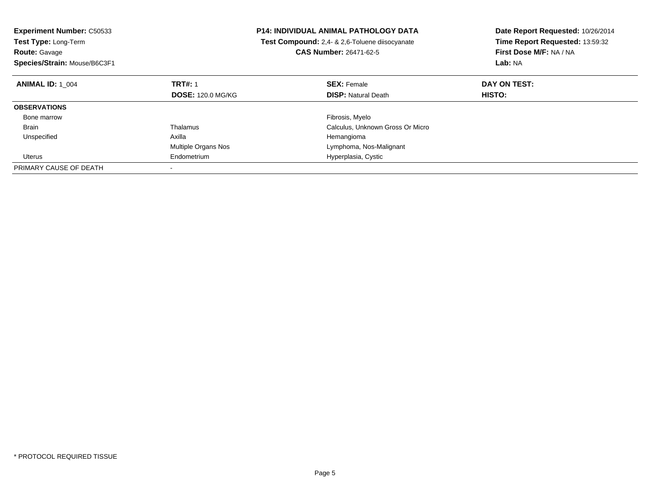| <b>Experiment Number: C50533</b><br>Test Type: Long-Term<br><b>Route: Gavage</b> |                            | <b>P14: INDIVIDUAL ANIMAL PATHOLOGY DATA</b><br>Test Compound: 2,4- & 2,6-Toluene diisocyanate<br><b>CAS Number: 26471-62-5</b> | Date Report Requested: 10/26/2014<br>Time Report Requested: 13:59:32<br>First Dose M/F: NA / NA |
|----------------------------------------------------------------------------------|----------------------------|---------------------------------------------------------------------------------------------------------------------------------|-------------------------------------------------------------------------------------------------|
| Species/Strain: Mouse/B6C3F1                                                     |                            |                                                                                                                                 | Lab: NA                                                                                         |
| <b>ANIMAL ID: 1 004</b>                                                          | <b>TRT#: 1</b>             | <b>SEX: Female</b>                                                                                                              | DAY ON TEST:                                                                                    |
|                                                                                  | <b>DOSE: 120.0 MG/KG</b>   | <b>DISP: Natural Death</b>                                                                                                      | <b>HISTO:</b>                                                                                   |
| <b>OBSERVATIONS</b>                                                              |                            |                                                                                                                                 |                                                                                                 |
| Bone marrow                                                                      |                            | Fibrosis, Myelo                                                                                                                 |                                                                                                 |
| Brain                                                                            | Thalamus                   | Calculus, Unknown Gross Or Micro                                                                                                |                                                                                                 |
| Unspecified                                                                      | Axilla                     | Hemangioma                                                                                                                      |                                                                                                 |
|                                                                                  | <b>Multiple Organs Nos</b> | Lymphoma, Nos-Malignant                                                                                                         |                                                                                                 |
| Uterus                                                                           | Endometrium                | Hyperplasia, Cystic                                                                                                             |                                                                                                 |
| PRIMARY CAUSE OF DEATH                                                           |                            |                                                                                                                                 |                                                                                                 |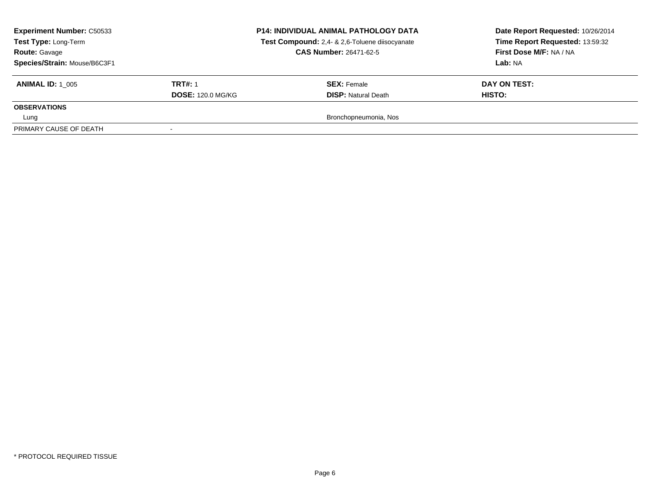| <b>Experiment Number: C50533</b><br>Test Type: Long-Term<br><b>Route: Gavage</b><br>Species/Strain: Mouse/B6C3F1 |                          | <b>P14: INDIVIDUAL ANIMAL PATHOLOGY DATA</b><br>Test Compound: 2,4- & 2,6-Toluene diisocyanate<br><b>CAS Number: 26471-62-5</b> | Date Report Requested: 10/26/2014<br>Time Report Requested: 13:59:32<br>First Dose M/F: NA / NA<br>Lab: NA |
|------------------------------------------------------------------------------------------------------------------|--------------------------|---------------------------------------------------------------------------------------------------------------------------------|------------------------------------------------------------------------------------------------------------|
| <b>ANIMAL ID: 1 005</b>                                                                                          | <b>TRT#: 1</b>           | <b>SEX: Female</b>                                                                                                              | DAY ON TEST:                                                                                               |
|                                                                                                                  | <b>DOSE: 120.0 MG/KG</b> | <b>DISP:</b> Natural Death                                                                                                      | HISTO:                                                                                                     |
| <b>OBSERVATIONS</b>                                                                                              |                          |                                                                                                                                 |                                                                                                            |
| Lung                                                                                                             |                          | Bronchopneumonia, Nos                                                                                                           |                                                                                                            |
| PRIMARY CAUSE OF DEATH                                                                                           |                          |                                                                                                                                 |                                                                                                            |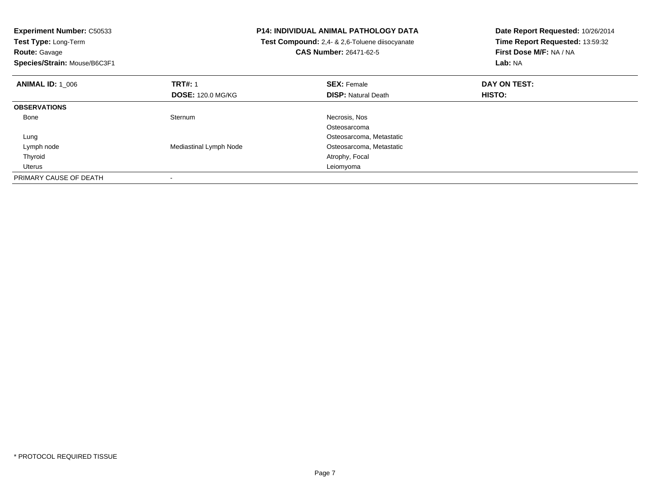| <b>Experiment Number: C50533</b><br>Test Type: Long-Term |                          | <b>P14: INDIVIDUAL ANIMAL PATHOLOGY DATA</b>   | Date Report Requested: 10/26/2014 |
|----------------------------------------------------------|--------------------------|------------------------------------------------|-----------------------------------|
|                                                          |                          | Test Compound: 2,4- & 2,6-Toluene diisocyanate | Time Report Requested: 13:59:32   |
| <b>Route: Gavage</b>                                     |                          | <b>CAS Number: 26471-62-5</b>                  | First Dose M/F: NA / NA           |
| Species/Strain: Mouse/B6C3F1                             |                          |                                                | Lab: NA                           |
| <b>ANIMAL ID: 1 006</b>                                  | <b>TRT#: 1</b>           | <b>SEX: Female</b>                             | DAY ON TEST:                      |
|                                                          | <b>DOSE: 120.0 MG/KG</b> | <b>DISP: Natural Death</b>                     | HISTO:                            |
| <b>OBSERVATIONS</b>                                      |                          |                                                |                                   |
| Bone                                                     | Sternum                  | Necrosis, Nos                                  |                                   |
|                                                          |                          | Osteosarcoma                                   |                                   |
| Lung                                                     |                          | Osteosarcoma, Metastatic                       |                                   |
| Lymph node                                               | Mediastinal Lymph Node   | Osteosarcoma, Metastatic                       |                                   |
| Thyroid                                                  |                          | Atrophy, Focal                                 |                                   |
| Uterus                                                   |                          | Leiomyoma                                      |                                   |
| PRIMARY CAUSE OF DEATH                                   |                          |                                                |                                   |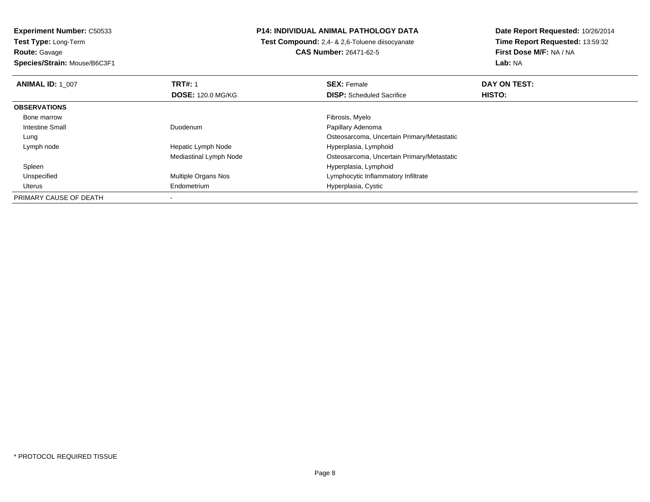**Experiment Number:** C50533**Test Type:** Long-Term

**Route:** Gavage

**Species/Strain:** Mouse/B6C3F1

# **P14: INDIVIDUAL ANIMAL PATHOLOGY DATA**

 **Test Compound:** 2,4- & 2,6-Toluene diisocyanate**CAS Number:** 26471-62-5

| <b>ANIMAL ID: 1 007</b> | <b>TRT#: 1</b>             | <b>SEX: Female</b>                         | DAY ON TEST:  |  |
|-------------------------|----------------------------|--------------------------------------------|---------------|--|
|                         | <b>DOSE: 120.0 MG/KG</b>   | <b>DISP:</b> Scheduled Sacrifice           | <b>HISTO:</b> |  |
| <b>OBSERVATIONS</b>     |                            |                                            |               |  |
| Bone marrow             |                            | Fibrosis, Myelo                            |               |  |
| <b>Intestine Small</b>  | Duodenum                   | Papillary Adenoma                          |               |  |
| Lung                    |                            | Osteosarcoma, Uncertain Primary/Metastatic |               |  |
| Lymph node              | Hepatic Lymph Node         | Hyperplasia, Lymphoid                      |               |  |
|                         | Mediastinal Lymph Node     | Osteosarcoma, Uncertain Primary/Metastatic |               |  |
| Spleen                  |                            | Hyperplasia, Lymphoid                      |               |  |
| Unspecified             | <b>Multiple Organs Nos</b> | Lymphocytic Inflammatory Infiltrate        |               |  |
| Uterus                  | Endometrium                | Hyperplasia, Cystic                        |               |  |
| PRIMARY CAUSE OF DEATH  |                            |                                            |               |  |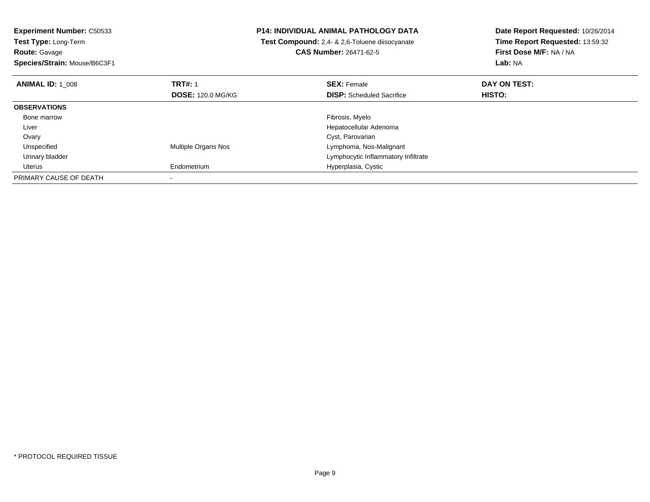**Experiment Number:** C50533**Test Type:** Long-Term**Route:** Gavage **Species/Strain:** Mouse/B6C3F1**P14: INDIVIDUAL ANIMAL PATHOLOGY DATA Test Compound:** 2,4- & 2,6-Toluene diisocyanate**CAS Number:** 26471-62-5**Date Report Requested:** 10/26/2014**Time Report Requested:** 13:59:32**First Dose M/F:** NA / NA**Lab:** NA**ANIMAL ID:** 1\_008**REX:** Female **DAY ON TEST: CONSIST: SEX:** Female **DAY ON TEST: DOSE:** 120.0 MG/KG**DISP:** Scheduled Sacrifice **HISTO: OBSERVATIONS** Bone marroww which is a state of the state of the state of the state of the state of the Fibrosis, Myelo state of the state of the state of the state of the state of the state of the state of the state of the state of the state of th Liver Hepatocellular Adenoma Ovary Cyst, Parovariand **Example 2018** Multiple Organs Nos **Constants Constants Constants Constants Constants Constants Constants Constants Constants Constants Constants Constants Constants Constants Constants Constants Constants Constants Cons**  Unspecified Urinary bladder Lymphocytic Inflammatory Infiltrate Uterus Endometrium Hyperplasia, Cystic PRIMARY CAUSE OF DEATH-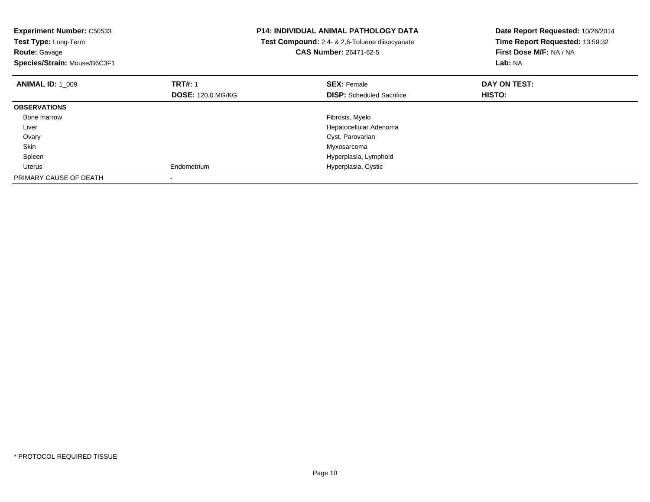| <b>Experiment Number: C50533</b><br>Test Type: Long-Term<br><b>Route: Gavage</b><br>Species/Strain: Mouse/B6C3F1 |                          | <b>P14: INDIVIDUAL ANIMAL PATHOLOGY DATA</b><br>Test Compound: 2,4- & 2,6-Toluene diisocyanate<br>CAS Number: 26471-62-5 | Date Report Requested: 10/26/2014<br>Time Report Requested: 13:59:32<br>First Dose M/F: NA / NA<br>Lab: NA |
|------------------------------------------------------------------------------------------------------------------|--------------------------|--------------------------------------------------------------------------------------------------------------------------|------------------------------------------------------------------------------------------------------------|
| <b>ANIMAL ID: 1 009</b>                                                                                          | <b>TRT#: 1</b>           | <b>SEX: Female</b>                                                                                                       | DAY ON TEST:                                                                                               |
|                                                                                                                  | <b>DOSE: 120.0 MG/KG</b> | <b>DISP:</b> Scheduled Sacrifice                                                                                         | HISTO:                                                                                                     |
| <b>OBSERVATIONS</b>                                                                                              |                          |                                                                                                                          |                                                                                                            |
| Bone marrow                                                                                                      |                          | Fibrosis, Myelo                                                                                                          |                                                                                                            |
| Liver                                                                                                            |                          | Hepatocellular Adenoma                                                                                                   |                                                                                                            |
| Ovary                                                                                                            |                          | Cyst, Parovarian                                                                                                         |                                                                                                            |
| Skin                                                                                                             |                          | Myxosarcoma                                                                                                              |                                                                                                            |
| Spleen                                                                                                           |                          | Hyperplasia, Lymphoid                                                                                                    |                                                                                                            |
| Uterus                                                                                                           | Endometrium              | Hyperplasia, Cystic                                                                                                      |                                                                                                            |
| PRIMARY CAUSE OF DEATH                                                                                           |                          |                                                                                                                          |                                                                                                            |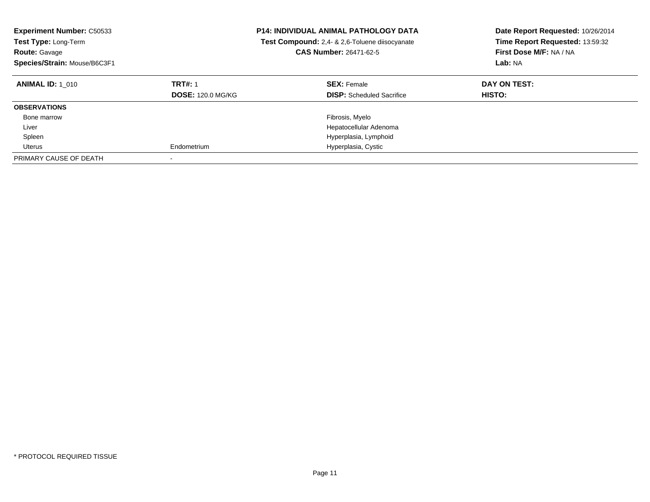| <b>Experiment Number: C50533</b><br><b>Test Type: Long-Term</b><br><b>Route: Gavage</b><br>Species/Strain: Mouse/B6C3F1 |                                            | <b>P14: INDIVIDUAL ANIMAL PATHOLOGY DATA</b><br>Test Compound: 2,4- & 2,6-Toluene diisocyanate<br><b>CAS Number: 26471-62-5</b> | Date Report Requested: 10/26/2014<br>Time Report Requested: 13:59:32<br>First Dose M/F: NA / NA<br>Lab: NA |
|-------------------------------------------------------------------------------------------------------------------------|--------------------------------------------|---------------------------------------------------------------------------------------------------------------------------------|------------------------------------------------------------------------------------------------------------|
| <b>ANIMAL ID: 1 010</b>                                                                                                 | <b>TRT#: 1</b><br><b>DOSE: 120.0 MG/KG</b> | <b>SEX: Female</b><br><b>DISP:</b> Scheduled Sacrifice                                                                          | DAY ON TEST:<br><b>HISTO:</b>                                                                              |
| <b>OBSERVATIONS</b>                                                                                                     |                                            |                                                                                                                                 |                                                                                                            |
| Bone marrow                                                                                                             |                                            | Fibrosis, Myelo                                                                                                                 |                                                                                                            |
| Liver                                                                                                                   |                                            | Hepatocellular Adenoma                                                                                                          |                                                                                                            |
| Spleen                                                                                                                  |                                            | Hyperplasia, Lymphoid                                                                                                           |                                                                                                            |
| Uterus                                                                                                                  | Endometrium                                | Hyperplasia, Cystic                                                                                                             |                                                                                                            |
| PRIMARY CAUSE OF DEATH                                                                                                  | $\overline{\phantom{a}}$                   |                                                                                                                                 |                                                                                                            |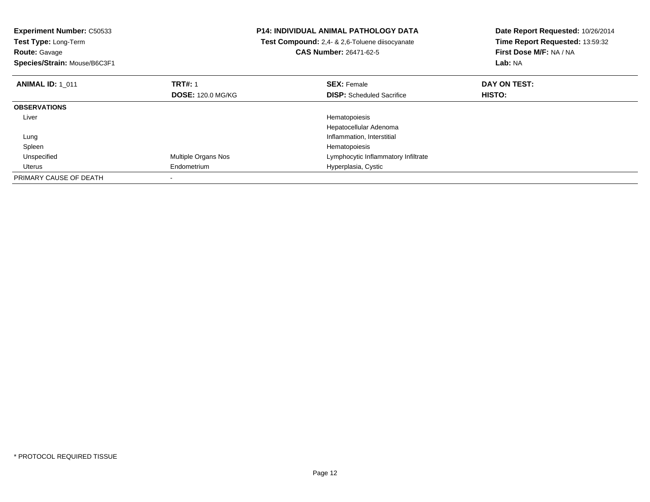| <b>Experiment Number: C50533</b><br>Test Type: Long-Term<br><b>Route: Gavage</b><br>Species/Strain: Mouse/B6C3F1 |                          | <b>P14: INDIVIDUAL ANIMAL PATHOLOGY DATA</b><br>Test Compound: 2,4- & 2,6-Toluene diisocyanate<br>CAS Number: 26471-62-5 | Date Report Requested: 10/26/2014<br>Time Report Requested: 13:59:32<br>First Dose M/F: NA / NA<br>Lab: NA |
|------------------------------------------------------------------------------------------------------------------|--------------------------|--------------------------------------------------------------------------------------------------------------------------|------------------------------------------------------------------------------------------------------------|
| <b>ANIMAL ID: 1 011</b>                                                                                          | <b>TRT#: 1</b>           | <b>SEX: Female</b>                                                                                                       | DAY ON TEST:                                                                                               |
|                                                                                                                  | <b>DOSE: 120.0 MG/KG</b> | <b>DISP:</b> Scheduled Sacrifice                                                                                         | HISTO:                                                                                                     |
| <b>OBSERVATIONS</b>                                                                                              |                          |                                                                                                                          |                                                                                                            |
| Liver                                                                                                            |                          | Hematopoiesis                                                                                                            |                                                                                                            |
|                                                                                                                  |                          | Hepatocellular Adenoma                                                                                                   |                                                                                                            |
| Lung                                                                                                             |                          | Inflammation, Interstitial                                                                                               |                                                                                                            |
| Spleen                                                                                                           |                          | Hematopoiesis                                                                                                            |                                                                                                            |
| Unspecified                                                                                                      | Multiple Organs Nos      | Lymphocytic Inflammatory Infiltrate                                                                                      |                                                                                                            |
| Uterus                                                                                                           | Endometrium              | Hyperplasia, Cystic                                                                                                      |                                                                                                            |
| PRIMARY CAUSE OF DEATH                                                                                           |                          |                                                                                                                          |                                                                                                            |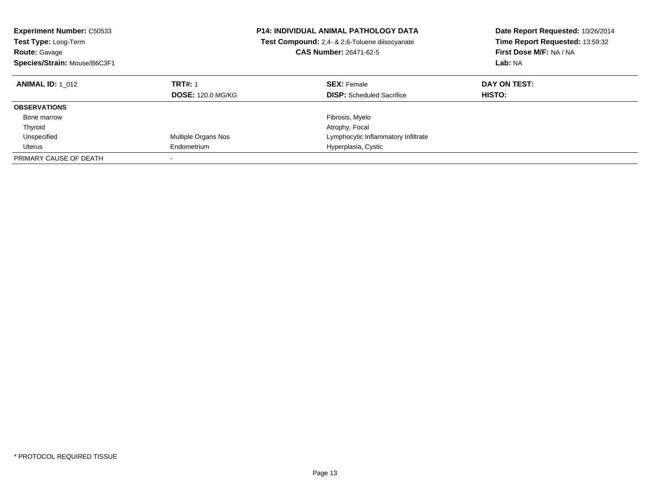| <b>Experiment Number: C50533</b><br><b>Test Type: Long-Term</b><br><b>Route: Gavage</b><br>Species/Strain: Mouse/B6C3F1 |                          | <b>P14: INDIVIDUAL ANIMAL PATHOLOGY DATA</b><br><b>Test Compound:</b> 2,4- & 2,6-Toluene diisocyanate<br><b>CAS Number: 26471-62-5</b> | Date Report Requested: 10/26/2014<br>Time Report Requested: 13:59:32<br>First Dose M/F: NA / NA<br><b>Lab: NA</b> |
|-------------------------------------------------------------------------------------------------------------------------|--------------------------|----------------------------------------------------------------------------------------------------------------------------------------|-------------------------------------------------------------------------------------------------------------------|
| <b>ANIMAL ID:</b> 1 012                                                                                                 | <b>TRT#: 1</b>           | <b>SEX: Female</b>                                                                                                                     | DAY ON TEST:                                                                                                      |
|                                                                                                                         | <b>DOSE: 120.0 MG/KG</b> | <b>DISP:</b> Scheduled Sacrifice                                                                                                       | <b>HISTO:</b>                                                                                                     |
| <b>OBSERVATIONS</b>                                                                                                     |                          |                                                                                                                                        |                                                                                                                   |
| Bone marrow                                                                                                             |                          | Fibrosis, Myelo                                                                                                                        |                                                                                                                   |
| Thyroid                                                                                                                 |                          | Atrophy, Focal                                                                                                                         |                                                                                                                   |
| Unspecified                                                                                                             | Multiple Organs Nos      | Lymphocytic Inflammatory Infiltrate                                                                                                    |                                                                                                                   |
| Uterus                                                                                                                  | Endometrium              | Hyperplasia, Cystic                                                                                                                    |                                                                                                                   |
| PRIMARY CAUSE OF DEATH                                                                                                  |                          |                                                                                                                                        |                                                                                                                   |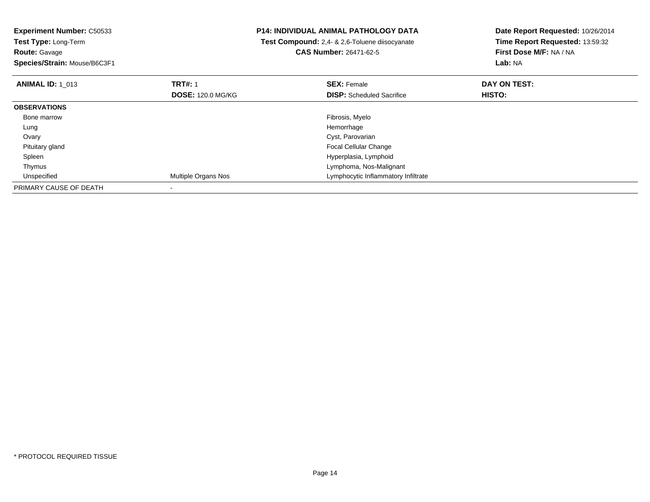**Experiment Number:** C50533**Test Type:** Long-Term**Route:** Gavage **Species/Strain:** Mouse/B6C3F1**P14: INDIVIDUAL ANIMAL PATHOLOGY DATA Test Compound:** 2,4- & 2,6-Toluene diisocyanate**CAS Number:** 26471-62-5**Date Report Requested:** 10/26/2014**Time Report Requested:** 13:59:32**First Dose M/F:** NA / NA**Lab:** NA**ANIMAL ID:** 1\_013**TRT#:** 1 **SEX:** Female **DAY ON TEST: DOSE:** 120.0 MG/KG**DISP:** Scheduled Sacrifice **HISTO: OBSERVATIONS** Bone marroww which is a state of the state of the state of the state of the state of the Fibrosis, Myelo state of the state of the state of the state of the state of the state of the state of the state of the state of the state of th Lungg and the state of the state of the state of the state of the state of the state of the state of the state of the state of the state of the state of the state of the state of the state of the state of the state of the stat Ovary Cyst, Parovarian Focal Cellular Change Pituitary gland Spleen Hyperplasia, Lymphoid ThymusLymphoma, Nos-Malignant<br>Multiple Organs Nos extensions and the University of Lymphocytic Inflammatory In UnspecifiedLymphocytic Inflammatory Infiltrate PRIMARY CAUSE OF DEATH-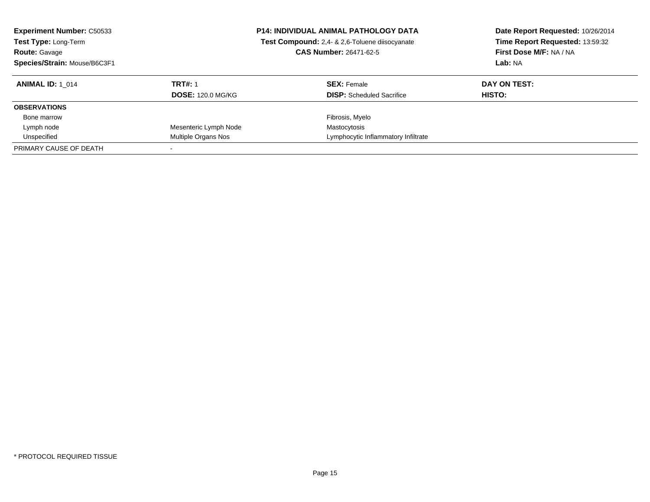| <b>Experiment Number: C50533</b><br>Test Type: Long-Term<br><b>Route: Gavage</b><br>Species/Strain: Mouse/B6C3F1 |                          | <b>P14: INDIVIDUAL ANIMAL PATHOLOGY DATA</b><br>Test Compound: 2,4- & 2,6-Toluene diisocyanate<br><b>CAS Number: 26471-62-5</b> | Date Report Requested: 10/26/2014<br>Time Report Requested: 13:59:32<br>First Dose M/F: NA / NA<br>Lab: NA |
|------------------------------------------------------------------------------------------------------------------|--------------------------|---------------------------------------------------------------------------------------------------------------------------------|------------------------------------------------------------------------------------------------------------|
| <b>ANIMAL ID:</b> 1 014                                                                                          | <b>TRT#: 1</b>           | <b>SEX: Female</b>                                                                                                              | DAY ON TEST:                                                                                               |
|                                                                                                                  | <b>DOSE: 120.0 MG/KG</b> | <b>DISP:</b> Scheduled Sacrifice                                                                                                | HISTO:                                                                                                     |
| <b>OBSERVATIONS</b>                                                                                              |                          |                                                                                                                                 |                                                                                                            |
| Bone marrow                                                                                                      |                          | Fibrosis, Myelo                                                                                                                 |                                                                                                            |
| Lymph node                                                                                                       | Mesenteric Lymph Node    | Mastocytosis                                                                                                                    |                                                                                                            |
| Unspecified                                                                                                      | Multiple Organs Nos      | Lymphocytic Inflammatory Infiltrate                                                                                             |                                                                                                            |
| PRIMARY CAUSE OF DEATH                                                                                           |                          |                                                                                                                                 |                                                                                                            |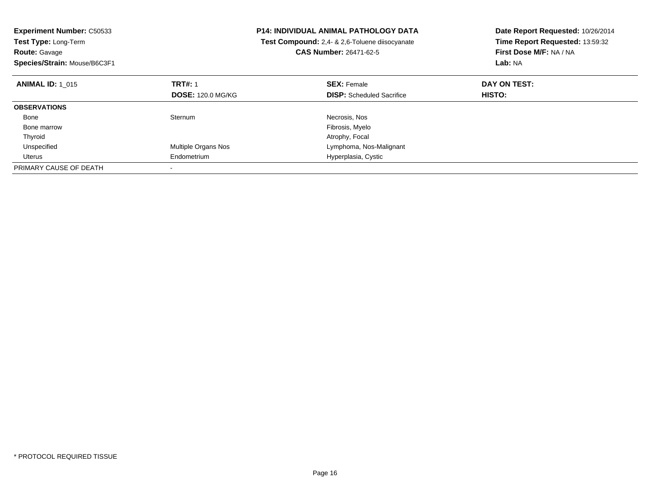| <b>Experiment Number: C50533</b><br>Test Type: Long-Term |                          | <b>P14: INDIVIDUAL ANIMAL PATHOLOGY DATA</b>   | Date Report Requested: 10/26/2014<br>Time Report Requested: 13:59:32 |  |
|----------------------------------------------------------|--------------------------|------------------------------------------------|----------------------------------------------------------------------|--|
|                                                          |                          | Test Compound: 2,4- & 2,6-Toluene diisocyanate |                                                                      |  |
| <b>Route: Gavage</b>                                     |                          | <b>CAS Number: 26471-62-5</b>                  | First Dose M/F: NA / NA                                              |  |
| Species/Strain: Mouse/B6C3F1                             |                          |                                                | Lab: NA                                                              |  |
| <b>ANIMAL ID: 1 015</b>                                  | <b>TRT#: 1</b>           | <b>SEX: Female</b>                             | DAY ON TEST:                                                         |  |
|                                                          | <b>DOSE: 120.0 MG/KG</b> | <b>DISP:</b> Scheduled Sacrifice               | HISTO:                                                               |  |
| <b>OBSERVATIONS</b>                                      |                          |                                                |                                                                      |  |
| Bone                                                     | Sternum                  | Necrosis, Nos                                  |                                                                      |  |
| Bone marrow                                              |                          | Fibrosis, Myelo                                |                                                                      |  |
| Thyroid                                                  |                          | Atrophy, Focal                                 |                                                                      |  |
| Unspecified                                              | Multiple Organs Nos      | Lymphoma, Nos-Malignant                        |                                                                      |  |
| Uterus                                                   | Endometrium              | Hyperplasia, Cystic                            |                                                                      |  |
| PRIMARY CAUSE OF DEATH                                   |                          |                                                |                                                                      |  |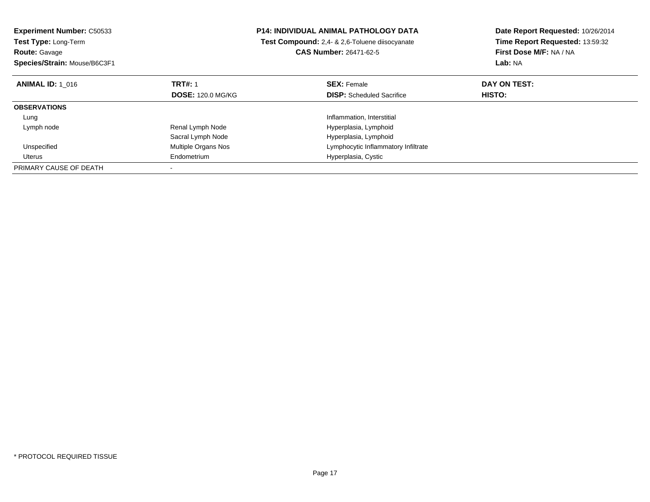| <b>Experiment Number: C50533</b><br>Test Type: Long-Term |                          | <b>P14: INDIVIDUAL ANIMAL PATHOLOGY DATA</b>   | Date Report Requested: 10/26/2014<br>Time Report Requested: 13:59:32 |  |
|----------------------------------------------------------|--------------------------|------------------------------------------------|----------------------------------------------------------------------|--|
|                                                          |                          | Test Compound: 2.4- & 2.6-Toluene diisocyanate |                                                                      |  |
| <b>Route: Gavage</b>                                     |                          | <b>CAS Number: 26471-62-5</b>                  | First Dose M/F: NA / NA                                              |  |
| Species/Strain: Mouse/B6C3F1                             |                          |                                                | Lab: NA                                                              |  |
| <b>ANIMAL ID: 1 016</b>                                  | <b>TRT#: 1</b>           | <b>SEX: Female</b>                             | DAY ON TEST:                                                         |  |
|                                                          | <b>DOSE: 120.0 MG/KG</b> | <b>DISP:</b> Scheduled Sacrifice               | <b>HISTO:</b>                                                        |  |
| <b>OBSERVATIONS</b>                                      |                          |                                                |                                                                      |  |
| Lung                                                     |                          | Inflammation, Interstitial                     |                                                                      |  |
| Lymph node                                               | Renal Lymph Node         | Hyperplasia, Lymphoid                          |                                                                      |  |
|                                                          | Sacral Lymph Node        | Hyperplasia, Lymphoid                          |                                                                      |  |
| Unspecified                                              | Multiple Organs Nos      | Lymphocytic Inflammatory Infiltrate            |                                                                      |  |
| Uterus                                                   | Endometrium              | Hyperplasia, Cystic                            |                                                                      |  |
| PRIMARY CAUSE OF DEATH                                   |                          |                                                |                                                                      |  |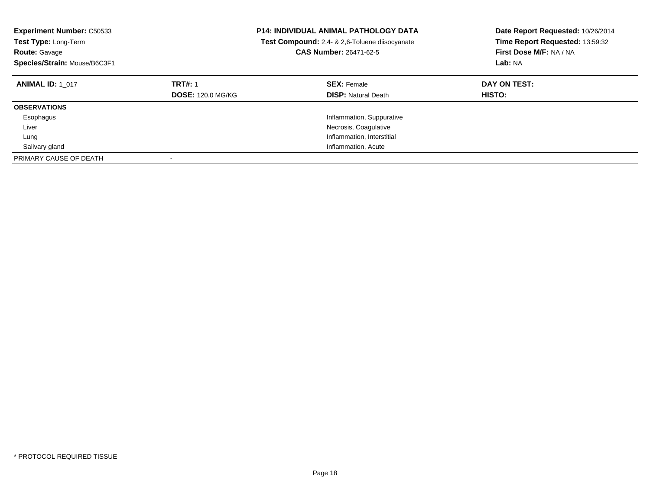| <b>Experiment Number: C50533</b><br><b>Test Type: Long-Term</b><br><b>Route: Gavage</b><br>Species/Strain: Mouse/B6C3F1 | <b>P14: INDIVIDUAL ANIMAL PATHOLOGY DATA</b><br>Test Compound: 2,4- & 2,6-Toluene diisocyanate<br><b>CAS Number: 26471-62-5</b> |                                                  | Date Report Requested: 10/26/2014<br>Time Report Requested: 13:59:32<br>First Dose M/F: NA / NA<br>Lab: NA |
|-------------------------------------------------------------------------------------------------------------------------|---------------------------------------------------------------------------------------------------------------------------------|--------------------------------------------------|------------------------------------------------------------------------------------------------------------|
| <b>ANIMAL ID: 1 017</b>                                                                                                 | <b>TRT#: 1</b><br><b>DOSE: 120.0 MG/KG</b>                                                                                      | <b>SEX: Female</b><br><b>DISP:</b> Natural Death | DAY ON TEST:<br><b>HISTO:</b>                                                                              |
| <b>OBSERVATIONS</b>                                                                                                     |                                                                                                                                 |                                                  |                                                                                                            |
| Esophagus                                                                                                               |                                                                                                                                 | Inflammation, Suppurative                        |                                                                                                            |
| Liver                                                                                                                   |                                                                                                                                 | Necrosis, Coagulative                            |                                                                                                            |
| Lung                                                                                                                    |                                                                                                                                 | Inflammation, Interstitial                       |                                                                                                            |
| Salivary gland                                                                                                          |                                                                                                                                 | Inflammation, Acute                              |                                                                                                            |
| PRIMARY CAUSE OF DEATH                                                                                                  |                                                                                                                                 |                                                  |                                                                                                            |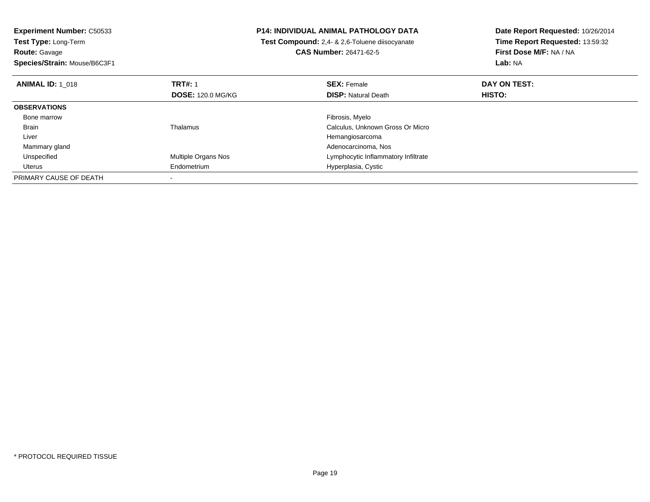**Experiment Number:** C50533**Test Type:** Long-Term**Route:** Gavage **Species/Strain:** Mouse/B6C3F1**P14: INDIVIDUAL ANIMAL PATHOLOGY DATA Test Compound:** 2,4- & 2,6-Toluene diisocyanate**CAS Number:** 26471-62-5**Date Report Requested:** 10/26/2014**Time Report Requested:** 13:59:32**First Dose M/F:** NA / NA**Lab:** NA**ANIMAL ID:** 1\_018**REX:** Female **DAY ON TEST: CONSIST: SEX:** Female **DAY ON TEST: DOSE:** 120.0 MG/KG**DISP:** Natural Death **HISTO: OBSERVATIONS** Bone marroww which is a state of the state of the state of the state of the state of the Fibrosis, Myelo state of the state of the state of the state of the state of the state of the state of the state of the state of the state of th BrainThalamus Calculus, Unknown Gross Or Micro Liver Hemangiosarcoma Adenocarcinoma, Nos Mammary gland UnspecifiedMultiple Organs Nos **Multiple Organs Nos** Lymphocytic Inflammatory Infiltrate Uterus Endometrium Hyperplasia, Cystic PRIMARY CAUSE OF DEATH-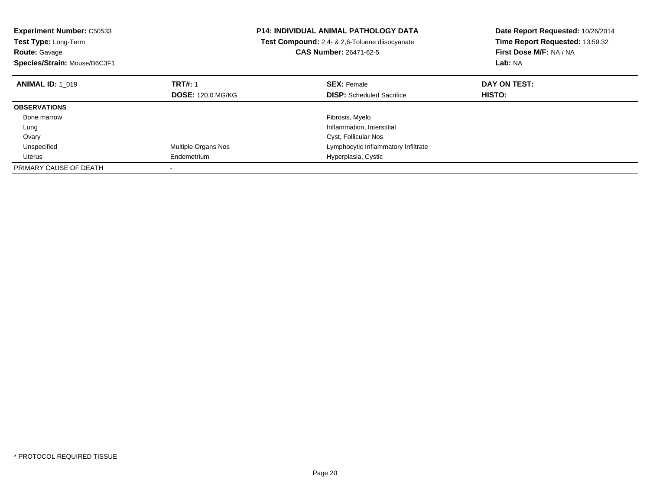| <b>Experiment Number: C50533</b><br>Test Type: Long-Term |                            | <b>P14: INDIVIDUAL ANIMAL PATHOLOGY DATA</b>   | Date Report Requested: 10/26/2014 |
|----------------------------------------------------------|----------------------------|------------------------------------------------|-----------------------------------|
|                                                          |                            | Test Compound: 2,4- & 2,6-Toluene diisocyanate | Time Report Requested: 13:59:32   |
| <b>Route: Gavage</b>                                     |                            | <b>CAS Number: 26471-62-5</b>                  | First Dose M/F: NA / NA           |
| Species/Strain: Mouse/B6C3F1                             |                            |                                                | Lab: NA                           |
| <b>ANIMAL ID: 1 019</b>                                  | <b>TRT#: 1</b>             | <b>SEX: Female</b>                             | DAY ON TEST:                      |
|                                                          | <b>DOSE: 120.0 MG/KG</b>   | <b>DISP:</b> Scheduled Sacrifice               | <b>HISTO:</b>                     |
| <b>OBSERVATIONS</b>                                      |                            |                                                |                                   |
| Bone marrow                                              |                            | Fibrosis, Myelo                                |                                   |
| Lung                                                     |                            | Inflammation, Interstitial                     |                                   |
| Ovary                                                    |                            | Cyst, Follicular Nos                           |                                   |
| Unspecified                                              | <b>Multiple Organs Nos</b> | Lymphocytic Inflammatory Infiltrate            |                                   |
| Uterus                                                   | Endometrium                | Hyperplasia, Cystic                            |                                   |
| PRIMARY CAUSE OF DEATH                                   |                            |                                                |                                   |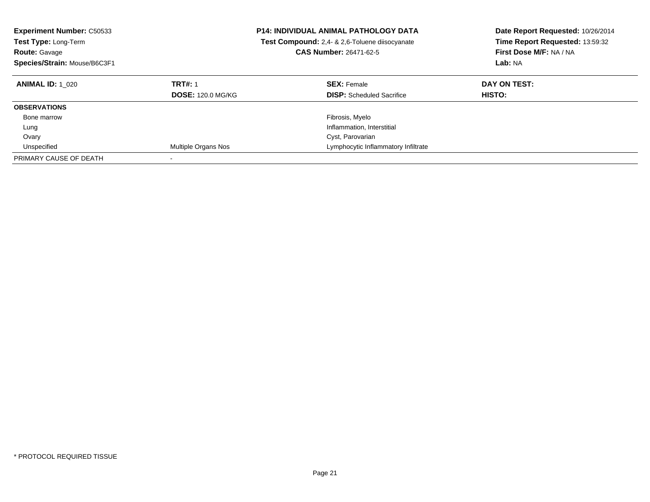| <b>Experiment Number: C50533</b><br><b>Test Type: Long-Term</b><br><b>Route: Gavage</b><br>Species/Strain: Mouse/B6C3F1 | <b>P14: INDIVIDUAL ANIMAL PATHOLOGY DATA</b><br>Test Compound: 2,4- & 2,6-Toluene diisocyanate<br><b>CAS Number: 26471-62-5</b> |                                                        | Date Report Requested: 10/26/2014<br>Time Report Requested: 13:59:32<br>First Dose M/F: NA / NA<br>Lab: NA |
|-------------------------------------------------------------------------------------------------------------------------|---------------------------------------------------------------------------------------------------------------------------------|--------------------------------------------------------|------------------------------------------------------------------------------------------------------------|
| <b>ANIMAL ID: 1 020</b>                                                                                                 | <b>TRT#: 1</b><br><b>DOSE: 120.0 MG/KG</b>                                                                                      | <b>SEX: Female</b><br><b>DISP:</b> Scheduled Sacrifice | DAY ON TEST:<br><b>HISTO:</b>                                                                              |
| <b>OBSERVATIONS</b>                                                                                                     |                                                                                                                                 |                                                        |                                                                                                            |
| Bone marrow                                                                                                             |                                                                                                                                 | Fibrosis, Myelo                                        |                                                                                                            |
| Lung                                                                                                                    |                                                                                                                                 | Inflammation, Interstitial                             |                                                                                                            |
| Ovary                                                                                                                   |                                                                                                                                 | Cyst, Parovarian                                       |                                                                                                            |
| Unspecified                                                                                                             | Multiple Organs Nos                                                                                                             | Lymphocytic Inflammatory Infiltrate                    |                                                                                                            |
| PRIMARY CAUSE OF DEATH                                                                                                  |                                                                                                                                 |                                                        |                                                                                                            |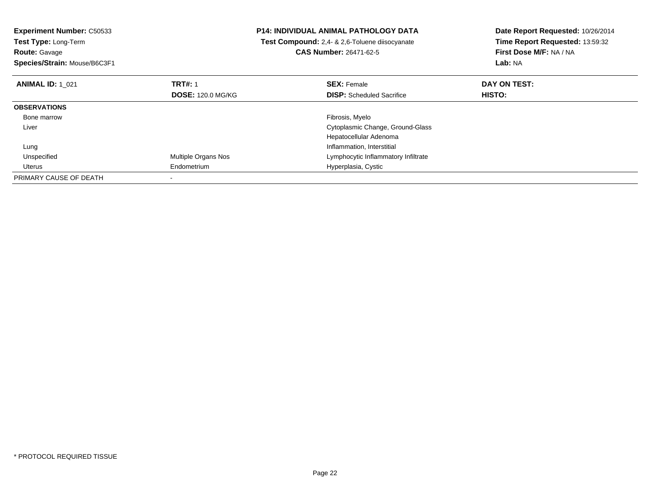| <b>Experiment Number: C50533</b><br>Test Type: Long-Term<br><b>Route: Gavage</b><br>Species/Strain: Mouse/B6C3F1 |                                            | <b>P14: INDIVIDUAL ANIMAL PATHOLOGY DATA</b><br>Test Compound: 2,4- & 2,6-Toluene diisocyanate<br>CAS Number: 26471-62-5 | Date Report Requested: 10/26/2014<br>Time Report Requested: 13:59:32<br>First Dose M/F: NA / NA<br>Lab: NA |  |
|------------------------------------------------------------------------------------------------------------------|--------------------------------------------|--------------------------------------------------------------------------------------------------------------------------|------------------------------------------------------------------------------------------------------------|--|
| <b>ANIMAL ID: 1 021</b>                                                                                          | <b>TRT#: 1</b><br><b>DOSE: 120.0 MG/KG</b> | <b>SEX: Female</b><br><b>DISP:</b> Scheduled Sacrifice                                                                   | DAY ON TEST:<br>HISTO:                                                                                     |  |
| <b>OBSERVATIONS</b>                                                                                              |                                            |                                                                                                                          |                                                                                                            |  |
| Bone marrow                                                                                                      |                                            | Fibrosis, Myelo                                                                                                          |                                                                                                            |  |
| Liver                                                                                                            |                                            | Cytoplasmic Change, Ground-Glass                                                                                         |                                                                                                            |  |
|                                                                                                                  |                                            | Hepatocellular Adenoma                                                                                                   |                                                                                                            |  |
| Lung                                                                                                             |                                            | Inflammation, Interstitial                                                                                               |                                                                                                            |  |
| Unspecified                                                                                                      | Multiple Organs Nos                        | Lymphocytic Inflammatory Infiltrate                                                                                      |                                                                                                            |  |
| Uterus                                                                                                           | Endometrium                                | Hyperplasia, Cystic                                                                                                      |                                                                                                            |  |
| PRIMARY CAUSE OF DEATH                                                                                           |                                            |                                                                                                                          |                                                                                                            |  |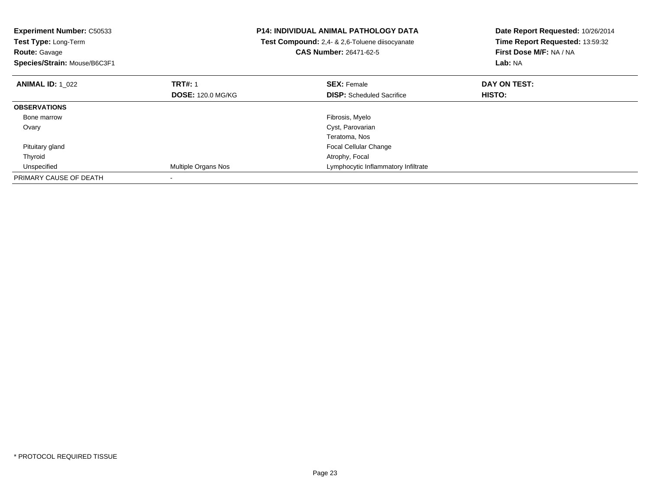| <b>Experiment Number: C50533</b><br>Test Type: Long-Term<br><b>Route: Gavage</b><br>Species/Strain: Mouse/B6C3F1 |                          | <b>P14: INDIVIDUAL ANIMAL PATHOLOGY DATA</b><br>Test Compound: 2,4- & 2,6-Toluene diisocyanate<br>CAS Number: 26471-62-5 | Date Report Requested: 10/26/2014<br>Time Report Requested: 13:59:32<br>First Dose M/F: NA / NA<br>Lab: NA |
|------------------------------------------------------------------------------------------------------------------|--------------------------|--------------------------------------------------------------------------------------------------------------------------|------------------------------------------------------------------------------------------------------------|
| <b>ANIMAL ID: 1 022</b>                                                                                          | <b>TRT#: 1</b>           | <b>SEX: Female</b>                                                                                                       | DAY ON TEST:                                                                                               |
|                                                                                                                  | <b>DOSE: 120.0 MG/KG</b> | <b>DISP:</b> Scheduled Sacrifice                                                                                         | HISTO:                                                                                                     |
| <b>OBSERVATIONS</b>                                                                                              |                          |                                                                                                                          |                                                                                                            |
| Bone marrow                                                                                                      |                          | Fibrosis, Myelo                                                                                                          |                                                                                                            |
| Ovary                                                                                                            |                          | Cyst, Parovarian                                                                                                         |                                                                                                            |
|                                                                                                                  |                          | Teratoma, Nos                                                                                                            |                                                                                                            |
| Pituitary gland                                                                                                  |                          | <b>Focal Cellular Change</b>                                                                                             |                                                                                                            |
| Thyroid                                                                                                          |                          | Atrophy, Focal                                                                                                           |                                                                                                            |
| Unspecified                                                                                                      | Multiple Organs Nos      | Lymphocytic Inflammatory Infiltrate                                                                                      |                                                                                                            |
| PRIMARY CAUSE OF DEATH                                                                                           |                          |                                                                                                                          |                                                                                                            |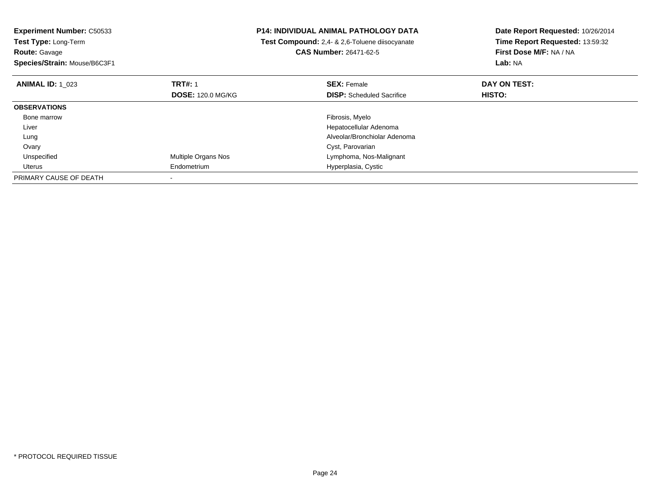| Experiment Number: C50533<br>Test Type: Long-Term |                          | <b>P14: INDIVIDUAL ANIMAL PATHOLOGY DATA</b>          | Date Report Requested: 10/26/2014<br>Time Report Requested: 13:59:32 |  |
|---------------------------------------------------|--------------------------|-------------------------------------------------------|----------------------------------------------------------------------|--|
|                                                   |                          | <b>Test Compound:</b> 2,4- & 2,6-Toluene diisocyanate |                                                                      |  |
| <b>Route: Gavage</b>                              |                          | <b>CAS Number: 26471-62-5</b>                         | First Dose M/F: NA / NA                                              |  |
| Species/Strain: Mouse/B6C3F1                      |                          |                                                       | Lab: NA                                                              |  |
| <b>ANIMAL ID: 1 023</b>                           | <b>TRT#: 1</b>           | <b>SEX: Female</b>                                    | DAY ON TEST:                                                         |  |
|                                                   | <b>DOSE: 120.0 MG/KG</b> | <b>DISP:</b> Scheduled Sacrifice                      | <b>HISTO:</b>                                                        |  |
| <b>OBSERVATIONS</b>                               |                          |                                                       |                                                                      |  |
| Bone marrow                                       |                          | Fibrosis, Myelo                                       |                                                                      |  |
| Liver                                             |                          | Hepatocellular Adenoma                                |                                                                      |  |
| Lung                                              |                          | Alveolar/Bronchiolar Adenoma                          |                                                                      |  |
| Ovary                                             |                          | Cyst, Parovarian                                      |                                                                      |  |
| Unspecified                                       | Multiple Organs Nos      | Lymphoma, Nos-Malignant                               |                                                                      |  |
| Uterus                                            | Endometrium              | Hyperplasia, Cystic                                   |                                                                      |  |
| PRIMARY CAUSE OF DEATH                            |                          |                                                       |                                                                      |  |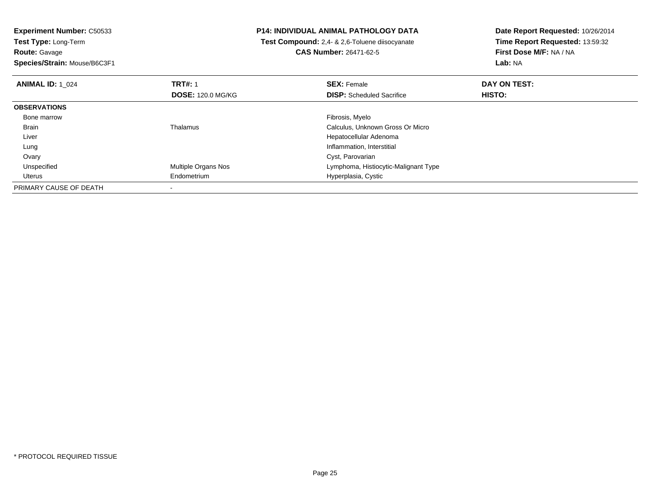**Experiment Number:** C50533**Test Type:** Long-Term**Route:** Gavage

**Species/Strain:** Mouse/B6C3F1

# **P14: INDIVIDUAL ANIMAL PATHOLOGY DATA**

 **Test Compound:** 2,4- & 2,6-Toluene diisocyanate**CAS Number:** 26471-62-5

| <b>ANIMAL ID: 1 024</b> | <b>TRT#: 1</b>           | <b>SEX: Female</b>                   | DAY ON TEST: |  |
|-------------------------|--------------------------|--------------------------------------|--------------|--|
|                         | <b>DOSE: 120.0 MG/KG</b> | <b>DISP:</b> Scheduled Sacrifice     | HISTO:       |  |
| <b>OBSERVATIONS</b>     |                          |                                      |              |  |
| Bone marrow             |                          | Fibrosis, Myelo                      |              |  |
| Brain                   | Thalamus                 | Calculus, Unknown Gross Or Micro     |              |  |
| Liver                   |                          | Hepatocellular Adenoma               |              |  |
| Lung                    |                          | Inflammation, Interstitial           |              |  |
| Ovary                   |                          | Cyst, Parovarian                     |              |  |
| Unspecified             | Multiple Organs Nos      | Lymphoma, Histiocytic-Malignant Type |              |  |
| Uterus                  | Endometrium              | Hyperplasia, Cystic                  |              |  |
| PRIMARY CAUSE OF DEATH  |                          |                                      |              |  |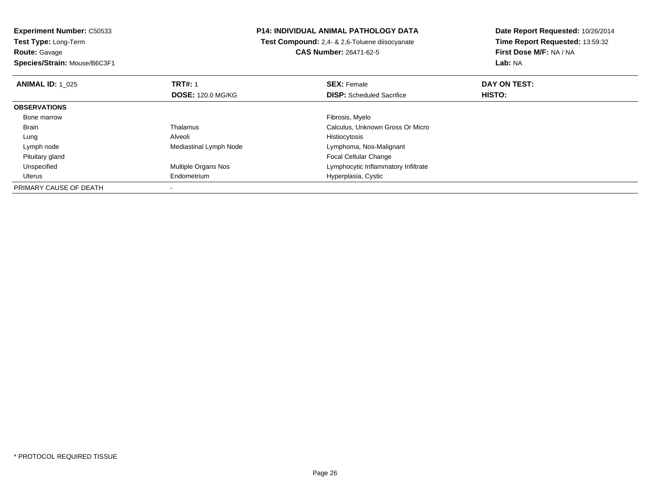**Experiment Number:** C50533**Test Type:** Long-Term**Route:** Gavage

**Species/Strain:** Mouse/B6C3F1

# **P14: INDIVIDUAL ANIMAL PATHOLOGY DATA**

 **Test Compound:** 2,4- & 2,6-Toluene diisocyanate**CAS Number:** 26471-62-5

| <b>ANIMAL ID: 1 025</b> | <b>TRT#: 1</b>           | <b>SEX: Female</b>                  | DAY ON TEST:  |  |
|-------------------------|--------------------------|-------------------------------------|---------------|--|
|                         | <b>DOSE: 120.0 MG/KG</b> | <b>DISP:</b> Scheduled Sacrifice    | <b>HISTO:</b> |  |
| <b>OBSERVATIONS</b>     |                          |                                     |               |  |
| Bone marrow             |                          | Fibrosis, Myelo                     |               |  |
| <b>Brain</b>            | Thalamus                 | Calculus, Unknown Gross Or Micro    |               |  |
| Lung                    | Alveoli                  | Histiocytosis                       |               |  |
| Lymph node              | Mediastinal Lymph Node   | Lymphoma, Nos-Malignant             |               |  |
| Pituitary gland         |                          | <b>Focal Cellular Change</b>        |               |  |
| Unspecified             | Multiple Organs Nos      | Lymphocytic Inflammatory Infiltrate |               |  |
| Uterus                  | Endometrium              | Hyperplasia, Cystic                 |               |  |
| PRIMARY CAUSE OF DEATH  |                          |                                     |               |  |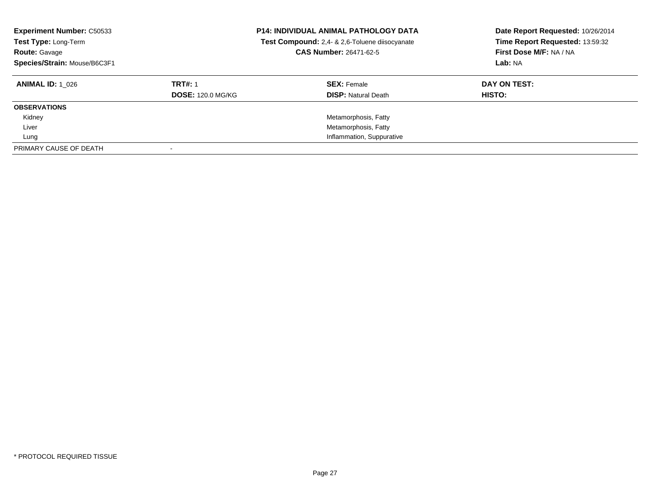| <b>Experiment Number: C50533</b><br>Test Type: Long-Term<br><b>Route: Gavage</b><br>Species/Strain: Mouse/B6C3F1 | <b>P14: INDIVIDUAL ANIMAL PATHOLOGY DATA</b><br>Test Compound: 2,4- & 2,6-Toluene diisocyanate<br>CAS Number: 26471-62-5 |                            | Date Report Requested: 10/26/2014<br>Time Report Requested: 13:59:32<br>First Dose M/F: NA / NA<br>Lab: NA |
|------------------------------------------------------------------------------------------------------------------|--------------------------------------------------------------------------------------------------------------------------|----------------------------|------------------------------------------------------------------------------------------------------------|
| <b>ANIMAL ID:</b> 1 026                                                                                          | <b>TRT#: 1</b>                                                                                                           | <b>SEX: Female</b>         | DAY ON TEST:                                                                                               |
|                                                                                                                  | <b>DOSE: 120.0 MG/KG</b>                                                                                                 | <b>DISP: Natural Death</b> | HISTO:                                                                                                     |
| <b>OBSERVATIONS</b>                                                                                              |                                                                                                                          |                            |                                                                                                            |
| Kidney                                                                                                           |                                                                                                                          | Metamorphosis, Fatty       |                                                                                                            |
| Liver                                                                                                            |                                                                                                                          | Metamorphosis, Fatty       |                                                                                                            |
| Lung                                                                                                             |                                                                                                                          | Inflammation, Suppurative  |                                                                                                            |
| PRIMARY CAUSE OF DEATH                                                                                           |                                                                                                                          |                            |                                                                                                            |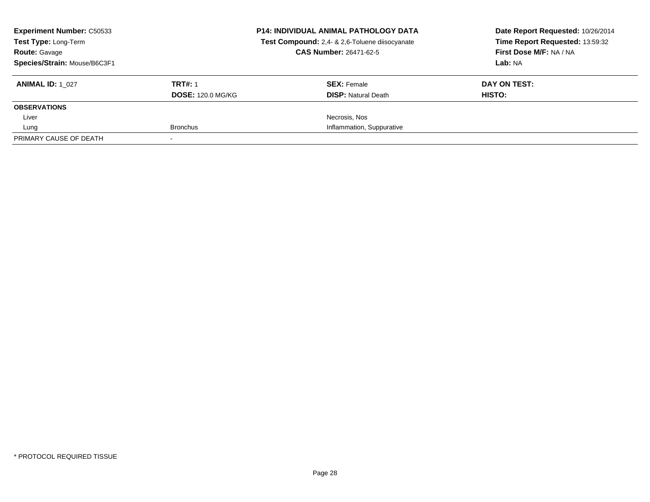| <b>Experiment Number: C50533</b><br>Test Type: Long-Term<br><b>Route: Gavage</b><br>Species/Strain: Mouse/B6C3F1 |                                            | <b>P14: INDIVIDUAL ANIMAL PATHOLOGY DATA</b><br>Test Compound: 2,4- & 2,6-Toluene diisocyanate<br><b>CAS Number: 26471-62-5</b> | Date Report Requested: 10/26/2014<br>Time Report Requested: 13:59:32<br>First Dose M/F: NA / NA<br>Lab: NA |
|------------------------------------------------------------------------------------------------------------------|--------------------------------------------|---------------------------------------------------------------------------------------------------------------------------------|------------------------------------------------------------------------------------------------------------|
| <b>ANIMAL ID: 1 027</b>                                                                                          | <b>TRT#: 1</b><br><b>DOSE: 120.0 MG/KG</b> | <b>SEX: Female</b><br><b>DISP: Natural Death</b>                                                                                | DAY ON TEST:<br><b>HISTO:</b>                                                                              |
| <b>OBSERVATIONS</b>                                                                                              |                                            |                                                                                                                                 |                                                                                                            |
| Liver                                                                                                            |                                            | Necrosis, Nos                                                                                                                   |                                                                                                            |
| Lung                                                                                                             | <b>Bronchus</b>                            | Inflammation, Suppurative                                                                                                       |                                                                                                            |
| PRIMARY CAUSE OF DEATH                                                                                           |                                            |                                                                                                                                 |                                                                                                            |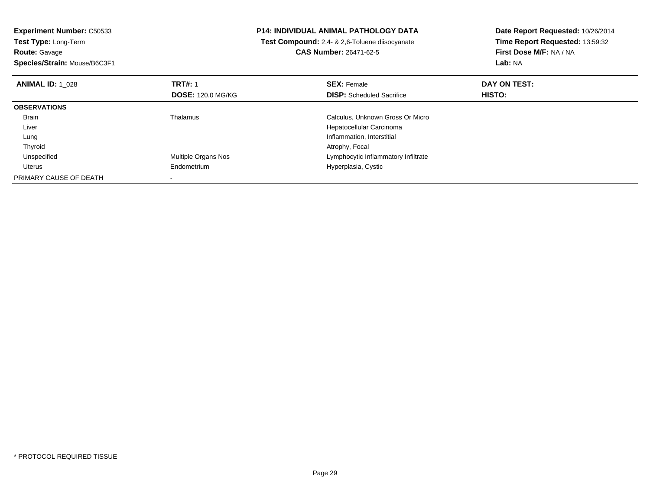| <b>Experiment Number: C50533</b><br>Test Type: Long-Term |                            | <b>P14: INDIVIDUAL ANIMAL PATHOLOGY DATA</b>   | Date Report Requested: 10/26/2014<br>Time Report Requested: 13:59:32 |  |
|----------------------------------------------------------|----------------------------|------------------------------------------------|----------------------------------------------------------------------|--|
|                                                          |                            | Test Compound: 2,4- & 2,6-Toluene diisocyanate |                                                                      |  |
| <b>Route: Gavage</b>                                     |                            | <b>CAS Number: 26471-62-5</b>                  | First Dose M/F: NA / NA                                              |  |
| Species/Strain: Mouse/B6C3F1                             |                            |                                                | <b>Lab: NA</b>                                                       |  |
| <b>ANIMAL ID: 1 028</b>                                  | <b>TRT#: 1</b>             | <b>SEX: Female</b>                             | DAY ON TEST:                                                         |  |
|                                                          | <b>DOSE: 120.0 MG/KG</b>   | <b>DISP:</b> Scheduled Sacrifice               | <b>HISTO:</b>                                                        |  |
| <b>OBSERVATIONS</b>                                      |                            |                                                |                                                                      |  |
| Brain                                                    | Thalamus                   | Calculus, Unknown Gross Or Micro               |                                                                      |  |
| Liver                                                    |                            | Hepatocellular Carcinoma                       |                                                                      |  |
| Lung                                                     |                            | Inflammation, Interstitial                     |                                                                      |  |
| Thyroid                                                  |                            | Atrophy, Focal                                 |                                                                      |  |
| Unspecified                                              | <b>Multiple Organs Nos</b> | Lymphocytic Inflammatory Infiltrate            |                                                                      |  |
| Uterus                                                   | Endometrium                | Hyperplasia, Cystic                            |                                                                      |  |
| PRIMARY CAUSE OF DEATH                                   |                            |                                                |                                                                      |  |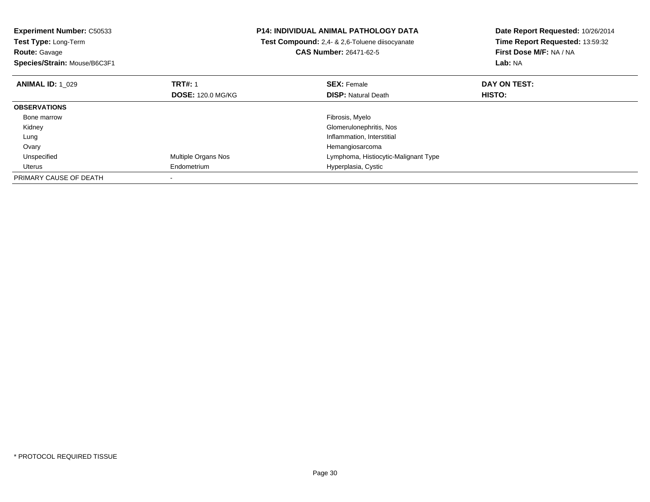**Experiment Number:** C50533**Test Type:** Long-Term**Route:** Gavage **Species/Strain:** Mouse/B6C3F1**P14: INDIVIDUAL ANIMAL PATHOLOGY DATA Test Compound:** 2,4- & 2,6-Toluene diisocyanate**CAS Number:** 26471-62-5**Date Report Requested:** 10/26/2014**Time Report Requested:** 13:59:32**First Dose M/F:** NA / NA**Lab:** NA**ANIMAL ID:** 1\_029**TRT#:** 1 **SEX:** Female **DAY ON TEST: DOSE:** 120.0 MG/KG**DISP:** Natural Death **HISTO: OBSERVATIONS** Bone marroww which is a state of the state of the state of the state of the state of the Fibrosis, Myelo state of the state of the state of the state of the state of the state of the state of the state of the state of the state of th Kidney Glomerulonephritis, Nos Lung Inflammation, Interstitial OvaryHemangiosarcoma<br>Multiple Organs Nos **Exercía e Senator Exercípcios** Lymphoma, Histioc d **Example 20 and 19 and 19 and 19 and 19 and 19 and 19 and 19 and 19 and 19 and 19 and 19 and 19 and 19 and 19 and 19 and 19 and 19 and 19 and 19 and 19 and 19 and 19 and 19 and 19 and 19 and 19 and 19 and 19 and 19 and 1**  Unspecified Uterus Endometrium Hyperplasia, Cystic PRIMARY CAUSE OF DEATH-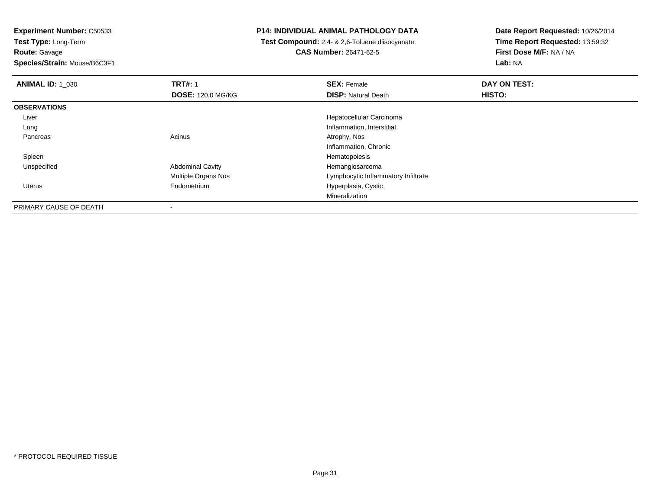**Experiment Number:** C50533**Test Type:** Long-Term

**Route:** Gavage

**Species/Strain:** Mouse/B6C3F1

# **P14: INDIVIDUAL ANIMAL PATHOLOGY DATA**

 **Test Compound:** 2,4- & 2,6-Toluene diisocyanate**CAS Number:** 26471-62-5

| <b>ANIMAL ID: 1_030</b> | <b>TRT#: 1</b>           | <b>SEX: Female</b>                  | DAY ON TEST:  |  |
|-------------------------|--------------------------|-------------------------------------|---------------|--|
|                         | <b>DOSE: 120.0 MG/KG</b> | <b>DISP: Natural Death</b>          | <b>HISTO:</b> |  |
| <b>OBSERVATIONS</b>     |                          |                                     |               |  |
| Liver                   |                          | Hepatocellular Carcinoma            |               |  |
| Lung                    |                          | Inflammation, Interstitial          |               |  |
| Pancreas                | Acinus                   | Atrophy, Nos                        |               |  |
|                         |                          | Inflammation, Chronic               |               |  |
| Spleen                  |                          | Hematopoiesis                       |               |  |
| Unspecified             | <b>Abdominal Cavity</b>  | Hemangiosarcoma                     |               |  |
|                         | Multiple Organs Nos      | Lymphocytic Inflammatory Infiltrate |               |  |
| Uterus                  | Endometrium              | Hyperplasia, Cystic                 |               |  |
|                         |                          | Mineralization                      |               |  |
| PRIMARY CAUSE OF DEATH  |                          |                                     |               |  |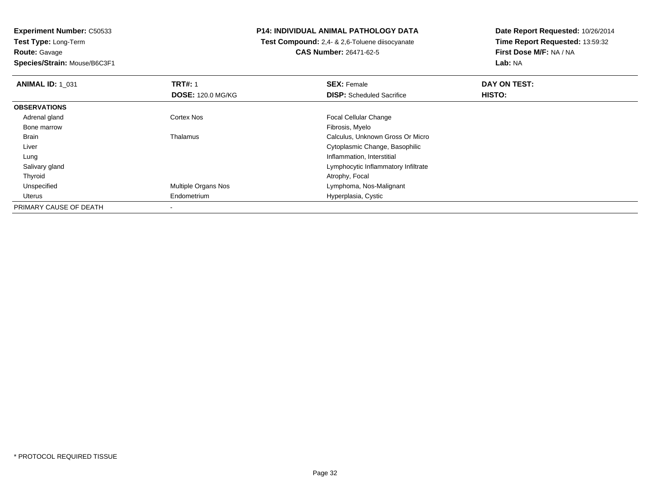**Experiment Number:** C50533**Test Type:** Long-Term**Route:** Gavage**Species/Strain:** Mouse/B6C3F1

# **P14: INDIVIDUAL ANIMAL PATHOLOGY DATA**

 **Test Compound:** 2,4- & 2,6-Toluene diisocyanate**CAS Number:** 26471-62-5

| <b>ANIMAL ID: 1 031</b> | <b>TRT#: 1</b>           | <b>SEX: Female</b>                  | DAY ON TEST: |  |
|-------------------------|--------------------------|-------------------------------------|--------------|--|
|                         | <b>DOSE: 120.0 MG/KG</b> | <b>DISP:</b> Scheduled Sacrifice    | HISTO:       |  |
| <b>OBSERVATIONS</b>     |                          |                                     |              |  |
| Adrenal gland           | <b>Cortex Nos</b>        | <b>Focal Cellular Change</b>        |              |  |
| Bone marrow             |                          | Fibrosis, Myelo                     |              |  |
| Brain                   | Thalamus                 | Calculus, Unknown Gross Or Micro    |              |  |
| Liver                   |                          | Cytoplasmic Change, Basophilic      |              |  |
| Lung                    |                          | Inflammation, Interstitial          |              |  |
| Salivary gland          |                          | Lymphocytic Inflammatory Infiltrate |              |  |
| Thyroid                 |                          | Atrophy, Focal                      |              |  |
| Unspecified             | Multiple Organs Nos      | Lymphoma, Nos-Malignant             |              |  |
| Uterus                  | Endometrium              | Hyperplasia, Cystic                 |              |  |
| PRIMARY CAUSE OF DEATH  |                          |                                     |              |  |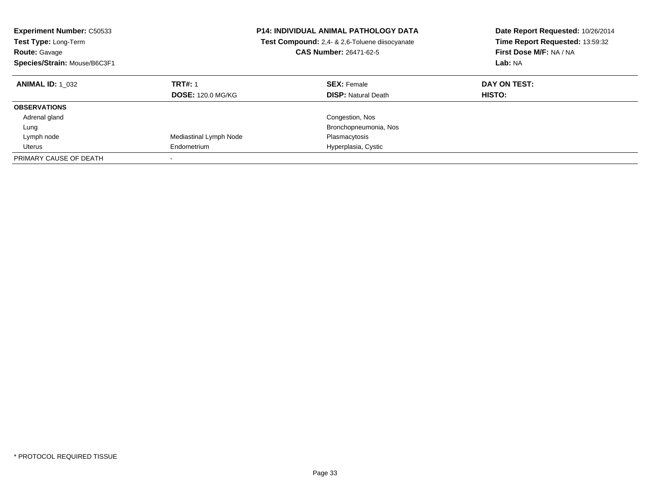| <b>Experiment Number: C50533</b><br><b>Test Type: Long-Term</b><br><b>Route: Gavage</b><br>Species/Strain: Mouse/B6C3F1 |                                            | <b>P14: INDIVIDUAL ANIMAL PATHOLOGY DATA</b><br>Test Compound: 2,4- & 2,6-Toluene diisocyanate<br><b>CAS Number: 26471-62-5</b> | Date Report Requested: 10/26/2014<br>Time Report Requested: 13:59:32<br>First Dose M/F: NA / NA<br><b>Lab: NA</b> |
|-------------------------------------------------------------------------------------------------------------------------|--------------------------------------------|---------------------------------------------------------------------------------------------------------------------------------|-------------------------------------------------------------------------------------------------------------------|
| <b>ANIMAL ID:</b> 1 032                                                                                                 | <b>TRT#: 1</b><br><b>DOSE: 120.0 MG/KG</b> | <b>SEX: Female</b><br><b>DISP:</b> Natural Death                                                                                | DAY ON TEST:<br><b>HISTO:</b>                                                                                     |
| <b>OBSERVATIONS</b>                                                                                                     |                                            |                                                                                                                                 |                                                                                                                   |
| Adrenal gland                                                                                                           |                                            | Congestion, Nos                                                                                                                 |                                                                                                                   |
| Lung                                                                                                                    |                                            | Bronchopneumonia, Nos                                                                                                           |                                                                                                                   |
| Lymph node                                                                                                              | Mediastinal Lymph Node                     | Plasmacytosis                                                                                                                   |                                                                                                                   |
| Uterus                                                                                                                  | Endometrium                                | Hyperplasia, Cystic                                                                                                             |                                                                                                                   |
| PRIMARY CAUSE OF DEATH                                                                                                  |                                            |                                                                                                                                 |                                                                                                                   |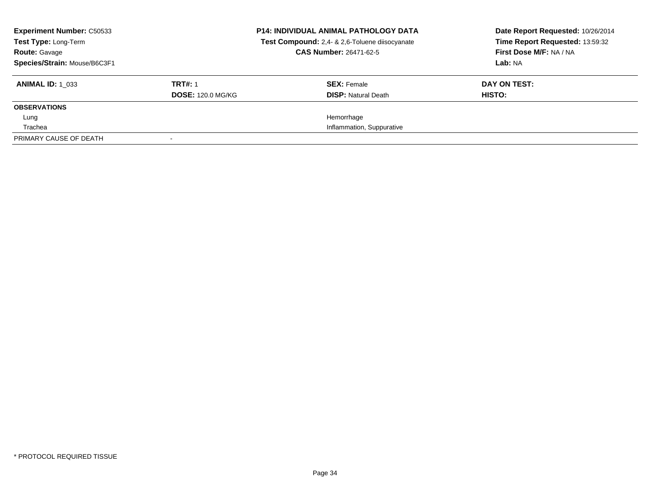| <b>Experiment Number: C50533</b><br><b>Test Type: Long-Term</b><br><b>Route: Gavage</b><br>Species/Strain: Mouse/B6C3F1 |                          | <b>P14: INDIVIDUAL ANIMAL PATHOLOGY DATA</b><br>Test Compound: 2,4- & 2,6-Toluene diisocyanate<br><b>CAS Number: 26471-62-5</b> | Date Report Requested: 10/26/2014<br>Time Report Requested: 13:59:32<br>First Dose M/F: NA / NA<br>Lab: NA |
|-------------------------------------------------------------------------------------------------------------------------|--------------------------|---------------------------------------------------------------------------------------------------------------------------------|------------------------------------------------------------------------------------------------------------|
| <b>ANIMAL ID: 1 033</b>                                                                                                 | <b>TRT#: 1</b>           | <b>SEX: Female</b>                                                                                                              | DAY ON TEST:                                                                                               |
|                                                                                                                         | <b>DOSE: 120.0 MG/KG</b> | <b>DISP:</b> Natural Death                                                                                                      | HISTO:                                                                                                     |
| <b>OBSERVATIONS</b>                                                                                                     |                          |                                                                                                                                 |                                                                                                            |
| Lung                                                                                                                    |                          | Hemorrhage                                                                                                                      |                                                                                                            |
| Trachea                                                                                                                 |                          | Inflammation, Suppurative                                                                                                       |                                                                                                            |
| PRIMARY CAUSE OF DEATH                                                                                                  |                          |                                                                                                                                 |                                                                                                            |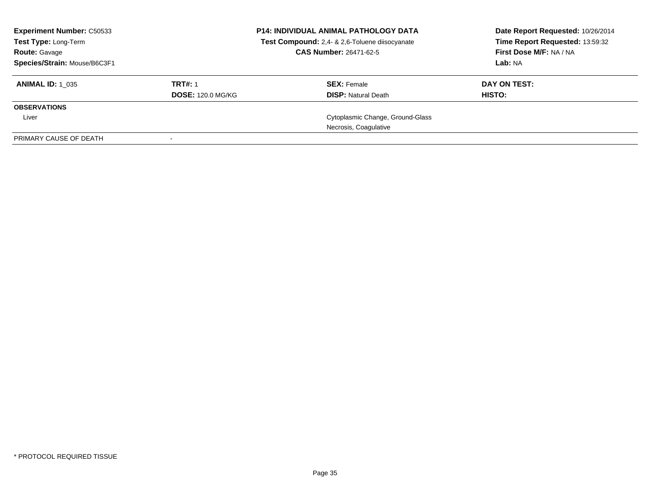| <b>Experiment Number: C50533</b><br><b>Test Type: Long-Term</b><br><b>Route: Gavage</b><br>Species/Strain: Mouse/B6C3F1 |                          | <b>P14: INDIVIDUAL ANIMAL PATHOLOGY DATA</b><br>Test Compound: 2,4- & 2,6-Toluene diisocyanate<br>CAS Number: 26471-62-5 | Date Report Requested: 10/26/2014<br>Time Report Requested: 13:59:32<br>First Dose M/F: NA / NA<br>Lab: NA |
|-------------------------------------------------------------------------------------------------------------------------|--------------------------|--------------------------------------------------------------------------------------------------------------------------|------------------------------------------------------------------------------------------------------------|
| <b>ANIMAL ID: 1 035</b>                                                                                                 | <b>TRT#: 1</b>           | <b>SEX: Female</b>                                                                                                       | DAY ON TEST:                                                                                               |
|                                                                                                                         | <b>DOSE: 120.0 MG/KG</b> | <b>DISP: Natural Death</b>                                                                                               | HISTO:                                                                                                     |
| <b>OBSERVATIONS</b>                                                                                                     |                          |                                                                                                                          |                                                                                                            |
| Liver                                                                                                                   |                          | Cytoplasmic Change, Ground-Glass                                                                                         |                                                                                                            |
|                                                                                                                         |                          | Necrosis, Coagulative                                                                                                    |                                                                                                            |
| PRIMARY CAUSE OF DEATH                                                                                                  |                          |                                                                                                                          |                                                                                                            |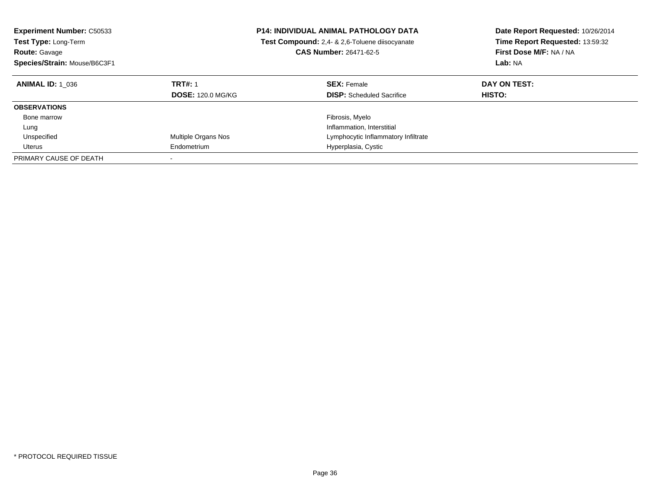| <b>Experiment Number: C50533</b><br>Test Type: Long-Term<br><b>Route: Gavage</b><br>Species/Strain: Mouse/B6C3F1 | <b>P14: INDIVIDUAL ANIMAL PATHOLOGY DATA</b><br>Test Compound: 2,4- & 2,6-Toluene diisocyanate<br><b>CAS Number: 26471-62-5</b> |                                                        | Date Report Requested: 10/26/2014<br>Time Report Requested: 13:59:32<br>First Dose M/F: NA / NA<br>Lab: NA |  |
|------------------------------------------------------------------------------------------------------------------|---------------------------------------------------------------------------------------------------------------------------------|--------------------------------------------------------|------------------------------------------------------------------------------------------------------------|--|
| <b>ANIMAL ID:</b> 1 036                                                                                          | <b>TRT#: 1</b><br><b>DOSE: 120.0 MG/KG</b>                                                                                      | <b>SEX: Female</b><br><b>DISP:</b> Scheduled Sacrifice | DAY ON TEST:<br><b>HISTO:</b>                                                                              |  |
| <b>OBSERVATIONS</b>                                                                                              |                                                                                                                                 |                                                        |                                                                                                            |  |
| Bone marrow                                                                                                      |                                                                                                                                 | Fibrosis, Myelo                                        |                                                                                                            |  |
| Lung                                                                                                             |                                                                                                                                 | Inflammation, Interstitial                             |                                                                                                            |  |
| Unspecified                                                                                                      | Multiple Organs Nos                                                                                                             | Lymphocytic Inflammatory Infiltrate                    |                                                                                                            |  |
| Uterus                                                                                                           | Endometrium                                                                                                                     | Hyperplasia, Cystic                                    |                                                                                                            |  |
| PRIMARY CAUSE OF DEATH                                                                                           |                                                                                                                                 |                                                        |                                                                                                            |  |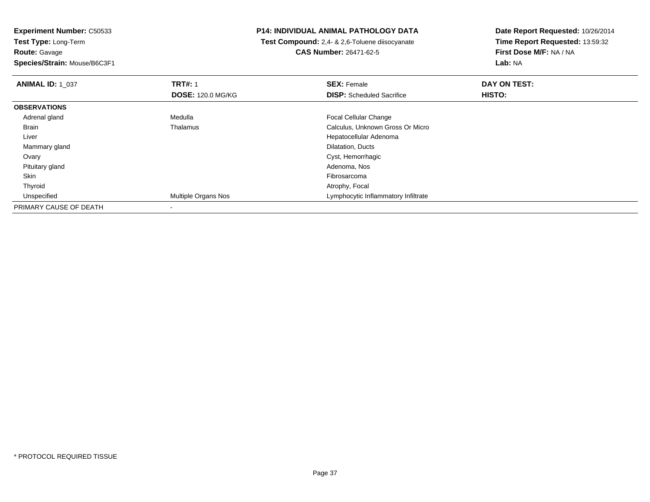**Experiment Number:** C50533**Test Type:** Long-Term**Route:** Gavage

**Species/Strain:** Mouse/B6C3F1

## **P14: INDIVIDUAL ANIMAL PATHOLOGY DATA**

 **Test Compound:** 2,4- & 2,6-Toluene diisocyanate**CAS Number:** 26471-62-5

| <b>ANIMAL ID: 1 037</b> | <b>TRT#: 1</b>             | <b>SEX: Female</b>                  | DAY ON TEST: |  |
|-------------------------|----------------------------|-------------------------------------|--------------|--|
|                         | <b>DOSE: 120.0 MG/KG</b>   | <b>DISP:</b> Scheduled Sacrifice    | HISTO:       |  |
| <b>OBSERVATIONS</b>     |                            |                                     |              |  |
| Adrenal gland           | Medulla                    | <b>Focal Cellular Change</b>        |              |  |
| <b>Brain</b>            | Thalamus                   | Calculus, Unknown Gross Or Micro    |              |  |
| Liver                   |                            | Hepatocellular Adenoma              |              |  |
| Mammary gland           |                            | Dilatation, Ducts                   |              |  |
| Ovary                   |                            | Cyst, Hemorrhagic                   |              |  |
| Pituitary gland         |                            | Adenoma, Nos                        |              |  |
| Skin                    |                            | Fibrosarcoma                        |              |  |
| Thyroid                 |                            | Atrophy, Focal                      |              |  |
| Unspecified             | <b>Multiple Organs Nos</b> | Lymphocytic Inflammatory Infiltrate |              |  |
| PRIMARY CAUSE OF DEATH  |                            |                                     |              |  |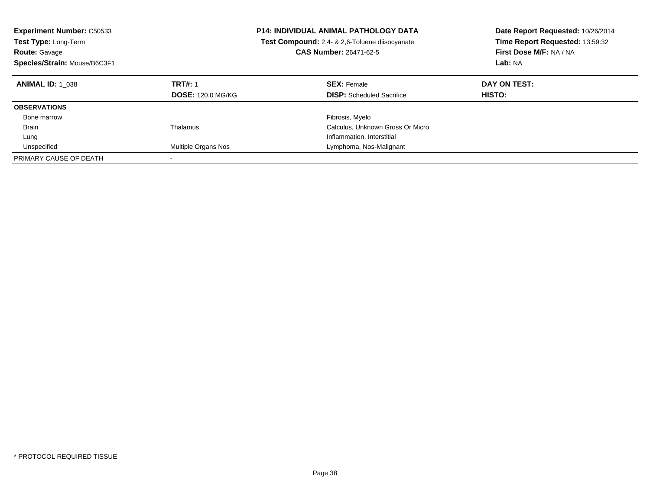| <b>Experiment Number: C50533</b><br><b>Test Type: Long-Term</b><br><b>Route: Gavage</b><br>Species/Strain: Mouse/B6C3F1 |                                            | <b>P14: INDIVIDUAL ANIMAL PATHOLOGY DATA</b><br><b>Test Compound:</b> 2.4- & 2.6-Toluene diisocyanate<br><b>CAS Number: 26471-62-5</b> | Date Report Requested: 10/26/2014<br>Time Report Requested: 13:59:32<br>First Dose M/F: NA / NA<br>Lab: NA |
|-------------------------------------------------------------------------------------------------------------------------|--------------------------------------------|----------------------------------------------------------------------------------------------------------------------------------------|------------------------------------------------------------------------------------------------------------|
| <b>ANIMAL ID: 1 038</b>                                                                                                 | <b>TRT#: 1</b><br><b>DOSE: 120.0 MG/KG</b> | <b>SEX: Female</b><br><b>DISP:</b> Scheduled Sacrifice                                                                                 | DAY ON TEST:<br><b>HISTO:</b>                                                                              |
| <b>OBSERVATIONS</b>                                                                                                     |                                            |                                                                                                                                        |                                                                                                            |
| Bone marrow                                                                                                             |                                            | Fibrosis, Myelo                                                                                                                        |                                                                                                            |
| <b>Brain</b>                                                                                                            | Thalamus                                   | Calculus, Unknown Gross Or Micro                                                                                                       |                                                                                                            |
| Lung                                                                                                                    |                                            | Inflammation, Interstitial                                                                                                             |                                                                                                            |
| Unspecified                                                                                                             | Multiple Organs Nos                        | Lymphoma, Nos-Malignant                                                                                                                |                                                                                                            |
| PRIMARY CAUSE OF DEATH                                                                                                  |                                            |                                                                                                                                        |                                                                                                            |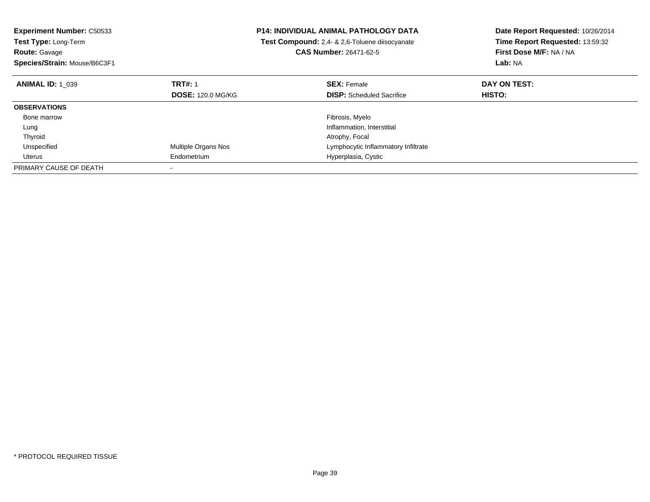| <b>Experiment Number: C50533</b><br>Test Type: Long-Term<br><b>Route: Gavage</b> |                          | <b>P14: INDIVIDUAL ANIMAL PATHOLOGY DATA</b><br>Test Compound: 2,4- & 2,6-Toluene diisocyanate<br><b>CAS Number: 26471-62-5</b> | Date Report Requested: 10/26/2014<br>Time Report Requested: 13:59:32<br>First Dose M/F: NA / NA |
|----------------------------------------------------------------------------------|--------------------------|---------------------------------------------------------------------------------------------------------------------------------|-------------------------------------------------------------------------------------------------|
| Species/Strain: Mouse/B6C3F1                                                     |                          |                                                                                                                                 | Lab: NA                                                                                         |
| <b>ANIMAL ID: 1 039</b>                                                          | <b>TRT#: 1</b>           | <b>SEX: Female</b>                                                                                                              | DAY ON TEST:                                                                                    |
|                                                                                  | <b>DOSE: 120.0 MG/KG</b> | <b>DISP:</b> Scheduled Sacrifice                                                                                                | <b>HISTO:</b>                                                                                   |
| <b>OBSERVATIONS</b>                                                              |                          |                                                                                                                                 |                                                                                                 |
| Bone marrow                                                                      |                          | Fibrosis, Myelo                                                                                                                 |                                                                                                 |
| Lung                                                                             |                          | Inflammation, Interstitial                                                                                                      |                                                                                                 |
| Thyroid                                                                          |                          | Atrophy, Focal                                                                                                                  |                                                                                                 |
| Unspecified                                                                      | Multiple Organs Nos      | Lymphocytic Inflammatory Infiltrate                                                                                             |                                                                                                 |
| Uterus                                                                           | Endometrium              | Hyperplasia, Cystic                                                                                                             |                                                                                                 |
| PRIMARY CAUSE OF DEATH                                                           |                          |                                                                                                                                 |                                                                                                 |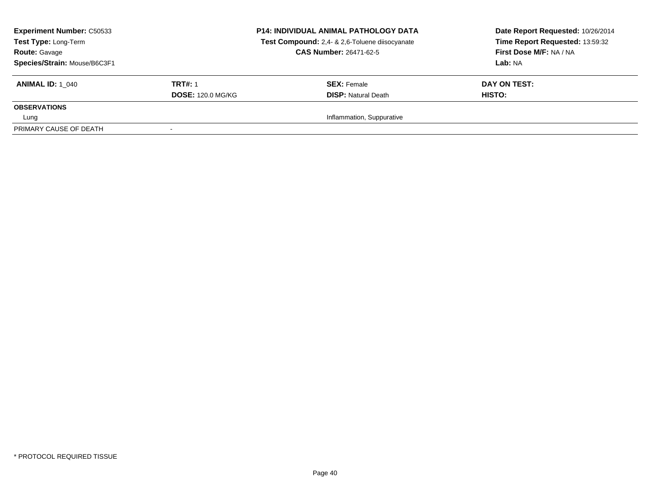| <b>Experiment Number: C50533</b><br>Test Type: Long-Term<br><b>Route: Gavage</b><br>Species/Strain: Mouse/B6C3F1 |                          | <b>P14: INDIVIDUAL ANIMAL PATHOLOGY DATA</b><br>Test Compound: 2,4- & 2,6-Toluene diisocyanate<br><b>CAS Number: 26471-62-5</b> | Date Report Requested: 10/26/2014<br>Time Report Requested: 13:59:32<br>First Dose M/F: NA / NA<br>Lab: NA |
|------------------------------------------------------------------------------------------------------------------|--------------------------|---------------------------------------------------------------------------------------------------------------------------------|------------------------------------------------------------------------------------------------------------|
| <b>ANIMAL ID: 1 040</b>                                                                                          | <b>TRT#: 1</b>           | <b>SEX:</b> Female                                                                                                              | DAY ON TEST:                                                                                               |
|                                                                                                                  | <b>DOSE: 120.0 MG/KG</b> | <b>DISP:</b> Natural Death                                                                                                      | HISTO:                                                                                                     |
| <b>OBSERVATIONS</b>                                                                                              |                          |                                                                                                                                 |                                                                                                            |
| Lung                                                                                                             |                          | Inflammation, Suppurative                                                                                                       |                                                                                                            |
| PRIMARY CAUSE OF DEATH                                                                                           |                          |                                                                                                                                 |                                                                                                            |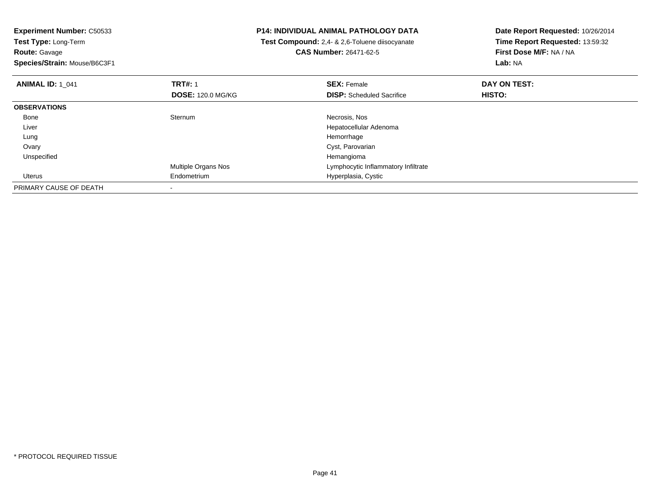**Experiment Number:** C50533**Test Type:** Long-Term**Route:** Gavage **Species/Strain:** Mouse/B6C3F1**P14: INDIVIDUAL ANIMAL PATHOLOGY DATA Test Compound:** 2,4- & 2,6-Toluene diisocyanate**CAS Number:** 26471-62-5**Date Report Requested:** 10/26/2014**Time Report Requested:** 13:59:32**First Dose M/F:** NA / NA**Lab:** NA**ANIMAL ID:** 1\_041**TRT#:** 1 **SEX:** Female **DAY ON TEST: DOSE:** 120.0 MG/KG**DISP:** Scheduled Sacrifice **HISTO: OBSERVATIONS** Bonee Sternum Sternum Necrosis, Nos Liver Hepatocellular Adenoma Lungg and the state of the state of the state of the state of the state of the state of the state of the state of the state of the state of the state of the state of the state of the state of the state of the state of the stat Ovary Cyst, Parovarian Unspecifiedd and the control of the control of the control of the control of the control of the control of the control of the control of the control of the control of the control of the control of the control of the control of the co Multiple Organs Nos Lymphocytic Inflammatory Infiltrate Uterus Endometrium Hyperplasia, Cystic PRIMARY CAUSE OF DEATH-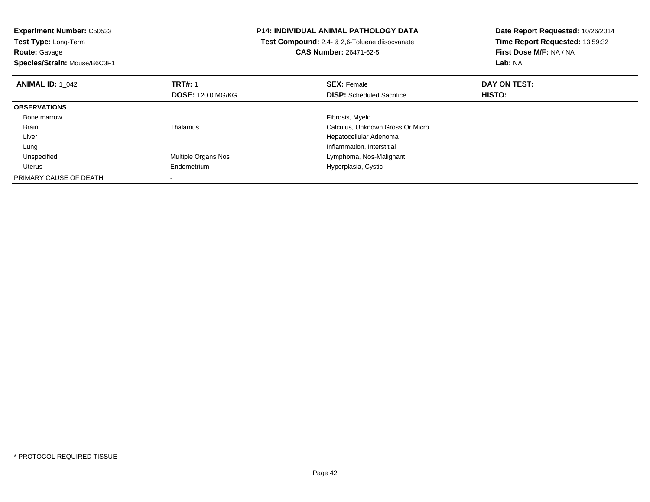| <b>Experiment Number: C50533</b><br>Test Type: Long-Term |                          | <b>P14: INDIVIDUAL ANIMAL PATHOLOGY DATA</b>          | Date Report Requested: 10/26/2014<br>Time Report Requested: 13:59:32 |
|----------------------------------------------------------|--------------------------|-------------------------------------------------------|----------------------------------------------------------------------|
|                                                          |                          | <b>Test Compound:</b> 2.4- & 2.6-Toluene diisocyanate |                                                                      |
| <b>Route: Gavage</b>                                     |                          | <b>CAS Number: 26471-62-5</b>                         | First Dose M/F: NA / NA                                              |
| Species/Strain: Mouse/B6C3F1                             |                          |                                                       | Lab: NA                                                              |
| <b>ANIMAL ID: 1 042</b>                                  | <b>TRT#: 1</b>           | <b>SEX: Female</b>                                    | DAY ON TEST:                                                         |
|                                                          | <b>DOSE: 120.0 MG/KG</b> | <b>DISP:</b> Scheduled Sacrifice                      | HISTO:                                                               |
| <b>OBSERVATIONS</b>                                      |                          |                                                       |                                                                      |
| Bone marrow                                              |                          | Fibrosis, Myelo                                       |                                                                      |
| Brain                                                    | Thalamus                 | Calculus, Unknown Gross Or Micro                      |                                                                      |
| Liver                                                    |                          | Hepatocellular Adenoma                                |                                                                      |
| Lung                                                     |                          | Inflammation, Interstitial                            |                                                                      |
| Unspecified                                              | Multiple Organs Nos      | Lymphoma, Nos-Malignant                               |                                                                      |
| Uterus                                                   | Endometrium              | Hyperplasia, Cystic                                   |                                                                      |
| PRIMARY CAUSE OF DEATH                                   |                          |                                                       |                                                                      |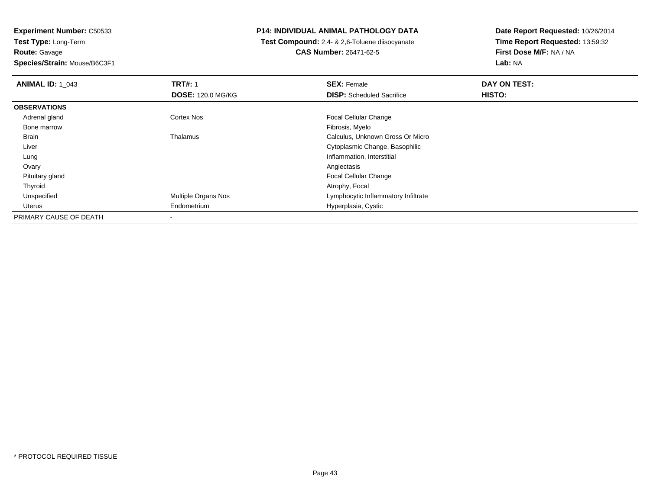**Experiment Number:** C50533**Test Type:** Long-Term**Route:** Gavage**Species/Strain:** Mouse/B6C3F1

## **P14: INDIVIDUAL ANIMAL PATHOLOGY DATA**

 **Test Compound:** 2,4- & 2,6-Toluene diisocyanate**CAS Number:** 26471-62-5

| <b>ANIMAL ID: 1 043</b> | <b>TRT#: 1</b>           | <b>SEX: Female</b>                  | DAY ON TEST: |
|-------------------------|--------------------------|-------------------------------------|--------------|
|                         | <b>DOSE: 120.0 MG/KG</b> | <b>DISP:</b> Scheduled Sacrifice    | HISTO:       |
| <b>OBSERVATIONS</b>     |                          |                                     |              |
| Adrenal gland           | Cortex Nos               | <b>Focal Cellular Change</b>        |              |
| Bone marrow             |                          | Fibrosis, Myelo                     |              |
| Brain                   | Thalamus                 | Calculus, Unknown Gross Or Micro    |              |
| Liver                   |                          | Cytoplasmic Change, Basophilic      |              |
| Lung                    |                          | Inflammation, Interstitial          |              |
| Ovary                   |                          | Angiectasis                         |              |
| Pituitary gland         |                          | <b>Focal Cellular Change</b>        |              |
| Thyroid                 |                          | Atrophy, Focal                      |              |
| Unspecified             | Multiple Organs Nos      | Lymphocytic Inflammatory Infiltrate |              |
| Uterus                  | Endometrium              | Hyperplasia, Cystic                 |              |
| PRIMARY CAUSE OF DEATH  | -                        |                                     |              |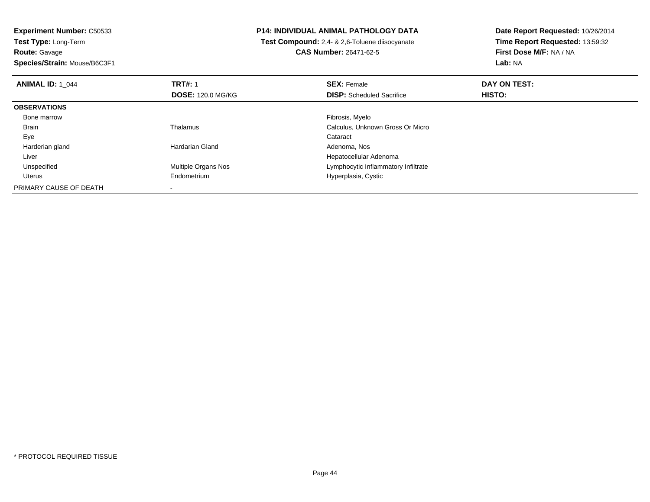**Experiment Number:** C50533**Test Type:** Long-Term**Route:** Gavage

**Species/Strain:** Mouse/B6C3F1

## **P14: INDIVIDUAL ANIMAL PATHOLOGY DATA**

 **Test Compound:** 2,4- & 2,6-Toluene diisocyanate**CAS Number:** 26471-62-5

| <b>ANIMAL ID: 1 044</b> | <b>TRT#: 1</b>           | <b>SEX: Female</b>                  | DAY ON TEST: |  |
|-------------------------|--------------------------|-------------------------------------|--------------|--|
|                         | <b>DOSE: 120.0 MG/KG</b> | <b>DISP:</b> Scheduled Sacrifice    | HISTO:       |  |
| <b>OBSERVATIONS</b>     |                          |                                     |              |  |
| Bone marrow             |                          | Fibrosis, Myelo                     |              |  |
| <b>Brain</b>            | Thalamus                 | Calculus, Unknown Gross Or Micro    |              |  |
| Eye                     |                          | Cataract                            |              |  |
| Harderian gland         | Hardarian Gland          | Adenoma, Nos                        |              |  |
| Liver                   |                          | Hepatocellular Adenoma              |              |  |
| Unspecified             | Multiple Organs Nos      | Lymphocytic Inflammatory Infiltrate |              |  |
| Uterus                  | Endometrium              | Hyperplasia, Cystic                 |              |  |
| PRIMARY CAUSE OF DEATH  |                          |                                     |              |  |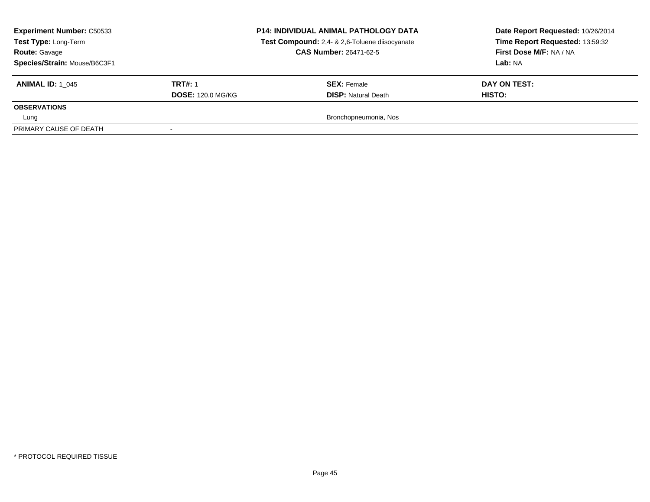| <b>Experiment Number: C50533</b><br>Test Type: Long-Term<br><b>Route: Gavage</b><br>Species/Strain: Mouse/B6C3F1 |                          | <b>P14: INDIVIDUAL ANIMAL PATHOLOGY DATA</b><br>Test Compound: 2,4- & 2,6-Toluene diisocyanate<br><b>CAS Number: 26471-62-5</b> | Date Report Requested: 10/26/2014<br>Time Report Requested: 13:59:32<br>First Dose M/F: NA / NA<br>Lab: NA |
|------------------------------------------------------------------------------------------------------------------|--------------------------|---------------------------------------------------------------------------------------------------------------------------------|------------------------------------------------------------------------------------------------------------|
| <b>ANIMAL ID: 1 045</b>                                                                                          | <b>TRT#: 1</b>           | <b>SEX: Female</b>                                                                                                              | DAY ON TEST:                                                                                               |
|                                                                                                                  | <b>DOSE: 120.0 MG/KG</b> | <b>DISP:</b> Natural Death                                                                                                      | HISTO:                                                                                                     |
| <b>OBSERVATIONS</b>                                                                                              |                          |                                                                                                                                 |                                                                                                            |
| Lung                                                                                                             |                          | Bronchopneumonia, Nos                                                                                                           |                                                                                                            |
| PRIMARY CAUSE OF DEATH                                                                                           |                          |                                                                                                                                 |                                                                                                            |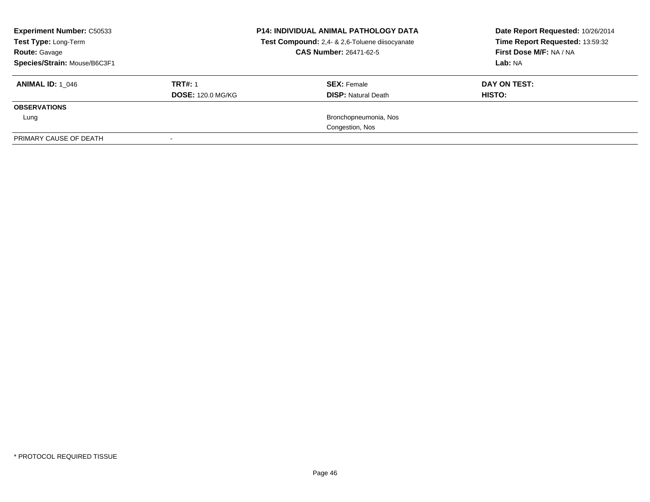| <b>Experiment Number: C50533</b><br>Test Type: Long-Term<br><b>Route: Gavage</b><br>Species/Strain: Mouse/B6C3F1 |                          | <b>P14: INDIVIDUAL ANIMAL PATHOLOGY DATA</b><br>Test Compound: 2,4- & 2,6-Toluene diisocyanate<br><b>CAS Number: 26471-62-5</b> | Date Report Requested: 10/26/2014<br>Time Report Requested: 13:59:32<br>First Dose M/F: NA / NA<br>Lab: NA |
|------------------------------------------------------------------------------------------------------------------|--------------------------|---------------------------------------------------------------------------------------------------------------------------------|------------------------------------------------------------------------------------------------------------|
| <b>ANIMAL ID:</b> 1 046                                                                                          | <b>TRT#: 1</b>           | <b>SEX:</b> Female                                                                                                              | DAY ON TEST:                                                                                               |
| <b>OBSERVATIONS</b>                                                                                              | <b>DOSE: 120.0 MG/KG</b> | <b>DISP:</b> Natural Death                                                                                                      | HISTO:                                                                                                     |
|                                                                                                                  |                          |                                                                                                                                 |                                                                                                            |
| Lung                                                                                                             |                          | Bronchopneumonia, Nos<br>Congestion, Nos                                                                                        |                                                                                                            |
| PRIMARY CAUSE OF DEATH                                                                                           |                          |                                                                                                                                 |                                                                                                            |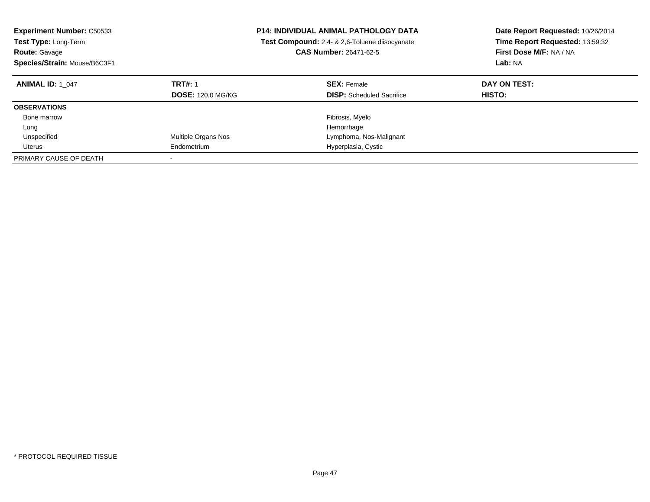| <b>Experiment Number: C50533</b><br>Test Type: Long-Term<br><b>Route: Gavage</b><br>Species/Strain: Mouse/B6C3F1 |                                            | <b>P14: INDIVIDUAL ANIMAL PATHOLOGY DATA</b><br>Test Compound: 2,4- & 2,6-Toluene diisocyanate<br><b>CAS Number: 26471-62-5</b> | Date Report Requested: 10/26/2014<br>Time Report Requested: 13:59:32<br>First Dose M/F: NA / NA<br>Lab: NA |
|------------------------------------------------------------------------------------------------------------------|--------------------------------------------|---------------------------------------------------------------------------------------------------------------------------------|------------------------------------------------------------------------------------------------------------|
| <b>ANIMAL ID: 1 047</b>                                                                                          | <b>TRT#: 1</b><br><b>DOSE: 120.0 MG/KG</b> | <b>SEX: Female</b><br><b>DISP:</b> Scheduled Sacrifice                                                                          | DAY ON TEST:<br>HISTO:                                                                                     |
| <b>OBSERVATIONS</b>                                                                                              |                                            |                                                                                                                                 |                                                                                                            |
| Bone marrow                                                                                                      |                                            | Fibrosis, Myelo                                                                                                                 |                                                                                                            |
| Lung                                                                                                             |                                            | Hemorrhage                                                                                                                      |                                                                                                            |
| Unspecified                                                                                                      | Multiple Organs Nos                        | Lymphoma, Nos-Malignant                                                                                                         |                                                                                                            |
| Uterus                                                                                                           | Endometrium                                | Hyperplasia, Cystic                                                                                                             |                                                                                                            |
| PRIMARY CAUSE OF DEATH                                                                                           |                                            |                                                                                                                                 |                                                                                                            |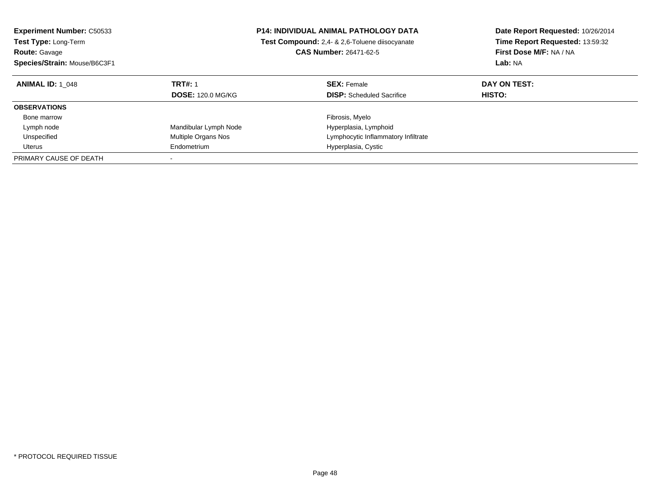| <b>Experiment Number: C50533</b><br><b>Test Type: Long-Term</b> |                          | <b>P14: INDIVIDUAL ANIMAL PATHOLOGY DATA</b><br>Test Compound: 2,4- & 2,6-Toluene diisocyanate | Date Report Requested: 10/26/2014<br>Time Report Requested: 13:59:32 |
|-----------------------------------------------------------------|--------------------------|------------------------------------------------------------------------------------------------|----------------------------------------------------------------------|
| <b>Route: Gavage</b>                                            |                          | <b>CAS Number: 26471-62-5</b>                                                                  | First Dose M/F: NA / NA                                              |
| Species/Strain: Mouse/B6C3F1                                    |                          |                                                                                                | Lab: NA                                                              |
| <b>ANIMAL ID: 1 048</b>                                         | <b>TRT#: 1</b>           | <b>SEX: Female</b>                                                                             | DAY ON TEST:                                                         |
|                                                                 | <b>DOSE: 120.0 MG/KG</b> | <b>DISP:</b> Scheduled Sacrifice                                                               | HISTO:                                                               |
| <b>OBSERVATIONS</b>                                             |                          |                                                                                                |                                                                      |
| Bone marrow                                                     |                          | Fibrosis, Myelo                                                                                |                                                                      |
| Lymph node                                                      | Mandibular Lymph Node    | Hyperplasia, Lymphoid                                                                          |                                                                      |
| Unspecified                                                     | Multiple Organs Nos      | Lymphocytic Inflammatory Infiltrate                                                            |                                                                      |
| Uterus                                                          | Endometrium              | Hyperplasia, Cystic                                                                            |                                                                      |
| PRIMARY CAUSE OF DEATH                                          |                          |                                                                                                |                                                                      |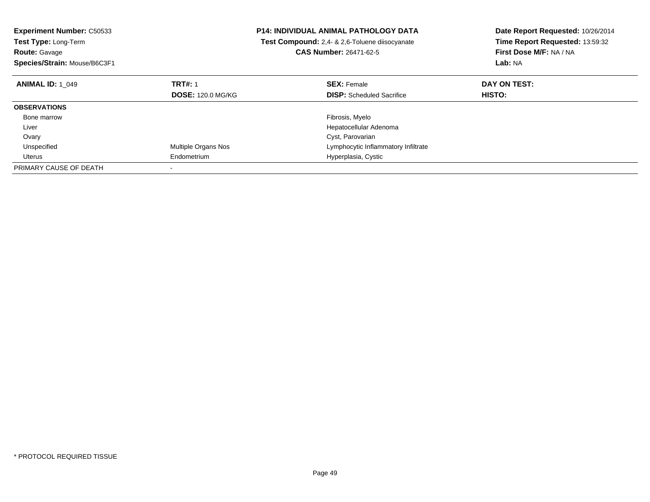| <b>Experiment Number: C50533</b> |                            | <b>P14: INDIVIDUAL ANIMAL PATHOLOGY DATA</b>   | Date Report Requested: 10/26/2014 |  |
|----------------------------------|----------------------------|------------------------------------------------|-----------------------------------|--|
| Test Type: Long-Term             |                            | Test Compound: 2,4- & 2,6-Toluene diisocyanate | Time Report Requested: 13:59:32   |  |
| <b>Route: Gavage</b>             |                            | <b>CAS Number: 26471-62-5</b>                  | First Dose M/F: NA / NA           |  |
| Species/Strain: Mouse/B6C3F1     |                            |                                                | Lab: NA                           |  |
| <b>ANIMAL ID: 1 049</b>          | <b>TRT#: 1</b>             | <b>SEX: Female</b>                             | DAY ON TEST:                      |  |
|                                  | <b>DOSE: 120.0 MG/KG</b>   | <b>DISP:</b> Scheduled Sacrifice               | <b>HISTO:</b>                     |  |
| <b>OBSERVATIONS</b>              |                            |                                                |                                   |  |
| Bone marrow                      |                            | Fibrosis, Myelo                                |                                   |  |
| Liver                            |                            | Hepatocellular Adenoma                         |                                   |  |
| Ovary                            |                            | Cyst, Parovarian                               |                                   |  |
| Unspecified                      | <b>Multiple Organs Nos</b> | Lymphocytic Inflammatory Infiltrate            |                                   |  |
| Uterus                           | Endometrium                | Hyperplasia, Cystic                            |                                   |  |
| PRIMARY CAUSE OF DEATH           |                            |                                                |                                   |  |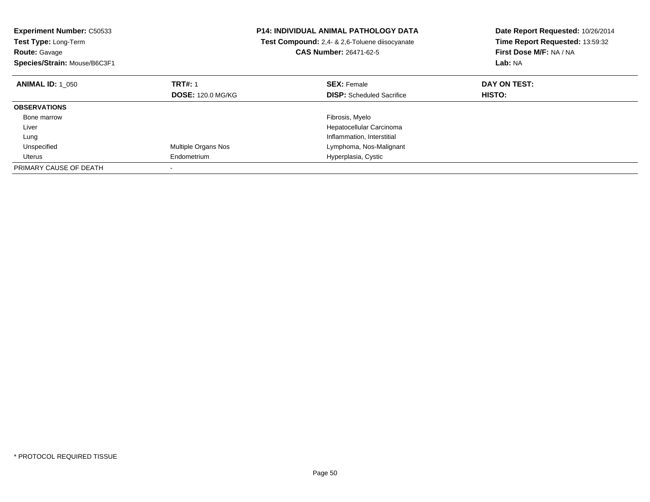| <b>Experiment Number: C50533</b><br>Test Type: Long-Term<br><b>Route: Gavage</b> |                          | <b>P14: INDIVIDUAL ANIMAL PATHOLOGY DATA</b><br>Test Compound: 2,4- & 2,6-Toluene diisocyanate<br><b>CAS Number: 26471-62-5</b> | Date Report Requested: 10/26/2014<br>Time Report Requested: 13:59:32<br>First Dose M/F: NA / NA |
|----------------------------------------------------------------------------------|--------------------------|---------------------------------------------------------------------------------------------------------------------------------|-------------------------------------------------------------------------------------------------|
| Species/Strain: Mouse/B6C3F1                                                     |                          |                                                                                                                                 | Lab: NA                                                                                         |
| <b>ANIMAL ID: 1 050</b>                                                          | <b>TRT#: 1</b>           | <b>SEX: Female</b>                                                                                                              | DAY ON TEST:                                                                                    |
|                                                                                  | <b>DOSE: 120.0 MG/KG</b> | <b>DISP:</b> Scheduled Sacrifice                                                                                                | <b>HISTO:</b>                                                                                   |
| <b>OBSERVATIONS</b>                                                              |                          |                                                                                                                                 |                                                                                                 |
| Bone marrow                                                                      |                          | Fibrosis, Myelo                                                                                                                 |                                                                                                 |
| Liver                                                                            |                          | Hepatocellular Carcinoma                                                                                                        |                                                                                                 |
| Lung                                                                             |                          | Inflammation, Interstitial                                                                                                      |                                                                                                 |
| Unspecified                                                                      | Multiple Organs Nos      | Lymphoma, Nos-Malignant                                                                                                         |                                                                                                 |
| Uterus                                                                           | Endometrium              | Hyperplasia, Cystic                                                                                                             |                                                                                                 |
| PRIMARY CAUSE OF DEATH                                                           |                          |                                                                                                                                 |                                                                                                 |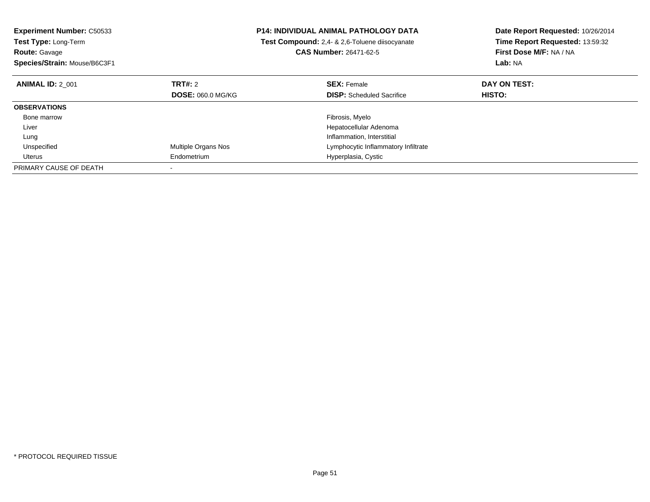| <b>Experiment Number: C50533</b> | <b>P14: INDIVIDUAL ANIMAL PATHOLOGY DATA</b> |                                                | Date Report Requested: 10/26/2014 |
|----------------------------------|----------------------------------------------|------------------------------------------------|-----------------------------------|
| Test Type: Long-Term             |                                              | Test Compound: 2,4- & 2,6-Toluene diisocyanate | Time Report Requested: 13:59:32   |
| <b>Route: Gavage</b>             |                                              | <b>CAS Number: 26471-62-5</b>                  | First Dose M/F: NA / NA           |
| Species/Strain: Mouse/B6C3F1     |                                              |                                                | Lab: NA                           |
| <b>ANIMAL ID: 2 001</b>          | TRT#: 2                                      | <b>SEX: Female</b>                             | DAY ON TEST:                      |
|                                  | <b>DOSE: 060.0 MG/KG</b>                     | <b>DISP:</b> Scheduled Sacrifice               | <b>HISTO:</b>                     |
| <b>OBSERVATIONS</b>              |                                              |                                                |                                   |
| Bone marrow                      |                                              | Fibrosis, Myelo                                |                                   |
| Liver                            |                                              | Hepatocellular Adenoma                         |                                   |
| Lung                             |                                              | Inflammation, Interstitial                     |                                   |
| Unspecified                      | Multiple Organs Nos                          | Lymphocytic Inflammatory Infiltrate            |                                   |
| Uterus                           | Endometrium                                  | Hyperplasia, Cystic                            |                                   |
| PRIMARY CAUSE OF DEATH           |                                              |                                                |                                   |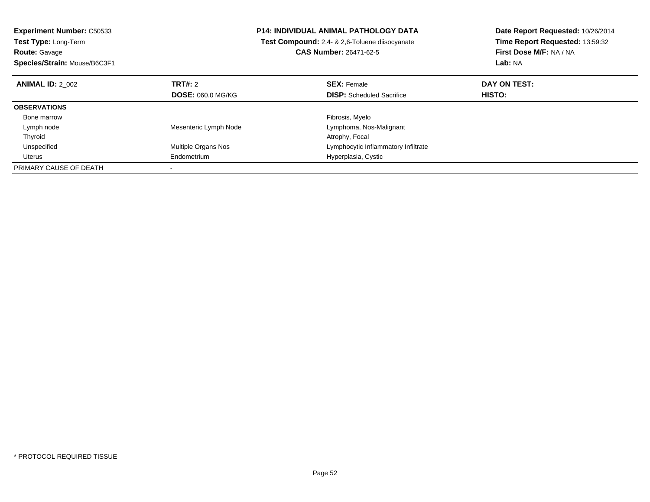| <b>Experiment Number: C50533</b> | <b>P14: INDIVIDUAL ANIMAL PATHOLOGY DATA</b> |                                                | Date Report Requested: 10/26/2014 |
|----------------------------------|----------------------------------------------|------------------------------------------------|-----------------------------------|
| Test Type: Long-Term             |                                              | Test Compound: 2.4- & 2.6-Toluene diisocyanate | Time Report Requested: 13:59:32   |
| <b>Route: Gavage</b>             |                                              | <b>CAS Number: 26471-62-5</b>                  | First Dose M/F: NA / NA           |
| Species/Strain: Mouse/B6C3F1     |                                              |                                                | Lab: NA                           |
| <b>ANIMAL ID: 2 002</b>          | TRT#: 2                                      | <b>SEX: Female</b>                             | DAY ON TEST:                      |
|                                  | <b>DOSE: 060.0 MG/KG</b>                     | <b>DISP:</b> Scheduled Sacrifice               | HISTO:                            |
| <b>OBSERVATIONS</b>              |                                              |                                                |                                   |
| Bone marrow                      |                                              | Fibrosis, Myelo                                |                                   |
| Lymph node                       | Mesenteric Lymph Node                        | Lymphoma, Nos-Malignant                        |                                   |
| Thyroid                          |                                              | Atrophy, Focal                                 |                                   |
| Unspecified                      | Multiple Organs Nos                          | Lymphocytic Inflammatory Infiltrate            |                                   |
| Uterus                           | Endometrium                                  | Hyperplasia, Cystic                            |                                   |
| PRIMARY CAUSE OF DEATH           |                                              |                                                |                                   |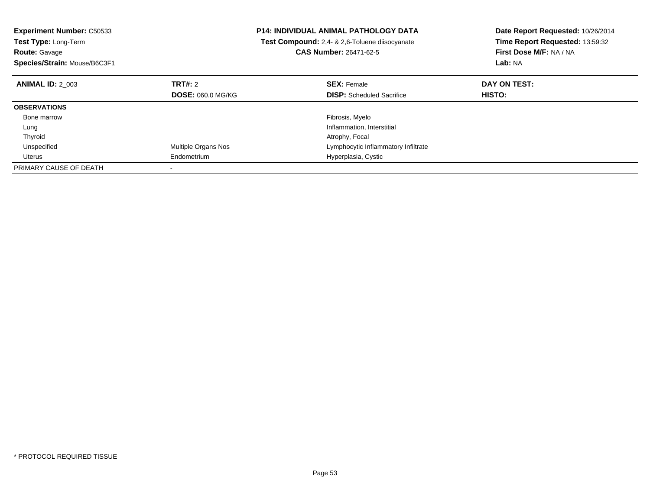| <b>Experiment Number: C50533</b><br>Test Type: Long-Term<br><b>Route: Gavage</b> |                          | <b>P14: INDIVIDUAL ANIMAL PATHOLOGY DATA</b><br>Test Compound: 2,4- & 2,6-Toluene diisocyanate<br><b>CAS Number: 26471-62-5</b> | Date Report Requested: 10/26/2014<br>Time Report Requested: 13:59:32<br>First Dose M/F: NA / NA |
|----------------------------------------------------------------------------------|--------------------------|---------------------------------------------------------------------------------------------------------------------------------|-------------------------------------------------------------------------------------------------|
| Species/Strain: Mouse/B6C3F1                                                     |                          |                                                                                                                                 | Lab: NA                                                                                         |
| <b>ANIMAL ID: 2 003</b>                                                          | <b>TRT#:</b> 2           | <b>SEX: Female</b>                                                                                                              | DAY ON TEST:                                                                                    |
|                                                                                  | <b>DOSE: 060.0 MG/KG</b> | <b>DISP:</b> Scheduled Sacrifice                                                                                                | <b>HISTO:</b>                                                                                   |
| <b>OBSERVATIONS</b>                                                              |                          |                                                                                                                                 |                                                                                                 |
| Bone marrow                                                                      |                          | Fibrosis, Myelo                                                                                                                 |                                                                                                 |
| Lung                                                                             |                          | Inflammation, Interstitial                                                                                                      |                                                                                                 |
| Thyroid                                                                          |                          | Atrophy, Focal                                                                                                                  |                                                                                                 |
| Unspecified                                                                      | Multiple Organs Nos      | Lymphocytic Inflammatory Infiltrate                                                                                             |                                                                                                 |
| Uterus                                                                           | Endometrium              | Hyperplasia, Cystic                                                                                                             |                                                                                                 |
| PRIMARY CAUSE OF DEATH                                                           |                          |                                                                                                                                 |                                                                                                 |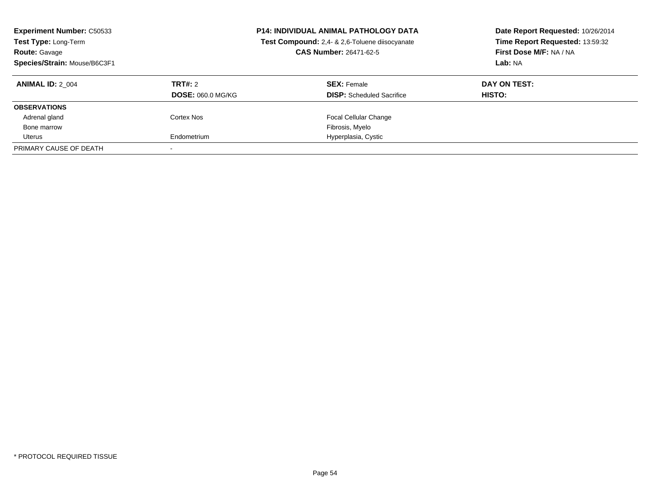| <b>Experiment Number: C50533</b><br>Test Type: Long-Term<br><b>Route: Gavage</b><br>Species/Strain: Mouse/B6C3F1 |                                     | <b>P14: INDIVIDUAL ANIMAL PATHOLOGY DATA</b><br>Test Compound: 2,4- & 2,6-Toluene diisocyanate<br>CAS Number: 26471-62-5 | Date Report Requested: 10/26/2014<br>Time Report Requested: 13:59:32<br>First Dose M/F: NA / NA<br>Lab: NA |
|------------------------------------------------------------------------------------------------------------------|-------------------------------------|--------------------------------------------------------------------------------------------------------------------------|------------------------------------------------------------------------------------------------------------|
| <b>ANIMAL ID: 2 004</b>                                                                                          | TRT#: 2<br><b>DOSE: 060.0 MG/KG</b> | <b>SEX: Female</b><br><b>DISP:</b> Scheduled Sacrifice                                                                   | DAY ON TEST:<br><b>HISTO:</b>                                                                              |
| <b>OBSERVATIONS</b>                                                                                              |                                     |                                                                                                                          |                                                                                                            |
|                                                                                                                  |                                     |                                                                                                                          |                                                                                                            |
| Adrenal gland                                                                                                    | Cortex Nos                          | <b>Focal Cellular Change</b>                                                                                             |                                                                                                            |
| Bone marrow                                                                                                      |                                     | Fibrosis, Myelo                                                                                                          |                                                                                                            |
| Uterus                                                                                                           | Endometrium                         | Hyperplasia, Cystic                                                                                                      |                                                                                                            |
| PRIMARY CAUSE OF DEATH                                                                                           |                                     |                                                                                                                          |                                                                                                            |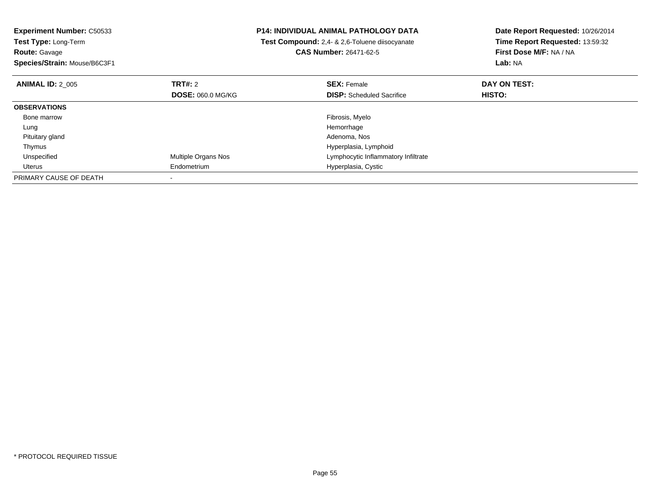| <b>Experiment Number: C50533</b> |                          | <b>P14: INDIVIDUAL ANIMAL PATHOLOGY DATA</b>   | Date Report Requested: 10/26/2014 |
|----------------------------------|--------------------------|------------------------------------------------|-----------------------------------|
| <b>Test Type: Long-Term</b>      |                          | Test Compound: 2,4- & 2,6-Toluene diisocyanate | Time Report Requested: 13:59:32   |
| <b>Route: Gavage</b>             |                          | <b>CAS Number: 26471-62-5</b>                  | First Dose M/F: NA / NA           |
| Species/Strain: Mouse/B6C3F1     |                          |                                                | <b>Lab: NA</b>                    |
| <b>ANIMAL ID: 2 005</b>          | <b>TRT#: 2</b>           | <b>SEX: Female</b>                             | DAY ON TEST:                      |
|                                  | <b>DOSE: 060.0 MG/KG</b> | <b>DISP:</b> Scheduled Sacrifice               | HISTO:                            |
| <b>OBSERVATIONS</b>              |                          |                                                |                                   |
| Bone marrow                      |                          | Fibrosis, Myelo                                |                                   |
| Lung                             |                          | Hemorrhage                                     |                                   |
| Pituitary gland                  |                          | Adenoma, Nos                                   |                                   |
| Thymus                           |                          | Hyperplasia, Lymphoid                          |                                   |
| Unspecified                      | Multiple Organs Nos      | Lymphocytic Inflammatory Infiltrate            |                                   |
| Uterus                           | Endometrium              | Hyperplasia, Cystic                            |                                   |
| PRIMARY CAUSE OF DEATH           |                          |                                                |                                   |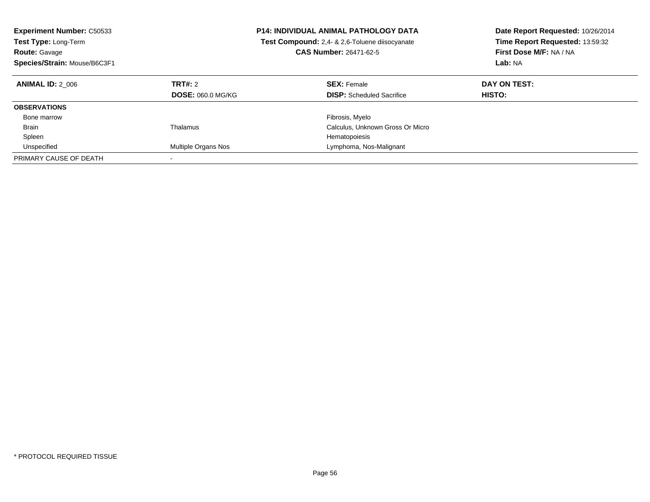| <b>Experiment Number: C50533</b><br><b>Test Type: Long-Term</b><br><b>Route: Gavage</b><br>Species/Strain: Mouse/B6C3F1 |                                            | <b>P14: INDIVIDUAL ANIMAL PATHOLOGY DATA</b><br><b>Test Compound:</b> 2.4- & 2.6-Toluene diisocyanate<br><b>CAS Number: 26471-62-5</b> | Date Report Requested: 10/26/2014<br>Time Report Requested: 13:59:32<br>First Dose M/F: NA / NA<br>Lab: NA |
|-------------------------------------------------------------------------------------------------------------------------|--------------------------------------------|----------------------------------------------------------------------------------------------------------------------------------------|------------------------------------------------------------------------------------------------------------|
| <b>ANIMAL ID: 2 006</b>                                                                                                 | <b>TRT#: 2</b><br><b>DOSE: 060.0 MG/KG</b> | <b>SEX: Female</b><br><b>DISP:</b> Scheduled Sacrifice                                                                                 | DAY ON TEST:<br><b>HISTO:</b>                                                                              |
| <b>OBSERVATIONS</b>                                                                                                     |                                            |                                                                                                                                        |                                                                                                            |
| Bone marrow                                                                                                             |                                            | Fibrosis, Myelo                                                                                                                        |                                                                                                            |
| <b>Brain</b>                                                                                                            | Thalamus                                   | Calculus, Unknown Gross Or Micro                                                                                                       |                                                                                                            |
| Spleen                                                                                                                  |                                            | Hematopoiesis                                                                                                                          |                                                                                                            |
| Unspecified                                                                                                             | Multiple Organs Nos                        | Lymphoma, Nos-Malignant                                                                                                                |                                                                                                            |
| PRIMARY CAUSE OF DEATH                                                                                                  |                                            |                                                                                                                                        |                                                                                                            |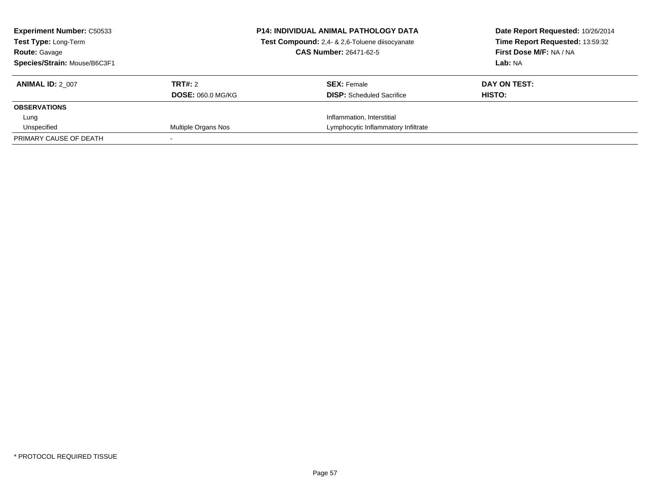| <b>Experiment Number: C50533</b><br><b>Test Type: Long-Term</b><br><b>Route: Gavage</b><br>Species/Strain: Mouse/B6C3F1 |                                     | <b>P14: INDIVIDUAL ANIMAL PATHOLOGY DATA</b><br>Test Compound: 2,4- & 2,6-Toluene diisocyanate<br><b>CAS Number: 26471-62-5</b> | Date Report Requested: 10/26/2014<br>Time Report Requested: 13:59:32<br>First Dose M/F: NA / NA<br>Lab: NA |
|-------------------------------------------------------------------------------------------------------------------------|-------------------------------------|---------------------------------------------------------------------------------------------------------------------------------|------------------------------------------------------------------------------------------------------------|
| <b>ANIMAL ID: 2 007</b>                                                                                                 | TRT#: 2<br><b>DOSE: 060.0 MG/KG</b> | <b>SEX: Female</b><br><b>DISP:</b> Scheduled Sacrifice                                                                          | DAY ON TEST:<br>HISTO:                                                                                     |
| <b>OBSERVATIONS</b>                                                                                                     |                                     |                                                                                                                                 |                                                                                                            |
| Lung                                                                                                                    |                                     | Inflammation, Interstitial                                                                                                      |                                                                                                            |
| Unspecified                                                                                                             | Multiple Organs Nos                 | Lymphocytic Inflammatory Infiltrate                                                                                             |                                                                                                            |
| PRIMARY CAUSE OF DEATH                                                                                                  |                                     |                                                                                                                                 |                                                                                                            |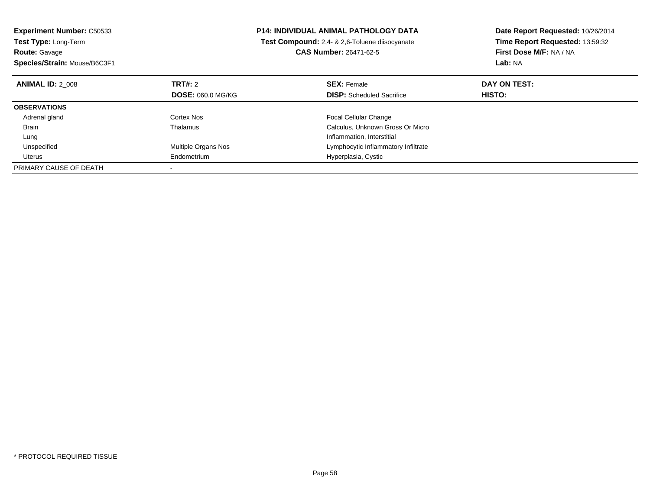| <b>Experiment Number: C50533</b> | <b>P14: INDIVIDUAL ANIMAL PATHOLOGY DATA</b> |                                                | Date Report Requested: 10/26/2014 |
|----------------------------------|----------------------------------------------|------------------------------------------------|-----------------------------------|
| Test Type: Long-Term             |                                              | Test Compound: 2,4- & 2,6-Toluene diisocyanate | Time Report Requested: 13:59:32   |
| <b>Route: Gavage</b>             |                                              | CAS Number: 26471-62-5                         | First Dose M/F: NA / NA           |
| Species/Strain: Mouse/B6C3F1     |                                              |                                                | Lab: NA                           |
| <b>ANIMAL ID: 2 008</b>          | TRT#: 2                                      | <b>SEX: Female</b>                             | DAY ON TEST:                      |
|                                  | <b>DOSE: 060.0 MG/KG</b>                     | <b>DISP:</b> Scheduled Sacrifice               | HISTO:                            |
| <b>OBSERVATIONS</b>              |                                              |                                                |                                   |
| Adrenal gland                    | Cortex Nos                                   | <b>Focal Cellular Change</b>                   |                                   |
| Brain                            | Thalamus                                     | Calculus, Unknown Gross Or Micro               |                                   |
| Lung                             |                                              | Inflammation, Interstitial                     |                                   |
| Unspecified                      | Multiple Organs Nos                          | Lymphocytic Inflammatory Infiltrate            |                                   |
| Uterus                           | Endometrium                                  | Hyperplasia, Cystic                            |                                   |
| PRIMARY CAUSE OF DEATH           |                                              |                                                |                                   |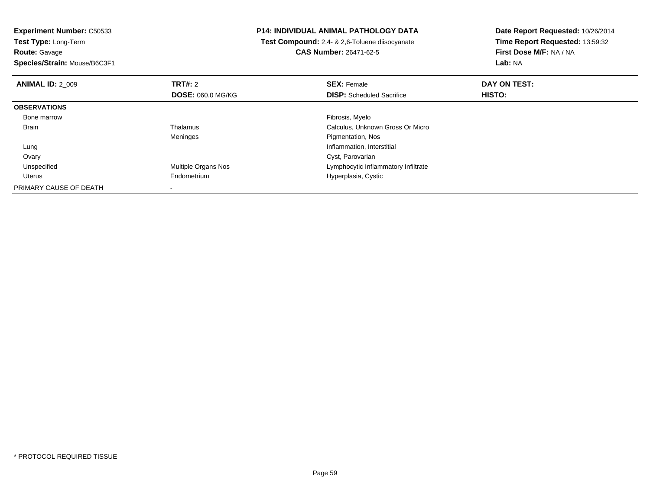**Experiment Number:** C50533**Test Type:** Long-Term**Route:** Gavage **Species/Strain:** Mouse/B6C3F1**P14: INDIVIDUAL ANIMAL PATHOLOGY DATA Test Compound:** 2,4- & 2,6-Toluene diisocyanate**CAS Number:** 26471-62-5**Date Report Requested:** 10/26/2014**Time Report Requested:** 13:59:32**First Dose M/F:** NA / NA**Lab:** NA**ANIMAL ID:** 2\_009**TRT#:** 2 **SEX:** Female **DAY ON TEST: DOSE:** 060.0 MG/KG**DISP:** Scheduled Sacrifice **HISTO: OBSERVATIONS** Bone marroww which is a state of the state of the state of the state of the state of the Fibrosis, Myelo state of the state of the state of the state of the state of the state of the state of the state of the state of the state of th BrainThalamus Calculus, Unknown Gross Or Micro Meninges Pigmentation, Nos Lung Inflammation, Interstitial Ovary Cyst, Parovariand **Example 20 and 10 and 10 and 10 and 10 and 10 and 10 and 10 and 10 and 10 and 10 and 10 and 10 and 10 and 10**  Unspecified Uterus Endometrium Hyperplasia, Cystic PRIMARY CAUSE OF DEATH-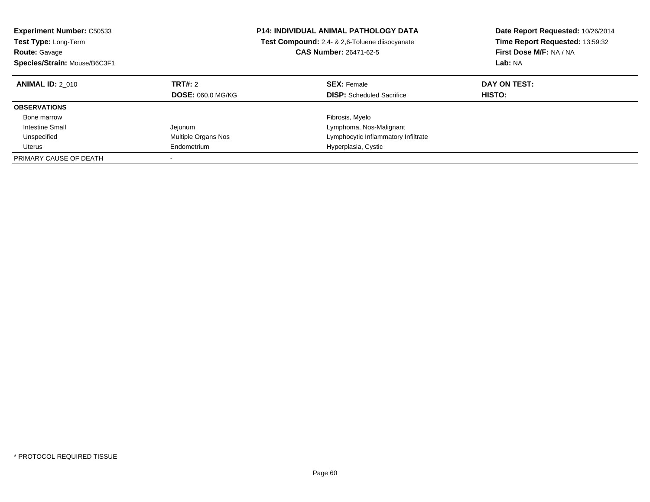| <b>Experiment Number: C50533</b><br><b>Test Type: Long-Term</b><br><b>Route: Gavage</b><br>Species/Strain: Mouse/B6C3F1 |                                     | <b>P14: INDIVIDUAL ANIMAL PATHOLOGY DATA</b><br><b>Test Compound:</b> 2,4- & 2,6-Toluene diisocyanate<br><b>CAS Number: 26471-62-5</b> | Date Report Requested: 10/26/2014<br>Time Report Requested: 13:59:32<br>First Dose M/F: NA / NA<br>Lab: NA |
|-------------------------------------------------------------------------------------------------------------------------|-------------------------------------|----------------------------------------------------------------------------------------------------------------------------------------|------------------------------------------------------------------------------------------------------------|
| <b>ANIMAL ID: 2 010</b>                                                                                                 | TRT#: 2<br><b>DOSE: 060.0 MG/KG</b> | <b>SEX: Female</b><br><b>DISP:</b> Scheduled Sacrifice                                                                                 | DAY ON TEST:<br>HISTO:                                                                                     |
| <b>OBSERVATIONS</b>                                                                                                     |                                     |                                                                                                                                        |                                                                                                            |
| Bone marrow                                                                                                             |                                     | Fibrosis, Myelo                                                                                                                        |                                                                                                            |
| Intestine Small                                                                                                         | Jejunum                             | Lymphoma, Nos-Malignant                                                                                                                |                                                                                                            |
| Unspecified                                                                                                             | Multiple Organs Nos                 | Lymphocytic Inflammatory Infiltrate                                                                                                    |                                                                                                            |
| Uterus                                                                                                                  | Endometrium                         | Hyperplasia, Cystic                                                                                                                    |                                                                                                            |
| PRIMARY CAUSE OF DEATH                                                                                                  |                                     |                                                                                                                                        |                                                                                                            |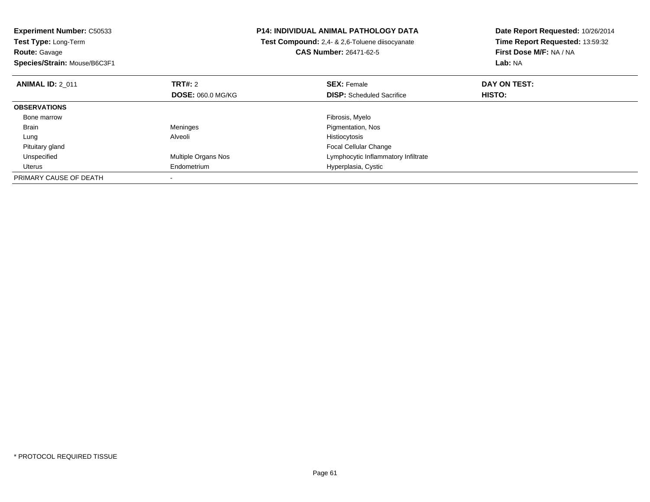| <b>Experiment Number: C50533</b> |                            | <b>P14: INDIVIDUAL ANIMAL PATHOLOGY DATA</b>   | Date Report Requested: 10/26/2014 |
|----------------------------------|----------------------------|------------------------------------------------|-----------------------------------|
| Test Type: Long-Term             |                            | Test Compound: 2,4- & 2,6-Toluene diisocyanate | Time Report Requested: 13:59:32   |
| <b>Route: Gavage</b>             |                            | <b>CAS Number: 26471-62-5</b>                  | First Dose M/F: NA / NA           |
| Species/Strain: Mouse/B6C3F1     |                            |                                                | Lab: NA                           |
| <b>ANIMAL ID: 2 011</b>          | <b>TRT#: 2</b>             | <b>SEX: Female</b>                             | DAY ON TEST:                      |
|                                  | <b>DOSE: 060.0 MG/KG</b>   | <b>DISP:</b> Scheduled Sacrifice               | <b>HISTO:</b>                     |
| <b>OBSERVATIONS</b>              |                            |                                                |                                   |
| Bone marrow                      |                            | Fibrosis, Myelo                                |                                   |
| Brain                            | Meninges                   | Pigmentation, Nos                              |                                   |
| Lung                             | Alveoli                    | Histiocytosis                                  |                                   |
| Pituitary gland                  |                            | <b>Focal Cellular Change</b>                   |                                   |
| Unspecified                      | <b>Multiple Organs Nos</b> | Lymphocytic Inflammatory Infiltrate            |                                   |
| Uterus                           | Endometrium                | Hyperplasia, Cystic                            |                                   |
| PRIMARY CAUSE OF DEATH           |                            |                                                |                                   |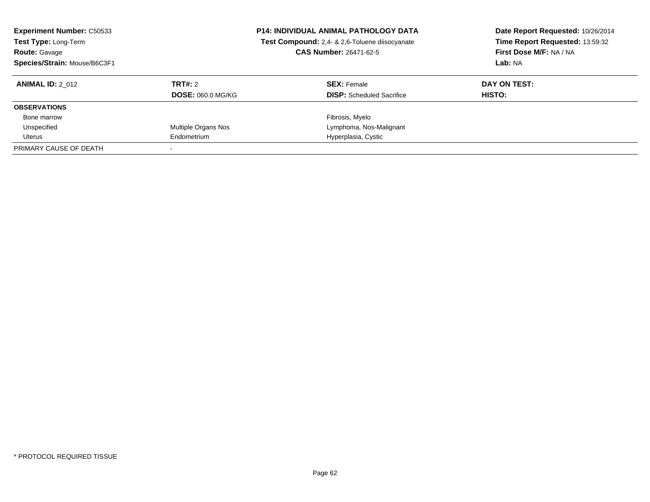| <b>Experiment Number: C50533</b><br>Test Type: Long-Term<br><b>Route: Gavage</b><br>Species/Strain: Mouse/B6C3F1 |                          | <b>P14: INDIVIDUAL ANIMAL PATHOLOGY DATA</b><br>Test Compound: 2,4- & 2,6-Toluene diisocyanate<br><b>CAS Number: 26471-62-5</b> | Date Report Requested: 10/26/2014<br>Time Report Requested: 13:59:32<br>First Dose M/F: NA / NA<br>Lab: NA |
|------------------------------------------------------------------------------------------------------------------|--------------------------|---------------------------------------------------------------------------------------------------------------------------------|------------------------------------------------------------------------------------------------------------|
| <b>ANIMAL ID: 2 012</b>                                                                                          | TRT#: 2                  | <b>SEX: Female</b>                                                                                                              | DAY ON TEST:                                                                                               |
|                                                                                                                  | <b>DOSE: 060.0 MG/KG</b> | <b>DISP:</b> Scheduled Sacrifice                                                                                                | HISTO:                                                                                                     |
| <b>OBSERVATIONS</b>                                                                                              |                          |                                                                                                                                 |                                                                                                            |
| Bone marrow                                                                                                      |                          | Fibrosis, Myelo                                                                                                                 |                                                                                                            |
| Unspecified                                                                                                      | Multiple Organs Nos      | Lymphoma, Nos-Malignant                                                                                                         |                                                                                                            |
| Uterus                                                                                                           | Endometrium              | Hyperplasia, Cystic                                                                                                             |                                                                                                            |
| PRIMARY CAUSE OF DEATH                                                                                           |                          |                                                                                                                                 |                                                                                                            |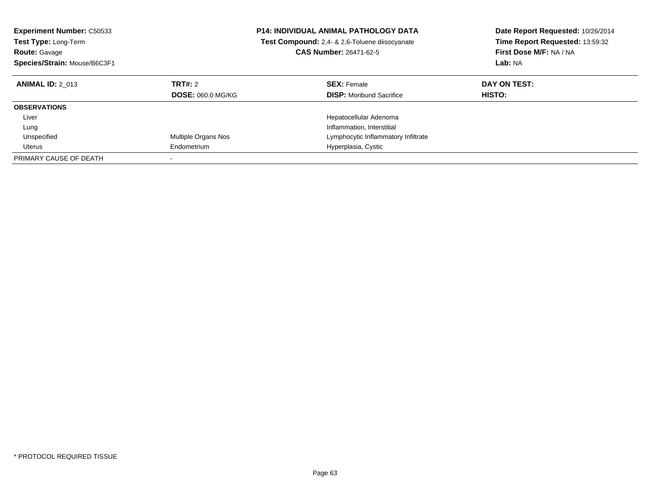| <b>Experiment Number: C50533</b><br><b>Test Type: Long-Term</b><br><b>Route: Gavage</b><br>Species/Strain: Mouse/B6C3F1 | <b>P14: INDIVIDUAL ANIMAL PATHOLOGY DATA</b><br>Test Compound: 2,4- & 2,6-Toluene diisocyanate<br><b>CAS Number: 26471-62-5</b> |                                                       | Date Report Requested: 10/26/2014<br>Time Report Requested: 13:59:32<br>First Dose M/F: NA / NA<br>Lab: NA |
|-------------------------------------------------------------------------------------------------------------------------|---------------------------------------------------------------------------------------------------------------------------------|-------------------------------------------------------|------------------------------------------------------------------------------------------------------------|
| <b>ANIMAL ID: 2 013</b>                                                                                                 | TRT#: 2<br><b>DOSE: 060.0 MG/KG</b>                                                                                             | <b>SEX: Female</b><br><b>DISP:</b> Moribund Sacrifice | DAY ON TEST:<br><b>HISTO:</b>                                                                              |
| <b>OBSERVATIONS</b>                                                                                                     |                                                                                                                                 |                                                       |                                                                                                            |
| Liver                                                                                                                   |                                                                                                                                 | Hepatocellular Adenoma                                |                                                                                                            |
| Lung                                                                                                                    |                                                                                                                                 | Inflammation, Interstitial                            |                                                                                                            |
| Unspecified                                                                                                             | Multiple Organs Nos                                                                                                             | Lymphocytic Inflammatory Infiltrate                   |                                                                                                            |
| Uterus                                                                                                                  | Endometrium                                                                                                                     | Hyperplasia, Cystic                                   |                                                                                                            |
| PRIMARY CAUSE OF DEATH                                                                                                  |                                                                                                                                 |                                                       |                                                                                                            |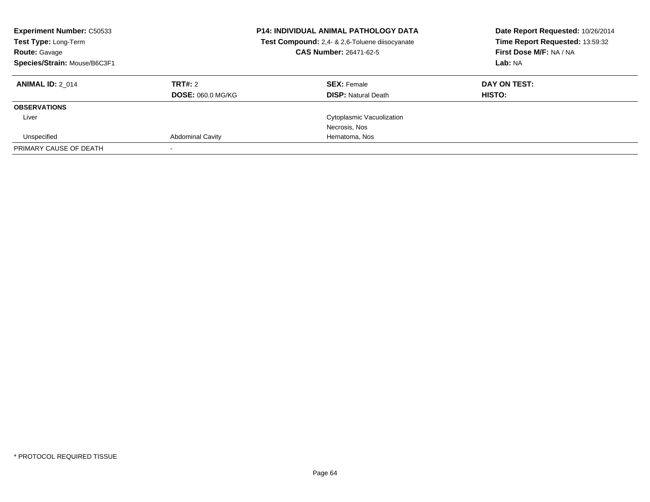| <b>Experiment Number: C50533</b><br>Test Type: Long-Term<br><b>Route: Gavage</b><br>Species/Strain: Mouse/B6C3F1 |                          | <b>P14: INDIVIDUAL ANIMAL PATHOLOGY DATA</b><br>Test Compound: 2,4- & 2,6-Toluene diisocyanate<br>CAS Number: 26471-62-5 | Date Report Requested: 10/26/2014<br>Time Report Requested: 13:59:32<br>First Dose M/F: NA / NA<br>Lab: NA |
|------------------------------------------------------------------------------------------------------------------|--------------------------|--------------------------------------------------------------------------------------------------------------------------|------------------------------------------------------------------------------------------------------------|
| <b>ANIMAL ID: 2 014</b>                                                                                          | TRT#: 2                  | <b>SEX: Female</b>                                                                                                       | DAY ON TEST:                                                                                               |
|                                                                                                                  | <b>DOSE: 060.0 MG/KG</b> | <b>DISP: Natural Death</b>                                                                                               | HISTO:                                                                                                     |
| <b>OBSERVATIONS</b>                                                                                              |                          |                                                                                                                          |                                                                                                            |
| Liver                                                                                                            |                          | Cytoplasmic Vacuolization                                                                                                |                                                                                                            |
|                                                                                                                  |                          | Necrosis, Nos                                                                                                            |                                                                                                            |
| Unspecified                                                                                                      | <b>Abdominal Cavity</b>  | Hematoma, Nos                                                                                                            |                                                                                                            |
| PRIMARY CAUSE OF DEATH                                                                                           |                          |                                                                                                                          |                                                                                                            |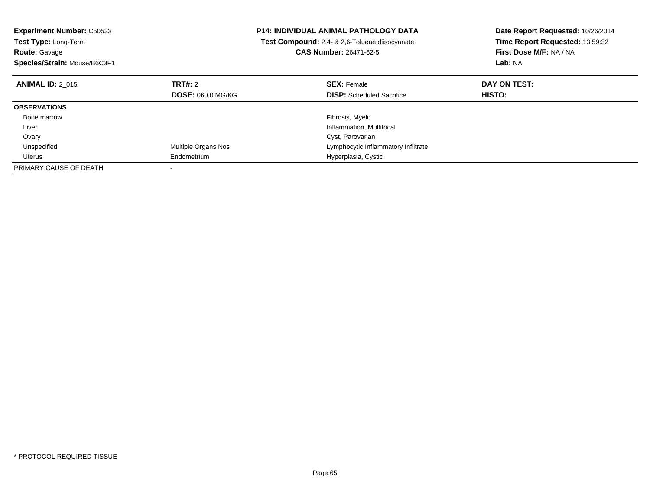| <b>Experiment Number: C50533</b><br>Test Type: Long-Term<br><b>Route: Gavage</b> |                          | <b>P14: INDIVIDUAL ANIMAL PATHOLOGY DATA</b><br>Test Compound: 2,4- & 2,6-Toluene diisocyanate<br><b>CAS Number: 26471-62-5</b> | Date Report Requested: 10/26/2014<br>Time Report Requested: 13:59:32<br>First Dose M/F: NA / NA |
|----------------------------------------------------------------------------------|--------------------------|---------------------------------------------------------------------------------------------------------------------------------|-------------------------------------------------------------------------------------------------|
| Species/Strain: Mouse/B6C3F1                                                     |                          |                                                                                                                                 | Lab: NA                                                                                         |
| <b>ANIMAL ID: 2 015</b>                                                          | <b>TRT#:</b> 2           | <b>SEX: Female</b>                                                                                                              | DAY ON TEST:                                                                                    |
|                                                                                  | <b>DOSE: 060.0 MG/KG</b> | <b>DISP:</b> Scheduled Sacrifice                                                                                                | <b>HISTO:</b>                                                                                   |
| <b>OBSERVATIONS</b>                                                              |                          |                                                                                                                                 |                                                                                                 |
| Bone marrow                                                                      |                          | Fibrosis, Myelo                                                                                                                 |                                                                                                 |
| Liver                                                                            |                          | Inflammation, Multifocal                                                                                                        |                                                                                                 |
| Ovary                                                                            |                          | Cyst, Parovarian                                                                                                                |                                                                                                 |
| Unspecified                                                                      | Multiple Organs Nos      | Lymphocytic Inflammatory Infiltrate                                                                                             |                                                                                                 |
| Uterus                                                                           | Endometrium              | Hyperplasia, Cystic                                                                                                             |                                                                                                 |
| PRIMARY CAUSE OF DEATH                                                           |                          |                                                                                                                                 |                                                                                                 |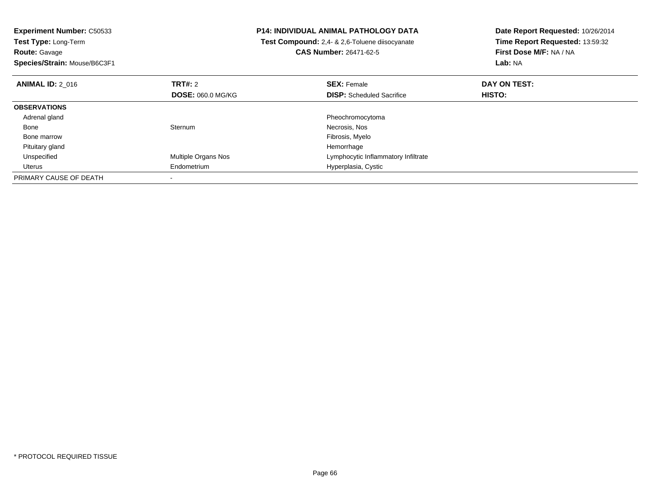| <b>Experiment Number: C50533</b><br>Test Type: Long-Term |                            | <b>P14: INDIVIDUAL ANIMAL PATHOLOGY DATA</b>          | Date Report Requested: 10/26/2014<br>Time Report Requested: 13:59:32 |  |
|----------------------------------------------------------|----------------------------|-------------------------------------------------------|----------------------------------------------------------------------|--|
|                                                          |                            | <b>Test Compound:</b> 2,4- & 2,6-Toluene diisocyanate |                                                                      |  |
| <b>Route: Gavage</b>                                     |                            | <b>CAS Number: 26471-62-5</b>                         | First Dose M/F: NA / NA                                              |  |
| Species/Strain: Mouse/B6C3F1                             |                            |                                                       | Lab: NA                                                              |  |
| <b>ANIMAL ID: 2 016</b>                                  | TRT#: 2                    | <b>SEX: Female</b>                                    | DAY ON TEST:                                                         |  |
|                                                          | <b>DOSE: 060.0 MG/KG</b>   | <b>DISP:</b> Scheduled Sacrifice                      | HISTO:                                                               |  |
| <b>OBSERVATIONS</b>                                      |                            |                                                       |                                                                      |  |
| Adrenal gland                                            |                            | Pheochromocytoma                                      |                                                                      |  |
| Bone                                                     | Sternum                    | Necrosis, Nos                                         |                                                                      |  |
| Bone marrow                                              |                            | Fibrosis, Myelo                                       |                                                                      |  |
| Pituitary gland                                          |                            | Hemorrhage                                            |                                                                      |  |
| Unspecified                                              | <b>Multiple Organs Nos</b> | Lymphocytic Inflammatory Infiltrate                   |                                                                      |  |
| Uterus                                                   | Endometrium                | Hyperplasia, Cystic                                   |                                                                      |  |
| PRIMARY CAUSE OF DEATH                                   |                            |                                                       |                                                                      |  |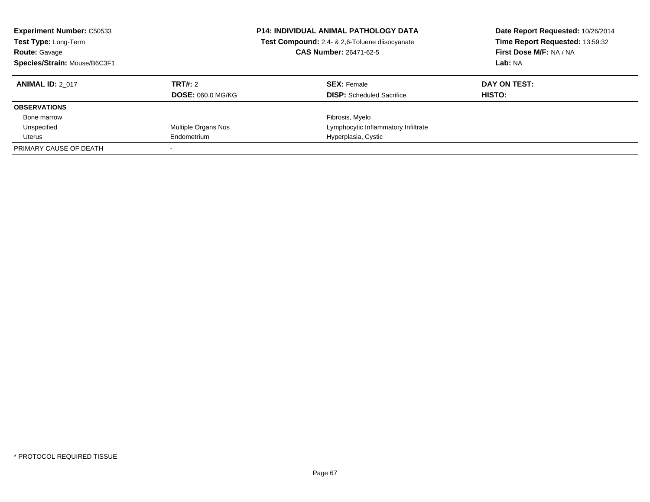| <b>Experiment Number: C50533</b><br>Test Type: Long-Term<br><b>Route: Gavage</b><br>Species/Strain: Mouse/B6C3F1 |                          | <b>P14: INDIVIDUAL ANIMAL PATHOLOGY DATA</b><br>Test Compound: 2,4- & 2,6-Toluene diisocyanate<br><b>CAS Number: 26471-62-5</b> | Date Report Requested: 10/26/2014<br>Time Report Requested: 13:59:32<br>First Dose M/F: NA / NA<br>Lab: NA |
|------------------------------------------------------------------------------------------------------------------|--------------------------|---------------------------------------------------------------------------------------------------------------------------------|------------------------------------------------------------------------------------------------------------|
| <b>ANIMAL ID: 2 017</b>                                                                                          | TRT#: 2                  | <b>SEX: Female</b>                                                                                                              | DAY ON TEST:                                                                                               |
|                                                                                                                  | <b>DOSE: 060.0 MG/KG</b> | <b>DISP:</b> Scheduled Sacrifice                                                                                                | HISTO:                                                                                                     |
| <b>OBSERVATIONS</b>                                                                                              |                          |                                                                                                                                 |                                                                                                            |
| Bone marrow                                                                                                      |                          | Fibrosis, Myelo                                                                                                                 |                                                                                                            |
| Unspecified                                                                                                      | Multiple Organs Nos      | Lymphocytic Inflammatory Infiltrate                                                                                             |                                                                                                            |
| Uterus                                                                                                           | Endometrium              | Hyperplasia, Cystic                                                                                                             |                                                                                                            |
| PRIMARY CAUSE OF DEATH                                                                                           |                          |                                                                                                                                 |                                                                                                            |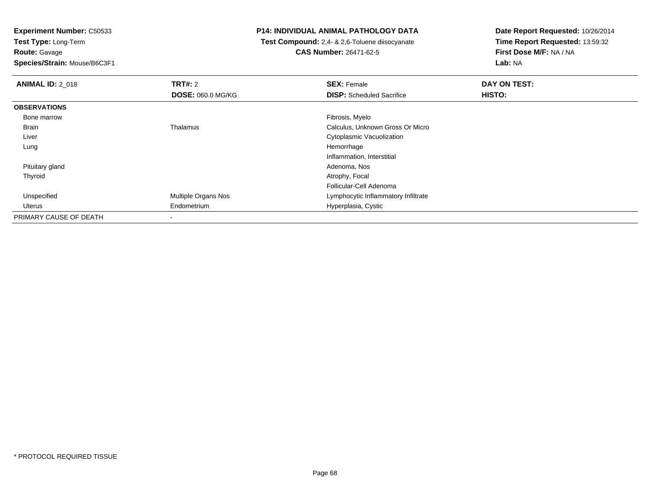**Experiment Number:** C50533**Test Type:** Long-Term

**Route:** Gavage

**Species/Strain:** Mouse/B6C3F1

## **P14: INDIVIDUAL ANIMAL PATHOLOGY DATA**

 **Test Compound:** 2,4- & 2,6-Toluene diisocyanate**CAS Number:** 26471-62-5

| <b>ANIMAL ID: 2_018</b> | TRT#: 2                  | <b>SEX: Female</b>                  | DAY ON TEST: |
|-------------------------|--------------------------|-------------------------------------|--------------|
|                         | <b>DOSE: 060.0 MG/KG</b> | <b>DISP:</b> Scheduled Sacrifice    | HISTO:       |
| <b>OBSERVATIONS</b>     |                          |                                     |              |
| Bone marrow             |                          | Fibrosis, Myelo                     |              |
| Brain                   | Thalamus                 | Calculus, Unknown Gross Or Micro    |              |
| Liver                   |                          | Cytoplasmic Vacuolization           |              |
| Lung                    |                          | Hemorrhage                          |              |
|                         |                          | Inflammation, Interstitial          |              |
| Pituitary gland         |                          | Adenoma, Nos                        |              |
| Thyroid                 |                          | Atrophy, Focal                      |              |
|                         |                          | Follicular-Cell Adenoma             |              |
| Unspecified             | Multiple Organs Nos      | Lymphocytic Inflammatory Infiltrate |              |
| Uterus                  | Endometrium              | Hyperplasia, Cystic                 |              |
| PRIMARY CAUSE OF DEATH  |                          |                                     |              |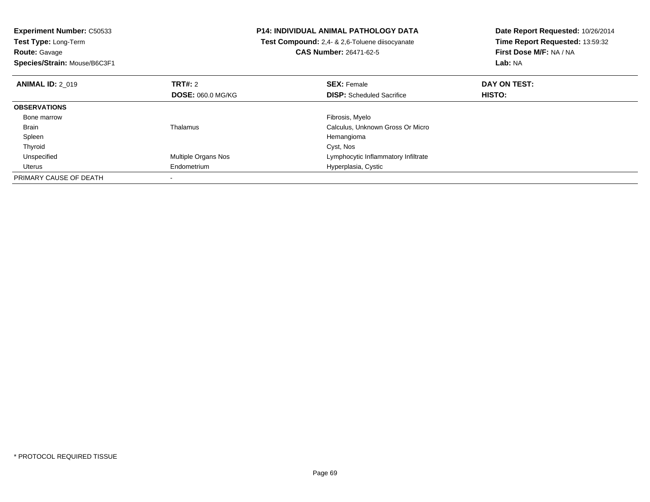| <b>Experiment Number: C50533</b><br><b>Test Type: Long-Term</b> |                     | <b>P14: INDIVIDUAL ANIMAL PATHOLOGY DATA</b>          | Date Report Requested: 10/26/2014<br>Time Report Requested: 13:59:32 |
|-----------------------------------------------------------------|---------------------|-------------------------------------------------------|----------------------------------------------------------------------|
|                                                                 |                     | <b>Test Compound:</b> 2,4- & 2,6-Toluene diisocyanate |                                                                      |
| <b>Route: Gavage</b>                                            |                     | CAS Number: 26471-62-5                                | First Dose M/F: NA / NA                                              |
| Species/Strain: Mouse/B6C3F1                                    |                     |                                                       | Lab: NA                                                              |
| <b>ANIMAL ID: 2 019</b>                                         | <b>TRT#: 2</b>      | <b>SEX: Female</b>                                    | DAY ON TEST:                                                         |
|                                                                 | DOSE: 060.0 MG/KG   | <b>DISP:</b> Scheduled Sacrifice                      | HISTO:                                                               |
| <b>OBSERVATIONS</b>                                             |                     |                                                       |                                                                      |
| Bone marrow                                                     |                     | Fibrosis, Myelo                                       |                                                                      |
| Brain                                                           | Thalamus            | Calculus, Unknown Gross Or Micro                      |                                                                      |
| Spleen                                                          |                     | Hemangioma                                            |                                                                      |
| Thyroid                                                         |                     | Cyst, Nos                                             |                                                                      |
| Unspecified                                                     | Multiple Organs Nos | Lymphocytic Inflammatory Infiltrate                   |                                                                      |
| Uterus                                                          | Endometrium         | Hyperplasia, Cystic                                   |                                                                      |
| PRIMARY CAUSE OF DEATH                                          |                     |                                                       |                                                                      |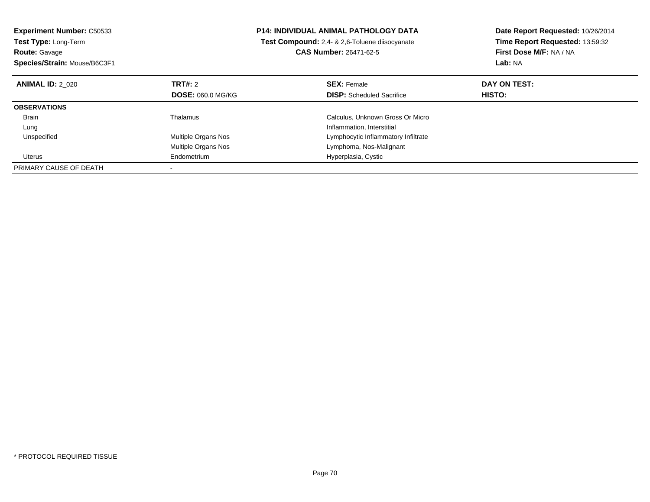| <b>Experiment Number: C50533</b><br>Test Type: Long-Term |                          | <b>P14: INDIVIDUAL ANIMAL PATHOLOGY DATA</b>   | Date Report Requested: 10/26/2014<br>Time Report Requested: 13:59:32 |
|----------------------------------------------------------|--------------------------|------------------------------------------------|----------------------------------------------------------------------|
|                                                          |                          | Test Compound: 2,4- & 2,6-Toluene diisocyanate |                                                                      |
| <b>Route: Gavage</b>                                     |                          | <b>CAS Number: 26471-62-5</b>                  | First Dose M/F: NA / NA                                              |
| Species/Strain: Mouse/B6C3F1                             |                          |                                                | Lab: NA                                                              |
| <b>ANIMAL ID: 2 020</b>                                  | <b>TRT#: 2</b>           | <b>SEX: Female</b>                             | DAY ON TEST:                                                         |
|                                                          | <b>DOSE: 060.0 MG/KG</b> | <b>DISP:</b> Scheduled Sacrifice               | HISTO:                                                               |
| <b>OBSERVATIONS</b>                                      |                          |                                                |                                                                      |
| Brain                                                    | Thalamus                 | Calculus, Unknown Gross Or Micro               |                                                                      |
| Lung                                                     |                          | Inflammation, Interstitial                     |                                                                      |
| Unspecified                                              | Multiple Organs Nos      | Lymphocytic Inflammatory Infiltrate            |                                                                      |
|                                                          | Multiple Organs Nos      | Lymphoma, Nos-Malignant                        |                                                                      |
| Uterus                                                   | Endometrium              | Hyperplasia, Cystic                            |                                                                      |
| PRIMARY CAUSE OF DEATH                                   |                          |                                                |                                                                      |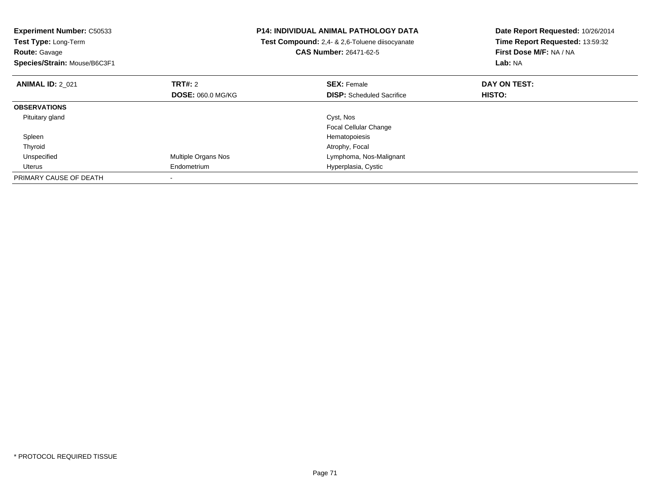| <b>Experiment Number: C50533</b><br>Test Type: Long-Term<br><b>Route: Gavage</b><br>Species/Strain: Mouse/B6C3F1 |                          | <b>P14: INDIVIDUAL ANIMAL PATHOLOGY DATA</b><br>Test Compound: 2,4- & 2,6-Toluene diisocyanate<br><b>CAS Number: 26471-62-5</b> | Date Report Requested: 10/26/2014<br>Time Report Requested: 13:59:32<br>First Dose M/F: NA / NA<br>Lab: NA |
|------------------------------------------------------------------------------------------------------------------|--------------------------|---------------------------------------------------------------------------------------------------------------------------------|------------------------------------------------------------------------------------------------------------|
| <b>ANIMAL ID: 2 021</b>                                                                                          | TRT#: 2                  | <b>SEX: Female</b>                                                                                                              | DAY ON TEST:                                                                                               |
|                                                                                                                  | <b>DOSE: 060.0 MG/KG</b> | <b>DISP:</b> Scheduled Sacrifice                                                                                                | HISTO:                                                                                                     |
| <b>OBSERVATIONS</b>                                                                                              |                          |                                                                                                                                 |                                                                                                            |
| Pituitary gland                                                                                                  |                          | Cyst, Nos                                                                                                                       |                                                                                                            |
|                                                                                                                  |                          | <b>Focal Cellular Change</b>                                                                                                    |                                                                                                            |
| Spleen                                                                                                           |                          | Hematopoiesis                                                                                                                   |                                                                                                            |
| Thyroid                                                                                                          |                          | Atrophy, Focal                                                                                                                  |                                                                                                            |
| Unspecified                                                                                                      | Multiple Organs Nos      | Lymphoma, Nos-Malignant                                                                                                         |                                                                                                            |
| Uterus                                                                                                           | Endometrium              | Hyperplasia, Cystic                                                                                                             |                                                                                                            |
| PRIMARY CAUSE OF DEATH                                                                                           |                          |                                                                                                                                 |                                                                                                            |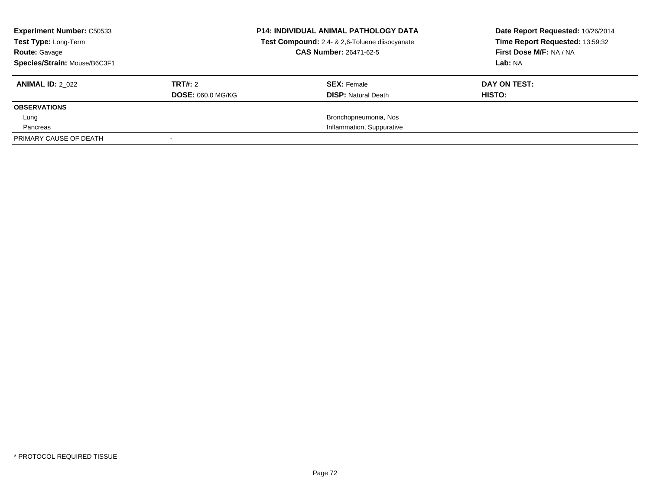| <b>Experiment Number: C50533</b><br>Test Type: Long-Term<br><b>Route: Gavage</b><br>Species/Strain: Mouse/B6C3F1 |                          | <b>P14: INDIVIDUAL ANIMAL PATHOLOGY DATA</b><br>Test Compound: 2,4- & 2,6-Toluene diisocyanate<br><b>CAS Number: 26471-62-5</b> | Date Report Requested: 10/26/2014<br>Time Report Requested: 13:59:32<br>First Dose M/F: NA / NA<br>Lab: NA |
|------------------------------------------------------------------------------------------------------------------|--------------------------|---------------------------------------------------------------------------------------------------------------------------------|------------------------------------------------------------------------------------------------------------|
| <b>ANIMAL ID: 2 022</b>                                                                                          | TRT#: 2                  | <b>SEX: Female</b>                                                                                                              | DAY ON TEST:                                                                                               |
|                                                                                                                  | <b>DOSE: 060.0 MG/KG</b> | <b>DISP: Natural Death</b>                                                                                                      | HISTO:                                                                                                     |
| <b>OBSERVATIONS</b>                                                                                              |                          |                                                                                                                                 |                                                                                                            |
| Lung                                                                                                             |                          | Bronchopneumonia, Nos                                                                                                           |                                                                                                            |
| Pancreas                                                                                                         |                          | Inflammation, Suppurative                                                                                                       |                                                                                                            |
| PRIMARY CAUSE OF DEATH                                                                                           |                          |                                                                                                                                 |                                                                                                            |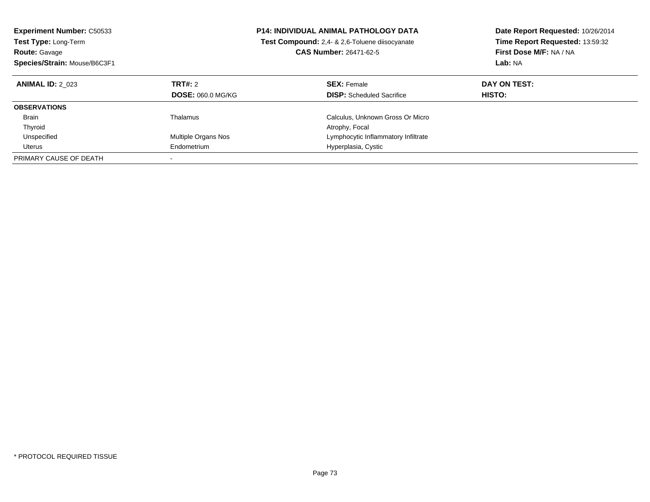| <b>Experiment Number: C50533</b><br><b>Test Type: Long-Term</b><br><b>Route: Gavage</b><br>Species/Strain: Mouse/B6C3F1 | <b>P14: INDIVIDUAL ANIMAL PATHOLOGY DATA</b><br><b>Test Compound:</b> 2.4- & 2.6-Toluene diisocyanate<br><b>CAS Number: 26471-62-5</b> |                                                        | Date Report Requested: 10/26/2014<br>Time Report Requested: 13:59:32<br>First Dose M/F: NA / NA<br>Lab: NA |  |
|-------------------------------------------------------------------------------------------------------------------------|----------------------------------------------------------------------------------------------------------------------------------------|--------------------------------------------------------|------------------------------------------------------------------------------------------------------------|--|
| <b>ANIMAL ID: 2 023</b>                                                                                                 | TRT#: 2<br><b>DOSE: 060.0 MG/KG</b>                                                                                                    | <b>SEX: Female</b><br><b>DISP:</b> Scheduled Sacrifice | DAY ON TEST:<br>HISTO:                                                                                     |  |
| <b>OBSERVATIONS</b>                                                                                                     |                                                                                                                                        |                                                        |                                                                                                            |  |
| <b>Brain</b>                                                                                                            | Thalamus                                                                                                                               | Calculus, Unknown Gross Or Micro                       |                                                                                                            |  |
| Thyroid                                                                                                                 |                                                                                                                                        | Atrophy, Focal                                         |                                                                                                            |  |
| Unspecified                                                                                                             | Multiple Organs Nos                                                                                                                    | Lymphocytic Inflammatory Infiltrate                    |                                                                                                            |  |
| Uterus                                                                                                                  | Endometrium                                                                                                                            | Hyperplasia, Cystic                                    |                                                                                                            |  |
| PRIMARY CAUSE OF DEATH                                                                                                  |                                                                                                                                        |                                                        |                                                                                                            |  |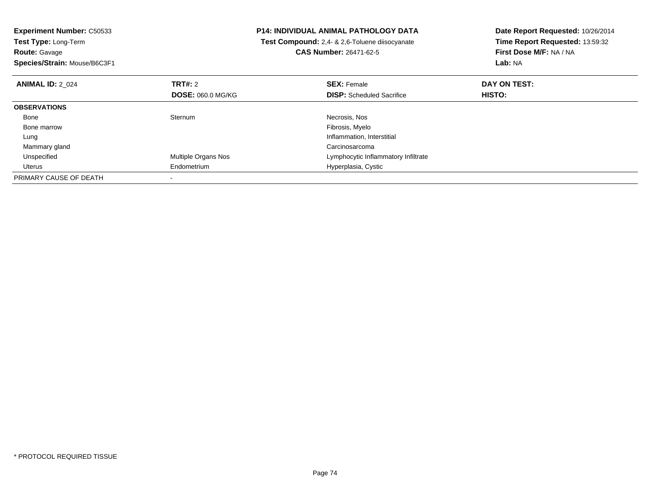| <b>Experiment Number: C50533</b><br>Test Type: Long-Term |                          | <b>P14: INDIVIDUAL ANIMAL PATHOLOGY DATA</b>          | Date Report Requested: 10/26/2014<br>Time Report Requested: 13:59:32 |  |
|----------------------------------------------------------|--------------------------|-------------------------------------------------------|----------------------------------------------------------------------|--|
|                                                          |                          | <b>Test Compound:</b> 2.4- & 2.6-Toluene diisocyanate |                                                                      |  |
| <b>Route: Gavage</b>                                     |                          | <b>CAS Number: 26471-62-5</b>                         | First Dose M/F: NA / NA                                              |  |
| Species/Strain: Mouse/B6C3F1                             |                          |                                                       | Lab: NA                                                              |  |
| <b>ANIMAL ID: 2 024</b>                                  | TRT#: 2                  | <b>SEX: Female</b>                                    | DAY ON TEST:                                                         |  |
|                                                          | <b>DOSE: 060.0 MG/KG</b> | <b>DISP:</b> Scheduled Sacrifice                      | <b>HISTO:</b>                                                        |  |
| <b>OBSERVATIONS</b>                                      |                          |                                                       |                                                                      |  |
| Bone                                                     | Sternum                  | Necrosis, Nos                                         |                                                                      |  |
| Bone marrow                                              |                          | Fibrosis, Myelo                                       |                                                                      |  |
| Lung                                                     |                          | Inflammation, Interstitial                            |                                                                      |  |
| Mammary gland                                            |                          | Carcinosarcoma                                        |                                                                      |  |
| Unspecified                                              | Multiple Organs Nos      | Lymphocytic Inflammatory Infiltrate                   |                                                                      |  |
| Uterus                                                   | Endometrium              | Hyperplasia, Cystic                                   |                                                                      |  |
| PRIMARY CAUSE OF DEATH                                   |                          |                                                       |                                                                      |  |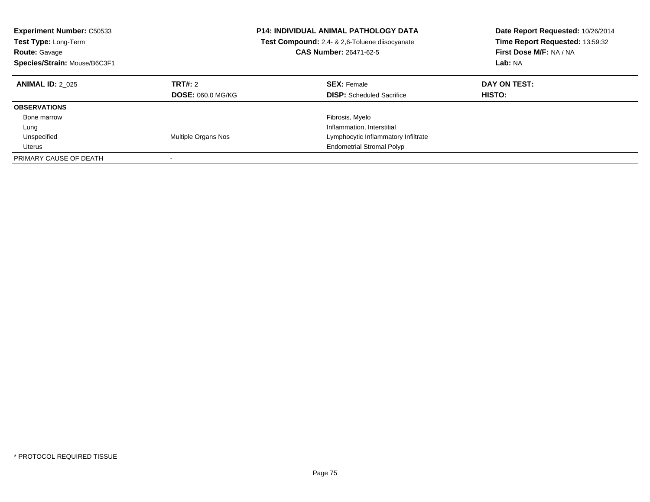| <b>Experiment Number: C50533</b><br><b>Test Type: Long-Term</b><br><b>Route: Gavage</b><br>Species/Strain: Mouse/B6C3F1 |                                     | <b>P14: INDIVIDUAL ANIMAL PATHOLOGY DATA</b><br><b>Test Compound:</b> 2,4- & 2,6-Toluene diisocyanate<br><b>CAS Number: 26471-62-5</b> | Date Report Requested: 10/26/2014<br>Time Report Requested: 13:59:32<br>First Dose M/F: NA / NA<br>Lab: NA |
|-------------------------------------------------------------------------------------------------------------------------|-------------------------------------|----------------------------------------------------------------------------------------------------------------------------------------|------------------------------------------------------------------------------------------------------------|
| <b>ANIMAL ID: 2 025</b>                                                                                                 | TRT#: 2<br><b>DOSE: 060.0 MG/KG</b> | <b>SEX: Female</b><br><b>DISP:</b> Scheduled Sacrifice                                                                                 | DAY ON TEST:<br>HISTO:                                                                                     |
| <b>OBSERVATIONS</b>                                                                                                     |                                     |                                                                                                                                        |                                                                                                            |
| Bone marrow                                                                                                             |                                     | Fibrosis, Myelo                                                                                                                        |                                                                                                            |
| Lung                                                                                                                    |                                     | Inflammation, Interstitial                                                                                                             |                                                                                                            |
| Unspecified                                                                                                             | Multiple Organs Nos                 | Lymphocytic Inflammatory Infiltrate                                                                                                    |                                                                                                            |
| Uterus                                                                                                                  |                                     | <b>Endometrial Stromal Polyp</b>                                                                                                       |                                                                                                            |
| PRIMARY CAUSE OF DEATH                                                                                                  |                                     |                                                                                                                                        |                                                                                                            |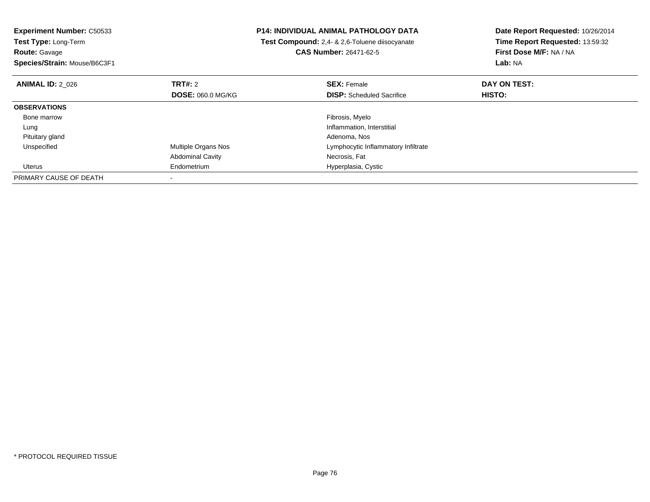| <b>Experiment Number: C50533</b><br><b>Test Type: Long-Term</b> |                         | P14: INDIVIDUAL ANIMAL PATHOLOGY DATA<br>Test Compound: 2,4- & 2,6-Toluene diisocyanate | Date Report Requested: 10/26/2014<br>Time Report Requested: 13:59:32 |
|-----------------------------------------------------------------|-------------------------|-----------------------------------------------------------------------------------------|----------------------------------------------------------------------|
| <b>Route: Gavage</b>                                            |                         | <b>CAS Number: 26471-62-5</b>                                                           | First Dose M/F: NA / NA                                              |
| Species/Strain: Mouse/B6C3F1                                    |                         |                                                                                         | Lab: NA                                                              |
| <b>ANIMAL ID: 2 026</b>                                         | <b>TRT#:</b> 2          | <b>SEX: Female</b>                                                                      | DAY ON TEST:                                                         |
|                                                                 | DOSE: 060.0 MG/KG       | <b>DISP:</b> Scheduled Sacrifice                                                        | HISTO:                                                               |
| <b>OBSERVATIONS</b>                                             |                         |                                                                                         |                                                                      |
| Bone marrow                                                     |                         | Fibrosis, Myelo                                                                         |                                                                      |
| Lung                                                            |                         | Inflammation, Interstitial                                                              |                                                                      |
| Pituitary gland                                                 |                         | Adenoma, Nos                                                                            |                                                                      |
| Unspecified                                                     | Multiple Organs Nos     | Lymphocytic Inflammatory Infiltrate                                                     |                                                                      |
|                                                                 | <b>Abdominal Cavity</b> | Necrosis, Fat                                                                           |                                                                      |
| Uterus                                                          | Endometrium             | Hyperplasia, Cystic                                                                     |                                                                      |
| PRIMARY CAUSE OF DEATH                                          |                         |                                                                                         |                                                                      |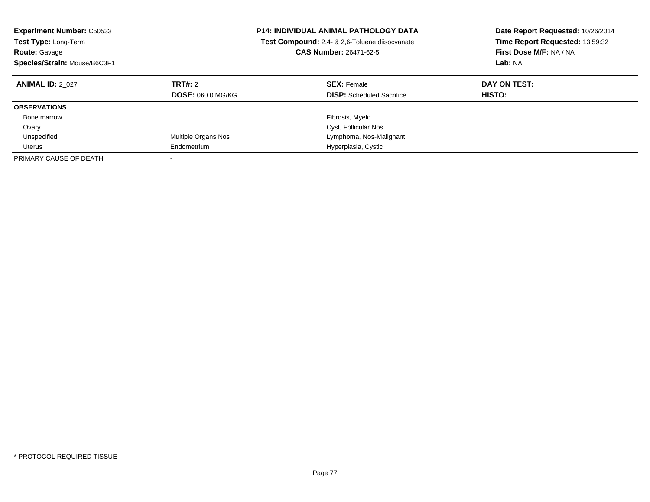| <b>Experiment Number: C50533</b><br><b>Test Type: Long-Term</b><br><b>Route: Gavage</b><br>Species/Strain: Mouse/B6C3F1 | <b>P14: INDIVIDUAL ANIMAL PATHOLOGY DATA</b><br>Test Compound: 2,4- & 2,6-Toluene diisocyanate<br><b>CAS Number: 26471-62-5</b> |                                                        |                        |  | Date Report Requested: 10/26/2014<br>Time Report Requested: 13:59:32<br>First Dose M/F: NA / NA<br>Lab: NA |
|-------------------------------------------------------------------------------------------------------------------------|---------------------------------------------------------------------------------------------------------------------------------|--------------------------------------------------------|------------------------|--|------------------------------------------------------------------------------------------------------------|
| <b>ANIMAL ID: 2 027</b>                                                                                                 | TRT#: 2<br><b>DOSE: 060.0 MG/KG</b>                                                                                             | <b>SEX: Female</b><br><b>DISP:</b> Scheduled Sacrifice | DAY ON TEST:<br>HISTO: |  |                                                                                                            |
| <b>OBSERVATIONS</b>                                                                                                     |                                                                                                                                 |                                                        |                        |  |                                                                                                            |
| Bone marrow                                                                                                             |                                                                                                                                 | Fibrosis, Myelo                                        |                        |  |                                                                                                            |
| Ovary                                                                                                                   |                                                                                                                                 | Cyst, Follicular Nos                                   |                        |  |                                                                                                            |
| Unspecified                                                                                                             | Multiple Organs Nos                                                                                                             | Lymphoma, Nos-Malignant                                |                        |  |                                                                                                            |
| Uterus                                                                                                                  | Endometrium                                                                                                                     | Hyperplasia, Cystic                                    |                        |  |                                                                                                            |
| PRIMARY CAUSE OF DEATH                                                                                                  |                                                                                                                                 |                                                        |                        |  |                                                                                                            |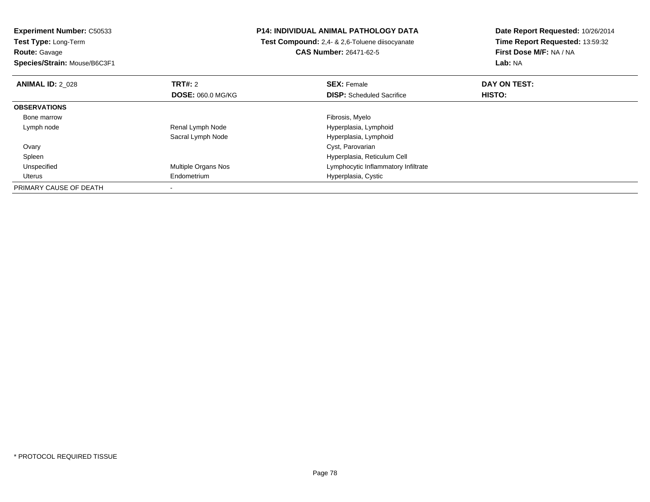**Experiment Number:** C50533**Test Type:** Long-Term**Route:** Gavage **Species/Strain:** Mouse/B6C3F1**P14: INDIVIDUAL ANIMAL PATHOLOGY DATA Test Compound:** 2,4- & 2,6-Toluene diisocyanate**CAS Number:** 26471-62-5**Date Report Requested:** 10/26/2014**Time Report Requested:** 13:59:32**First Dose M/F:** NA / NA**Lab:** NA**ANIMAL ID: 2 028 REX:** Female **DAY ON TEST: CONSIST: SEX:** Female **DAY ON TEST: DOSE:** 060.0 MG/KG**DISP:** Scheduled Sacrifice **HISTO: OBSERVATIONS** Bone marroww which is a state of the state of the state of the state of the state of the Fibrosis, Myelo state of the state of the state of the state of the state of the state of the state of the state of the state of the state of th Lymph nodeRenal Lymph Node **Hyperplasia**, Lymphoid Sacral Lymph Node Hyperplasia, Lymphoid Ovary Cyst, Parovarian Hyperplasia, Reticulum Cell Spleen UnspecifiedMultiple Organs Nos **Multiple Organs Nos** Lymphocytic Inflammatory Infiltrate Uterus Endometrium Hyperplasia, Cystic PRIMARY CAUSE OF DEATH-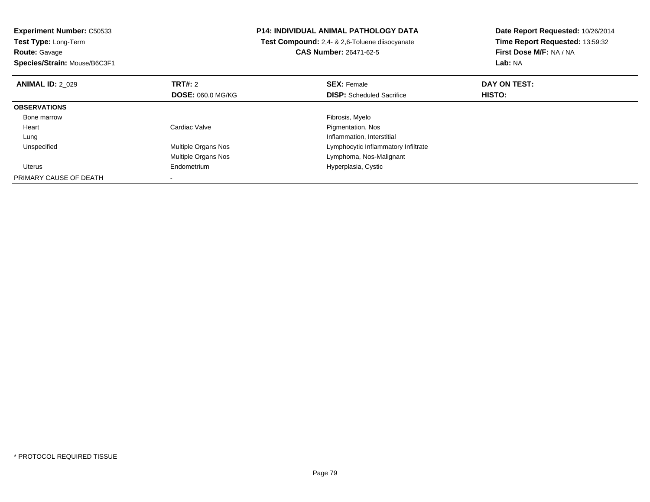**Experiment Number:** C50533**Test Type:** Long-Term**Route:** Gavage **Species/Strain:** Mouse/B6C3F1**P14: INDIVIDUAL ANIMAL PATHOLOGY DATA Test Compound:** 2,4- & 2,6-Toluene diisocyanate**CAS Number:** 26471-62-5**Date Report Requested:** 10/26/2014**Time Report Requested:** 13:59:32**First Dose M/F:** NA / NA**Lab:** NA**ANIMAL ID:** 2\_029**TRT#:** 2 **SEX:** Female **DAY ON TEST: DOSE:** 060.0 MG/KG**DISP:** Scheduled Sacrifice **HISTO: OBSERVATIONS** Bone marroww which is a state of the state of the state of the state of the state of the Fibrosis, Myelo state of the state of the state of the state of the state of the state of the state of the state of the state of the state of th Heart Cardiac Valve Pigmentation, Nos LungInflammation, Interstitial<br>Multiple Organs Nos **Exercía Express Control Control Control Control Control Control Control Control Control C**  UnspecifiedLymphocytic Inflammatory Infiltrate Multiple Organs Nos Lymphoma, Nos-Malignant Uterus Endometrium Hyperplasia, Cystic PRIMARY CAUSE OF DEATH-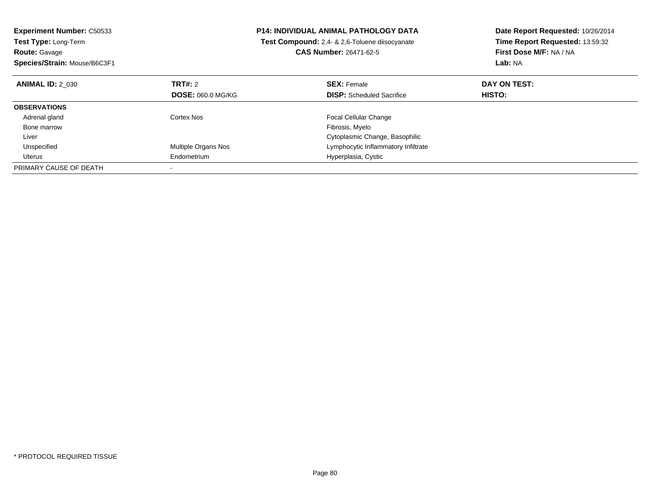| <b>Experiment Number: C50533</b><br>Test Type: Long-Term |                            | <b>P14: INDIVIDUAL ANIMAL PATHOLOGY DATA</b>   | Date Report Requested: 10/26/2014<br>Time Report Requested: 13:59:32 |
|----------------------------------------------------------|----------------------------|------------------------------------------------|----------------------------------------------------------------------|
|                                                          |                            | Test Compound: 2.4- & 2.6-Toluene diisocyanate |                                                                      |
| <b>Route: Gavage</b>                                     |                            | <b>CAS Number: 26471-62-5</b>                  | First Dose M/F: NA / NA                                              |
| Species/Strain: Mouse/B6C3F1                             |                            |                                                | Lab: NA                                                              |
| <b>ANIMAL ID: 2 030</b>                                  | TRT#: 2                    | <b>SEX: Female</b>                             | DAY ON TEST:                                                         |
|                                                          | <b>DOSE: 060.0 MG/KG</b>   | <b>DISP:</b> Scheduled Sacrifice               | <b>HISTO:</b>                                                        |
| <b>OBSERVATIONS</b>                                      |                            |                                                |                                                                      |
| Adrenal gland                                            | Cortex Nos                 | <b>Focal Cellular Change</b>                   |                                                                      |
| Bone marrow                                              |                            | Fibrosis, Myelo                                |                                                                      |
| Liver                                                    |                            | Cytoplasmic Change, Basophilic                 |                                                                      |
| Unspecified                                              | <b>Multiple Organs Nos</b> | Lymphocytic Inflammatory Infiltrate            |                                                                      |
| Uterus                                                   | Endometrium                | Hyperplasia, Cystic                            |                                                                      |
| PRIMARY CAUSE OF DEATH                                   |                            |                                                |                                                                      |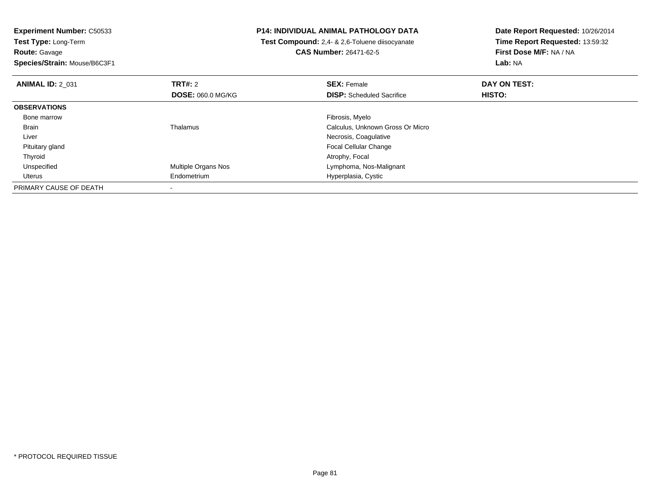**Experiment Number:** C50533**Test Type:** Long-Term**Route:** Gavage **Species/Strain:** Mouse/B6C3F1**P14: INDIVIDUAL ANIMAL PATHOLOGY DATA Test Compound:** 2,4- & 2,6-Toluene diisocyanate**CAS Number:** 26471-62-5**Date Report Requested:** 10/26/2014**Time Report Requested:** 13:59:32**First Dose M/F:** NA / NA**Lab:** NA**ANIMAL ID:** 2\_031**TRT#:** 2 **SEX:** Female **DAY ON TEST: DOSE:** 060.0 MG/KG**DISP:** Scheduled Sacrifice **HISTO: OBSERVATIONS** Bone marroww which is a state of the state of the state of the state of the state of the Fibrosis, Myelo state of the state of the state of the state of the state of the state of the state of the state of the state of the state of th BrainThalamus Calculus, Unknown Gross Or Micro Liver Necrosis, Coagulative Focal Cellular Change Pituitary gland Thyroidd and the control of the control of the control of the control of the control of the control of the control of the control of the control of the control of the control of the control of the control of the control of the co UnspecifiedMultiple Organs Nos **Multiple Organs Nos** Lymphoma, Nos-Malignant Uterus Endometrium Hyperplasia, Cystic PRIMARY CAUSE OF DEATH-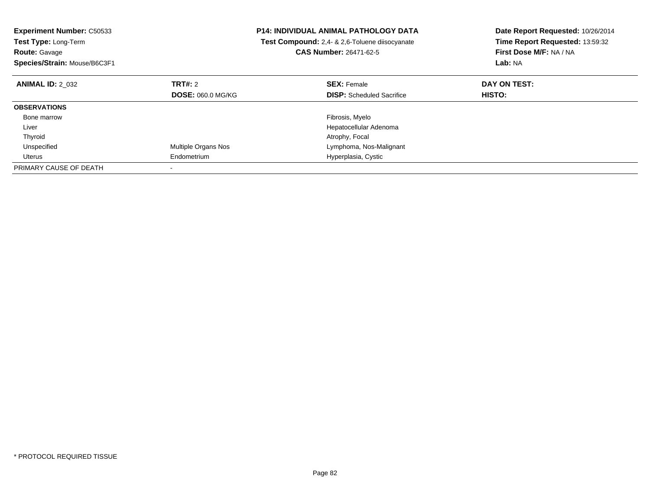| <b>Experiment Number: C50533</b><br><b>Test Type: Long-Term</b><br><b>Route: Gavage</b> | P14: INDIVIDUAL ANIMAL PATHOLOGY DATA<br>Test Compound: 2,4- & 2,6-Toluene diisocyanate<br><b>CAS Number: 26471-62-5</b> |                                  | Date Report Requested: 10/26/2014<br>Time Report Requested: 13:59:32<br>First Dose M/F: NA / NA |
|-----------------------------------------------------------------------------------------|--------------------------------------------------------------------------------------------------------------------------|----------------------------------|-------------------------------------------------------------------------------------------------|
| Species/Strain: Mouse/B6C3F1                                                            |                                                                                                                          |                                  | Lab: NA                                                                                         |
| <b>ANIMAL ID: 2 032</b>                                                                 | TRT#: 2                                                                                                                  | <b>SEX: Female</b>               | DAY ON TEST:                                                                                    |
|                                                                                         | <b>DOSE: 060.0 MG/KG</b>                                                                                                 | <b>DISP:</b> Scheduled Sacrifice | <b>HISTO:</b>                                                                                   |
| <b>OBSERVATIONS</b>                                                                     |                                                                                                                          |                                  |                                                                                                 |
| Bone marrow                                                                             |                                                                                                                          | Fibrosis, Myelo                  |                                                                                                 |
| Liver                                                                                   |                                                                                                                          | Hepatocellular Adenoma           |                                                                                                 |
| Thyroid                                                                                 |                                                                                                                          | Atrophy, Focal                   |                                                                                                 |
| Unspecified                                                                             | Multiple Organs Nos                                                                                                      | Lymphoma, Nos-Malignant          |                                                                                                 |
| Uterus                                                                                  | Endometrium                                                                                                              | Hyperplasia, Cystic              |                                                                                                 |
| PRIMARY CAUSE OF DEATH                                                                  |                                                                                                                          |                                  |                                                                                                 |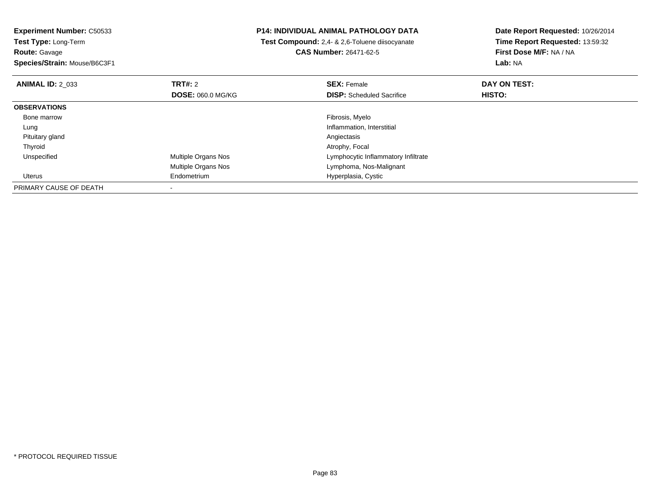**Experiment Number:** C50533**Test Type:** Long-Term**Route:** Gavage **Species/Strain:** Mouse/B6C3F1**P14: INDIVIDUAL ANIMAL PATHOLOGY DATA Test Compound:** 2,4- & 2,6-Toluene diisocyanate**CAS Number:** 26471-62-5**Date Report Requested:** 10/26/2014**Time Report Requested:** 13:59:32**First Dose M/F:** NA / NA**Lab:** NA**ANIMAL ID:** 2\_033**TRT#:** 2 **SEX:** Female **DAY ON TEST: DOSE:** 060.0 MG/KG**DISP:** Scheduled Sacrifice **HISTO: OBSERVATIONS** Bone marroww which is a state of the state of the state of the state of the state of the Fibrosis, Myelo state of the state of the state of the state of the state of the state of the state of the state of the state of the state of th LungInflammation, Interstitial<br>Angiectasis Pituitary glandd and the contract of the contract of the contract of the contract of the contract of the contract of the contract of the contract of the contract of the contract of the contract of the contract of the contract of the cont Thyroidd and the control of the control of the control of the control of the control of the control of the control of the control of the control of the control of the control of the control of the control of the control of the co UnspecifiedMultiple Organs Nos **Multiple Organs Nos** Lymphocytic Inflammatory Infiltrate Multiple Organs Nos Lymphoma, Nos-Malignant Uterus Endometrium Hyperplasia, Cystic PRIMARY CAUSE OF DEATH-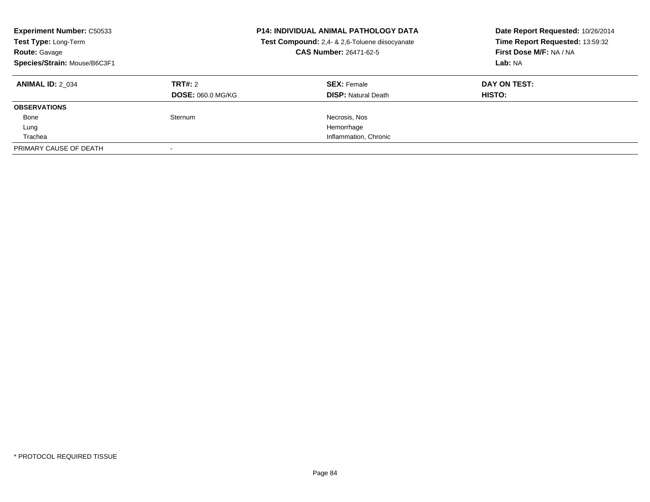| <b>Experiment Number: C50533</b><br>Test Type: Long-Term<br><b>Route: Gavage</b><br>Species/Strain: Mouse/B6C3F1 |                                     | <b>P14: INDIVIDUAL ANIMAL PATHOLOGY DATA</b><br>Test Compound: 2,4- & 2,6-Toluene diisocyanate<br>CAS Number: 26471-62-5 | Date Report Requested: 10/26/2014<br>Time Report Requested: 13:59:32<br>First Dose M/F: NA / NA<br>Lab: NA |
|------------------------------------------------------------------------------------------------------------------|-------------------------------------|--------------------------------------------------------------------------------------------------------------------------|------------------------------------------------------------------------------------------------------------|
| <b>ANIMAL ID: 2 034</b>                                                                                          | TRT#: 2<br><b>DOSE: 060.0 MG/KG</b> | <b>SEX: Female</b><br><b>DISP: Natural Death</b>                                                                         | DAY ON TEST:<br>HISTO:                                                                                     |
| <b>OBSERVATIONS</b>                                                                                              |                                     |                                                                                                                          |                                                                                                            |
| Bone                                                                                                             | Sternum                             | Necrosis, Nos                                                                                                            |                                                                                                            |
| Lung                                                                                                             |                                     | Hemorrhage                                                                                                               |                                                                                                            |
| Trachea                                                                                                          |                                     | Inflammation, Chronic                                                                                                    |                                                                                                            |
| PRIMARY CAUSE OF DEATH                                                                                           |                                     |                                                                                                                          |                                                                                                            |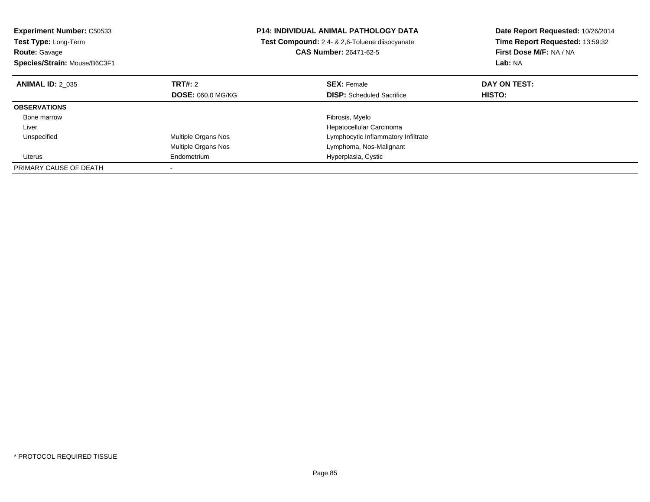| <b>Experiment Number: C50533</b><br>Test Type: Long-Term<br><b>Route: Gavage</b> |                          | <b>P14: INDIVIDUAL ANIMAL PATHOLOGY DATA</b><br>Test Compound: 2,4- & 2,6-Toluene diisocyanate<br><b>CAS Number: 26471-62-5</b> | Date Report Requested: 10/26/2014<br>Time Report Requested: 13:59:32<br>First Dose M/F: NA / NA |
|----------------------------------------------------------------------------------|--------------------------|---------------------------------------------------------------------------------------------------------------------------------|-------------------------------------------------------------------------------------------------|
| Species/Strain: Mouse/B6C3F1                                                     |                          |                                                                                                                                 | Lab: NA                                                                                         |
| <b>ANIMAL ID: 2 035</b>                                                          | TRT#: 2                  | <b>SEX: Female</b>                                                                                                              | DAY ON TEST:                                                                                    |
|                                                                                  | <b>DOSE: 060.0 MG/KG</b> | <b>DISP:</b> Scheduled Sacrifice                                                                                                | HISTO:                                                                                          |
| <b>OBSERVATIONS</b>                                                              |                          |                                                                                                                                 |                                                                                                 |
| Bone marrow                                                                      |                          | Fibrosis, Myelo                                                                                                                 |                                                                                                 |
| Liver                                                                            |                          | Hepatocellular Carcinoma                                                                                                        |                                                                                                 |
| Unspecified                                                                      | Multiple Organs Nos      | Lymphocytic Inflammatory Infiltrate                                                                                             |                                                                                                 |
|                                                                                  | Multiple Organs Nos      | Lymphoma, Nos-Malignant                                                                                                         |                                                                                                 |
| Uterus                                                                           | Endometrium              | Hyperplasia, Cystic                                                                                                             |                                                                                                 |
| PRIMARY CAUSE OF DEATH                                                           |                          |                                                                                                                                 |                                                                                                 |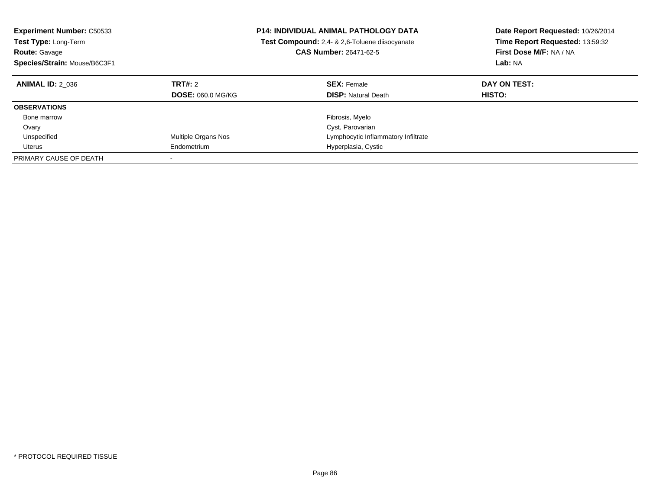| <b>Experiment Number: C50533</b><br>Test Type: Long-Term<br><b>Route: Gavage</b><br>Species/Strain: Mouse/B6C3F1 |                                     | <b>P14: INDIVIDUAL ANIMAL PATHOLOGY DATA</b><br><b>Test Compound:</b> 2.4- & 2.6-Toluene diisocyanate<br><b>CAS Number: 26471-62-5</b> | Date Report Requested: 10/26/2014<br>Time Report Requested: 13:59:32<br>First Dose M/F: NA / NA<br>Lab: NA |
|------------------------------------------------------------------------------------------------------------------|-------------------------------------|----------------------------------------------------------------------------------------------------------------------------------------|------------------------------------------------------------------------------------------------------------|
| <b>ANIMAL ID: 2 036</b>                                                                                          | TRT#: 2<br><b>DOSE: 060.0 MG/KG</b> | <b>SEX: Female</b><br><b>DISP:</b> Natural Death                                                                                       | DAY ON TEST:<br>HISTO:                                                                                     |
| <b>OBSERVATIONS</b>                                                                                              |                                     |                                                                                                                                        |                                                                                                            |
| Bone marrow                                                                                                      |                                     | Fibrosis, Myelo                                                                                                                        |                                                                                                            |
| Ovary                                                                                                            |                                     | Cyst, Parovarian                                                                                                                       |                                                                                                            |
| Unspecified                                                                                                      | Multiple Organs Nos                 | Lymphocytic Inflammatory Infiltrate                                                                                                    |                                                                                                            |
| Uterus                                                                                                           | Endometrium                         | Hyperplasia, Cystic                                                                                                                    |                                                                                                            |
| PRIMARY CAUSE OF DEATH                                                                                           |                                     |                                                                                                                                        |                                                                                                            |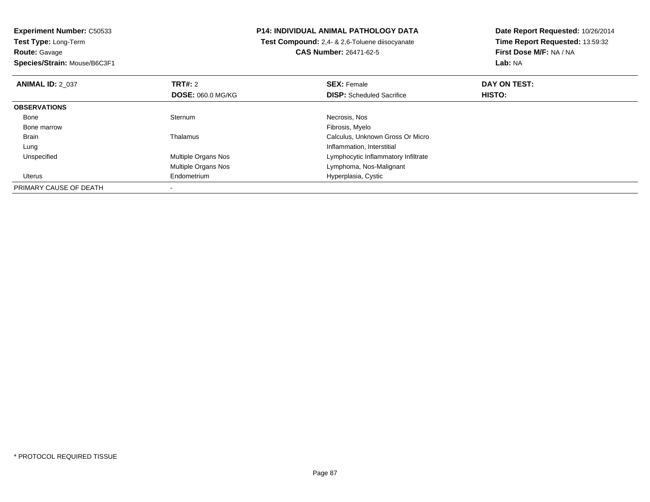**Experiment Number:** C50533**Test Type:** Long-Term**Route:** Gavage

**Species/Strain:** Mouse/B6C3F1

## **P14: INDIVIDUAL ANIMAL PATHOLOGY DATA**

 **Test Compound:** 2,4- & 2,6-Toluene diisocyanate**CAS Number:** 26471-62-5

**Date Report Requested:** 10/26/2014 **Time Report Requested:** 13:59:32**First Dose M/F:** NA / NA**Lab:** NA

| <b>ANIMAL ID: 2 037</b> | <b>TRT#: 2</b><br><b>DOSE: 060.0 MG/KG</b> | <b>SEX: Female</b><br><b>DISP:</b> Scheduled Sacrifice | DAY ON TEST:<br>HISTO: |  |
|-------------------------|--------------------------------------------|--------------------------------------------------------|------------------------|--|
| <b>OBSERVATIONS</b>     |                                            |                                                        |                        |  |
| Bone                    | Sternum                                    | Necrosis, Nos                                          |                        |  |
| Bone marrow             |                                            | Fibrosis, Myelo                                        |                        |  |
| <b>Brain</b>            | Thalamus                                   | Calculus, Unknown Gross Or Micro                       |                        |  |
| Lung                    |                                            | Inflammation, Interstitial                             |                        |  |
| Unspecified             | Multiple Organs Nos                        | Lymphocytic Inflammatory Infiltrate                    |                        |  |
|                         | Multiple Organs Nos                        | Lymphoma, Nos-Malignant                                |                        |  |
| Uterus                  | Endometrium                                | Hyperplasia, Cystic                                    |                        |  |
| PRIMARY CAUSE OF DEATH  |                                            |                                                        |                        |  |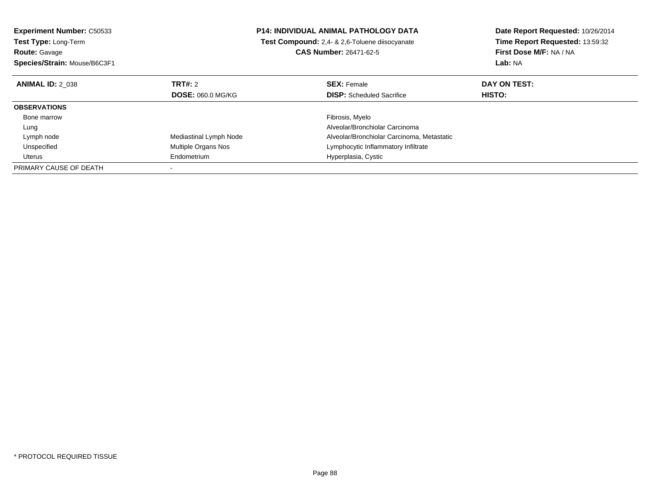| <b>Experiment Number: C50533</b> |                          | <b>P14: INDIVIDUAL ANIMAL PATHOLOGY DATA</b>          | Date Report Requested: 10/26/2014 |  |
|----------------------------------|--------------------------|-------------------------------------------------------|-----------------------------------|--|
| <b>Test Type: Long-Term</b>      |                          | <b>Test Compound:</b> 2,4- & 2,6-Toluene diisocyanate | Time Report Requested: 13:59:32   |  |
| <b>Route: Gavage</b>             |                          | <b>CAS Number: 26471-62-5</b>                         | First Dose M/F: NA / NA           |  |
| Species/Strain: Mouse/B6C3F1     |                          |                                                       | <b>Lab: NA</b>                    |  |
| <b>ANIMAL ID: 2 038</b>          | TRT#: 2                  | <b>SEX: Female</b>                                    | DAY ON TEST:                      |  |
|                                  | <b>DOSE: 060.0 MG/KG</b> | <b>DISP:</b> Scheduled Sacrifice                      | <b>HISTO:</b>                     |  |
| <b>OBSERVATIONS</b>              |                          |                                                       |                                   |  |
| Bone marrow                      |                          | Fibrosis, Myelo                                       |                                   |  |
| Lung                             |                          | Alveolar/Bronchiolar Carcinoma                        |                                   |  |
| Lymph node                       | Mediastinal Lymph Node   | Alveolar/Bronchiolar Carcinoma, Metastatic            |                                   |  |
| Unspecified                      | Multiple Organs Nos      | Lymphocytic Inflammatory Infiltrate                   |                                   |  |
| Uterus                           | Endometrium              | Hyperplasia, Cystic                                   |                                   |  |
| PRIMARY CAUSE OF DEATH           |                          |                                                       |                                   |  |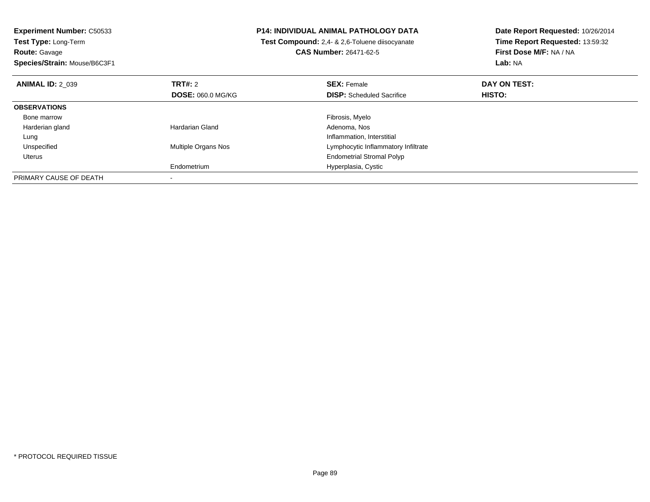| <b>Experiment Number: C50533</b> | <b>P14: INDIVIDUAL ANIMAL PATHOLOGY DATA</b> |                                                | Date Report Requested: 10/26/2014 |  |
|----------------------------------|----------------------------------------------|------------------------------------------------|-----------------------------------|--|
| Test Type: Long-Term             |                                              | Test Compound: 2,4- & 2,6-Toluene diisocyanate | Time Report Requested: 13:59:32   |  |
| <b>Route: Gavage</b>             |                                              | <b>CAS Number: 26471-62-5</b>                  | First Dose M/F: NA / NA           |  |
| Species/Strain: Mouse/B6C3F1     |                                              |                                                | Lab: NA                           |  |
| <b>ANIMAL ID: 2 039</b>          | TRT#: 2                                      | <b>SEX: Female</b>                             | DAY ON TEST:                      |  |
|                                  | <b>DOSE: 060.0 MG/KG</b>                     | <b>DISP:</b> Scheduled Sacrifice               | HISTO:                            |  |
| <b>OBSERVATIONS</b>              |                                              |                                                |                                   |  |
| Bone marrow                      |                                              | Fibrosis, Myelo                                |                                   |  |
| Harderian gland                  | Hardarian Gland                              | Adenoma, Nos                                   |                                   |  |
| Lung                             |                                              | Inflammation, Interstitial                     |                                   |  |
| Unspecified                      | <b>Multiple Organs Nos</b>                   | Lymphocytic Inflammatory Infiltrate            |                                   |  |
| Uterus                           |                                              | <b>Endometrial Stromal Polyp</b>               |                                   |  |
|                                  | Endometrium                                  | Hyperplasia, Cystic                            |                                   |  |
| PRIMARY CAUSE OF DEATH           |                                              |                                                |                                   |  |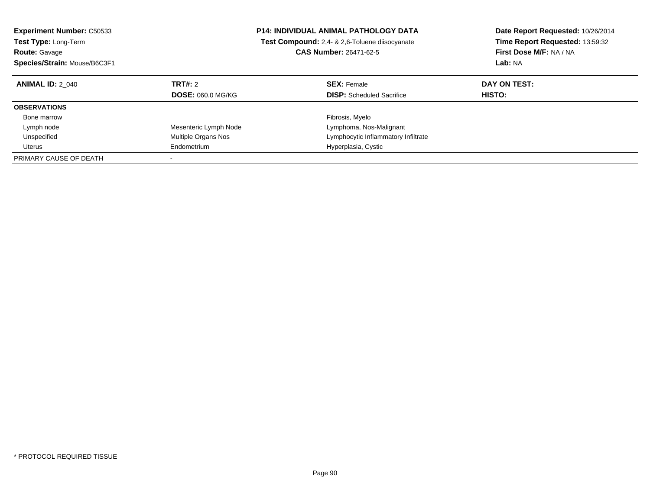| <b>Experiment Number: C50533</b><br><b>Test Type: Long-Term</b><br><b>Route: Gavage</b><br>Species/Strain: Mouse/B6C3F1 |                          | <b>P14: INDIVIDUAL ANIMAL PATHOLOGY DATA</b><br><b>Test Compound:</b> 2,4- & 2,6-Toluene diisocyanate<br><b>CAS Number: 26471-62-5</b> | Date Report Requested: 10/26/2014<br>Time Report Requested: 13:59:32<br>First Dose M/F: NA / NA<br><b>Lab: NA</b> |
|-------------------------------------------------------------------------------------------------------------------------|--------------------------|----------------------------------------------------------------------------------------------------------------------------------------|-------------------------------------------------------------------------------------------------------------------|
| <b>ANIMAL ID: 2 040</b>                                                                                                 | TRT#: 2                  | <b>SEX: Female</b>                                                                                                                     | DAY ON TEST:                                                                                                      |
|                                                                                                                         | <b>DOSE: 060.0 MG/KG</b> | <b>DISP:</b> Scheduled Sacrifice                                                                                                       | <b>HISTO:</b>                                                                                                     |
| <b>OBSERVATIONS</b>                                                                                                     |                          |                                                                                                                                        |                                                                                                                   |
| Bone marrow                                                                                                             |                          | Fibrosis, Myelo                                                                                                                        |                                                                                                                   |
| Lymph node                                                                                                              | Mesenteric Lymph Node    | Lymphoma, Nos-Malignant                                                                                                                |                                                                                                                   |
| Unspecified                                                                                                             | Multiple Organs Nos      | Lymphocytic Inflammatory Infiltrate                                                                                                    |                                                                                                                   |
| Uterus                                                                                                                  | Endometrium              | Hyperplasia, Cystic                                                                                                                    |                                                                                                                   |
| PRIMARY CAUSE OF DEATH                                                                                                  |                          |                                                                                                                                        |                                                                                                                   |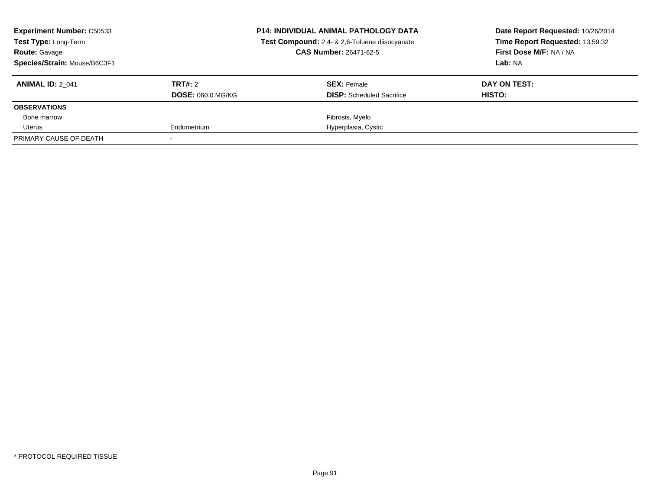| <b>Experiment Number: C50533</b><br>Test Type: Long-Term<br><b>Route: Gavage</b><br>Species/Strain: Mouse/B6C3F1 |                                     | <b>P14: INDIVIDUAL ANIMAL PATHOLOGY DATA</b><br>Test Compound: 2,4- & 2,6-Toluene diisocyanate<br><b>CAS Number: 26471-62-5</b> | Date Report Requested: 10/26/2014<br>Time Report Requested: 13:59:32<br>First Dose M/F: NA / NA<br>Lab: NA |
|------------------------------------------------------------------------------------------------------------------|-------------------------------------|---------------------------------------------------------------------------------------------------------------------------------|------------------------------------------------------------------------------------------------------------|
| <b>ANIMAL ID: 2 041</b>                                                                                          | TRT#: 2<br><b>DOSE: 060.0 MG/KG</b> | <b>SEX:</b> Female<br><b>DISP:</b> Scheduled Sacrifice                                                                          | DAY ON TEST:<br>HISTO:                                                                                     |
| <b>OBSERVATIONS</b>                                                                                              |                                     |                                                                                                                                 |                                                                                                            |
| Bone marrow                                                                                                      |                                     | Fibrosis, Myelo                                                                                                                 |                                                                                                            |
| Uterus                                                                                                           | Endometrium                         | Hyperplasia, Cystic                                                                                                             |                                                                                                            |
| PRIMARY CAUSE OF DEATH                                                                                           |                                     |                                                                                                                                 |                                                                                                            |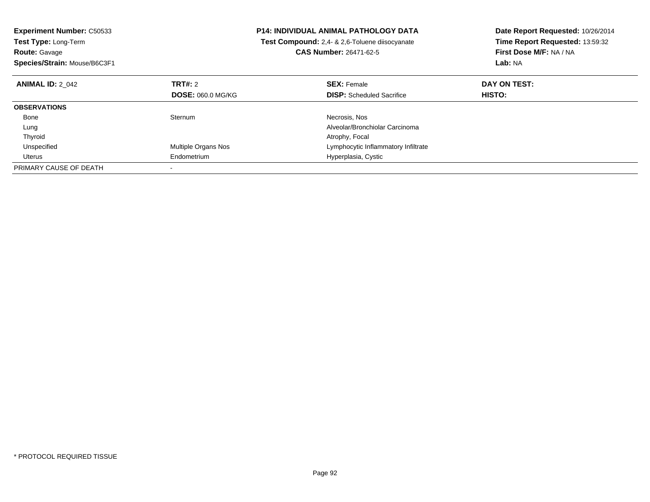| <b>Experiment Number: C50533</b> |                            | <b>P14: INDIVIDUAL ANIMAL PATHOLOGY DATA</b>   | Date Report Requested: 10/26/2014<br>Time Report Requested: 13:59:32 |
|----------------------------------|----------------------------|------------------------------------------------|----------------------------------------------------------------------|
| Test Type: Long-Term             |                            | Test Compound: 2,4- & 2,6-Toluene diisocyanate |                                                                      |
| <b>Route: Gavage</b>             |                            | <b>CAS Number: 26471-62-5</b>                  | First Dose M/F: NA / NA                                              |
| Species/Strain: Mouse/B6C3F1     |                            |                                                | Lab: NA                                                              |
| <b>ANIMAL ID: 2 042</b>          | TRT#: 2                    | <b>SEX: Female</b>                             | DAY ON TEST:                                                         |
|                                  | <b>DOSE: 060.0 MG/KG</b>   | <b>DISP:</b> Scheduled Sacrifice               | <b>HISTO:</b>                                                        |
| <b>OBSERVATIONS</b>              |                            |                                                |                                                                      |
| Bone                             | Sternum                    | Necrosis, Nos                                  |                                                                      |
| Lung                             |                            | Alveolar/Bronchiolar Carcinoma                 |                                                                      |
| Thyroid                          |                            | Atrophy, Focal                                 |                                                                      |
| Unspecified                      | <b>Multiple Organs Nos</b> | Lymphocytic Inflammatory Infiltrate            |                                                                      |
| Uterus                           | Endometrium                | Hyperplasia, Cystic                            |                                                                      |
| PRIMARY CAUSE OF DEATH           |                            |                                                |                                                                      |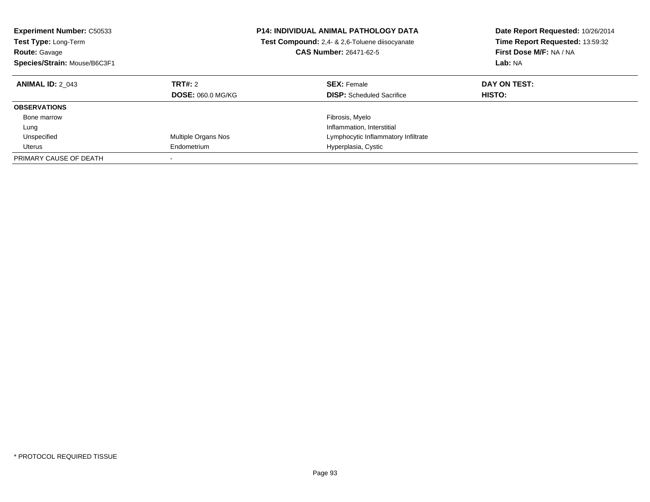| <b>Experiment Number: C50533</b><br>Test Type: Long-Term<br><b>Route: Gavage</b><br>Species/Strain: Mouse/B6C3F1 |                                     | <b>P14: INDIVIDUAL ANIMAL PATHOLOGY DATA</b><br>Test Compound: 2,4- & 2,6-Toluene diisocyanate<br><b>CAS Number: 26471-62-5</b> | Date Report Requested: 10/26/2014<br>Time Report Requested: 13:59:32<br>First Dose M/F: NA / NA<br>Lab: NA |
|------------------------------------------------------------------------------------------------------------------|-------------------------------------|---------------------------------------------------------------------------------------------------------------------------------|------------------------------------------------------------------------------------------------------------|
| <b>ANIMAL ID: 2 043</b>                                                                                          | TRT#: 2<br><b>DOSE: 060.0 MG/KG</b> | <b>SEX: Female</b><br><b>DISP:</b> Scheduled Sacrifice                                                                          | DAY ON TEST:<br><b>HISTO:</b>                                                                              |
| <b>OBSERVATIONS</b>                                                                                              |                                     |                                                                                                                                 |                                                                                                            |
| Bone marrow                                                                                                      |                                     | Fibrosis, Myelo                                                                                                                 |                                                                                                            |
| Lung                                                                                                             |                                     | Inflammation, Interstitial                                                                                                      |                                                                                                            |
| Unspecified                                                                                                      | Multiple Organs Nos                 | Lymphocytic Inflammatory Infiltrate                                                                                             |                                                                                                            |
| Uterus                                                                                                           | Endometrium                         | Hyperplasia, Cystic                                                                                                             |                                                                                                            |
| PRIMARY CAUSE OF DEATH                                                                                           |                                     |                                                                                                                                 |                                                                                                            |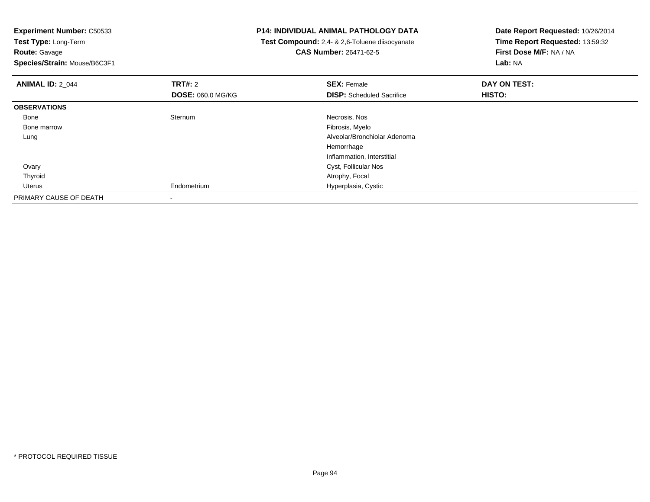**Experiment Number:** C50533**Test Type:** Long-Term

**Route:** Gavage

**Species/Strain:** Mouse/B6C3F1

## **P14: INDIVIDUAL ANIMAL PATHOLOGY DATA**

 **Test Compound:** 2,4- & 2,6-Toluene diisocyanate**CAS Number:** 26471-62-5

**Date Report Requested:** 10/26/2014 **Time Report Requested:** 13:59:32**First Dose M/F:** NA / NA**Lab:** NA

| <b>ANIMAL ID: 2_044</b> | <b>TRT#: 2</b>           | <b>SEX: Female</b>               | DAY ON TEST: |  |
|-------------------------|--------------------------|----------------------------------|--------------|--|
|                         | <b>DOSE: 060.0 MG/KG</b> | <b>DISP:</b> Scheduled Sacrifice | HISTO:       |  |
| <b>OBSERVATIONS</b>     |                          |                                  |              |  |
| Bone                    | Sternum                  | Necrosis, Nos                    |              |  |
| Bone marrow             |                          | Fibrosis, Myelo                  |              |  |
| Lung                    |                          | Alveolar/Bronchiolar Adenoma     |              |  |
|                         |                          | Hemorrhage                       |              |  |
|                         |                          | Inflammation, Interstitial       |              |  |
| Ovary                   |                          | Cyst, Follicular Nos             |              |  |
| Thyroid                 |                          | Atrophy, Focal                   |              |  |
| Uterus                  | Endometrium              | Hyperplasia, Cystic              |              |  |
| PRIMARY CAUSE OF DEATH  |                          |                                  |              |  |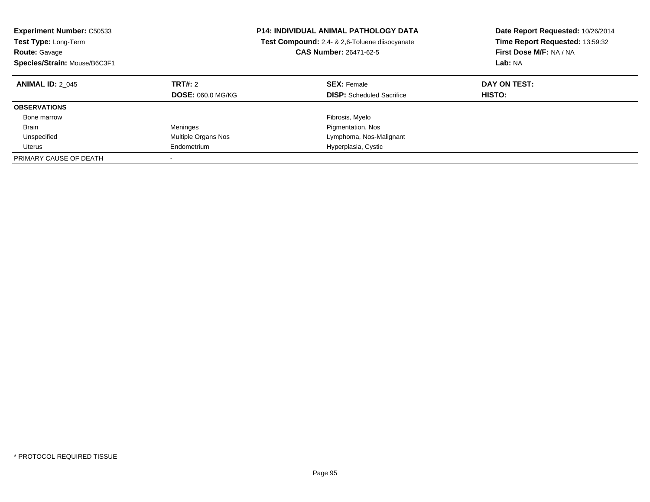| <b>Experiment Number: C50533</b><br><b>Test Type: Long-Term</b><br><b>Route: Gavage</b><br>Species/Strain: Mouse/B6C3F1 |                                     | <b>P14: INDIVIDUAL ANIMAL PATHOLOGY DATA</b><br>Test Compound: 2,4- & 2,6-Toluene diisocyanate<br><b>CAS Number: 26471-62-5</b> | Date Report Requested: 10/26/2014<br>Time Report Requested: 13:59:32<br>First Dose M/F: NA / NA<br>Lab: NA |
|-------------------------------------------------------------------------------------------------------------------------|-------------------------------------|---------------------------------------------------------------------------------------------------------------------------------|------------------------------------------------------------------------------------------------------------|
| <b>ANIMAL ID: 2 045</b>                                                                                                 | TRT#: 2<br><b>DOSE: 060.0 MG/KG</b> | <b>SEX: Female</b><br><b>DISP:</b> Scheduled Sacrifice                                                                          | DAY ON TEST:<br><b>HISTO:</b>                                                                              |
| <b>OBSERVATIONS</b>                                                                                                     |                                     |                                                                                                                                 |                                                                                                            |
| Bone marrow                                                                                                             |                                     | Fibrosis, Myelo                                                                                                                 |                                                                                                            |
| Brain                                                                                                                   | Meninges                            | Pigmentation, Nos                                                                                                               |                                                                                                            |
| Unspecified                                                                                                             | Multiple Organs Nos                 | Lymphoma, Nos-Malignant                                                                                                         |                                                                                                            |
| Uterus                                                                                                                  | Endometrium                         | Hyperplasia, Cystic                                                                                                             |                                                                                                            |
| PRIMARY CAUSE OF DEATH                                                                                                  |                                     |                                                                                                                                 |                                                                                                            |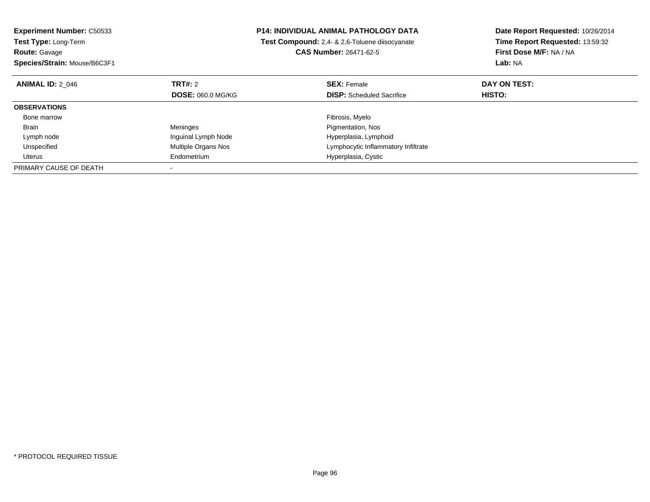| <b>Experiment Number: C50533</b> |                          | <b>P14: INDIVIDUAL ANIMAL PATHOLOGY DATA</b>   | Date Report Requested: 10/26/2014 |
|----------------------------------|--------------------------|------------------------------------------------|-----------------------------------|
| Test Type: Long-Term             |                          | Test Compound: 2.4- & 2.6-Toluene diisocyanate | Time Report Requested: 13:59:32   |
| <b>Route: Gavage</b>             |                          | <b>CAS Number: 26471-62-5</b>                  | First Dose M/F: NA / NA           |
| Species/Strain: Mouse/B6C3F1     |                          |                                                | Lab: NA                           |
| <b>ANIMAL ID: 2 046</b>          | <b>TRT#: 2</b>           | <b>SEX: Female</b>                             | DAY ON TEST:                      |
|                                  | <b>DOSE: 060.0 MG/KG</b> | <b>DISP:</b> Scheduled Sacrifice               | <b>HISTO:</b>                     |
| <b>OBSERVATIONS</b>              |                          |                                                |                                   |
| Bone marrow                      |                          | Fibrosis, Myelo                                |                                   |
| Brain                            | Meninges                 | Pigmentation, Nos                              |                                   |
| Lymph node                       | Inguinal Lymph Node      | Hyperplasia, Lymphoid                          |                                   |
| Unspecified                      | Multiple Organs Nos      | Lymphocytic Inflammatory Infiltrate            |                                   |
| Uterus                           | Endometrium              | Hyperplasia, Cystic                            |                                   |
| PRIMARY CAUSE OF DEATH           |                          |                                                |                                   |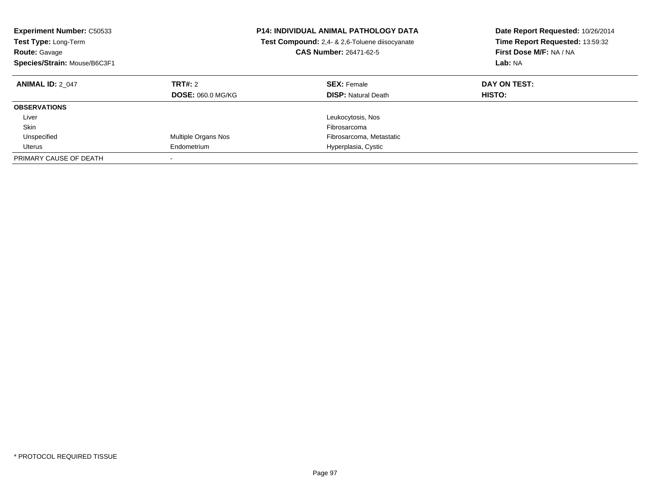| <b>Experiment Number: C50533</b><br>Test Type: Long-Term<br><b>Route: Gavage</b><br>Species/Strain: Mouse/B6C3F1 |                                     | <b>P14: INDIVIDUAL ANIMAL PATHOLOGY DATA</b><br>Test Compound: 2,4- & 2,6-Toluene diisocyanate<br><b>CAS Number: 26471-62-5</b> | Date Report Requested: 10/26/2014<br>Time Report Requested: 13:59:32<br>First Dose M/F: NA / NA<br>Lab: NA |
|------------------------------------------------------------------------------------------------------------------|-------------------------------------|---------------------------------------------------------------------------------------------------------------------------------|------------------------------------------------------------------------------------------------------------|
| <b>ANIMAL ID: 2 047</b>                                                                                          | TRT#: 2<br><b>DOSE: 060.0 MG/KG</b> | <b>SEX: Female</b><br><b>DISP:</b> Natural Death                                                                                | DAY ON TEST:<br>HISTO:                                                                                     |
| <b>OBSERVATIONS</b>                                                                                              |                                     |                                                                                                                                 |                                                                                                            |
| Liver                                                                                                            |                                     | Leukocytosis, Nos                                                                                                               |                                                                                                            |
| Skin                                                                                                             |                                     | Fibrosarcoma                                                                                                                    |                                                                                                            |
| Unspecified                                                                                                      | Multiple Organs Nos                 | Fibrosarcoma, Metastatic                                                                                                        |                                                                                                            |
| Uterus                                                                                                           | Endometrium                         | Hyperplasia, Cystic                                                                                                             |                                                                                                            |
| PRIMARY CAUSE OF DEATH                                                                                           |                                     |                                                                                                                                 |                                                                                                            |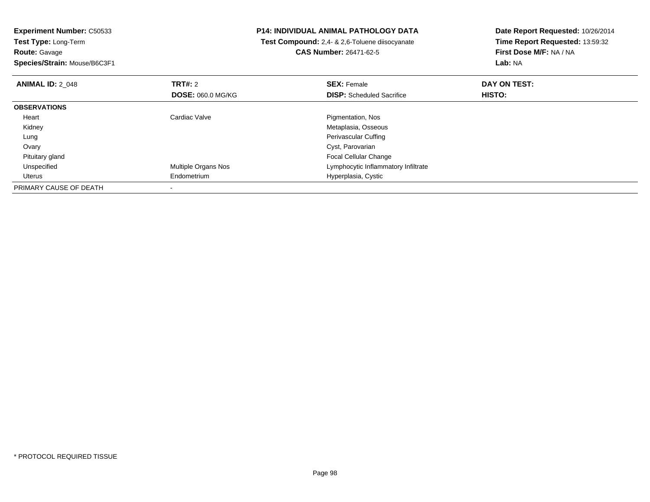**Experiment Number:** C50533**Test Type:** Long-Term**Route:** Gavage **Species/Strain:** Mouse/B6C3F1**P14: INDIVIDUAL ANIMAL PATHOLOGY DATA Test Compound:** 2,4- & 2,6-Toluene diisocyanate**CAS Number:** 26471-62-5**Date Report Requested:** 10/26/2014**Time Report Requested:** 13:59:32**First Dose M/F:** NA / NA**Lab:** NA**ANIMAL ID: 2 048 REX:** Female **DAY ON TEST: CONSIST: SEX:** Female **DAY ON TEST: DOSE:** 060.0 MG/KG**DISP:** Scheduled Sacrifice **HISTO: OBSERVATIONS** Heart Cardiac Valve Pigmentation, Nos Kidney Metaplasia, Osseous Lung Perivascular Cuffing Ovary Cyst, Parovarian Focal Cellular Change Pituitary gland UnspecifiedMultiple Organs Nos **Multiple Organs Nos** Lymphocytic Inflammatory Infiltrate Uterus Endometrium Hyperplasia, Cystic PRIMARY CAUSE OF DEATH-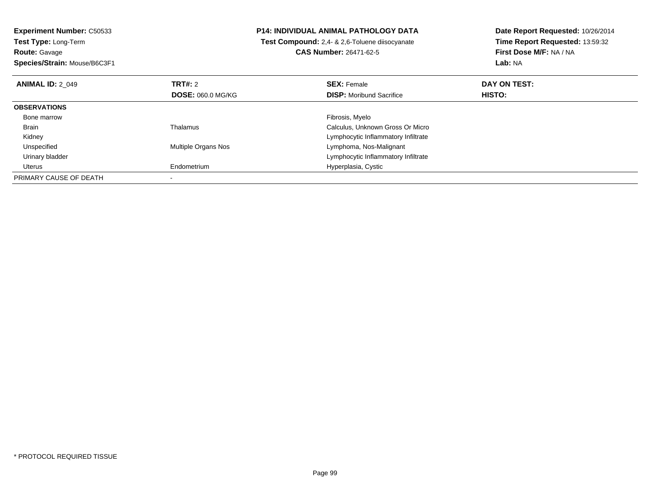**Experiment Number:** C50533**Test Type:** Long-Term**Route:** Gavage **Species/Strain:** Mouse/B6C3F1**P14: INDIVIDUAL ANIMAL PATHOLOGY DATA Test Compound:** 2,4- & 2,6-Toluene diisocyanate**CAS Number:** 26471-62-5**Date Report Requested:** 10/26/2014**Time Report Requested:** 13:59:32**First Dose M/F:** NA / NA**Lab:** NA**ANIMAL ID:** 2\_049**TRT#:** 2 **SEX:** Female **DAY ON TEST: DOSE:** 060.0 MG/KG**DISP:** Moribund Sacrifice **HISTO: OBSERVATIONS** Bone marroww which is a state of the state of the state of the state of the state of the Fibrosis, Myelo state of the state of the state of the state of the state of the state of the state of the state of the state of the state of th BrainThalamus Calculus, Unknown Gross Or Micro Kidney Lymphocytic Inflammatory Infiltrate UnspecifiedMultiple Organs Nos **Lymphoma**, Nos-Malignant Urinary bladder Lymphocytic Inflammatory Infiltrate Uterus Endometrium Hyperplasia, Cystic PRIMARY CAUSE OF DEATH-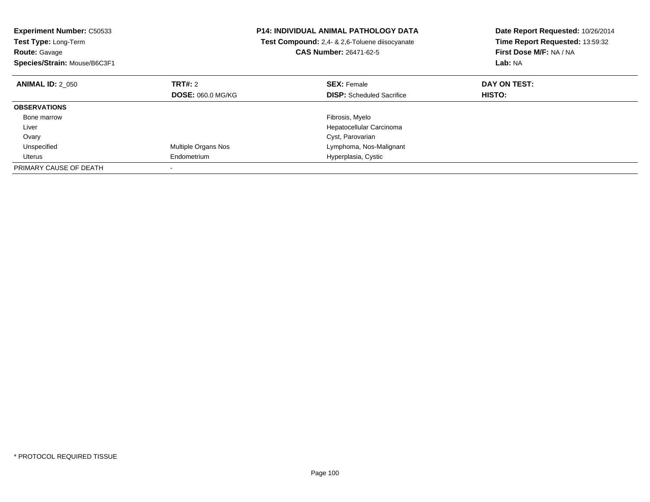| <b>Experiment Number: C50533</b><br>Test Type: Long-Term<br><b>Route: Gavage</b><br>Species/Strain: Mouse/B6C3F1 |                            | P14: INDIVIDUAL ANIMAL PATHOLOGY DATA<br>Test Compound: 2,4- & 2,6-Toluene diisocyanate<br><b>CAS Number: 26471-62-5</b> | Date Report Requested: 10/26/2014<br>Time Report Requested: 13:59:32<br>First Dose M/F: NA / NA<br>Lab: NA |
|------------------------------------------------------------------------------------------------------------------|----------------------------|--------------------------------------------------------------------------------------------------------------------------|------------------------------------------------------------------------------------------------------------|
|                                                                                                                  |                            |                                                                                                                          |                                                                                                            |
| <b>ANIMAL ID: 2 050</b>                                                                                          | TRT#: 2                    | <b>SEX: Female</b>                                                                                                       | DAY ON TEST:                                                                                               |
|                                                                                                                  | <b>DOSE: 060.0 MG/KG</b>   | <b>DISP:</b> Scheduled Sacrifice                                                                                         | HISTO:                                                                                                     |
| <b>OBSERVATIONS</b>                                                                                              |                            |                                                                                                                          |                                                                                                            |
| Bone marrow                                                                                                      |                            | Fibrosis, Myelo                                                                                                          |                                                                                                            |
| Liver                                                                                                            |                            | Hepatocellular Carcinoma                                                                                                 |                                                                                                            |
| Ovary                                                                                                            |                            | Cyst, Parovarian                                                                                                         |                                                                                                            |
| Unspecified                                                                                                      | <b>Multiple Organs Nos</b> | Lymphoma, Nos-Malignant                                                                                                  |                                                                                                            |
| Uterus                                                                                                           | Endometrium                | Hyperplasia, Cystic                                                                                                      |                                                                                                            |
| PRIMARY CAUSE OF DEATH                                                                                           |                            |                                                                                                                          |                                                                                                            |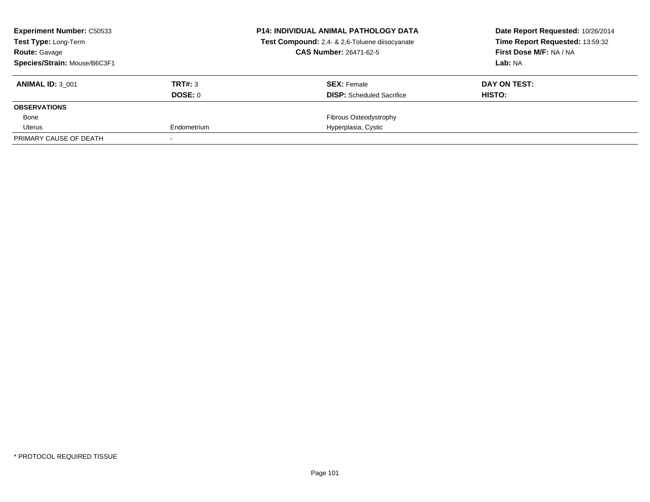| <b>Experiment Number: C50533</b><br><b>Test Type: Long-Term</b> |             | <b>P14: INDIVIDUAL ANIMAL PATHOLOGY DATA</b><br>Test Compound: 2,4- & 2,6-Toluene diisocyanate | Date Report Requested: 10/26/2014<br>Time Report Requested: 13:59:32 |
|-----------------------------------------------------------------|-------------|------------------------------------------------------------------------------------------------|----------------------------------------------------------------------|
| <b>Route: Gavage</b>                                            |             | <b>CAS Number: 26471-62-5</b>                                                                  | First Dose M/F: NA / NA                                              |
| Species/Strain: Mouse/B6C3F1                                    |             |                                                                                                | Lab: NA                                                              |
| <b>ANIMAL ID: 3 001</b>                                         | TRT#: 3     | <b>SEX: Female</b>                                                                             | DAY ON TEST:                                                         |
|                                                                 | DOSE: 0     | <b>DISP:</b> Scheduled Sacrifice                                                               | HISTO:                                                               |
| <b>OBSERVATIONS</b>                                             |             |                                                                                                |                                                                      |
| Bone                                                            |             | Fibrous Osteodystrophy                                                                         |                                                                      |
| Uterus                                                          | Endometrium | Hyperplasia, Cystic                                                                            |                                                                      |
| PRIMARY CAUSE OF DEATH                                          |             |                                                                                                |                                                                      |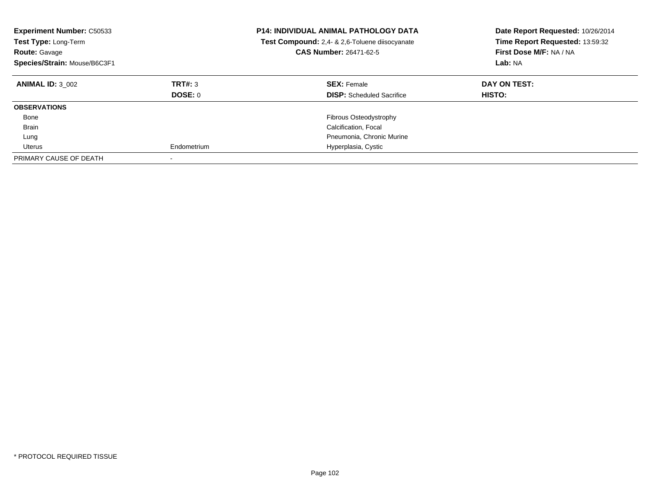| <b>Experiment Number: C50533</b><br>Test Type: Long-Term<br><b>Route: Gavage</b><br>Species/Strain: Mouse/B6C3F1 |                    | <b>P14: INDIVIDUAL ANIMAL PATHOLOGY DATA</b><br>Test Compound: 2,4- & 2,6-Toluene diisocyanate<br><b>CAS Number: 26471-62-5</b> | Date Report Requested: 10/26/2014<br>Time Report Requested: 13:59:32<br>First Dose M/F: NA / NA<br>Lab: NA |
|------------------------------------------------------------------------------------------------------------------|--------------------|---------------------------------------------------------------------------------------------------------------------------------|------------------------------------------------------------------------------------------------------------|
| <b>ANIMAL ID: 3 002</b>                                                                                          | TRT#: 3<br>DOSE: 0 | <b>SEX: Female</b><br><b>DISP:</b> Scheduled Sacrifice                                                                          | DAY ON TEST:<br>HISTO:                                                                                     |
| <b>OBSERVATIONS</b>                                                                                              |                    |                                                                                                                                 |                                                                                                            |
| Bone                                                                                                             |                    | Fibrous Osteodystrophy                                                                                                          |                                                                                                            |
| Brain                                                                                                            |                    | Calcification, Focal                                                                                                            |                                                                                                            |
| Lung                                                                                                             |                    | Pneumonia, Chronic Murine                                                                                                       |                                                                                                            |
| Uterus                                                                                                           | Endometrium        | Hyperplasia, Cystic                                                                                                             |                                                                                                            |
| PRIMARY CAUSE OF DEATH                                                                                           |                    |                                                                                                                                 |                                                                                                            |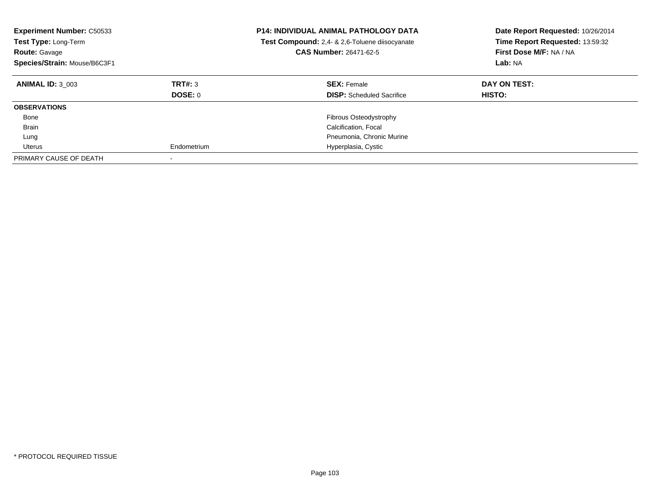| <b>Experiment Number: C50533</b><br>Test Type: Long-Term<br><b>Route: Gavage</b><br>Species/Strain: Mouse/B6C3F1 |                    | <b>P14: INDIVIDUAL ANIMAL PATHOLOGY DATA</b><br>Test Compound: 2,4- & 2,6-Toluene diisocyanate<br><b>CAS Number: 26471-62-5</b> | Date Report Requested: 10/26/2014<br>Time Report Requested: 13:59:32<br>First Dose M/F: NA / NA<br>Lab: NA |
|------------------------------------------------------------------------------------------------------------------|--------------------|---------------------------------------------------------------------------------------------------------------------------------|------------------------------------------------------------------------------------------------------------|
| <b>ANIMAL ID: 3 003</b>                                                                                          | TRT#: 3<br>DOSE: 0 | <b>SEX: Female</b><br><b>DISP:</b> Scheduled Sacrifice                                                                          | DAY ON TEST:<br>HISTO:                                                                                     |
| <b>OBSERVATIONS</b>                                                                                              |                    |                                                                                                                                 |                                                                                                            |
| Bone                                                                                                             |                    | Fibrous Osteodystrophy                                                                                                          |                                                                                                            |
| Brain                                                                                                            |                    | Calcification, Focal                                                                                                            |                                                                                                            |
| Lung                                                                                                             |                    | Pneumonia, Chronic Murine                                                                                                       |                                                                                                            |
| Uterus                                                                                                           | Endometrium        | Hyperplasia, Cystic                                                                                                             |                                                                                                            |
| PRIMARY CAUSE OF DEATH                                                                                           |                    |                                                                                                                                 |                                                                                                            |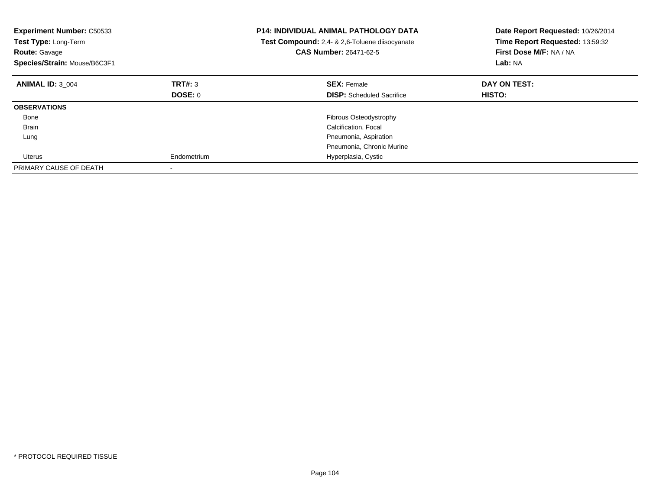| <b>Experiment Number: C50533</b><br>Test Type: Long-Term<br><b>Route: Gavage</b><br>Species/Strain: Mouse/B6C3F1 |             | <b>P14: INDIVIDUAL ANIMAL PATHOLOGY DATA</b><br><b>Test Compound:</b> 2,4- & 2,6-Toluene diisocyanate<br>CAS Number: 26471-62-5 | Date Report Requested: 10/26/2014<br>Time Report Requested: 13:59:32<br>First Dose M/F: NA / NA<br>Lab: NA |
|------------------------------------------------------------------------------------------------------------------|-------------|---------------------------------------------------------------------------------------------------------------------------------|------------------------------------------------------------------------------------------------------------|
| <b>ANIMAL ID: 3 004</b>                                                                                          | TRT#: 3     | <b>SEX: Female</b>                                                                                                              | DAY ON TEST:                                                                                               |
|                                                                                                                  | DOSE: 0     | <b>DISP:</b> Scheduled Sacrifice                                                                                                | HISTO:                                                                                                     |
| <b>OBSERVATIONS</b>                                                                                              |             |                                                                                                                                 |                                                                                                            |
| Bone                                                                                                             |             | <b>Fibrous Osteodystrophy</b>                                                                                                   |                                                                                                            |
| Brain                                                                                                            |             | Calcification, Focal                                                                                                            |                                                                                                            |
| Lung                                                                                                             |             | Pneumonia, Aspiration                                                                                                           |                                                                                                            |
|                                                                                                                  |             | Pneumonia, Chronic Murine                                                                                                       |                                                                                                            |
| Uterus                                                                                                           | Endometrium | Hyperplasia, Cystic                                                                                                             |                                                                                                            |
| PRIMARY CAUSE OF DEATH                                                                                           |             |                                                                                                                                 |                                                                                                            |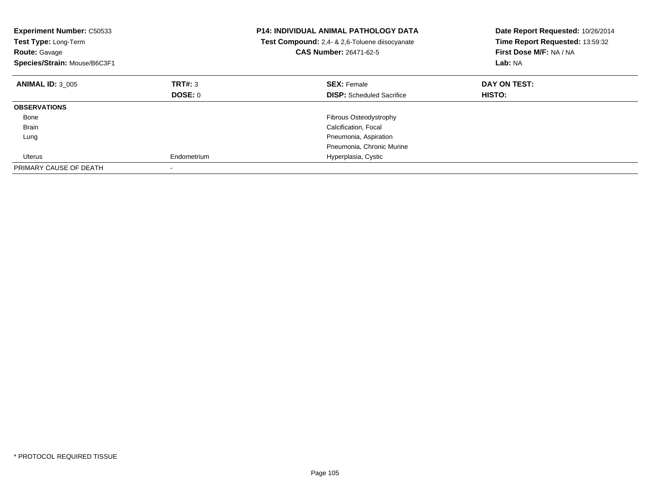| <b>Experiment Number: C50533</b><br>Test Type: Long-Term<br><b>Route: Gavage</b><br>Species/Strain: Mouse/B6C3F1 |             | <b>P14: INDIVIDUAL ANIMAL PATHOLOGY DATA</b><br>Test Compound: 2,4- & 2,6-Toluene diisocyanate<br><b>CAS Number: 26471-62-5</b> | Date Report Requested: 10/26/2014<br>Time Report Requested: 13:59:32<br>First Dose M/F: NA / NA<br>Lab: NA |
|------------------------------------------------------------------------------------------------------------------|-------------|---------------------------------------------------------------------------------------------------------------------------------|------------------------------------------------------------------------------------------------------------|
| <b>ANIMAL ID: 3 005</b>                                                                                          | TRT#: 3     | <b>SEX: Female</b>                                                                                                              | DAY ON TEST:                                                                                               |
|                                                                                                                  | DOSE: 0     | <b>DISP:</b> Scheduled Sacrifice                                                                                                | <b>HISTO:</b>                                                                                              |
| <b>OBSERVATIONS</b>                                                                                              |             |                                                                                                                                 |                                                                                                            |
| Bone                                                                                                             |             | Fibrous Osteodystrophy                                                                                                          |                                                                                                            |
| Brain                                                                                                            |             | Calcification, Focal                                                                                                            |                                                                                                            |
| Lung                                                                                                             |             | Pneumonia, Aspiration                                                                                                           |                                                                                                            |
|                                                                                                                  |             | Pneumonia, Chronic Murine                                                                                                       |                                                                                                            |
| Uterus                                                                                                           | Endometrium | Hyperplasia, Cystic                                                                                                             |                                                                                                            |
| PRIMARY CAUSE OF DEATH                                                                                           |             |                                                                                                                                 |                                                                                                            |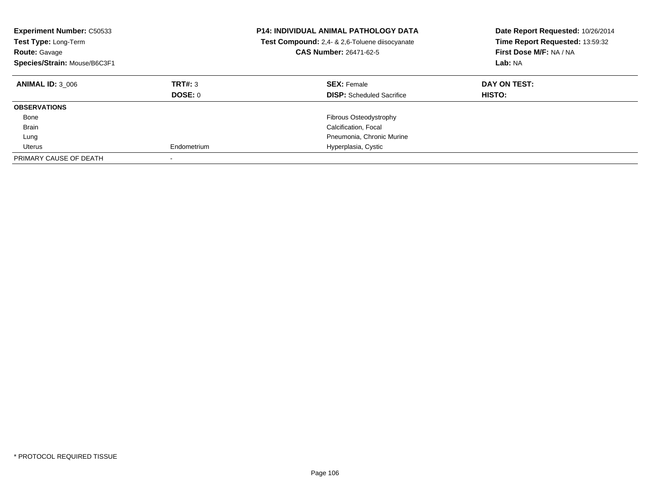| <b>Experiment Number: C50533</b><br>Test Type: Long-Term<br><b>Route: Gavage</b><br>Species/Strain: Mouse/B6C3F1 |                    | <b>P14: INDIVIDUAL ANIMAL PATHOLOGY DATA</b><br>Test Compound: 2,4- & 2,6-Toluene diisocyanate<br><b>CAS Number: 26471-62-5</b> | Date Report Requested: 10/26/2014<br>Time Report Requested: 13:59:32<br>First Dose M/F: NA / NA<br>Lab: NA |
|------------------------------------------------------------------------------------------------------------------|--------------------|---------------------------------------------------------------------------------------------------------------------------------|------------------------------------------------------------------------------------------------------------|
| <b>ANIMAL ID: 3 006</b>                                                                                          | TRT#: 3<br>DOSE: 0 | <b>SEX: Female</b><br><b>DISP:</b> Scheduled Sacrifice                                                                          | DAY ON TEST:<br>HISTO:                                                                                     |
| <b>OBSERVATIONS</b>                                                                                              |                    |                                                                                                                                 |                                                                                                            |
| Bone                                                                                                             |                    | Fibrous Osteodystrophy                                                                                                          |                                                                                                            |
| Brain                                                                                                            |                    | Calcification, Focal                                                                                                            |                                                                                                            |
| Lung                                                                                                             |                    | Pneumonia, Chronic Murine                                                                                                       |                                                                                                            |
| Uterus                                                                                                           | Endometrium        | Hyperplasia, Cystic                                                                                                             |                                                                                                            |
| PRIMARY CAUSE OF DEATH                                                                                           |                    |                                                                                                                                 |                                                                                                            |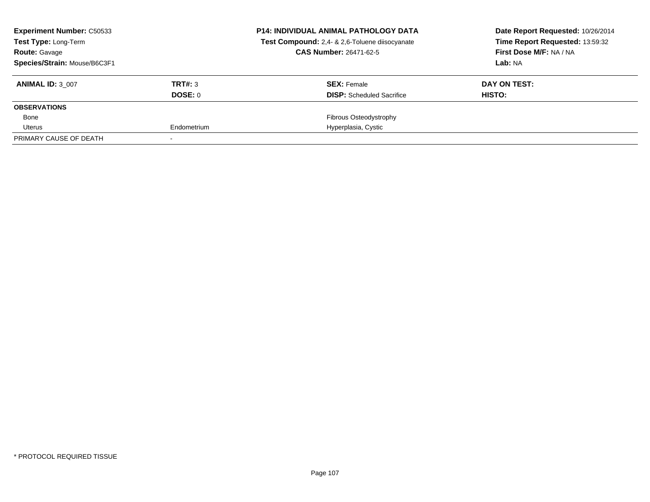| <b>Experiment Number: C50533</b><br><b>Test Type: Long-Term</b> |             | <b>P14: INDIVIDUAL ANIMAL PATHOLOGY DATA</b><br>Test Compound: 2,4- & 2,6-Toluene diisocyanate | Date Report Requested: 10/26/2014<br>Time Report Requested: 13:59:32 |
|-----------------------------------------------------------------|-------------|------------------------------------------------------------------------------------------------|----------------------------------------------------------------------|
| <b>Route: Gavage</b>                                            |             | <b>CAS Number: 26471-62-5</b>                                                                  | First Dose M/F: NA / NA                                              |
| Species/Strain: Mouse/B6C3F1                                    |             |                                                                                                | Lab: NA                                                              |
| <b>ANIMAL ID: 3 007</b>                                         | TRT#: 3     | <b>SEX: Female</b>                                                                             | DAY ON TEST:                                                         |
|                                                                 | DOSE: 0     | <b>DISP:</b> Scheduled Sacrifice                                                               | HISTO:                                                               |
| <b>OBSERVATIONS</b>                                             |             |                                                                                                |                                                                      |
| Bone                                                            |             | Fibrous Osteodystrophy                                                                         |                                                                      |
| Uterus                                                          | Endometrium | Hyperplasia, Cystic                                                                            |                                                                      |
| PRIMARY CAUSE OF DEATH                                          |             |                                                                                                |                                                                      |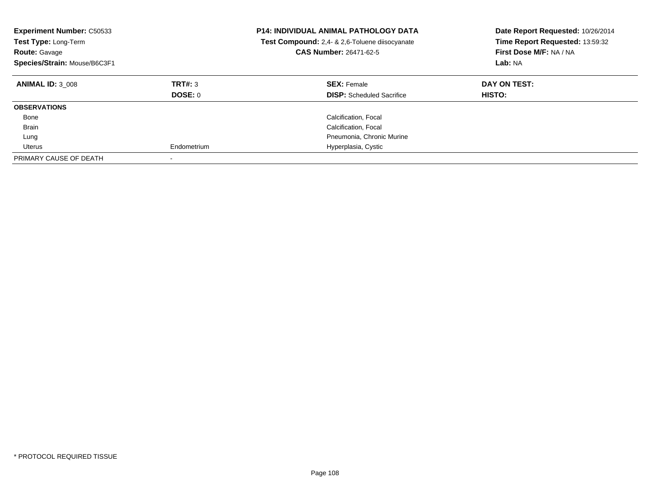| <b>Experiment Number: C50533</b><br>Test Type: Long-Term<br><b>Route: Gavage</b><br>Species/Strain: Mouse/B6C3F1 |                    | <b>P14: INDIVIDUAL ANIMAL PATHOLOGY DATA</b><br>Test Compound: 2,4- & 2,6-Toluene diisocyanate<br><b>CAS Number: 26471-62-5</b> | Date Report Requested: 10/26/2014<br>Time Report Requested: 13:59:32<br>First Dose M/F: NA / NA<br>Lab: NA |
|------------------------------------------------------------------------------------------------------------------|--------------------|---------------------------------------------------------------------------------------------------------------------------------|------------------------------------------------------------------------------------------------------------|
| <b>ANIMAL ID: 3 008</b>                                                                                          | TRT#: 3<br>DOSE: 0 | <b>SEX: Female</b><br><b>DISP:</b> Scheduled Sacrifice                                                                          | DAY ON TEST:<br><b>HISTO:</b>                                                                              |
| <b>OBSERVATIONS</b>                                                                                              |                    |                                                                                                                                 |                                                                                                            |
| Bone                                                                                                             |                    | Calcification, Focal                                                                                                            |                                                                                                            |
| Brain                                                                                                            |                    | Calcification, Focal                                                                                                            |                                                                                                            |
| Lung                                                                                                             |                    | Pneumonia, Chronic Murine                                                                                                       |                                                                                                            |
| Uterus                                                                                                           | Endometrium        | Hyperplasia, Cystic                                                                                                             |                                                                                                            |
| PRIMARY CAUSE OF DEATH                                                                                           |                    |                                                                                                                                 |                                                                                                            |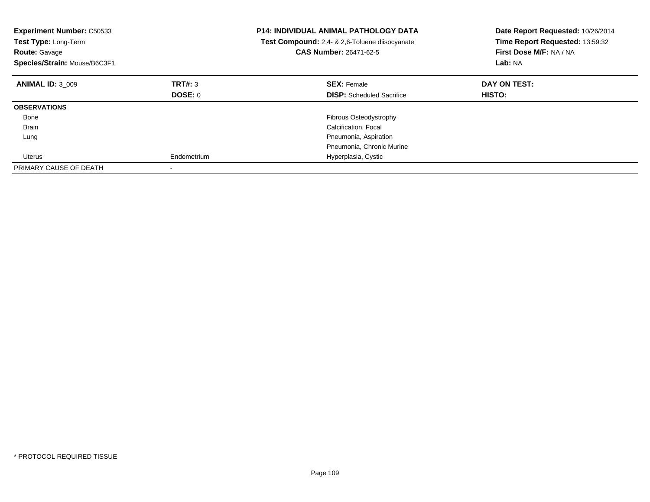| <b>Experiment Number: C50533</b><br>Test Type: Long-Term<br><b>Route: Gavage</b><br>Species/Strain: Mouse/B6C3F1 |             | <b>P14: INDIVIDUAL ANIMAL PATHOLOGY DATA</b><br><b>Test Compound:</b> 2,4- & 2,6-Toluene diisocyanate<br>CAS Number: 26471-62-5 | Date Report Requested: 10/26/2014<br>Time Report Requested: 13:59:32<br>First Dose M/F: NA / NA<br>Lab: NA |
|------------------------------------------------------------------------------------------------------------------|-------------|---------------------------------------------------------------------------------------------------------------------------------|------------------------------------------------------------------------------------------------------------|
| <b>ANIMAL ID: 3 009</b>                                                                                          | TRT#: 3     | <b>SEX: Female</b>                                                                                                              | DAY ON TEST:                                                                                               |
|                                                                                                                  | DOSE: 0     | <b>DISP:</b> Scheduled Sacrifice                                                                                                | HISTO:                                                                                                     |
| <b>OBSERVATIONS</b>                                                                                              |             |                                                                                                                                 |                                                                                                            |
| Bone                                                                                                             |             | <b>Fibrous Osteodystrophy</b>                                                                                                   |                                                                                                            |
| Brain                                                                                                            |             | Calcification, Focal                                                                                                            |                                                                                                            |
| Lung                                                                                                             |             | Pneumonia, Aspiration                                                                                                           |                                                                                                            |
|                                                                                                                  |             | Pneumonia, Chronic Murine                                                                                                       |                                                                                                            |
| Uterus                                                                                                           | Endometrium | Hyperplasia, Cystic                                                                                                             |                                                                                                            |
| PRIMARY CAUSE OF DEATH                                                                                           |             |                                                                                                                                 |                                                                                                            |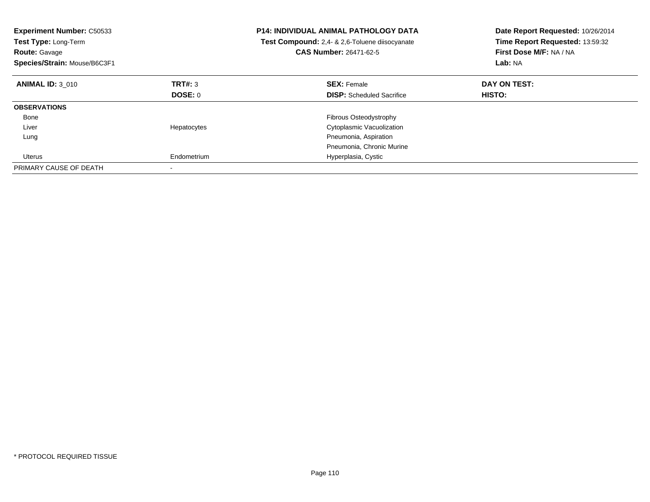| <b>Experiment Number: C50533</b><br>Test Type: Long-Term<br><b>Route: Gavage</b><br>Species/Strain: Mouse/B6C3F1 |             | <b>P14: INDIVIDUAL ANIMAL PATHOLOGY DATA</b><br>Test Compound: 2,4- & 2,6-Toluene diisocyanate<br><b>CAS Number: 26471-62-5</b> | Date Report Requested: 10/26/2014<br>Time Report Requested: 13:59:32<br>First Dose M/F: NA / NA<br>Lab: NA |
|------------------------------------------------------------------------------------------------------------------|-------------|---------------------------------------------------------------------------------------------------------------------------------|------------------------------------------------------------------------------------------------------------|
| <b>ANIMAL ID: 3 010</b>                                                                                          | TRT#: 3     | <b>SEX: Female</b>                                                                                                              | DAY ON TEST:                                                                                               |
|                                                                                                                  | DOSE: 0     | <b>DISP:</b> Scheduled Sacrifice                                                                                                | HISTO:                                                                                                     |
| <b>OBSERVATIONS</b>                                                                                              |             |                                                                                                                                 |                                                                                                            |
| Bone                                                                                                             |             | Fibrous Osteodystrophy                                                                                                          |                                                                                                            |
| Liver                                                                                                            | Hepatocytes | Cytoplasmic Vacuolization                                                                                                       |                                                                                                            |
| Lung                                                                                                             |             | Pneumonia, Aspiration                                                                                                           |                                                                                                            |
|                                                                                                                  |             | Pneumonia, Chronic Murine                                                                                                       |                                                                                                            |
| Uterus                                                                                                           | Endometrium | Hyperplasia, Cystic                                                                                                             |                                                                                                            |
| PRIMARY CAUSE OF DEATH                                                                                           |             |                                                                                                                                 |                                                                                                            |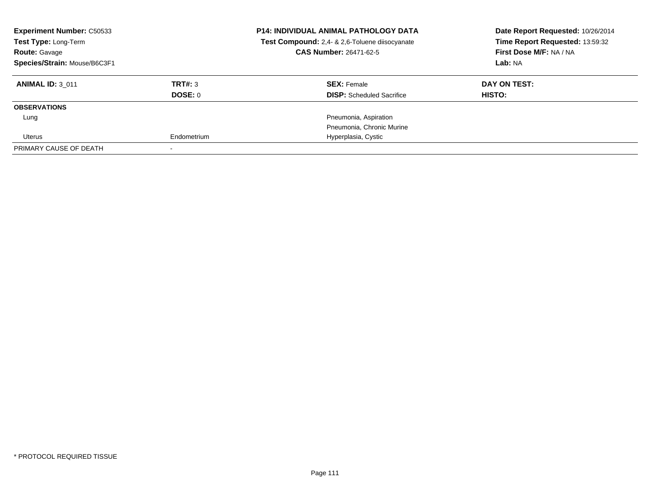| <b>Experiment Number: C50533</b><br>Test Type: Long-Term<br><b>Route: Gavage</b> |             | <b>P14: INDIVIDUAL ANIMAL PATHOLOGY DATA</b><br>Test Compound: 2,4- & 2,6-Toluene diisocyanate<br>CAS Number: 26471-62-5 | Date Report Requested: 10/26/2014<br>Time Report Requested: 13:59:32<br>First Dose M/F: NA / NA |
|----------------------------------------------------------------------------------|-------------|--------------------------------------------------------------------------------------------------------------------------|-------------------------------------------------------------------------------------------------|
| Species/Strain: Mouse/B6C3F1                                                     |             |                                                                                                                          | Lab: NA                                                                                         |
| <b>ANIMAL ID: 3 011</b>                                                          | TRT#: 3     | <b>SEX: Female</b>                                                                                                       | DAY ON TEST:                                                                                    |
|                                                                                  | DOSE: 0     | <b>DISP:</b> Scheduled Sacrifice                                                                                         | <b>HISTO:</b>                                                                                   |
| <b>OBSERVATIONS</b>                                                              |             |                                                                                                                          |                                                                                                 |
| Lung                                                                             |             | Pneumonia, Aspiration                                                                                                    |                                                                                                 |
|                                                                                  |             | Pneumonia, Chronic Murine                                                                                                |                                                                                                 |
| Uterus                                                                           | Endometrium | Hyperplasia, Cystic                                                                                                      |                                                                                                 |
| PRIMARY CAUSE OF DEATH                                                           |             |                                                                                                                          |                                                                                                 |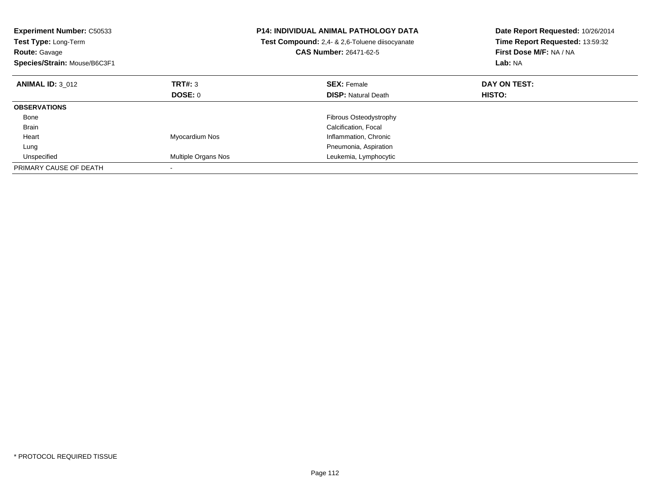| <b>Experiment Number: C50533</b><br>Test Type: Long-Term<br><b>Route: Gavage</b><br>Species/Strain: Mouse/B6C3F1 |                     | <b>P14: INDIVIDUAL ANIMAL PATHOLOGY DATA</b><br>Test Compound: 2,4- & 2,6-Toluene diisocyanate<br><b>CAS Number: 26471-62-5</b> | Date Report Requested: 10/26/2014<br>Time Report Requested: 13:59:32<br>First Dose M/F: NA / NA<br>Lab: NA |
|------------------------------------------------------------------------------------------------------------------|---------------------|---------------------------------------------------------------------------------------------------------------------------------|------------------------------------------------------------------------------------------------------------|
| <b>ANIMAL ID: 3 012</b>                                                                                          | TRT#: 3             | <b>SEX: Female</b>                                                                                                              | DAY ON TEST:                                                                                               |
|                                                                                                                  | DOSE: 0             | <b>DISP:</b> Natural Death                                                                                                      | <b>HISTO:</b>                                                                                              |
| <b>OBSERVATIONS</b>                                                                                              |                     |                                                                                                                                 |                                                                                                            |
| Bone                                                                                                             |                     | <b>Fibrous Osteodystrophy</b>                                                                                                   |                                                                                                            |
| <b>Brain</b>                                                                                                     |                     | Calcification, Focal                                                                                                            |                                                                                                            |
| Heart                                                                                                            | Myocardium Nos      | Inflammation, Chronic                                                                                                           |                                                                                                            |
| Lung                                                                                                             |                     | Pneumonia, Aspiration                                                                                                           |                                                                                                            |
| Unspecified                                                                                                      | Multiple Organs Nos | Leukemia, Lymphocytic                                                                                                           |                                                                                                            |
| PRIMARY CAUSE OF DEATH                                                                                           |                     |                                                                                                                                 |                                                                                                            |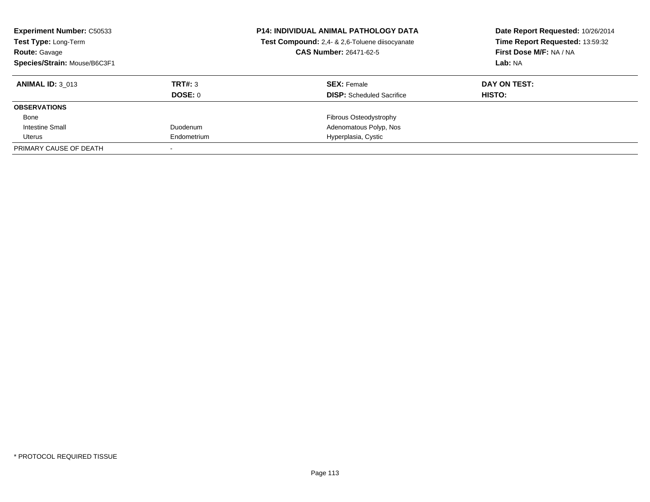| <b>Experiment Number: C50533</b><br>Test Type: Long-Term<br><b>Route: Gavage</b><br>Species/Strain: Mouse/B6C3F1 |             | <b>P14: INDIVIDUAL ANIMAL PATHOLOGY DATA</b><br>Test Compound: 2,4- & 2,6-Toluene diisocyanate<br><b>CAS Number: 26471-62-5</b> | Date Report Requested: 10/26/2014<br>Time Report Requested: 13:59:32<br>First Dose M/F: NA / NA<br>Lab: NA |
|------------------------------------------------------------------------------------------------------------------|-------------|---------------------------------------------------------------------------------------------------------------------------------|------------------------------------------------------------------------------------------------------------|
| <b>ANIMAL ID: 3 013</b>                                                                                          | TRT#: 3     | <b>SEX: Female</b>                                                                                                              | DAY ON TEST:                                                                                               |
|                                                                                                                  | DOSE: 0     | <b>DISP:</b> Scheduled Sacrifice                                                                                                | HISTO:                                                                                                     |
| <b>OBSERVATIONS</b>                                                                                              |             |                                                                                                                                 |                                                                                                            |
| Bone                                                                                                             |             | Fibrous Osteodystrophy                                                                                                          |                                                                                                            |
| Intestine Small                                                                                                  | Duodenum    | Adenomatous Polyp, Nos                                                                                                          |                                                                                                            |
| Uterus                                                                                                           | Endometrium | Hyperplasia, Cystic                                                                                                             |                                                                                                            |
| PRIMARY CAUSE OF DEATH                                                                                           |             |                                                                                                                                 |                                                                                                            |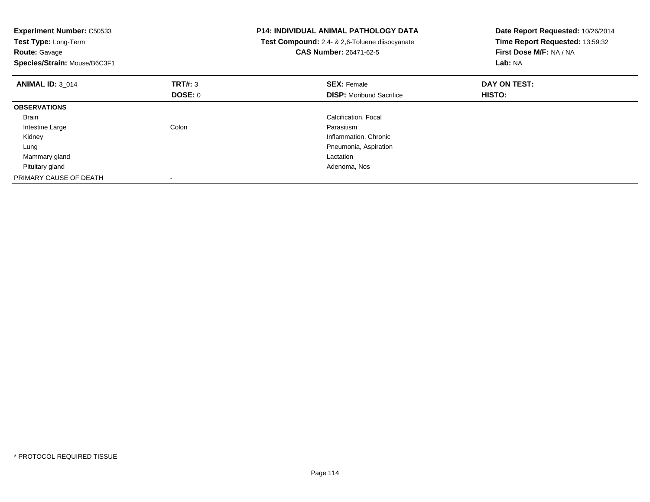| <b>Experiment Number: C50533</b><br>Test Type: Long-Term<br><b>Route: Gavage</b><br>Species/Strain: Mouse/B6C3F1 |         | <b>P14: INDIVIDUAL ANIMAL PATHOLOGY DATA</b><br><b>Test Compound:</b> 2,4- & 2,6-Toluene diisocyanate<br><b>CAS Number: 26471-62-5</b> | Date Report Requested: 10/26/2014<br>Time Report Requested: 13:59:32<br>First Dose M/F: NA / NA<br>Lab: NA |
|------------------------------------------------------------------------------------------------------------------|---------|----------------------------------------------------------------------------------------------------------------------------------------|------------------------------------------------------------------------------------------------------------|
| <b>ANIMAL ID: 3 014</b>                                                                                          | TRT#: 3 | <b>SEX: Female</b>                                                                                                                     | DAY ON TEST:                                                                                               |
|                                                                                                                  | DOSE: 0 | <b>DISP:</b> Moribund Sacrifice                                                                                                        | HISTO:                                                                                                     |
| <b>OBSERVATIONS</b>                                                                                              |         |                                                                                                                                        |                                                                                                            |
| Brain                                                                                                            |         | Calcification, Focal                                                                                                                   |                                                                                                            |
| Intestine Large                                                                                                  | Colon   | Parasitism                                                                                                                             |                                                                                                            |
| Kidney                                                                                                           |         | Inflammation, Chronic                                                                                                                  |                                                                                                            |
| Lung                                                                                                             |         | Pneumonia, Aspiration                                                                                                                  |                                                                                                            |
| Mammary gland                                                                                                    |         | Lactation                                                                                                                              |                                                                                                            |
| Pituitary gland                                                                                                  |         | Adenoma, Nos                                                                                                                           |                                                                                                            |
| PRIMARY CAUSE OF DEATH                                                                                           |         |                                                                                                                                        |                                                                                                            |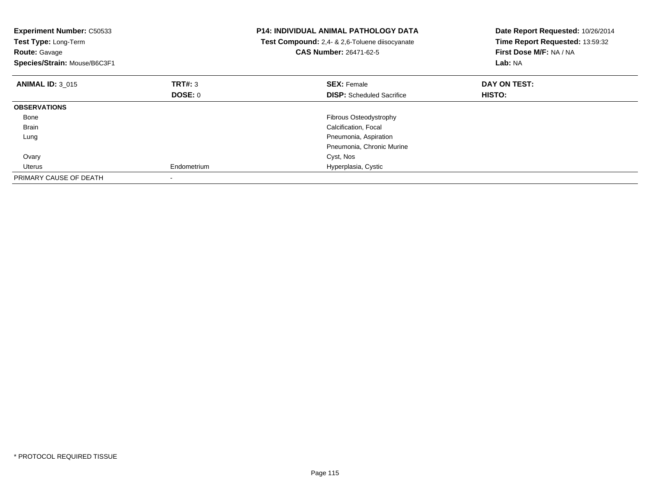| <b>Experiment Number: C50533</b><br>Test Type: Long-Term<br><b>Route: Gavage</b><br>Species/Strain: Mouse/B6C3F1 |             | <b>P14: INDIVIDUAL ANIMAL PATHOLOGY DATA</b><br>Test Compound: 2,4- & 2,6-Toluene diisocyanate<br><b>CAS Number: 26471-62-5</b> | Date Report Requested: 10/26/2014<br>Time Report Requested: 13:59:32<br>First Dose M/F: NA / NA<br>Lab: NA |
|------------------------------------------------------------------------------------------------------------------|-------------|---------------------------------------------------------------------------------------------------------------------------------|------------------------------------------------------------------------------------------------------------|
| <b>ANIMAL ID: 3 015</b>                                                                                          | TRT#: 3     | <b>SEX: Female</b>                                                                                                              | DAY ON TEST:                                                                                               |
|                                                                                                                  | DOSE: 0     | <b>DISP:</b> Scheduled Sacrifice                                                                                                | <b>HISTO:</b>                                                                                              |
| <b>OBSERVATIONS</b>                                                                                              |             |                                                                                                                                 |                                                                                                            |
| Bone                                                                                                             |             | Fibrous Osteodystrophy                                                                                                          |                                                                                                            |
| <b>Brain</b>                                                                                                     |             | Calcification, Focal                                                                                                            |                                                                                                            |
| Lung                                                                                                             |             | Pneumonia, Aspiration                                                                                                           |                                                                                                            |
|                                                                                                                  |             | Pneumonia, Chronic Murine                                                                                                       |                                                                                                            |
| Ovary                                                                                                            |             | Cyst, Nos                                                                                                                       |                                                                                                            |
| Uterus                                                                                                           | Endometrium | Hyperplasia, Cystic                                                                                                             |                                                                                                            |
| PRIMARY CAUSE OF DEATH                                                                                           |             |                                                                                                                                 |                                                                                                            |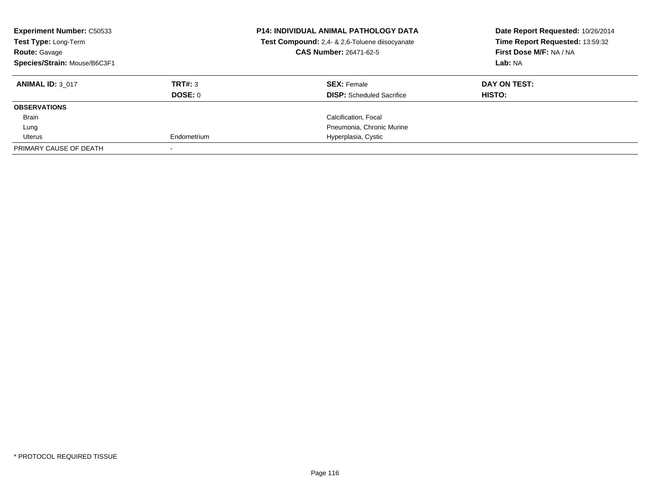| <b>Experiment Number: C50533</b><br>Test Type: Long-Term<br><b>Route: Gavage</b><br>Species/Strain: Mouse/B6C3F1 |             | <b>P14: INDIVIDUAL ANIMAL PATHOLOGY DATA</b><br>Test Compound: 2,4- & 2,6-Toluene diisocyanate<br><b>CAS Number: 26471-62-5</b> | Date Report Requested: 10/26/2014<br>Time Report Requested: 13:59:32<br>First Dose M/F: NA / NA<br>Lab: NA |
|------------------------------------------------------------------------------------------------------------------|-------------|---------------------------------------------------------------------------------------------------------------------------------|------------------------------------------------------------------------------------------------------------|
| <b>ANIMAL ID: 3 017</b>                                                                                          | TRT#: 3     | <b>SEX: Female</b>                                                                                                              | DAY ON TEST:                                                                                               |
|                                                                                                                  | DOSE: 0     | <b>DISP:</b> Scheduled Sacrifice                                                                                                | HISTO:                                                                                                     |
| <b>OBSERVATIONS</b>                                                                                              |             |                                                                                                                                 |                                                                                                            |
| Brain                                                                                                            |             | Calcification, Focal                                                                                                            |                                                                                                            |
| Lung                                                                                                             |             | Pneumonia, Chronic Murine                                                                                                       |                                                                                                            |
| Uterus                                                                                                           | Endometrium | Hyperplasia, Cystic                                                                                                             |                                                                                                            |
| PRIMARY CAUSE OF DEATH                                                                                           |             |                                                                                                                                 |                                                                                                            |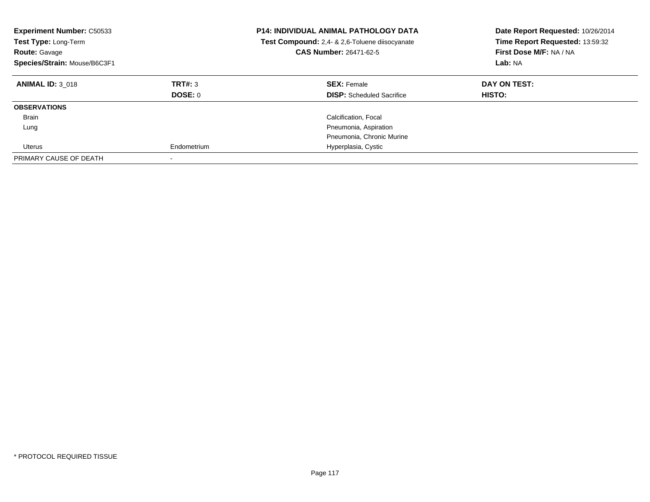| <b>Experiment Number: C50533</b><br>Test Type: Long-Term<br>Route: Gavage<br>Species/Strain: Mouse/B6C3F1 |                           | <b>P14: INDIVIDUAL ANIMAL PATHOLOGY DATA</b><br>Test Compound: 2,4- & 2,6-Toluene diisocyanate<br>CAS Number: 26471-62-5 | Date Report Requested: 10/26/2014<br>Time Report Requested: 13:59:32<br>First Dose M/F: NA / NA<br>Lab: NA |
|-----------------------------------------------------------------------------------------------------------|---------------------------|--------------------------------------------------------------------------------------------------------------------------|------------------------------------------------------------------------------------------------------------|
| <b>ANIMAL ID: 3 018</b>                                                                                   | TRT#: 3<br><b>DOSE: 0</b> | <b>SEX: Female</b><br><b>DISP:</b> Scheduled Sacrifice                                                                   | DAY ON TEST:<br>HISTO:                                                                                     |
| <b>OBSERVATIONS</b>                                                                                       |                           |                                                                                                                          |                                                                                                            |
| Brain                                                                                                     |                           | Calcification, Focal                                                                                                     |                                                                                                            |
| Lung                                                                                                      |                           | Pneumonia, Aspiration                                                                                                    |                                                                                                            |
|                                                                                                           |                           | Pneumonia, Chronic Murine                                                                                                |                                                                                                            |
| Uterus                                                                                                    | Endometrium               | Hyperplasia, Cystic                                                                                                      |                                                                                                            |
| PRIMARY CAUSE OF DEATH                                                                                    |                           |                                                                                                                          |                                                                                                            |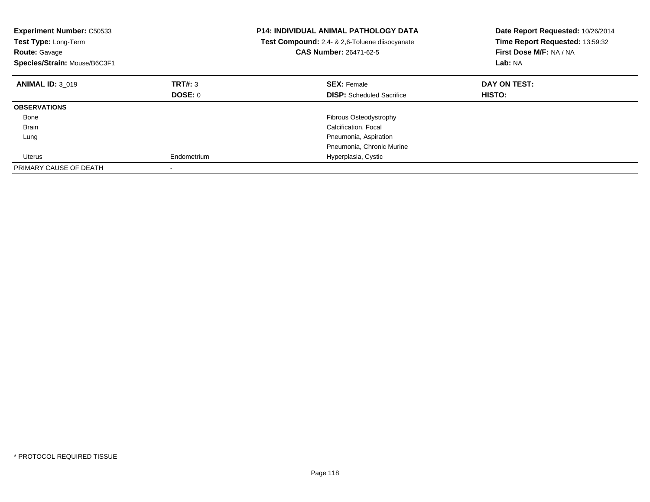| <b>Experiment Number: C50533</b><br>Test Type: Long-Term<br><b>Route: Gavage</b><br>Species/Strain: Mouse/B6C3F1 |             | <b>P14: INDIVIDUAL ANIMAL PATHOLOGY DATA</b><br>Test Compound: 2,4- & 2,6-Toluene diisocyanate<br>CAS Number: 26471-62-5 | Date Report Requested: 10/26/2014<br>Time Report Requested: 13:59:32<br>First Dose M/F: NA / NA<br>Lab: NA |
|------------------------------------------------------------------------------------------------------------------|-------------|--------------------------------------------------------------------------------------------------------------------------|------------------------------------------------------------------------------------------------------------|
| <b>ANIMAL ID: 3 019</b>                                                                                          | TRT#: 3     | <b>SEX: Female</b>                                                                                                       | DAY ON TEST:                                                                                               |
|                                                                                                                  | DOSE: 0     | <b>DISP:</b> Scheduled Sacrifice                                                                                         | <b>HISTO:</b>                                                                                              |
| <b>OBSERVATIONS</b>                                                                                              |             |                                                                                                                          |                                                                                                            |
| Bone                                                                                                             |             | <b>Fibrous Osteodystrophy</b>                                                                                            |                                                                                                            |
| Brain                                                                                                            |             | Calcification, Focal                                                                                                     |                                                                                                            |
| Lung                                                                                                             |             | Pneumonia, Aspiration                                                                                                    |                                                                                                            |
|                                                                                                                  |             | Pneumonia, Chronic Murine                                                                                                |                                                                                                            |
| Uterus                                                                                                           | Endometrium | Hyperplasia, Cystic                                                                                                      |                                                                                                            |
| PRIMARY CAUSE OF DEATH                                                                                           |             |                                                                                                                          |                                                                                                            |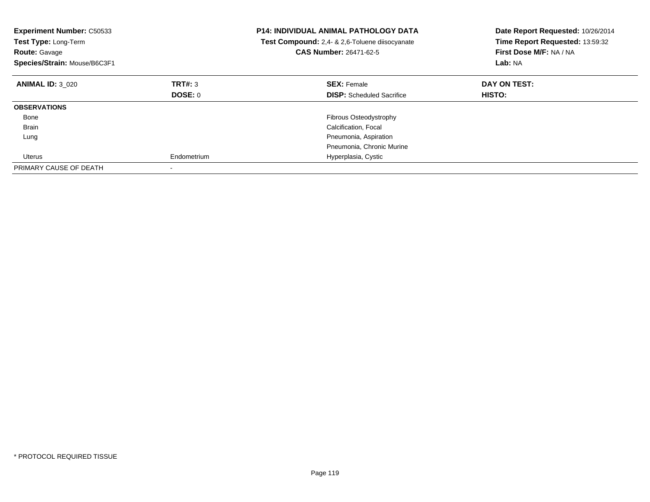| <b>Experiment Number: C50533</b><br>Test Type: Long-Term<br><b>Route: Gavage</b><br>Species/Strain: Mouse/B6C3F1 |             | <b>P14: INDIVIDUAL ANIMAL PATHOLOGY DATA</b><br>Test Compound: 2,4- & 2,6-Toluene diisocyanate<br><b>CAS Number: 26471-62-5</b> | Date Report Requested: 10/26/2014<br>Time Report Requested: 13:59:32<br>First Dose M/F: NA / NA<br>Lab: NA |
|------------------------------------------------------------------------------------------------------------------|-------------|---------------------------------------------------------------------------------------------------------------------------------|------------------------------------------------------------------------------------------------------------|
| <b>ANIMAL ID: 3 020</b>                                                                                          | TRT#: 3     | <b>SEX: Female</b>                                                                                                              | DAY ON TEST:                                                                                               |
|                                                                                                                  | DOSE: 0     | <b>DISP:</b> Scheduled Sacrifice                                                                                                | <b>HISTO:</b>                                                                                              |
| <b>OBSERVATIONS</b>                                                                                              |             |                                                                                                                                 |                                                                                                            |
| Bone                                                                                                             |             | Fibrous Osteodystrophy                                                                                                          |                                                                                                            |
| Brain                                                                                                            |             | Calcification, Focal                                                                                                            |                                                                                                            |
| Lung                                                                                                             |             | Pneumonia, Aspiration                                                                                                           |                                                                                                            |
|                                                                                                                  |             | Pneumonia, Chronic Murine                                                                                                       |                                                                                                            |
| Uterus                                                                                                           | Endometrium | Hyperplasia, Cystic                                                                                                             |                                                                                                            |
| PRIMARY CAUSE OF DEATH                                                                                           |             |                                                                                                                                 |                                                                                                            |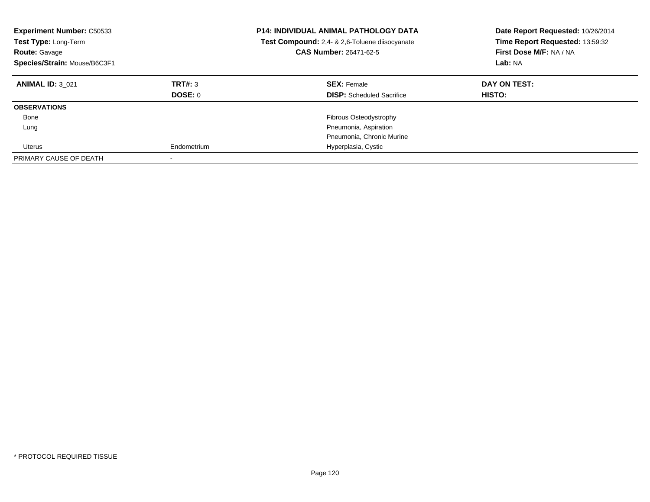| <b>Experiment Number: C50533</b><br>Test Type: Long-Term<br>Route: Gavage<br>Species/Strain: Mouse/B6C3F1 |             | <b>P14: INDIVIDUAL ANIMAL PATHOLOGY DATA</b><br>Test Compound: 2,4- & 2,6-Toluene diisocyanate<br><b>CAS Number: 26471-62-5</b> | Date Report Requested: 10/26/2014<br>Time Report Requested: 13:59:32<br>First Dose M/F: NA / NA<br>Lab: NA |
|-----------------------------------------------------------------------------------------------------------|-------------|---------------------------------------------------------------------------------------------------------------------------------|------------------------------------------------------------------------------------------------------------|
| <b>ANIMAL ID: 3 021</b>                                                                                   | TRT#: 3     | <b>SEX: Female</b>                                                                                                              | DAY ON TEST:                                                                                               |
|                                                                                                           | DOSE: 0     | <b>DISP:</b> Scheduled Sacrifice                                                                                                | HISTO:                                                                                                     |
| <b>OBSERVATIONS</b>                                                                                       |             |                                                                                                                                 |                                                                                                            |
| Bone                                                                                                      |             | <b>Fibrous Osteodystrophy</b>                                                                                                   |                                                                                                            |
| Lung                                                                                                      |             | Pneumonia, Aspiration                                                                                                           |                                                                                                            |
|                                                                                                           |             | Pneumonia, Chronic Murine                                                                                                       |                                                                                                            |
| Uterus                                                                                                    | Endometrium | Hyperplasia, Cystic                                                                                                             |                                                                                                            |
| PRIMARY CAUSE OF DEATH                                                                                    |             |                                                                                                                                 |                                                                                                            |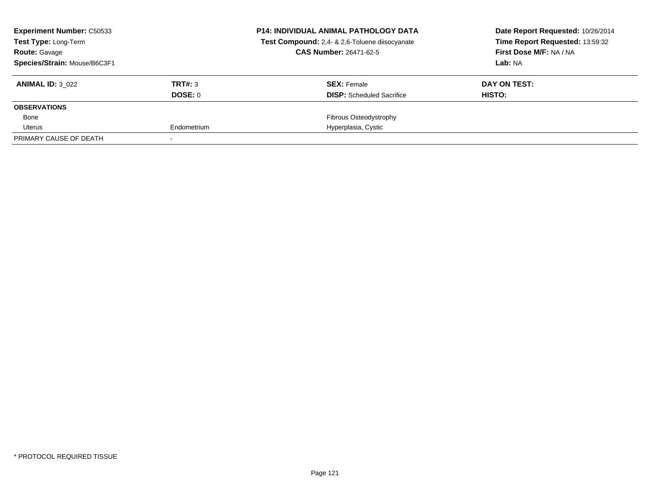| <b>Experiment Number: C50533</b><br><b>Test Type: Long-Term</b> |             | <b>P14: INDIVIDUAL ANIMAL PATHOLOGY DATA</b><br>Test Compound: 2,4- & 2,6-Toluene diisocyanate | Date Report Requested: 10/26/2014<br>Time Report Requested: 13:59:32 |
|-----------------------------------------------------------------|-------------|------------------------------------------------------------------------------------------------|----------------------------------------------------------------------|
| <b>Route: Gavage</b>                                            |             | <b>CAS Number: 26471-62-5</b>                                                                  | First Dose M/F: NA / NA                                              |
| Species/Strain: Mouse/B6C3F1                                    |             |                                                                                                | Lab: NA                                                              |
| <b>ANIMAL ID: 3 022</b>                                         | TRT#: 3     | <b>SEX: Female</b>                                                                             | DAY ON TEST:                                                         |
|                                                                 | DOSE: 0     | <b>DISP:</b> Scheduled Sacrifice                                                               | HISTO:                                                               |
| <b>OBSERVATIONS</b>                                             |             |                                                                                                |                                                                      |
| Bone                                                            |             | Fibrous Osteodystrophy                                                                         |                                                                      |
| Uterus                                                          | Endometrium | Hyperplasia, Cystic                                                                            |                                                                      |
| PRIMARY CAUSE OF DEATH                                          |             |                                                                                                |                                                                      |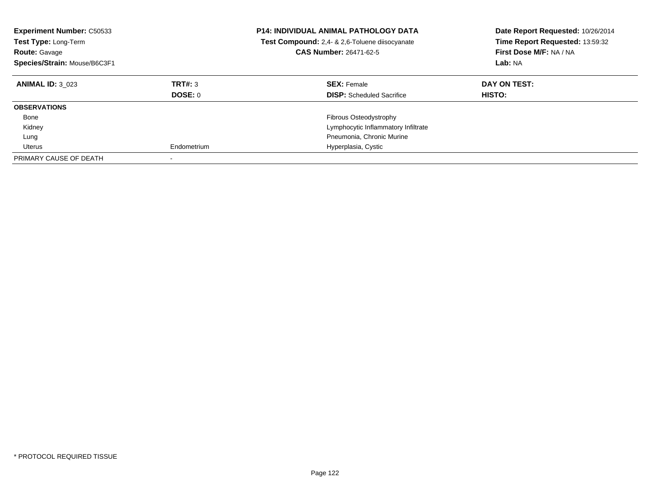| <b>Experiment Number: C50533</b><br><b>Test Type: Long-Term</b><br><b>Route: Gavage</b><br>Species/Strain: Mouse/B6C3F1 |                    | <b>P14: INDIVIDUAL ANIMAL PATHOLOGY DATA</b><br>Test Compound: 2,4- & 2,6-Toluene diisocyanate<br><b>CAS Number: 26471-62-5</b> | Date Report Requested: 10/26/2014<br>Time Report Requested: 13:59:32<br>First Dose M/F: NA / NA<br>Lab: NA |
|-------------------------------------------------------------------------------------------------------------------------|--------------------|---------------------------------------------------------------------------------------------------------------------------------|------------------------------------------------------------------------------------------------------------|
| <b>ANIMAL ID: 3 023</b>                                                                                                 | TRT#: 3<br>DOSE: 0 | <b>SEX: Female</b><br><b>DISP:</b> Scheduled Sacrifice                                                                          | DAY ON TEST:<br>HISTO:                                                                                     |
| <b>OBSERVATIONS</b>                                                                                                     |                    |                                                                                                                                 |                                                                                                            |
| Bone                                                                                                                    |                    | Fibrous Osteodystrophy                                                                                                          |                                                                                                            |
| Kidney                                                                                                                  |                    | Lymphocytic Inflammatory Infiltrate                                                                                             |                                                                                                            |
| Lung                                                                                                                    |                    | Pneumonia, Chronic Murine                                                                                                       |                                                                                                            |
| Uterus                                                                                                                  | Endometrium        | Hyperplasia, Cystic                                                                                                             |                                                                                                            |
| PRIMARY CAUSE OF DEATH                                                                                                  |                    |                                                                                                                                 |                                                                                                            |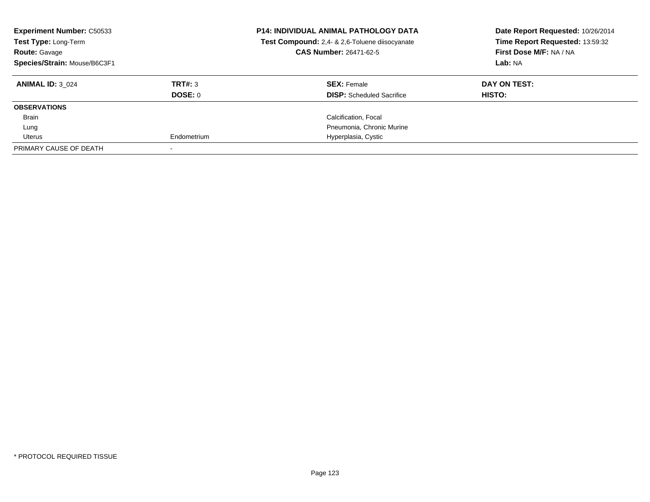| <b>Experiment Number: C50533</b><br>Test Type: Long-Term<br><b>Route: Gavage</b><br>Species/Strain: Mouse/B6C3F1 |             | <b>P14: INDIVIDUAL ANIMAL PATHOLOGY DATA</b><br>Test Compound: 2,4- & 2,6-Toluene diisocyanate<br><b>CAS Number: 26471-62-5</b> | Date Report Requested: 10/26/2014<br>Time Report Requested: 13:59:32<br>First Dose M/F: NA / NA<br>Lab: NA |
|------------------------------------------------------------------------------------------------------------------|-------------|---------------------------------------------------------------------------------------------------------------------------------|------------------------------------------------------------------------------------------------------------|
| <b>ANIMAL ID: 3 024</b>                                                                                          | TRT#: 3     | <b>SEX: Female</b>                                                                                                              | DAY ON TEST:                                                                                               |
|                                                                                                                  | DOSE: 0     | <b>DISP:</b> Scheduled Sacrifice                                                                                                | HISTO:                                                                                                     |
| <b>OBSERVATIONS</b>                                                                                              |             |                                                                                                                                 |                                                                                                            |
| Brain                                                                                                            |             | Calcification, Focal                                                                                                            |                                                                                                            |
| Lung                                                                                                             |             | Pneumonia, Chronic Murine                                                                                                       |                                                                                                            |
| Uterus                                                                                                           | Endometrium | Hyperplasia, Cystic                                                                                                             |                                                                                                            |
| PRIMARY CAUSE OF DEATH                                                                                           |             |                                                                                                                                 |                                                                                                            |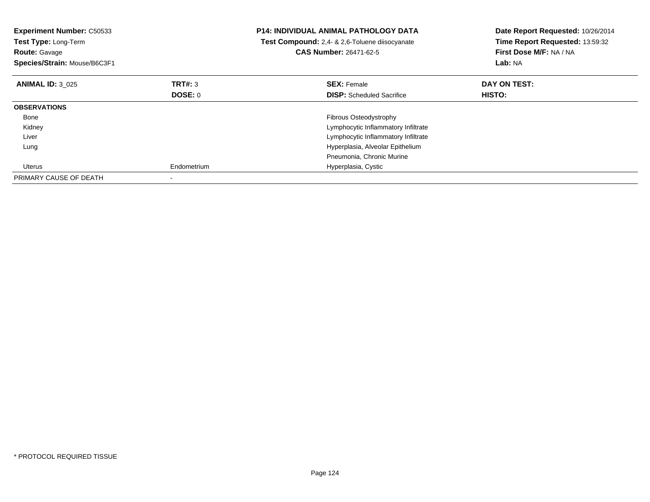| <b>Experiment Number: C50533</b><br>Test Type: Long-Term<br><b>Route: Gavage</b><br>Species/Strain: Mouse/B6C3F1 |             | <b>P14: INDIVIDUAL ANIMAL PATHOLOGY DATA</b><br>Test Compound: 2,4- & 2,6-Toluene diisocyanate<br><b>CAS Number: 26471-62-5</b> | Date Report Requested: 10/26/2014<br>Time Report Requested: 13:59:32<br>First Dose M/F: NA / NA<br>Lab: NA |
|------------------------------------------------------------------------------------------------------------------|-------------|---------------------------------------------------------------------------------------------------------------------------------|------------------------------------------------------------------------------------------------------------|
| <b>ANIMAL ID: 3 025</b>                                                                                          | TRT#: 3     | <b>SEX:</b> Female                                                                                                              | DAY ON TEST:                                                                                               |
|                                                                                                                  | DOSE: 0     | <b>DISP:</b> Scheduled Sacrifice                                                                                                | <b>HISTO:</b>                                                                                              |
| <b>OBSERVATIONS</b>                                                                                              |             |                                                                                                                                 |                                                                                                            |
| Bone                                                                                                             |             | Fibrous Osteodystrophy                                                                                                          |                                                                                                            |
| Kidney                                                                                                           |             | Lymphocytic Inflammatory Infiltrate                                                                                             |                                                                                                            |
| Liver                                                                                                            |             | Lymphocytic Inflammatory Infiltrate                                                                                             |                                                                                                            |
| Lung                                                                                                             |             | Hyperplasia, Alveolar Epithelium                                                                                                |                                                                                                            |
|                                                                                                                  |             | Pneumonia, Chronic Murine                                                                                                       |                                                                                                            |
| Uterus                                                                                                           | Endometrium | Hyperplasia, Cystic                                                                                                             |                                                                                                            |
| PRIMARY CAUSE OF DEATH                                                                                           |             |                                                                                                                                 |                                                                                                            |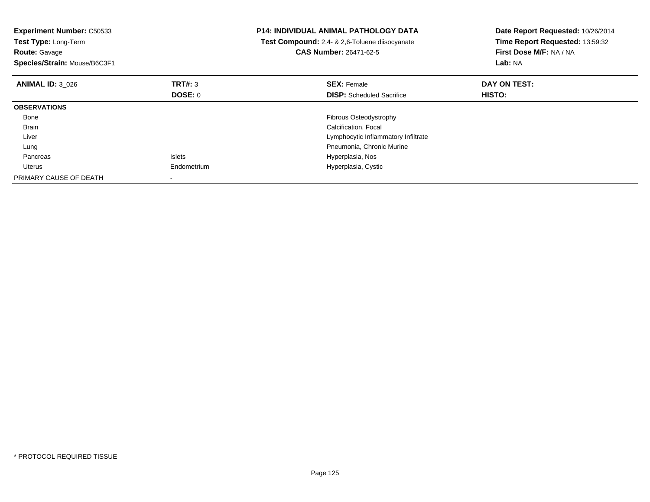| <b>Experiment Number: C50533</b><br>Test Type: Long-Term<br><b>Route: Gavage</b><br>Species/Strain: Mouse/B6C3F1 |               | <b>P14: INDIVIDUAL ANIMAL PATHOLOGY DATA</b><br>Test Compound: 2,4- & 2,6-Toluene diisocyanate<br><b>CAS Number: 26471-62-5</b> | Date Report Requested: 10/26/2014<br>Time Report Requested: 13:59:32<br>First Dose M/F: NA / NA<br><b>Lab: NA</b> |
|------------------------------------------------------------------------------------------------------------------|---------------|---------------------------------------------------------------------------------------------------------------------------------|-------------------------------------------------------------------------------------------------------------------|
| <b>ANIMAL ID: 3 026</b>                                                                                          | TRT#: 3       | <b>SEX: Female</b>                                                                                                              | DAY ON TEST:                                                                                                      |
|                                                                                                                  | DOSE: 0       | <b>DISP:</b> Scheduled Sacrifice                                                                                                | <b>HISTO:</b>                                                                                                     |
| <b>OBSERVATIONS</b>                                                                                              |               |                                                                                                                                 |                                                                                                                   |
| Bone                                                                                                             |               | Fibrous Osteodystrophy                                                                                                          |                                                                                                                   |
| <b>Brain</b>                                                                                                     |               | Calcification, Focal                                                                                                            |                                                                                                                   |
| Liver                                                                                                            |               | Lymphocytic Inflammatory Infiltrate                                                                                             |                                                                                                                   |
| Lung                                                                                                             |               | Pneumonia, Chronic Murine                                                                                                       |                                                                                                                   |
| Pancreas                                                                                                         | <b>Islets</b> | Hyperplasia, Nos                                                                                                                |                                                                                                                   |
| Uterus                                                                                                           | Endometrium   | Hyperplasia, Cystic                                                                                                             |                                                                                                                   |
| PRIMARY CAUSE OF DEATH                                                                                           |               |                                                                                                                                 |                                                                                                                   |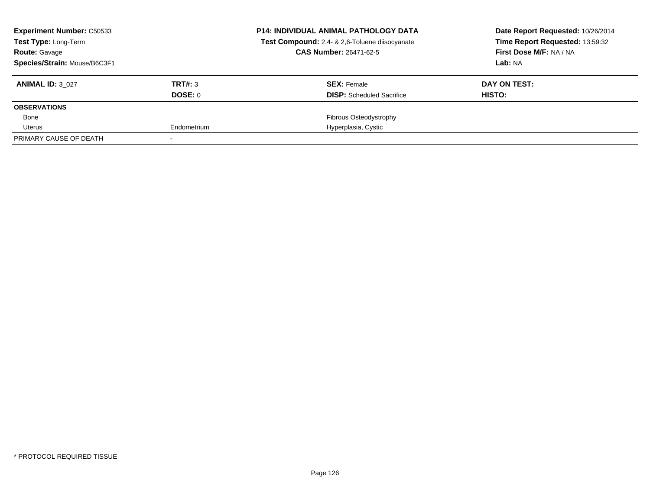| <b>Experiment Number: C50533</b><br><b>Test Type: Long-Term</b> |             | <b>P14: INDIVIDUAL ANIMAL PATHOLOGY DATA</b><br>Test Compound: 2,4- & 2,6-Toluene diisocyanate | Date Report Requested: 10/26/2014<br>Time Report Requested: 13:59:32 |
|-----------------------------------------------------------------|-------------|------------------------------------------------------------------------------------------------|----------------------------------------------------------------------|
| <b>Route: Gavage</b>                                            |             | <b>CAS Number: 26471-62-5</b>                                                                  | First Dose M/F: NA / NA                                              |
| Species/Strain: Mouse/B6C3F1                                    |             |                                                                                                | Lab: NA                                                              |
| <b>ANIMAL ID: 3 027</b>                                         | TRT#: 3     | <b>SEX: Female</b>                                                                             | DAY ON TEST:                                                         |
|                                                                 | DOSE: 0     | <b>DISP:</b> Scheduled Sacrifice                                                               | HISTO:                                                               |
| <b>OBSERVATIONS</b>                                             |             |                                                                                                |                                                                      |
| Bone                                                            |             | Fibrous Osteodystrophy                                                                         |                                                                      |
| Uterus                                                          | Endometrium | Hyperplasia, Cystic                                                                            |                                                                      |
| PRIMARY CAUSE OF DEATH                                          |             |                                                                                                |                                                                      |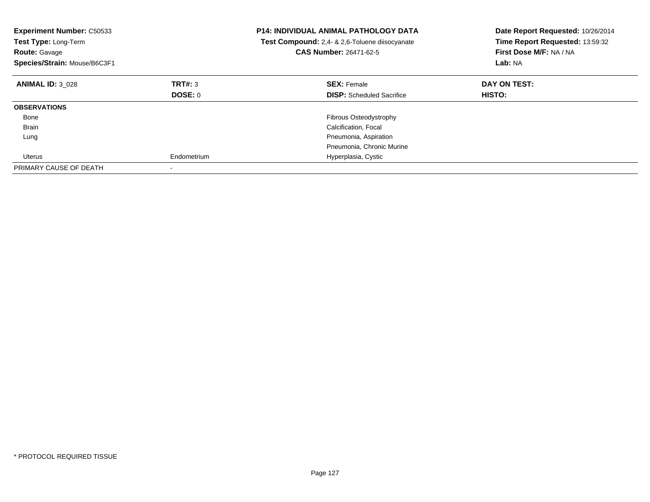| <b>Experiment Number: C50533</b><br>Test Type: Long-Term<br><b>Route: Gavage</b><br>Species/Strain: Mouse/B6C3F1 |             | <b>P14: INDIVIDUAL ANIMAL PATHOLOGY DATA</b><br>Test Compound: 2,4- & 2,6-Toluene diisocyanate<br><b>CAS Number: 26471-62-5</b> | Date Report Requested: 10/26/2014<br>Time Report Requested: 13:59:32<br>First Dose M/F: NA / NA<br>Lab: NA |
|------------------------------------------------------------------------------------------------------------------|-------------|---------------------------------------------------------------------------------------------------------------------------------|------------------------------------------------------------------------------------------------------------|
| <b>ANIMAL ID: 3 028</b>                                                                                          | TRT#: 3     | <b>SEX: Female</b>                                                                                                              | DAY ON TEST:                                                                                               |
|                                                                                                                  | DOSE: 0     | <b>DISP:</b> Scheduled Sacrifice                                                                                                | <b>HISTO:</b>                                                                                              |
| <b>OBSERVATIONS</b>                                                                                              |             |                                                                                                                                 |                                                                                                            |
| Bone                                                                                                             |             | Fibrous Osteodystrophy                                                                                                          |                                                                                                            |
| Brain                                                                                                            |             | Calcification, Focal                                                                                                            |                                                                                                            |
| Lung                                                                                                             |             | Pneumonia, Aspiration                                                                                                           |                                                                                                            |
|                                                                                                                  |             | Pneumonia, Chronic Murine                                                                                                       |                                                                                                            |
| Uterus                                                                                                           | Endometrium | Hyperplasia, Cystic                                                                                                             |                                                                                                            |
| PRIMARY CAUSE OF DEATH                                                                                           |             |                                                                                                                                 |                                                                                                            |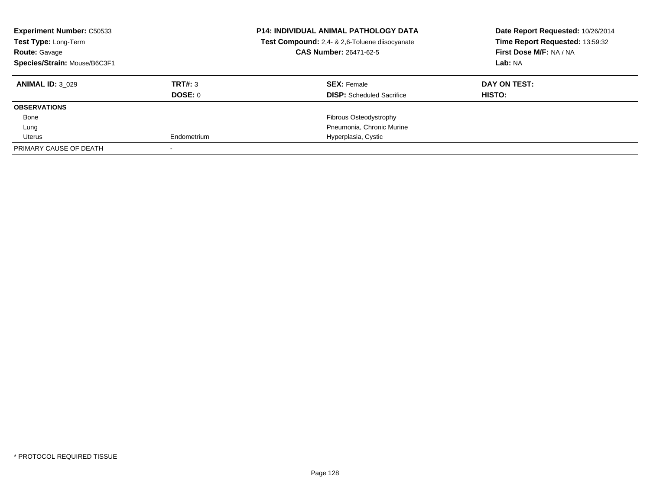| <b>Experiment Number: C50533</b><br>Test Type: Long-Term<br><b>Route: Gavage</b><br>Species/Strain: Mouse/B6C3F1 |                | <b>P14: INDIVIDUAL ANIMAL PATHOLOGY DATA</b><br>Test Compound: 2,4- & 2,6-Toluene diisocyanate<br><b>CAS Number: 26471-62-5</b> | Date Report Requested: 10/26/2014<br>Time Report Requested: 13:59:32<br>First Dose M/F: NA / NA<br>Lab: NA |
|------------------------------------------------------------------------------------------------------------------|----------------|---------------------------------------------------------------------------------------------------------------------------------|------------------------------------------------------------------------------------------------------------|
| <b>ANIMAL ID: 3 029</b>                                                                                          | TRT#: 3        | <b>SEX: Female</b>                                                                                                              | DAY ON TEST:                                                                                               |
|                                                                                                                  | <b>DOSE: 0</b> | <b>DISP:</b> Scheduled Sacrifice                                                                                                | HISTO:                                                                                                     |
| <b>OBSERVATIONS</b>                                                                                              |                |                                                                                                                                 |                                                                                                            |
| Bone                                                                                                             |                | Fibrous Osteodystrophy                                                                                                          |                                                                                                            |
| Lung                                                                                                             |                | Pneumonia, Chronic Murine                                                                                                       |                                                                                                            |
| Uterus                                                                                                           | Endometrium    | Hyperplasia, Cystic                                                                                                             |                                                                                                            |
| PRIMARY CAUSE OF DEATH                                                                                           |                |                                                                                                                                 |                                                                                                            |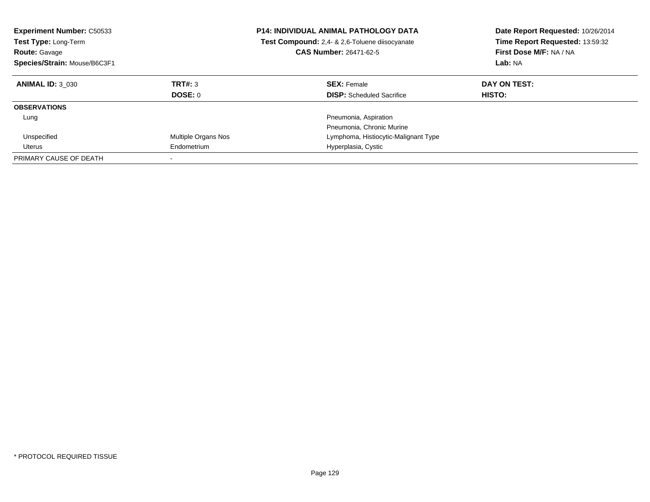| <b>Experiment Number: C50533</b><br><b>Test Type: Long-Term</b><br><b>Route: Gavage</b><br>Species/Strain: Mouse/B6C3F1 |                     | <b>P14: INDIVIDUAL ANIMAL PATHOLOGY DATA</b><br>Test Compound: 2,4- & 2,6-Toluene diisocyanate<br><b>CAS Number: 26471-62-5</b> | Date Report Requested: 10/26/2014<br>Time Report Requested: 13:59:32<br>First Dose M/F: NA / NA<br>Lab: NA |
|-------------------------------------------------------------------------------------------------------------------------|---------------------|---------------------------------------------------------------------------------------------------------------------------------|------------------------------------------------------------------------------------------------------------|
| <b>ANIMAL ID: 3 030</b>                                                                                                 | TRT#: 3<br>DOSE: 0  | <b>SEX: Female</b><br><b>DISP:</b> Scheduled Sacrifice                                                                          | DAY ON TEST:<br>HISTO:                                                                                     |
| <b>OBSERVATIONS</b>                                                                                                     |                     |                                                                                                                                 |                                                                                                            |
| Lung                                                                                                                    |                     | Pneumonia, Aspiration<br>Pneumonia, Chronic Murine                                                                              |                                                                                                            |
| Unspecified                                                                                                             | Multiple Organs Nos | Lymphoma, Histiocytic-Malignant Type                                                                                            |                                                                                                            |
| Uterus                                                                                                                  | Endometrium         | Hyperplasia, Cystic                                                                                                             |                                                                                                            |
| PRIMARY CAUSE OF DEATH                                                                                                  |                     |                                                                                                                                 |                                                                                                            |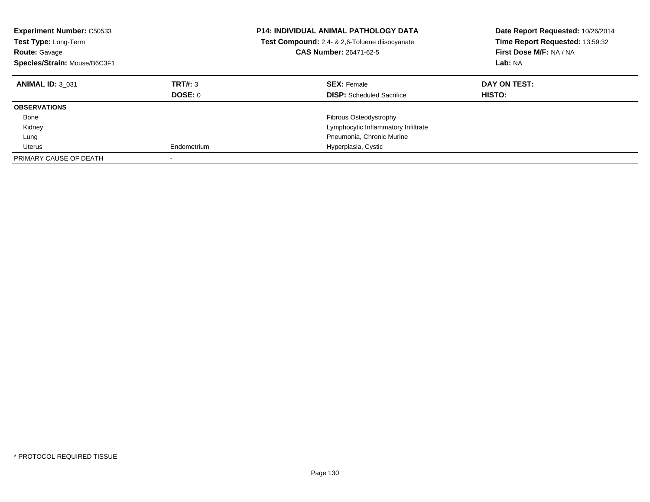| <b>Experiment Number: C50533</b><br><b>Test Type: Long-Term</b><br><b>Route: Gavage</b><br>Species/Strain: Mouse/B6C3F1 |                    | <b>P14: INDIVIDUAL ANIMAL PATHOLOGY DATA</b><br>Test Compound: 2,4- & 2,6-Toluene diisocyanate<br><b>CAS Number: 26471-62-5</b> | Date Report Requested: 10/26/2014<br>Time Report Requested: 13:59:32<br>First Dose M/F: NA / NA<br>Lab: NA |
|-------------------------------------------------------------------------------------------------------------------------|--------------------|---------------------------------------------------------------------------------------------------------------------------------|------------------------------------------------------------------------------------------------------------|
| <b>ANIMAL ID: 3 031</b>                                                                                                 | TRT#: 3<br>DOSE: 0 | <b>SEX: Female</b><br><b>DISP:</b> Scheduled Sacrifice                                                                          | DAY ON TEST:<br>HISTO:                                                                                     |
| <b>OBSERVATIONS</b>                                                                                                     |                    |                                                                                                                                 |                                                                                                            |
| Bone                                                                                                                    |                    | Fibrous Osteodystrophy                                                                                                          |                                                                                                            |
| Kidney                                                                                                                  |                    | Lymphocytic Inflammatory Infiltrate                                                                                             |                                                                                                            |
| Lung                                                                                                                    |                    | Pneumonia, Chronic Murine                                                                                                       |                                                                                                            |
| Uterus                                                                                                                  | Endometrium        | Hyperplasia, Cystic                                                                                                             |                                                                                                            |
| PRIMARY CAUSE OF DEATH                                                                                                  |                    |                                                                                                                                 |                                                                                                            |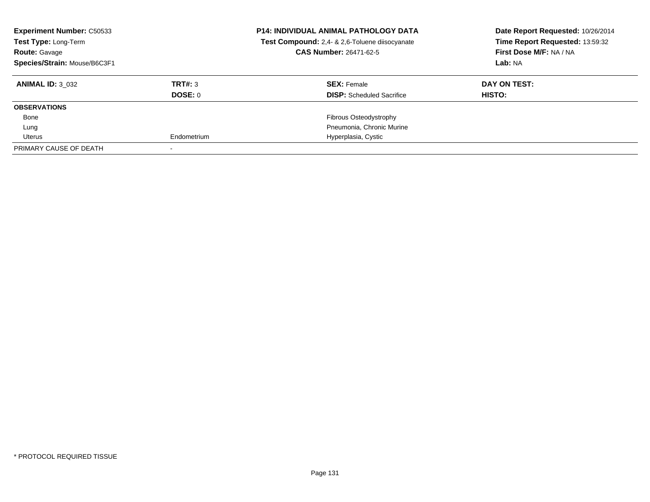| <b>Experiment Number: C50533</b><br>Test Type: Long-Term<br><b>Route: Gavage</b><br>Species/Strain: Mouse/B6C3F1 |             | <b>P14: INDIVIDUAL ANIMAL PATHOLOGY DATA</b><br>Test Compound: 2,4- & 2,6-Toluene diisocyanate<br><b>CAS Number: 26471-62-5</b> | Date Report Requested: 10/26/2014<br>Time Report Requested: 13:59:32<br>First Dose M/F: NA / NA<br>Lab: NA |
|------------------------------------------------------------------------------------------------------------------|-------------|---------------------------------------------------------------------------------------------------------------------------------|------------------------------------------------------------------------------------------------------------|
| <b>ANIMAL ID: 3 032</b>                                                                                          | TRT#: 3     | <b>SEX: Female</b>                                                                                                              | DAY ON TEST:                                                                                               |
|                                                                                                                  | DOSE: 0     | <b>DISP:</b> Scheduled Sacrifice                                                                                                | HISTO:                                                                                                     |
| <b>OBSERVATIONS</b>                                                                                              |             |                                                                                                                                 |                                                                                                            |
| Bone                                                                                                             |             | Fibrous Osteodystrophy                                                                                                          |                                                                                                            |
| Lung                                                                                                             |             | Pneumonia, Chronic Murine                                                                                                       |                                                                                                            |
| Uterus                                                                                                           | Endometrium | Hyperplasia, Cystic                                                                                                             |                                                                                                            |
| PRIMARY CAUSE OF DEATH                                                                                           |             |                                                                                                                                 |                                                                                                            |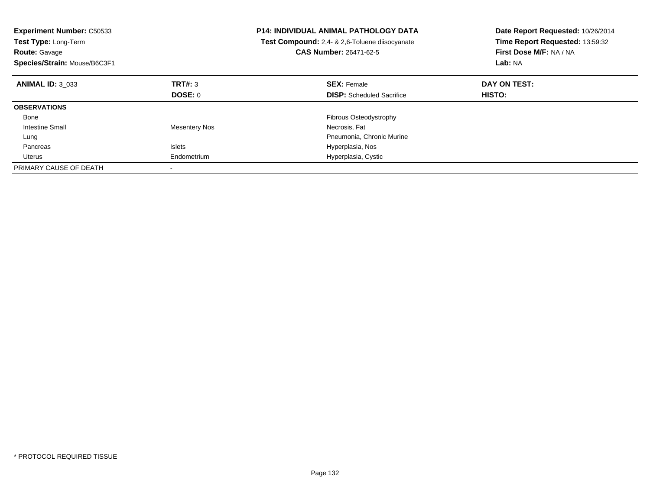| <b>Experiment Number: C50533</b><br>Test Type: Long-Term<br><b>Route: Gavage</b><br>Species/Strain: Mouse/B6C3F1 |                      | <b>P14: INDIVIDUAL ANIMAL PATHOLOGY DATA</b><br><b>Test Compound:</b> 2,4- & 2,6-Toluene diisocyanate<br><b>CAS Number: 26471-62-5</b> | Date Report Requested: 10/26/2014<br>Time Report Requested: 13:59:32<br>First Dose M/F: NA / NA<br>Lab: NA |
|------------------------------------------------------------------------------------------------------------------|----------------------|----------------------------------------------------------------------------------------------------------------------------------------|------------------------------------------------------------------------------------------------------------|
| <b>ANIMAL ID: 3 033</b>                                                                                          | TRT#: 3              | <b>SEX: Female</b>                                                                                                                     | DAY ON TEST:                                                                                               |
|                                                                                                                  | DOSE: 0              | <b>DISP:</b> Scheduled Sacrifice                                                                                                       | <b>HISTO:</b>                                                                                              |
| <b>OBSERVATIONS</b>                                                                                              |                      |                                                                                                                                        |                                                                                                            |
| Bone                                                                                                             |                      | <b>Fibrous Osteodystrophy</b>                                                                                                          |                                                                                                            |
| <b>Intestine Small</b>                                                                                           | <b>Mesentery Nos</b> | Necrosis, Fat                                                                                                                          |                                                                                                            |
| Lung                                                                                                             |                      | Pneumonia, Chronic Murine                                                                                                              |                                                                                                            |
| Pancreas                                                                                                         | <b>Islets</b>        | Hyperplasia, Nos                                                                                                                       |                                                                                                            |
| Uterus                                                                                                           | Endometrium          | Hyperplasia, Cystic                                                                                                                    |                                                                                                            |
| PRIMARY CAUSE OF DEATH                                                                                           |                      |                                                                                                                                        |                                                                                                            |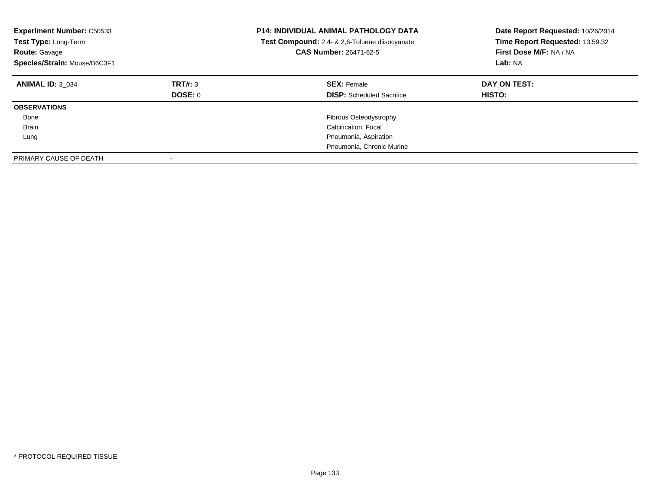| <b>Experiment Number: C50533</b><br>Test Type: Long-Term<br><b>Route: Gavage</b><br>Species/Strain: Mouse/B6C3F1 |                    | <b>P14: INDIVIDUAL ANIMAL PATHOLOGY DATA</b><br>Test Compound: 2,4- & 2,6-Toluene diisocyanate<br>CAS Number: 26471-62-5 | Date Report Requested: 10/26/2014<br>Time Report Requested: 13:59:32<br>First Dose M/F: NA / NA<br>Lab: NA |
|------------------------------------------------------------------------------------------------------------------|--------------------|--------------------------------------------------------------------------------------------------------------------------|------------------------------------------------------------------------------------------------------------|
| <b>ANIMAL ID: 3 034</b>                                                                                          | TRT#: 3<br>DOSE: 0 | <b>SEX:</b> Female<br><b>DISP:</b> Scheduled Sacrifice                                                                   | DAY ON TEST:<br>HISTO:                                                                                     |
| <b>OBSERVATIONS</b>                                                                                              |                    |                                                                                                                          |                                                                                                            |
| Bone                                                                                                             |                    | Fibrous Osteodystrophy                                                                                                   |                                                                                                            |
| Brain                                                                                                            |                    | Calcification, Focal                                                                                                     |                                                                                                            |
| Lung                                                                                                             |                    | Pneumonia, Aspiration                                                                                                    |                                                                                                            |
|                                                                                                                  |                    | Pneumonia, Chronic Murine                                                                                                |                                                                                                            |
| PRIMARY CAUSE OF DEATH                                                                                           |                    |                                                                                                                          |                                                                                                            |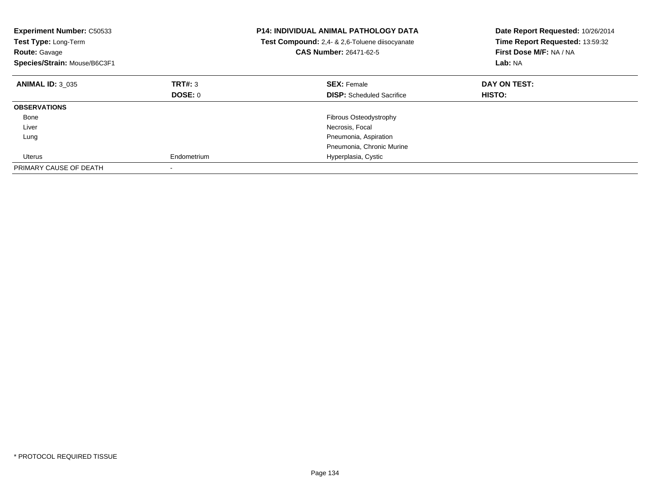| <b>Experiment Number: C50533</b><br>Test Type: Long-Term<br><b>Route: Gavage</b><br>Species/Strain: Mouse/B6C3F1 |             | <b>P14: INDIVIDUAL ANIMAL PATHOLOGY DATA</b><br>Test Compound: 2,4- & 2,6-Toluene diisocyanate<br><b>CAS Number: 26471-62-5</b> | Date Report Requested: 10/26/2014<br>Time Report Requested: 13:59:32<br>First Dose M/F: NA / NA<br>Lab: NA |
|------------------------------------------------------------------------------------------------------------------|-------------|---------------------------------------------------------------------------------------------------------------------------------|------------------------------------------------------------------------------------------------------------|
| <b>ANIMAL ID: 3 035</b>                                                                                          | TRT#: 3     | <b>SEX: Female</b>                                                                                                              | DAY ON TEST:                                                                                               |
|                                                                                                                  | DOSE: 0     | <b>DISP:</b> Scheduled Sacrifice                                                                                                | <b>HISTO:</b>                                                                                              |
| <b>OBSERVATIONS</b>                                                                                              |             |                                                                                                                                 |                                                                                                            |
| Bone                                                                                                             |             | <b>Fibrous Osteodystrophy</b>                                                                                                   |                                                                                                            |
| Liver                                                                                                            |             | Necrosis, Focal                                                                                                                 |                                                                                                            |
| Lung                                                                                                             |             | Pneumonia, Aspiration                                                                                                           |                                                                                                            |
|                                                                                                                  |             | Pneumonia, Chronic Murine                                                                                                       |                                                                                                            |
| Uterus                                                                                                           | Endometrium | Hyperplasia, Cystic                                                                                                             |                                                                                                            |
| PRIMARY CAUSE OF DEATH                                                                                           |             |                                                                                                                                 |                                                                                                            |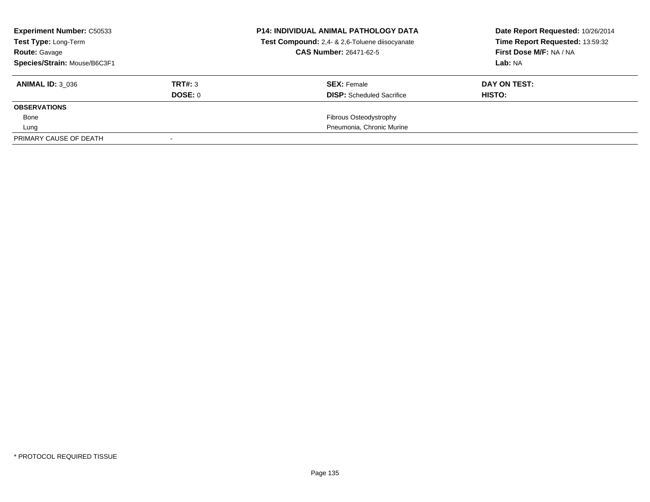| <b>Experiment Number: C50533</b><br>Test Type: Long-Term<br><b>Route: Gavage</b> |         | <b>P14: INDIVIDUAL ANIMAL PATHOLOGY DATA</b><br>Test Compound: 2,4- & 2,6-Toluene diisocyanate<br><b>CAS Number: 26471-62-5</b> | Date Report Requested: 10/26/2014<br>Time Report Requested: 13:59:32<br>First Dose M/F: NA / NA |
|----------------------------------------------------------------------------------|---------|---------------------------------------------------------------------------------------------------------------------------------|-------------------------------------------------------------------------------------------------|
| Species/Strain: Mouse/B6C3F1                                                     |         |                                                                                                                                 | Lab: NA                                                                                         |
| <b>ANIMAL ID: 3 036</b>                                                          | TRT#: 3 | <b>SEX: Female</b>                                                                                                              | DAY ON TEST:                                                                                    |
|                                                                                  | DOSE: 0 | <b>DISP:</b> Scheduled Sacrifice                                                                                                | HISTO:                                                                                          |
| <b>OBSERVATIONS</b>                                                              |         |                                                                                                                                 |                                                                                                 |
| Bone                                                                             |         | Fibrous Osteodystrophy                                                                                                          |                                                                                                 |
| Lung                                                                             |         | Pneumonia, Chronic Murine                                                                                                       |                                                                                                 |
| PRIMARY CAUSE OF DEATH                                                           |         |                                                                                                                                 |                                                                                                 |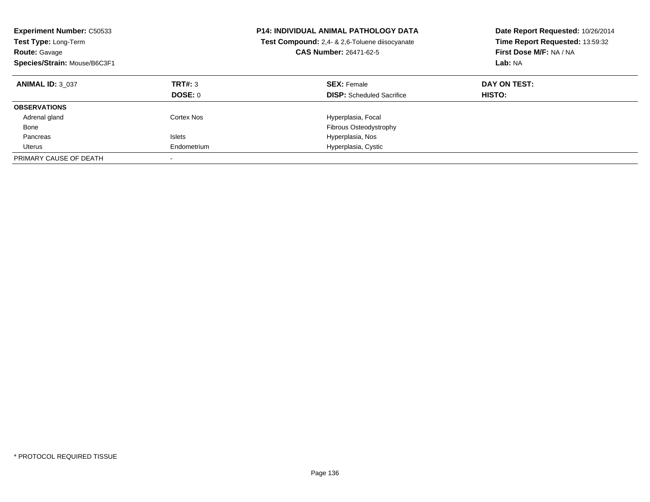| <b>Experiment Number: C50533</b><br>Test Type: Long-Term<br><b>Route: Gavage</b><br>Species/Strain: Mouse/B6C3F1 |               | <b>P14: INDIVIDUAL ANIMAL PATHOLOGY DATA</b><br>Test Compound: 2.4- & 2.6-Toluene diisocyanate<br><b>CAS Number: 26471-62-5</b> | Date Report Requested: 10/26/2014<br>Time Report Requested: 13:59:32<br>First Dose M/F: NA / NA<br>Lab: NA |
|------------------------------------------------------------------------------------------------------------------|---------------|---------------------------------------------------------------------------------------------------------------------------------|------------------------------------------------------------------------------------------------------------|
| <b>ANIMAL ID: 3 037</b>                                                                                          | TRT#: 3       | <b>SEX: Female</b>                                                                                                              | DAY ON TEST:                                                                                               |
|                                                                                                                  | DOSE: 0       | <b>DISP:</b> Scheduled Sacrifice                                                                                                | <b>HISTO:</b>                                                                                              |
| <b>OBSERVATIONS</b>                                                                                              |               |                                                                                                                                 |                                                                                                            |
| Adrenal gland                                                                                                    | Cortex Nos    | Hyperplasia, Focal                                                                                                              |                                                                                                            |
| Bone                                                                                                             |               | <b>Fibrous Osteodystrophy</b>                                                                                                   |                                                                                                            |
| Pancreas                                                                                                         | <b>Islets</b> | Hyperplasia, Nos                                                                                                                |                                                                                                            |
| Uterus                                                                                                           | Endometrium   | Hyperplasia, Cystic                                                                                                             |                                                                                                            |
| PRIMARY CAUSE OF DEATH                                                                                           |               |                                                                                                                                 |                                                                                                            |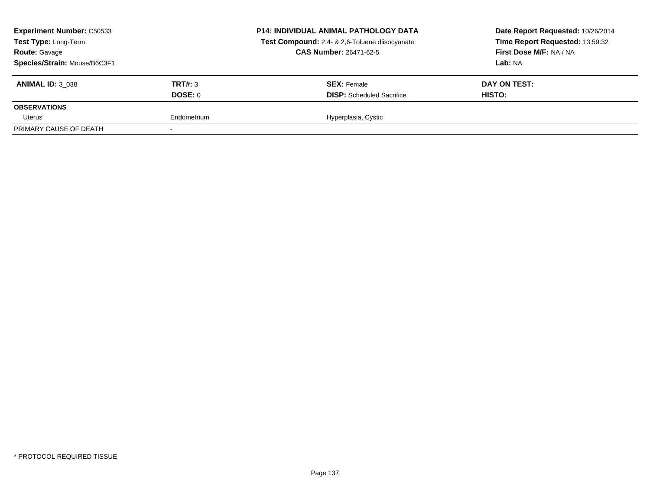| <b>Experiment Number: C50533</b><br>Test Type: Long-Term<br><b>Route: Gavage</b><br>Species/Strain: Mouse/B6C3F1 |                    | <b>P14: INDIVIDUAL ANIMAL PATHOLOGY DATA</b><br>Test Compound: 2,4- & 2,6-Toluene diisocyanate<br><b>CAS Number: 26471-62-5</b> | Date Report Requested: 10/26/2014<br>Time Report Requested: 13:59:32<br>First Dose M/F: NA / NA<br>Lab: NA |
|------------------------------------------------------------------------------------------------------------------|--------------------|---------------------------------------------------------------------------------------------------------------------------------|------------------------------------------------------------------------------------------------------------|
| <b>ANIMAL ID: 3 038</b>                                                                                          | TRT#: 3<br>DOSE: 0 | <b>SEX: Female</b><br><b>DISP:</b> Scheduled Sacrifice                                                                          | DAY ON TEST:<br><b>HISTO:</b>                                                                              |
| <b>OBSERVATIONS</b><br>Uterus                                                                                    | Endometrium        | Hyperplasia, Cystic                                                                                                             |                                                                                                            |
| PRIMARY CAUSE OF DEATH                                                                                           |                    |                                                                                                                                 |                                                                                                            |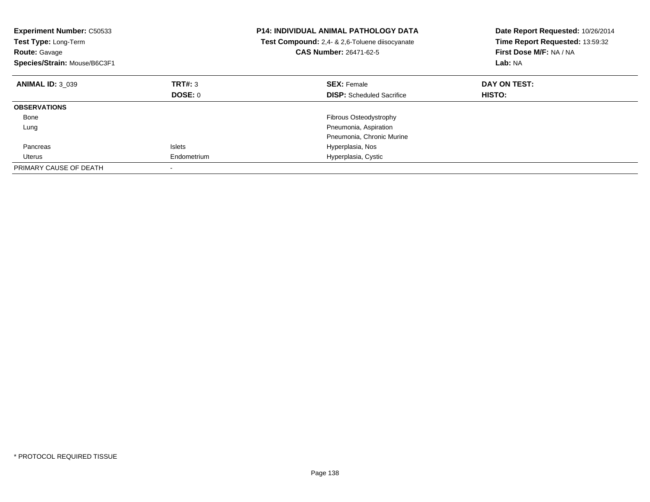| <b>Experiment Number: C50533</b><br>Test Type: Long-Term<br><b>Route: Gavage</b><br>Species/Strain: Mouse/B6C3F1 |               | <b>P14: INDIVIDUAL ANIMAL PATHOLOGY DATA</b><br><b>Test Compound:</b> 2,4- & 2,6-Toluene diisocyanate<br>CAS Number: 26471-62-5 | Date Report Requested: 10/26/2014<br>Time Report Requested: 13:59:32<br>First Dose M/F: NA / NA<br>Lab: NA |
|------------------------------------------------------------------------------------------------------------------|---------------|---------------------------------------------------------------------------------------------------------------------------------|------------------------------------------------------------------------------------------------------------|
| <b>ANIMAL ID: 3 039</b>                                                                                          | TRT#: 3       | <b>SEX: Female</b>                                                                                                              | DAY ON TEST:                                                                                               |
|                                                                                                                  | DOSE: 0       | <b>DISP:</b> Scheduled Sacrifice                                                                                                | HISTO:                                                                                                     |
| <b>OBSERVATIONS</b>                                                                                              |               |                                                                                                                                 |                                                                                                            |
| Bone                                                                                                             |               | <b>Fibrous Osteodystrophy</b>                                                                                                   |                                                                                                            |
| Lung                                                                                                             |               | Pneumonia, Aspiration                                                                                                           |                                                                                                            |
|                                                                                                                  |               | Pneumonia, Chronic Murine                                                                                                       |                                                                                                            |
| Pancreas                                                                                                         | <b>Islets</b> | Hyperplasia, Nos                                                                                                                |                                                                                                            |
| Uterus                                                                                                           | Endometrium   | Hyperplasia, Cystic                                                                                                             |                                                                                                            |
| PRIMARY CAUSE OF DEATH                                                                                           |               |                                                                                                                                 |                                                                                                            |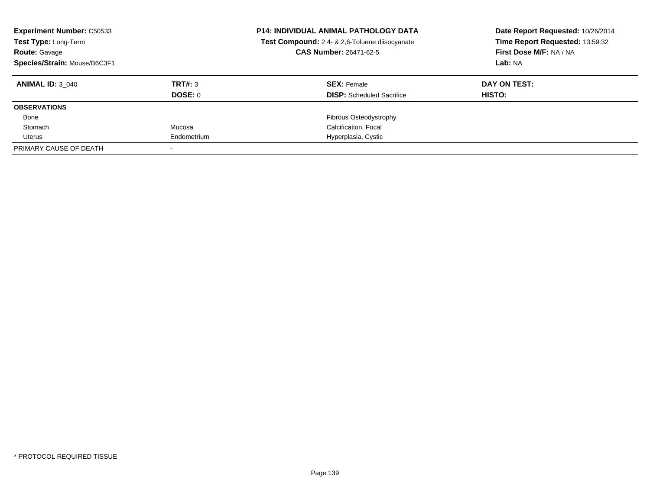| <b>Experiment Number: C50533</b><br>Test Type: Long-Term<br><b>Route: Gavage</b><br>Species/Strain: Mouse/B6C3F1 |             | <b>P14: INDIVIDUAL ANIMAL PATHOLOGY DATA</b><br>Test Compound: 2,4- & 2,6-Toluene diisocyanate<br><b>CAS Number: 26471-62-5</b> | Date Report Requested: 10/26/2014<br>Time Report Requested: 13:59:32<br>First Dose M/F: NA / NA<br>Lab: NA |
|------------------------------------------------------------------------------------------------------------------|-------------|---------------------------------------------------------------------------------------------------------------------------------|------------------------------------------------------------------------------------------------------------|
| <b>ANIMAL ID: 3 040</b>                                                                                          | TRT#: 3     | <b>SEX: Female</b>                                                                                                              | DAY ON TEST:                                                                                               |
|                                                                                                                  | DOSE: 0     | <b>DISP:</b> Scheduled Sacrifice                                                                                                | HISTO:                                                                                                     |
| <b>OBSERVATIONS</b>                                                                                              |             |                                                                                                                                 |                                                                                                            |
| Bone                                                                                                             |             | <b>Fibrous Osteodystrophy</b>                                                                                                   |                                                                                                            |
| Stomach                                                                                                          | Mucosa      | Calcification, Focal                                                                                                            |                                                                                                            |
| Uterus                                                                                                           | Endometrium | Hyperplasia, Cystic                                                                                                             |                                                                                                            |
| PRIMARY CAUSE OF DEATH                                                                                           |             |                                                                                                                                 |                                                                                                            |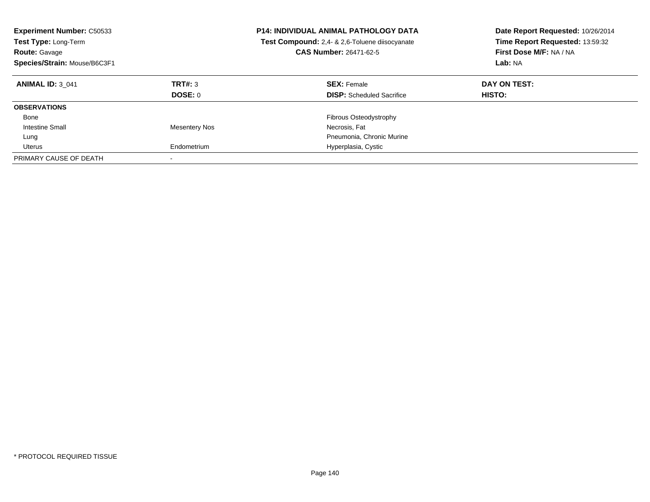| <b>Experiment Number: C50533</b><br>Test Type: Long-Term<br><b>Route: Gavage</b><br>Species/Strain: Mouse/B6C3F1 |                      | <b>P14: INDIVIDUAL ANIMAL PATHOLOGY DATA</b><br>Test Compound: 2,4- & 2,6-Toluene diisocyanate<br><b>CAS Number: 26471-62-5</b> | Date Report Requested: 10/26/2014<br>Time Report Requested: 13:59:32<br>First Dose M/F: NA / NA<br>Lab: NA |
|------------------------------------------------------------------------------------------------------------------|----------------------|---------------------------------------------------------------------------------------------------------------------------------|------------------------------------------------------------------------------------------------------------|
| <b>ANIMAL ID: 3 041</b>                                                                                          | TRT#: 3              | <b>SEX: Female</b>                                                                                                              | DAY ON TEST:                                                                                               |
|                                                                                                                  | DOSE: 0              | <b>DISP:</b> Scheduled Sacrifice                                                                                                | HISTO:                                                                                                     |
| <b>OBSERVATIONS</b>                                                                                              |                      |                                                                                                                                 |                                                                                                            |
| Bone                                                                                                             |                      | <b>Fibrous Osteodystrophy</b>                                                                                                   |                                                                                                            |
| Intestine Small                                                                                                  | <b>Mesentery Nos</b> | Necrosis, Fat                                                                                                                   |                                                                                                            |
| Lung                                                                                                             |                      | Pneumonia, Chronic Murine                                                                                                       |                                                                                                            |
| Uterus                                                                                                           | Endometrium          | Hyperplasia, Cystic                                                                                                             |                                                                                                            |
| PRIMARY CAUSE OF DEATH                                                                                           |                      |                                                                                                                                 |                                                                                                            |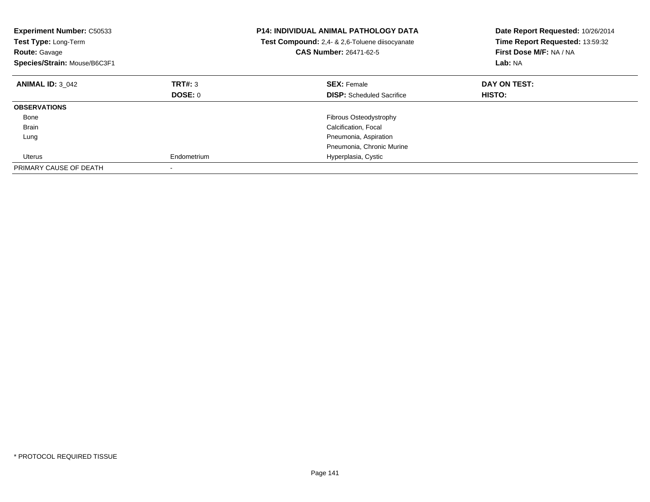| <b>Experiment Number: C50533</b><br>Test Type: Long-Term<br><b>Route: Gavage</b><br>Species/Strain: Mouse/B6C3F1 |             | <b>P14: INDIVIDUAL ANIMAL PATHOLOGY DATA</b><br><b>Test Compound:</b> 2,4- & 2,6-Toluene diisocyanate<br>CAS Number: 26471-62-5 | Date Report Requested: 10/26/2014<br>Time Report Requested: 13:59:32<br>First Dose M/F: NA / NA<br>Lab: NA |
|------------------------------------------------------------------------------------------------------------------|-------------|---------------------------------------------------------------------------------------------------------------------------------|------------------------------------------------------------------------------------------------------------|
| <b>ANIMAL ID: 3 042</b>                                                                                          | TRT#: 3     | <b>SEX: Female</b>                                                                                                              | DAY ON TEST:                                                                                               |
|                                                                                                                  | DOSE: 0     | <b>DISP:</b> Scheduled Sacrifice                                                                                                | HISTO:                                                                                                     |
| <b>OBSERVATIONS</b>                                                                                              |             |                                                                                                                                 |                                                                                                            |
| Bone                                                                                                             |             | <b>Fibrous Osteodystrophy</b>                                                                                                   |                                                                                                            |
| Brain                                                                                                            |             | Calcification, Focal                                                                                                            |                                                                                                            |
| Lung                                                                                                             |             | Pneumonia, Aspiration                                                                                                           |                                                                                                            |
|                                                                                                                  |             | Pneumonia, Chronic Murine                                                                                                       |                                                                                                            |
| Uterus                                                                                                           | Endometrium | Hyperplasia, Cystic                                                                                                             |                                                                                                            |
| PRIMARY CAUSE OF DEATH                                                                                           |             |                                                                                                                                 |                                                                                                            |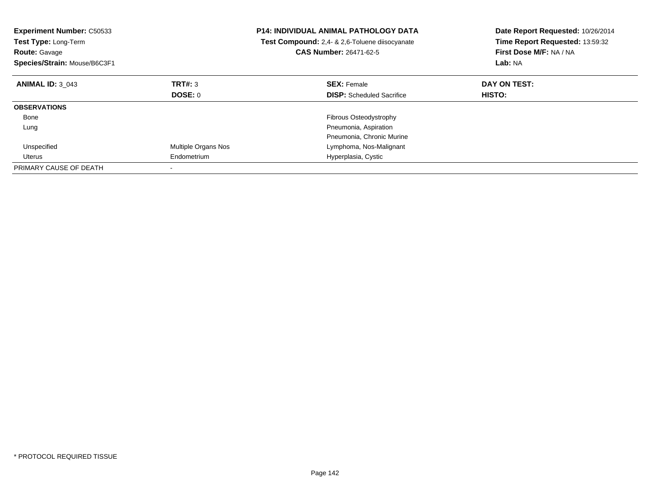| <b>Experiment Number: C50533</b><br>Test Type: Long-Term<br><b>Route: Gavage</b><br>Species/Strain: Mouse/B6C3F1 |                     | <b>P14: INDIVIDUAL ANIMAL PATHOLOGY DATA</b><br>Test Compound: 2,4- & 2,6-Toluene diisocyanate<br><b>CAS Number: 26471-62-5</b> | Date Report Requested: 10/26/2014<br>Time Report Requested: 13:59:32<br>First Dose M/F: NA / NA<br>Lab: NA |
|------------------------------------------------------------------------------------------------------------------|---------------------|---------------------------------------------------------------------------------------------------------------------------------|------------------------------------------------------------------------------------------------------------|
| <b>ANIMAL ID: 3 043</b>                                                                                          | TRT#: 3             | <b>SEX: Female</b>                                                                                                              | DAY ON TEST:                                                                                               |
|                                                                                                                  | <b>DOSE: 0</b>      | <b>DISP:</b> Scheduled Sacrifice                                                                                                | HISTO:                                                                                                     |
| <b>OBSERVATIONS</b>                                                                                              |                     |                                                                                                                                 |                                                                                                            |
| Bone                                                                                                             |                     | Fibrous Osteodystrophy                                                                                                          |                                                                                                            |
| Lung                                                                                                             |                     | Pneumonia, Aspiration                                                                                                           |                                                                                                            |
|                                                                                                                  |                     | Pneumonia, Chronic Murine                                                                                                       |                                                                                                            |
| Unspecified                                                                                                      | Multiple Organs Nos | Lymphoma, Nos-Malignant                                                                                                         |                                                                                                            |
| Uterus                                                                                                           | Endometrium         | Hyperplasia, Cystic                                                                                                             |                                                                                                            |
| PRIMARY CAUSE OF DEATH                                                                                           |                     |                                                                                                                                 |                                                                                                            |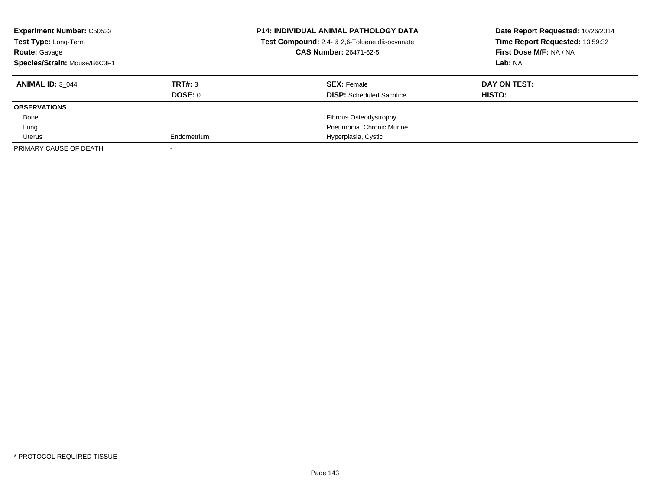| <b>Experiment Number: C50533</b><br>Test Type: Long-Term<br><b>Route: Gavage</b><br>Species/Strain: Mouse/B6C3F1 |             | <b>P14: INDIVIDUAL ANIMAL PATHOLOGY DATA</b><br>Test Compound: 2,4- & 2,6-Toluene diisocyanate<br><b>CAS Number: 26471-62-5</b> | Date Report Requested: 10/26/2014<br>Time Report Requested: 13:59:32<br>First Dose M/F: NA / NA<br>Lab: NA |
|------------------------------------------------------------------------------------------------------------------|-------------|---------------------------------------------------------------------------------------------------------------------------------|------------------------------------------------------------------------------------------------------------|
| <b>ANIMAL ID: 3 044</b>                                                                                          | TRT#: 3     | <b>SEX: Female</b>                                                                                                              | DAY ON TEST:                                                                                               |
|                                                                                                                  | DOSE: 0     | <b>DISP:</b> Scheduled Sacrifice                                                                                                | HISTO:                                                                                                     |
| <b>OBSERVATIONS</b>                                                                                              |             |                                                                                                                                 |                                                                                                            |
| Bone                                                                                                             |             | Fibrous Osteodystrophy                                                                                                          |                                                                                                            |
| Lung                                                                                                             |             | Pneumonia, Chronic Murine                                                                                                       |                                                                                                            |
| Uterus                                                                                                           | Endometrium | Hyperplasia, Cystic                                                                                                             |                                                                                                            |
| PRIMARY CAUSE OF DEATH                                                                                           |             |                                                                                                                                 |                                                                                                            |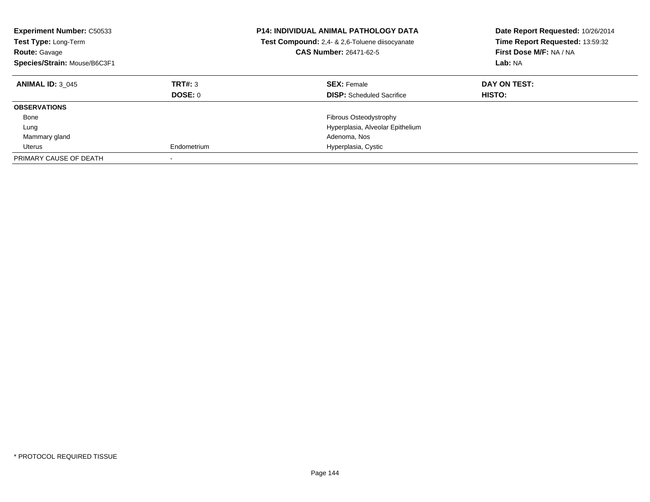| <b>Experiment Number: C50533</b><br>Test Type: Long-Term<br><b>Route: Gavage</b><br>Species/Strain: Mouse/B6C3F1 |                    | <b>P14: INDIVIDUAL ANIMAL PATHOLOGY DATA</b><br>Test Compound: 2,4- & 2,6-Toluene diisocyanate<br><b>CAS Number: 26471-62-5</b> | Date Report Requested: 10/26/2014<br>Time Report Requested: 13:59:32<br>First Dose M/F: NA / NA<br>Lab: NA |
|------------------------------------------------------------------------------------------------------------------|--------------------|---------------------------------------------------------------------------------------------------------------------------------|------------------------------------------------------------------------------------------------------------|
| <b>ANIMAL ID: 3 045</b>                                                                                          | TRT#: 3<br>DOSE: 0 | <b>SEX: Female</b><br><b>DISP:</b> Scheduled Sacrifice                                                                          | DAY ON TEST:<br>HISTO:                                                                                     |
| <b>OBSERVATIONS</b>                                                                                              |                    |                                                                                                                                 |                                                                                                            |
| Bone                                                                                                             |                    | Fibrous Osteodystrophy                                                                                                          |                                                                                                            |
| Lung                                                                                                             |                    | Hyperplasia, Alveolar Epithelium                                                                                                |                                                                                                            |
| Mammary gland                                                                                                    |                    | Adenoma, Nos                                                                                                                    |                                                                                                            |
| Uterus                                                                                                           | Endometrium        | Hyperplasia, Cystic                                                                                                             |                                                                                                            |
| PRIMARY CAUSE OF DEATH                                                                                           |                    |                                                                                                                                 |                                                                                                            |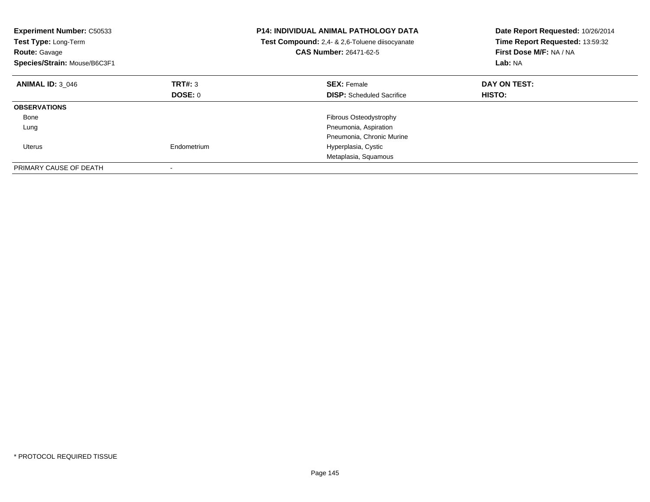| <b>Experiment Number: C50533</b><br>Test Type: Long-Term<br><b>Route: Gavage</b><br>Species/Strain: Mouse/B6C3F1 |                | <b>P14: INDIVIDUAL ANIMAL PATHOLOGY DATA</b><br>Test Compound: 2,4- & 2,6-Toluene diisocyanate<br><b>CAS Number: 26471-62-5</b> | Date Report Requested: 10/26/2014<br>Time Report Requested: 13:59:32<br>First Dose M/F: NA / NA<br>Lab: NA |
|------------------------------------------------------------------------------------------------------------------|----------------|---------------------------------------------------------------------------------------------------------------------------------|------------------------------------------------------------------------------------------------------------|
| <b>ANIMAL ID: 3 046</b>                                                                                          | TRT#: 3        | <b>SEX: Female</b>                                                                                                              | DAY ON TEST:                                                                                               |
|                                                                                                                  | <b>DOSE: 0</b> | <b>DISP:</b> Scheduled Sacrifice                                                                                                | <b>HISTO:</b>                                                                                              |
| <b>OBSERVATIONS</b>                                                                                              |                |                                                                                                                                 |                                                                                                            |
| Bone                                                                                                             |                | <b>Fibrous Osteodystrophy</b>                                                                                                   |                                                                                                            |
| Lung                                                                                                             |                | Pneumonia, Aspiration                                                                                                           |                                                                                                            |
|                                                                                                                  |                | Pneumonia, Chronic Murine                                                                                                       |                                                                                                            |
| Uterus                                                                                                           | Endometrium    | Hyperplasia, Cystic                                                                                                             |                                                                                                            |
|                                                                                                                  |                | Metaplasia, Squamous                                                                                                            |                                                                                                            |
| PRIMARY CAUSE OF DEATH                                                                                           |                |                                                                                                                                 |                                                                                                            |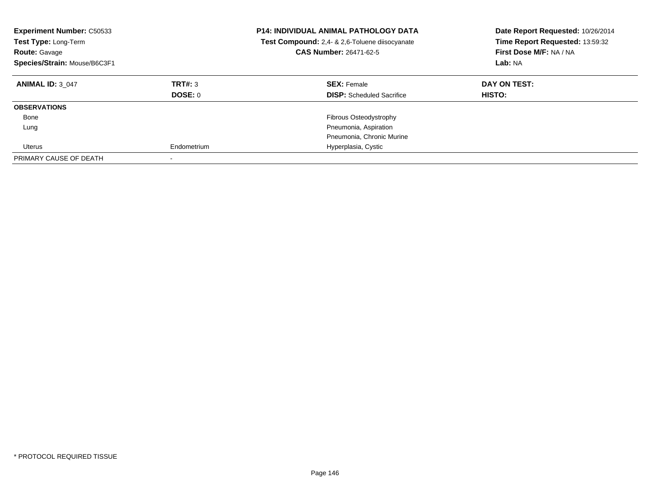| <b>Experiment Number: C50533</b><br>Test Type: Long-Term<br>Route: Gavage<br>Species/Strain: Mouse/B6C3F1 |             | <b>P14: INDIVIDUAL ANIMAL PATHOLOGY DATA</b><br>Test Compound: 2,4- & 2,6-Toluene diisocyanate<br><b>CAS Number: 26471-62-5</b> | Date Report Requested: 10/26/2014<br>Time Report Requested: 13:59:32<br>First Dose M/F: NA / NA<br>Lab: NA |
|-----------------------------------------------------------------------------------------------------------|-------------|---------------------------------------------------------------------------------------------------------------------------------|------------------------------------------------------------------------------------------------------------|
| <b>ANIMAL ID: 3 047</b>                                                                                   | TRT#: 3     | <b>SEX: Female</b>                                                                                                              | DAY ON TEST:                                                                                               |
|                                                                                                           | DOSE: 0     | <b>DISP:</b> Scheduled Sacrifice                                                                                                | HISTO:                                                                                                     |
| <b>OBSERVATIONS</b>                                                                                       |             |                                                                                                                                 |                                                                                                            |
| Bone                                                                                                      |             | <b>Fibrous Osteodystrophy</b>                                                                                                   |                                                                                                            |
| Lung                                                                                                      |             | Pneumonia, Aspiration                                                                                                           |                                                                                                            |
|                                                                                                           |             | Pneumonia, Chronic Murine                                                                                                       |                                                                                                            |
| Uterus                                                                                                    | Endometrium | Hyperplasia, Cystic                                                                                                             |                                                                                                            |
| PRIMARY CAUSE OF DEATH                                                                                    |             |                                                                                                                                 |                                                                                                            |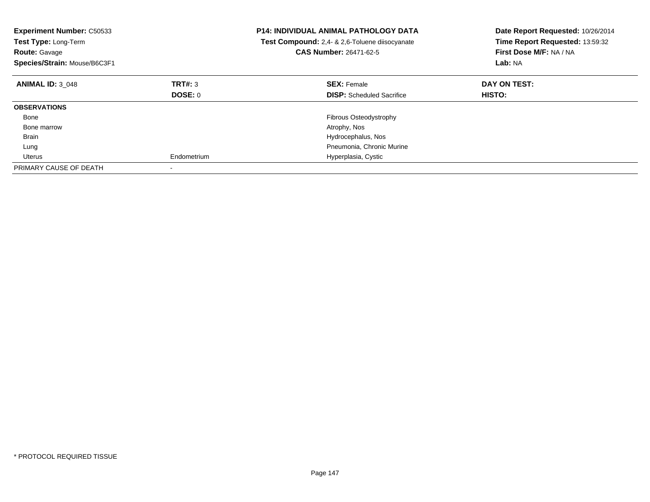| <b>Experiment Number: C50533</b><br>Test Type: Long-Term<br><b>Route: Gavage</b><br>Species/Strain: Mouse/B6C3F1 |                | <b>P14: INDIVIDUAL ANIMAL PATHOLOGY DATA</b><br>Test Compound: 2,4- & 2,6-Toluene diisocyanate<br>CAS Number: 26471-62-5 | Date Report Requested: 10/26/2014<br>Time Report Requested: 13:59:32<br>First Dose M/F: NA / NA<br>Lab: NA |
|------------------------------------------------------------------------------------------------------------------|----------------|--------------------------------------------------------------------------------------------------------------------------|------------------------------------------------------------------------------------------------------------|
| <b>ANIMAL ID: 3 048</b>                                                                                          | TRT#: 3        | <b>SEX: Female</b>                                                                                                       | DAY ON TEST:                                                                                               |
|                                                                                                                  | <b>DOSE: 0</b> | <b>DISP:</b> Scheduled Sacrifice                                                                                         | HISTO:                                                                                                     |
| <b>OBSERVATIONS</b>                                                                                              |                |                                                                                                                          |                                                                                                            |
| Bone                                                                                                             |                | Fibrous Osteodystrophy                                                                                                   |                                                                                                            |
| Bone marrow                                                                                                      |                | Atrophy, Nos                                                                                                             |                                                                                                            |
| Brain                                                                                                            |                | Hydrocephalus, Nos                                                                                                       |                                                                                                            |
| Lung                                                                                                             |                | Pneumonia, Chronic Murine                                                                                                |                                                                                                            |
| Uterus                                                                                                           | Endometrium    | Hyperplasia, Cystic                                                                                                      |                                                                                                            |
| PRIMARY CAUSE OF DEATH                                                                                           |                |                                                                                                                          |                                                                                                            |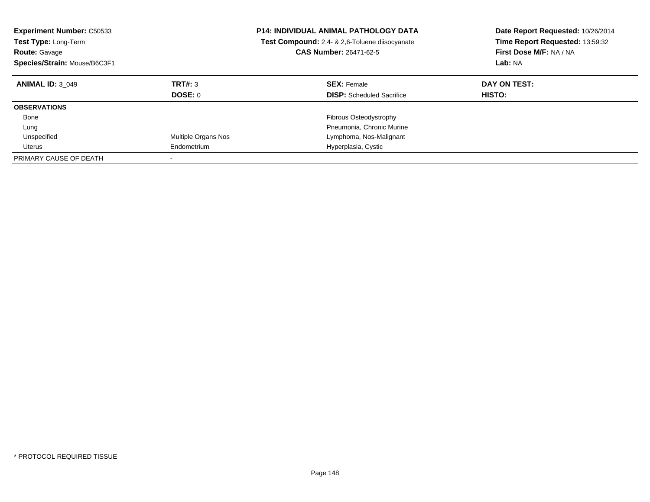| <b>Experiment Number: C50533</b><br><b>Test Type: Long-Term</b><br><b>Route: Gavage</b><br>Species/Strain: Mouse/B6C3F1 |                           | <b>P14: INDIVIDUAL ANIMAL PATHOLOGY DATA</b><br>Test Compound: 2,4- & 2,6-Toluene diisocyanate<br><b>CAS Number: 26471-62-5</b> | Date Report Requested: 10/26/2014<br>Time Report Requested: 13:59:32<br>First Dose M/F: NA / NA<br>Lab: NA |
|-------------------------------------------------------------------------------------------------------------------------|---------------------------|---------------------------------------------------------------------------------------------------------------------------------|------------------------------------------------------------------------------------------------------------|
| <b>ANIMAL ID: 3 049</b>                                                                                                 | TRT#: 3<br><b>DOSE: 0</b> | <b>SEX: Female</b><br><b>DISP:</b> Scheduled Sacrifice                                                                          | DAY ON TEST:<br><b>HISTO:</b>                                                                              |
| <b>OBSERVATIONS</b>                                                                                                     |                           |                                                                                                                                 |                                                                                                            |
| Bone                                                                                                                    |                           | <b>Fibrous Osteodystrophy</b>                                                                                                   |                                                                                                            |
| Lung                                                                                                                    |                           | Pneumonia, Chronic Murine                                                                                                       |                                                                                                            |
| Unspecified                                                                                                             | Multiple Organs Nos       | Lymphoma, Nos-Malignant                                                                                                         |                                                                                                            |
| Uterus                                                                                                                  | Endometrium               | Hyperplasia, Cystic                                                                                                             |                                                                                                            |
| PRIMARY CAUSE OF DEATH                                                                                                  |                           |                                                                                                                                 |                                                                                                            |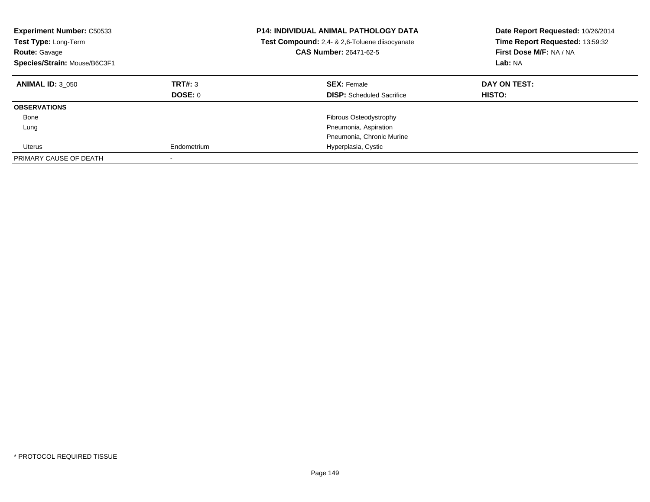| <b>Experiment Number: C50533</b><br>Test Type: Long-Term<br>Route: Gavage<br>Species/Strain: Mouse/B6C3F1 |                           | <b>P14: INDIVIDUAL ANIMAL PATHOLOGY DATA</b><br>Test Compound: 2,4- & 2,6-Toluene diisocyanate<br>CAS Number: 26471-62-5 | Date Report Requested: 10/26/2014<br>Time Report Requested: 13:59:32<br>First Dose M/F: NA / NA<br>Lab: NA |
|-----------------------------------------------------------------------------------------------------------|---------------------------|--------------------------------------------------------------------------------------------------------------------------|------------------------------------------------------------------------------------------------------------|
| <b>ANIMAL ID: 3 050</b>                                                                                   | TRT#: 3<br><b>DOSE: 0</b> | <b>SEX: Female</b><br><b>DISP:</b> Scheduled Sacrifice                                                                   | DAY ON TEST:<br>HISTO:                                                                                     |
| <b>OBSERVATIONS</b>                                                                                       |                           |                                                                                                                          |                                                                                                            |
| Bone                                                                                                      |                           | Fibrous Osteodystrophy                                                                                                   |                                                                                                            |
| Lung                                                                                                      |                           | Pneumonia, Aspiration                                                                                                    |                                                                                                            |
|                                                                                                           |                           | Pneumonia, Chronic Murine                                                                                                |                                                                                                            |
| Uterus                                                                                                    | Endometrium               | Hyperplasia, Cystic                                                                                                      |                                                                                                            |
| PRIMARY CAUSE OF DEATH                                                                                    |                           |                                                                                                                          |                                                                                                            |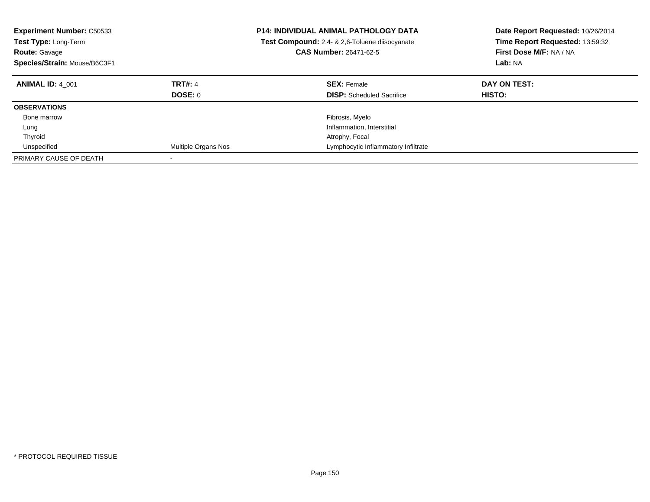| <b>Experiment Number: C50533</b><br><b>Test Type: Long-Term</b><br><b>Route: Gavage</b><br>Species/Strain: Mouse/B6C3F1 |                           | <b>P14: INDIVIDUAL ANIMAL PATHOLOGY DATA</b><br>Test Compound: 2,4- & 2,6-Toluene diisocyanate<br><b>CAS Number: 26471-62-5</b> | Date Report Requested: 10/26/2014<br>Time Report Requested: 13:59:32<br>First Dose M/F: NA / NA<br>Lab: NA |
|-------------------------------------------------------------------------------------------------------------------------|---------------------------|---------------------------------------------------------------------------------------------------------------------------------|------------------------------------------------------------------------------------------------------------|
| <b>ANIMAL ID: 4 001</b>                                                                                                 | <b>TRT#: 4</b><br>DOSE: 0 | <b>SEX: Female</b><br><b>DISP:</b> Scheduled Sacrifice                                                                          | DAY ON TEST:<br><b>HISTO:</b>                                                                              |
| <b>OBSERVATIONS</b>                                                                                                     |                           |                                                                                                                                 |                                                                                                            |
| Bone marrow                                                                                                             |                           | Fibrosis, Myelo                                                                                                                 |                                                                                                            |
| Lung                                                                                                                    |                           | Inflammation, Interstitial                                                                                                      |                                                                                                            |
| Thyroid                                                                                                                 |                           | Atrophy, Focal                                                                                                                  |                                                                                                            |
| Unspecified                                                                                                             | Multiple Organs Nos       | Lymphocytic Inflammatory Infiltrate                                                                                             |                                                                                                            |
| PRIMARY CAUSE OF DEATH                                                                                                  |                           |                                                                                                                                 |                                                                                                            |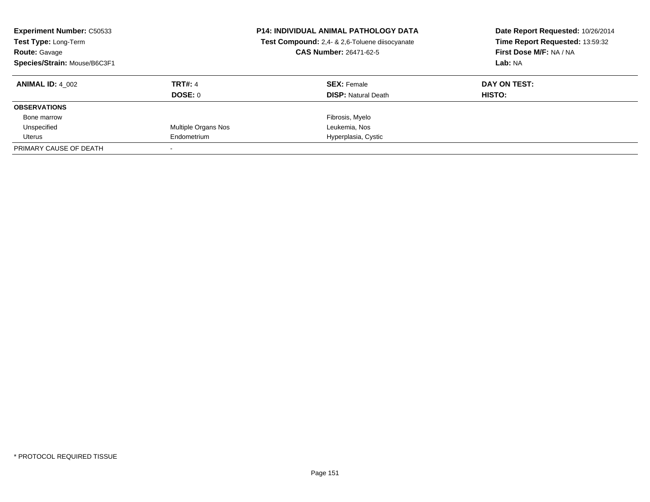| <b>Experiment Number: C50533</b><br>Test Type: Long-Term<br><b>Route: Gavage</b><br>Species/Strain: Mouse/B6C3F1 |                     | <b>P14: INDIVIDUAL ANIMAL PATHOLOGY DATA</b><br>Test Compound: 2,4- & 2,6-Toluene diisocyanate<br><b>CAS Number: 26471-62-5</b> | Date Report Requested: 10/26/2014<br>Time Report Requested: 13:59:32<br>First Dose M/F: NA / NA<br>Lab: NA |
|------------------------------------------------------------------------------------------------------------------|---------------------|---------------------------------------------------------------------------------------------------------------------------------|------------------------------------------------------------------------------------------------------------|
| <b>ANIMAL ID: 4 002</b>                                                                                          | <b>TRT#: 4</b>      | <b>SEX: Female</b>                                                                                                              | DAY ON TEST:                                                                                               |
|                                                                                                                  | DOSE: 0             | <b>DISP:</b> Natural Death                                                                                                      | HISTO:                                                                                                     |
| <b>OBSERVATIONS</b>                                                                                              |                     |                                                                                                                                 |                                                                                                            |
| Bone marrow                                                                                                      |                     | Fibrosis, Myelo                                                                                                                 |                                                                                                            |
| Unspecified                                                                                                      | Multiple Organs Nos | Leukemia, Nos                                                                                                                   |                                                                                                            |
| Uterus                                                                                                           | Endometrium         | Hyperplasia, Cystic                                                                                                             |                                                                                                            |
| PRIMARY CAUSE OF DEATH                                                                                           |                     |                                                                                                                                 |                                                                                                            |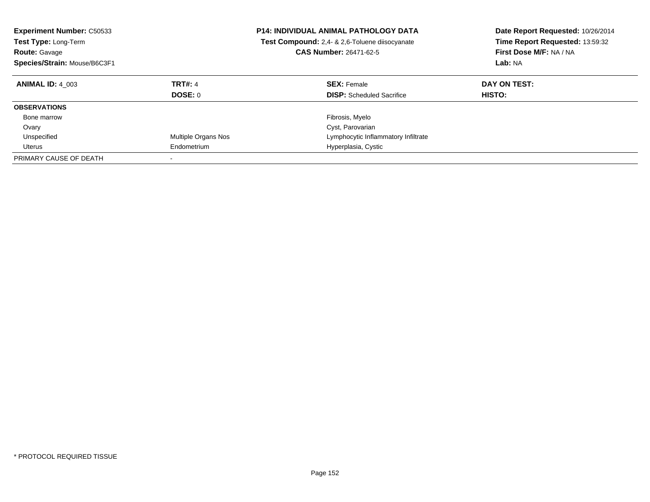| <b>Experiment Number: C50533</b><br><b>Test Type: Long-Term</b><br><b>Route: Gavage</b><br>Species/Strain: Mouse/B6C3F1 |                           | <b>P14: INDIVIDUAL ANIMAL PATHOLOGY DATA</b><br>Test Compound: 2,4- & 2,6-Toluene diisocyanate<br><b>CAS Number: 26471-62-5</b> | Date Report Requested: 10/26/2014<br>Time Report Requested: 13:59:32<br>First Dose M/F: NA / NA<br>Lab: NA |
|-------------------------------------------------------------------------------------------------------------------------|---------------------------|---------------------------------------------------------------------------------------------------------------------------------|------------------------------------------------------------------------------------------------------------|
| <b>ANIMAL ID: 4 003</b>                                                                                                 | <b>TRT#: 4</b><br>DOSE: 0 | <b>SEX: Female</b><br><b>DISP:</b> Scheduled Sacrifice                                                                          | DAY ON TEST:<br><b>HISTO:</b>                                                                              |
| <b>OBSERVATIONS</b>                                                                                                     |                           |                                                                                                                                 |                                                                                                            |
| Bone marrow                                                                                                             |                           | Fibrosis, Myelo                                                                                                                 |                                                                                                            |
| Ovary                                                                                                                   |                           | Cyst, Parovarian                                                                                                                |                                                                                                            |
| Unspecified                                                                                                             | Multiple Organs Nos       | Lymphocytic Inflammatory Infiltrate                                                                                             |                                                                                                            |
| Uterus                                                                                                                  | Endometrium               | Hyperplasia, Cystic                                                                                                             |                                                                                                            |
| PRIMARY CAUSE OF DEATH                                                                                                  |                           |                                                                                                                                 |                                                                                                            |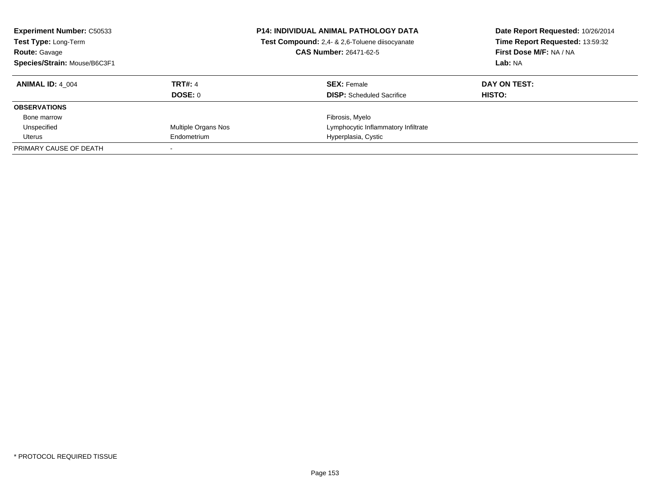| <b>Experiment Number: C50533</b><br>Test Type: Long-Term<br><b>Route: Gavage</b><br>Species/Strain: Mouse/B6C3F1 |                     | <b>P14: INDIVIDUAL ANIMAL PATHOLOGY DATA</b><br>Test Compound: 2,4- & 2,6-Toluene diisocyanate<br><b>CAS Number: 26471-62-5</b> | Date Report Requested: 10/26/2014<br>Time Report Requested: 13:59:32<br>First Dose M/F: NA / NA<br>Lab: NA |
|------------------------------------------------------------------------------------------------------------------|---------------------|---------------------------------------------------------------------------------------------------------------------------------|------------------------------------------------------------------------------------------------------------|
| <b>ANIMAL ID: 4 004</b>                                                                                          | <b>TRT#: 4</b>      | <b>SEX: Female</b>                                                                                                              | DAY ON TEST:                                                                                               |
|                                                                                                                  | DOSE: 0             | <b>DISP:</b> Scheduled Sacrifice                                                                                                | HISTO:                                                                                                     |
| <b>OBSERVATIONS</b>                                                                                              |                     |                                                                                                                                 |                                                                                                            |
| Bone marrow                                                                                                      |                     | Fibrosis, Myelo                                                                                                                 |                                                                                                            |
| Unspecified                                                                                                      | Multiple Organs Nos | Lymphocytic Inflammatory Infiltrate                                                                                             |                                                                                                            |
| Uterus                                                                                                           | Endometrium         | Hyperplasia, Cystic                                                                                                             |                                                                                                            |
| PRIMARY CAUSE OF DEATH                                                                                           |                     |                                                                                                                                 |                                                                                                            |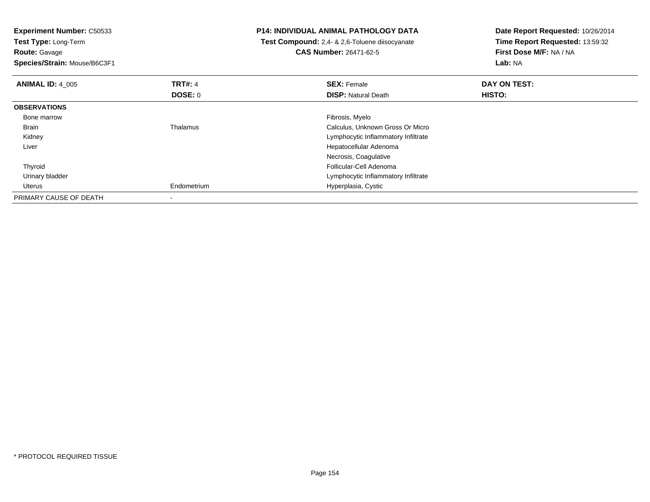**Experiment Number:** C50533**Test Type:** Long-Term**Route:** Gavage **Species/Strain:** Mouse/B6C3F1**P14: INDIVIDUAL ANIMAL PATHOLOGY DATA Test Compound:** 2,4- & 2,6-Toluene diisocyanate**CAS Number:** 26471-62-5**Date Report Requested:** 10/26/2014**Time Report Requested:** 13:59:32**First Dose M/F:** NA / NA**Lab:** NA**ANIMAL ID:** 4\_005**TRT#:** 4 **SEX:** Female **DAY ON TEST: DOSE:** 0**DISP:** Natural Death **HISTO: OBSERVATIONS** Bone marroww which is a state of the state of the state of the state of the state of the Fibrosis, Myelo state of the state of the state of the state of the state of the state of the state of the state of the state of the state of th BrainThalamus Calculus, Unknown Gross Or Micro Kidney Lymphocytic Inflammatory Infiltrate Liver Hepatocellular AdenomaNecrosis, Coagulative Follicular-Cell Adenoma Thyroid Urinary bladder Lymphocytic Inflammatory Infiltrate Uterus Endometrium Hyperplasia, Cystic PRIMARY CAUSE OF DEATH-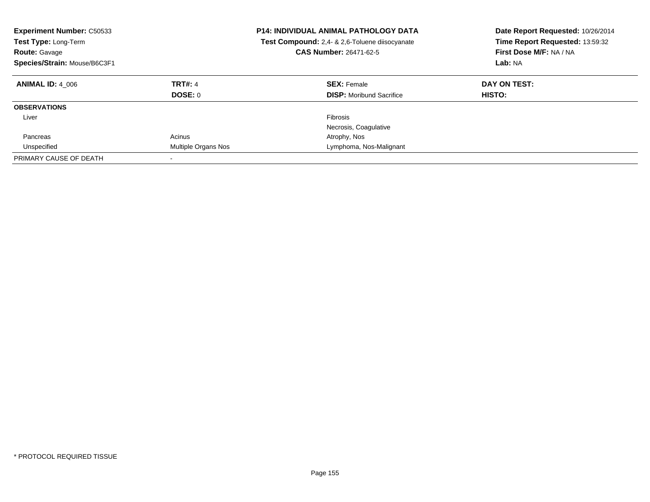| <b>Experiment Number: C50533</b><br><b>Test Type: Long-Term</b><br><b>Route: Gavage</b><br>Species/Strain: Mouse/B6C3F1 |                                  | <b>P14: INDIVIDUAL ANIMAL PATHOLOGY DATA</b><br>Test Compound: 2,4- & 2,6-Toluene diisocyanate<br><b>CAS Number: 26471-62-5</b> | Date Report Requested: 10/26/2014<br>Time Report Requested: 13:59:32<br>First Dose M/F: NA / NA<br>Lab: NA |
|-------------------------------------------------------------------------------------------------------------------------|----------------------------------|---------------------------------------------------------------------------------------------------------------------------------|------------------------------------------------------------------------------------------------------------|
| <b>ANIMAL ID: 4 006</b>                                                                                                 | <b>TRT#: 4</b><br><b>DOSE: 0</b> | <b>SEX: Female</b><br><b>DISP:</b> Moribund Sacrifice                                                                           | DAY ON TEST:<br>HISTO:                                                                                     |
| <b>OBSERVATIONS</b>                                                                                                     |                                  |                                                                                                                                 |                                                                                                            |
|                                                                                                                         |                                  | Fibrosis                                                                                                                        |                                                                                                            |
| Liver                                                                                                                   |                                  |                                                                                                                                 |                                                                                                            |
|                                                                                                                         |                                  | Necrosis, Coagulative                                                                                                           |                                                                                                            |
| Pancreas                                                                                                                | Acinus                           | Atrophy, Nos                                                                                                                    |                                                                                                            |
| Unspecified                                                                                                             | Multiple Organs Nos              | Lymphoma, Nos-Malignant                                                                                                         |                                                                                                            |
| PRIMARY CAUSE OF DEATH                                                                                                  |                                  |                                                                                                                                 |                                                                                                            |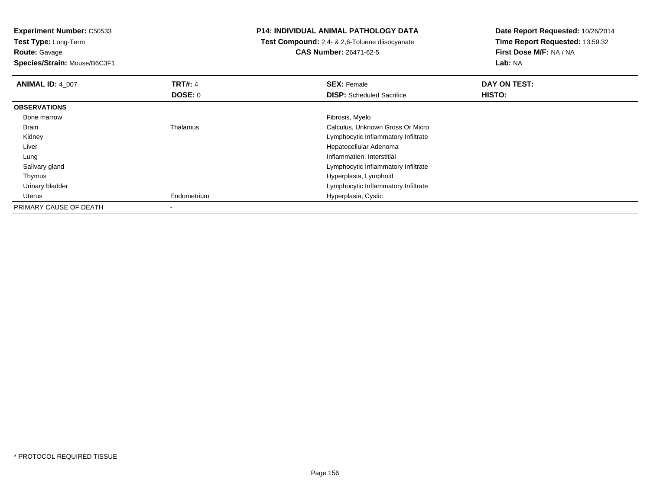**Experiment Number:** C50533

**Test Type:** Long-Term**Route:** Gavage

**Species/Strain:** Mouse/B6C3F1

## **P14: INDIVIDUAL ANIMAL PATHOLOGY DATA**

 **Test Compound:** 2,4- & 2,6-Toluene diisocyanate**CAS Number:** 26471-62-5

**Date Report Requested:** 10/26/2014 **Time Report Requested:** 13:59:32**First Dose M/F:** NA / NA**Lab:** NA

| <b>ANIMAL ID: 4 007</b> | <b>TRT#: 4</b> | <b>SEX: Female</b>                  | DAY ON TEST: |  |
|-------------------------|----------------|-------------------------------------|--------------|--|
|                         | <b>DOSE: 0</b> | <b>DISP:</b> Scheduled Sacrifice    | HISTO:       |  |
| <b>OBSERVATIONS</b>     |                |                                     |              |  |
| Bone marrow             |                | Fibrosis, Myelo                     |              |  |
| Brain                   | Thalamus       | Calculus, Unknown Gross Or Micro    |              |  |
| Kidney                  |                | Lymphocytic Inflammatory Infiltrate |              |  |
| Liver                   |                | Hepatocellular Adenoma              |              |  |
| Lung                    |                | Inflammation, Interstitial          |              |  |
| Salivary gland          |                | Lymphocytic Inflammatory Infiltrate |              |  |
| Thymus                  |                | Hyperplasia, Lymphoid               |              |  |
| Urinary bladder         |                | Lymphocytic Inflammatory Infiltrate |              |  |
| Uterus                  | Endometrium    | Hyperplasia, Cystic                 |              |  |
| PRIMARY CAUSE OF DEATH  |                |                                     |              |  |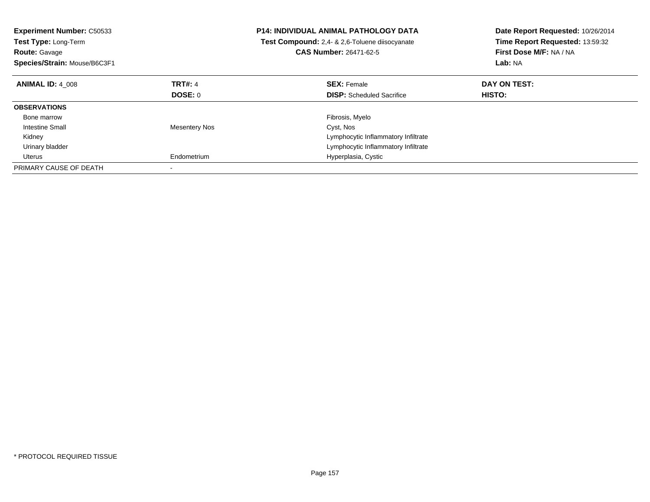| <b>Experiment Number: C50533</b><br><b>Test Type: Long-Term</b><br><b>Route: Gavage</b><br>Species/Strain: Mouse/B6C3F1 |                      | <b>P14: INDIVIDUAL ANIMAL PATHOLOGY DATA</b><br><b>Test Compound:</b> 2.4- & 2.6-Toluene diisocyanate<br><b>CAS Number: 26471-62-5</b> | Date Report Requested: 10/26/2014<br>Time Report Requested: 13:59:32<br>First Dose M/F: NA / NA<br>Lab: NA |
|-------------------------------------------------------------------------------------------------------------------------|----------------------|----------------------------------------------------------------------------------------------------------------------------------------|------------------------------------------------------------------------------------------------------------|
| <b>ANIMAL ID: 4 008</b>                                                                                                 | <b>TRT#: 4</b>       | <b>SEX: Female</b>                                                                                                                     | DAY ON TEST:                                                                                               |
|                                                                                                                         | <b>DOSE: 0</b>       | <b>DISP:</b> Scheduled Sacrifice                                                                                                       | HISTO:                                                                                                     |
| <b>OBSERVATIONS</b>                                                                                                     |                      |                                                                                                                                        |                                                                                                            |
| Bone marrow                                                                                                             |                      | Fibrosis, Myelo                                                                                                                        |                                                                                                            |
| Intestine Small                                                                                                         | <b>Mesentery Nos</b> | Cyst, Nos                                                                                                                              |                                                                                                            |
| Kidney                                                                                                                  |                      | Lymphocytic Inflammatory Infiltrate                                                                                                    |                                                                                                            |
| Urinary bladder                                                                                                         |                      | Lymphocytic Inflammatory Infiltrate                                                                                                    |                                                                                                            |
| Uterus                                                                                                                  | Endometrium          | Hyperplasia, Cystic                                                                                                                    |                                                                                                            |
| PRIMARY CAUSE OF DEATH                                                                                                  |                      |                                                                                                                                        |                                                                                                            |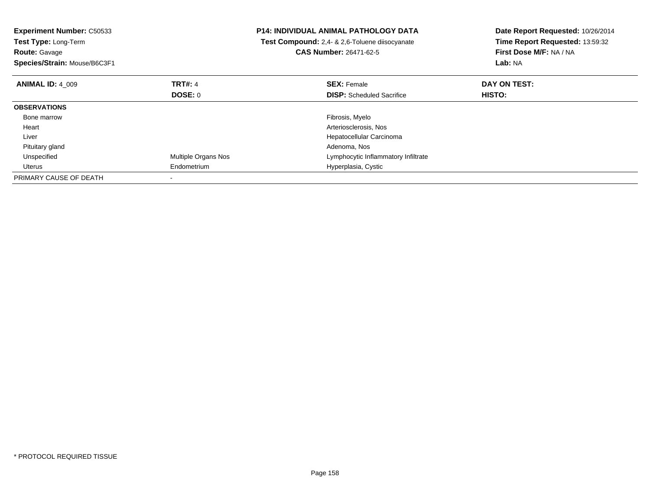| <b>Experiment Number: C50533</b><br>Test Type: Long-Term<br><b>Route: Gavage</b><br>Species/Strain: Mouse/B6C3F1 |                            | <b>P14: INDIVIDUAL ANIMAL PATHOLOGY DATA</b><br>Test Compound: 2,4- & 2,6-Toluene diisocyanate<br><b>CAS Number: 26471-62-5</b> | Date Report Requested: 10/26/2014<br>Time Report Requested: 13:59:32<br>First Dose M/F: NA / NA<br>Lab: NA |
|------------------------------------------------------------------------------------------------------------------|----------------------------|---------------------------------------------------------------------------------------------------------------------------------|------------------------------------------------------------------------------------------------------------|
| <b>ANIMAL ID: 4 009</b>                                                                                          | <b>TRT#: 4</b>             | <b>SEX: Female</b>                                                                                                              | DAY ON TEST:                                                                                               |
|                                                                                                                  | <b>DOSE: 0</b>             | <b>DISP:</b> Scheduled Sacrifice                                                                                                | <b>HISTO:</b>                                                                                              |
| <b>OBSERVATIONS</b>                                                                                              |                            |                                                                                                                                 |                                                                                                            |
| Bone marrow                                                                                                      |                            | Fibrosis, Myelo                                                                                                                 |                                                                                                            |
| Heart                                                                                                            |                            | Arteriosclerosis, Nos                                                                                                           |                                                                                                            |
| Liver                                                                                                            |                            | Hepatocellular Carcinoma                                                                                                        |                                                                                                            |
| Pituitary gland                                                                                                  |                            | Adenoma, Nos                                                                                                                    |                                                                                                            |
| Unspecified                                                                                                      | <b>Multiple Organs Nos</b> | Lymphocytic Inflammatory Infiltrate                                                                                             |                                                                                                            |
| Uterus                                                                                                           | Endometrium                | Hyperplasia, Cystic                                                                                                             |                                                                                                            |
| PRIMARY CAUSE OF DEATH                                                                                           |                            |                                                                                                                                 |                                                                                                            |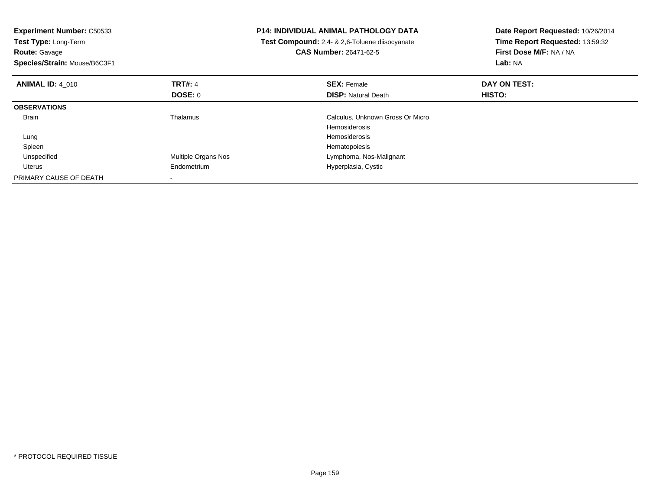| <b>Experiment Number: C50533</b><br>Test Type: Long-Term<br><b>Route: Gavage</b><br>Species/Strain: Mouse/B6C3F1 |                     | <b>P14: INDIVIDUAL ANIMAL PATHOLOGY DATA</b><br>Test Compound: 2,4- & 2,6-Toluene diisocyanate<br><b>CAS Number: 26471-62-5</b> | Date Report Requested: 10/26/2014<br>Time Report Requested: 13:59:32<br>First Dose M/F: NA / NA<br>Lab: NA |
|------------------------------------------------------------------------------------------------------------------|---------------------|---------------------------------------------------------------------------------------------------------------------------------|------------------------------------------------------------------------------------------------------------|
| <b>ANIMAL ID: 4 010</b>                                                                                          | <b>TRT#: 4</b>      | <b>SEX: Female</b>                                                                                                              | DAY ON TEST:                                                                                               |
|                                                                                                                  | <b>DOSE: 0</b>      | <b>DISP: Natural Death</b>                                                                                                      | HISTO:                                                                                                     |
| <b>OBSERVATIONS</b>                                                                                              |                     |                                                                                                                                 |                                                                                                            |
| <b>Brain</b>                                                                                                     | Thalamus            | Calculus, Unknown Gross Or Micro                                                                                                |                                                                                                            |
|                                                                                                                  |                     | <b>Hemosiderosis</b>                                                                                                            |                                                                                                            |
| Lung                                                                                                             |                     | <b>Hemosiderosis</b>                                                                                                            |                                                                                                            |
| Spleen                                                                                                           |                     | Hematopoiesis                                                                                                                   |                                                                                                            |
| Unspecified                                                                                                      | Multiple Organs Nos | Lymphoma, Nos-Malignant                                                                                                         |                                                                                                            |
| Uterus                                                                                                           | Endometrium         | Hyperplasia, Cystic                                                                                                             |                                                                                                            |
| PRIMARY CAUSE OF DEATH                                                                                           |                     |                                                                                                                                 |                                                                                                            |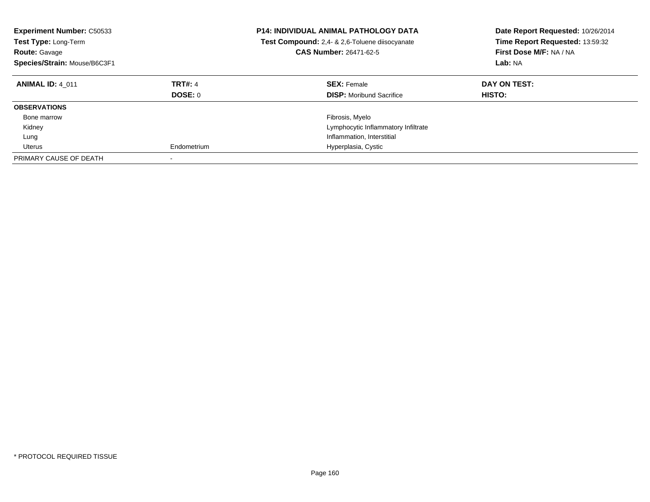| <b>Experiment Number: C50533</b><br><b>Test Type: Long-Term</b><br><b>Route: Gavage</b><br>Species/Strain: Mouse/B6C3F1 |                           | <b>P14: INDIVIDUAL ANIMAL PATHOLOGY DATA</b><br>Test Compound: 2,4- & 2,6-Toluene diisocyanate<br><b>CAS Number: 26471-62-5</b> | Date Report Requested: 10/26/2014<br>Time Report Requested: 13:59:32<br>First Dose M/F: NA / NA<br>Lab: NA |  |
|-------------------------------------------------------------------------------------------------------------------------|---------------------------|---------------------------------------------------------------------------------------------------------------------------------|------------------------------------------------------------------------------------------------------------|--|
| <b>ANIMAL ID: 4 011</b>                                                                                                 | <b>TRT#: 4</b><br>DOSE: 0 | <b>SEX: Female</b><br><b>DISP:</b> Moribund Sacrifice                                                                           | DAY ON TEST:<br><b>HISTO:</b>                                                                              |  |
| <b>OBSERVATIONS</b>                                                                                                     |                           |                                                                                                                                 |                                                                                                            |  |
| Bone marrow                                                                                                             |                           | Fibrosis, Myelo                                                                                                                 |                                                                                                            |  |
| Kidney                                                                                                                  |                           | Lymphocytic Inflammatory Infiltrate                                                                                             |                                                                                                            |  |
| Lung                                                                                                                    |                           | Inflammation, Interstitial                                                                                                      |                                                                                                            |  |
| Uterus                                                                                                                  | Endometrium               | Hyperplasia, Cystic                                                                                                             |                                                                                                            |  |
| PRIMARY CAUSE OF DEATH                                                                                                  |                           |                                                                                                                                 |                                                                                                            |  |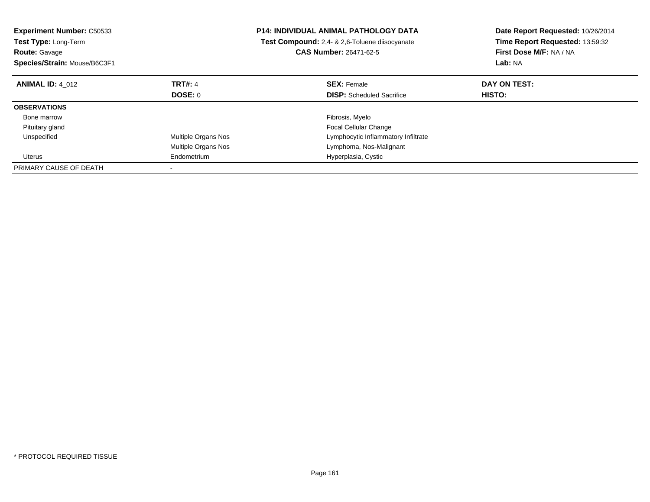| <b>Experiment Number: C50533</b><br><b>Test Type: Long-Term</b><br><b>Route: Gavage</b><br>Species/Strain: Mouse/B6C3F1 |                     | <b>P14: INDIVIDUAL ANIMAL PATHOLOGY DATA</b><br>Test Compound: 2,4- & 2,6-Toluene diisocyanate<br><b>CAS Number: 26471-62-5</b> | Date Report Requested: 10/26/2014<br>Time Report Requested: 13:59:32<br>First Dose M/F: NA / NA<br>Lab: NA |
|-------------------------------------------------------------------------------------------------------------------------|---------------------|---------------------------------------------------------------------------------------------------------------------------------|------------------------------------------------------------------------------------------------------------|
| <b>ANIMAL ID: 4 012</b>                                                                                                 | <b>TRT#: 4</b>      | <b>SEX: Female</b>                                                                                                              | DAY ON TEST:                                                                                               |
|                                                                                                                         | DOSE: 0             | <b>DISP:</b> Scheduled Sacrifice                                                                                                | <b>HISTO:</b>                                                                                              |
| <b>OBSERVATIONS</b>                                                                                                     |                     |                                                                                                                                 |                                                                                                            |
| Bone marrow                                                                                                             |                     | Fibrosis, Myelo                                                                                                                 |                                                                                                            |
| Pituitary gland                                                                                                         |                     | <b>Focal Cellular Change</b>                                                                                                    |                                                                                                            |
| Unspecified                                                                                                             | Multiple Organs Nos | Lymphocytic Inflammatory Infiltrate                                                                                             |                                                                                                            |
|                                                                                                                         | Multiple Organs Nos | Lymphoma, Nos-Malignant                                                                                                         |                                                                                                            |
| Uterus                                                                                                                  | Endometrium         | Hyperplasia, Cystic                                                                                                             |                                                                                                            |
| PRIMARY CAUSE OF DEATH                                                                                                  |                     |                                                                                                                                 |                                                                                                            |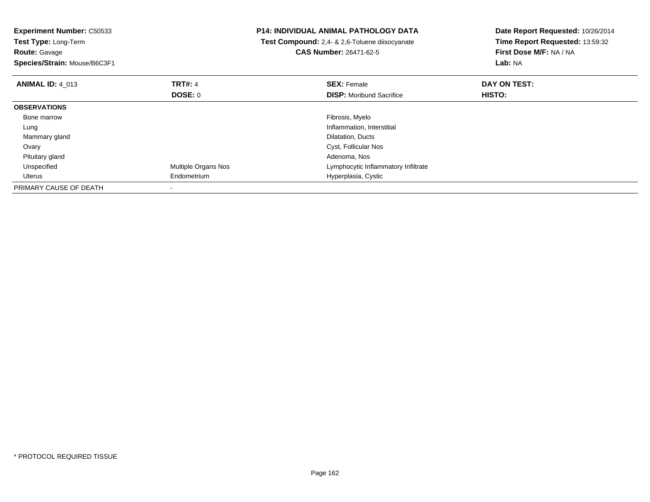| <b>Experiment Number: C50533</b><br><b>Test Type: Long-Term</b><br><b>Route: Gavage</b><br>Species/Strain: Mouse/B6C3F1 |                     | <b>P14: INDIVIDUAL ANIMAL PATHOLOGY DATA</b><br>Test Compound: 2,4- & 2,6-Toluene diisocyanate<br><b>CAS Number: 26471-62-5</b> | Date Report Requested: 10/26/2014<br>Time Report Requested: 13:59:32<br>First Dose M/F: NA / NA<br>Lab: NA |
|-------------------------------------------------------------------------------------------------------------------------|---------------------|---------------------------------------------------------------------------------------------------------------------------------|------------------------------------------------------------------------------------------------------------|
| <b>ANIMAL ID: 4 013</b>                                                                                                 | <b>TRT#: 4</b>      | <b>SEX: Female</b>                                                                                                              | DAY ON TEST:                                                                                               |
|                                                                                                                         | DOSE: 0             | <b>DISP:</b> Moribund Sacrifice                                                                                                 | HISTO:                                                                                                     |
| <b>OBSERVATIONS</b>                                                                                                     |                     |                                                                                                                                 |                                                                                                            |
| Bone marrow                                                                                                             |                     | Fibrosis, Myelo                                                                                                                 |                                                                                                            |
| Lung                                                                                                                    |                     | Inflammation, Interstitial                                                                                                      |                                                                                                            |
| Mammary gland                                                                                                           |                     | Dilatation, Ducts                                                                                                               |                                                                                                            |
| Ovary                                                                                                                   |                     | Cyst, Follicular Nos                                                                                                            |                                                                                                            |
| Pituitary gland                                                                                                         |                     | Adenoma, Nos                                                                                                                    |                                                                                                            |
| Unspecified                                                                                                             | Multiple Organs Nos | Lymphocytic Inflammatory Infiltrate                                                                                             |                                                                                                            |
| Uterus                                                                                                                  | Endometrium         | Hyperplasia, Cystic                                                                                                             |                                                                                                            |
| PRIMARY CAUSE OF DEATH                                                                                                  |                     |                                                                                                                                 |                                                                                                            |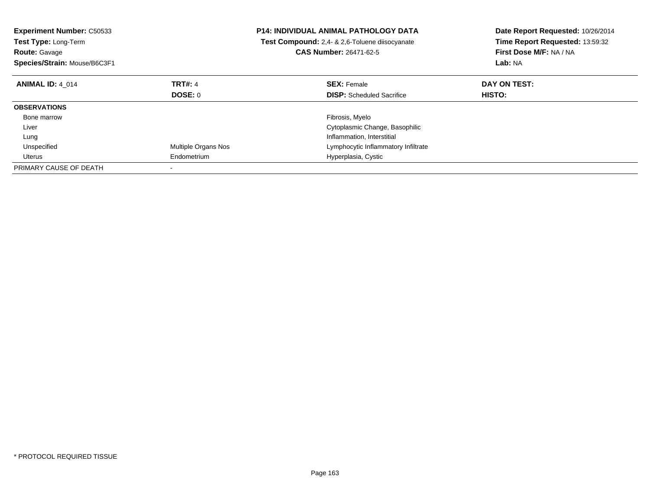| <b>Experiment Number: C50533</b><br><b>Test Type: Long-Term</b><br><b>Route: Gavage</b><br>Species/Strain: Mouse/B6C3F1 |                     | <b>P14: INDIVIDUAL ANIMAL PATHOLOGY DATA</b><br><b>Test Compound:</b> 2.4- & 2.6-Toluene diisocyanate<br><b>CAS Number: 26471-62-5</b> | Date Report Requested: 10/26/2014<br>Time Report Requested: 13:59:32<br>First Dose M/F: NA / NA<br>Lab: NA |
|-------------------------------------------------------------------------------------------------------------------------|---------------------|----------------------------------------------------------------------------------------------------------------------------------------|------------------------------------------------------------------------------------------------------------|
| <b>ANIMAL ID: 4 014</b>                                                                                                 | <b>TRT#: 4</b>      | <b>SEX: Female</b>                                                                                                                     | DAY ON TEST:                                                                                               |
|                                                                                                                         | DOSE: 0             | <b>DISP:</b> Scheduled Sacrifice                                                                                                       | HISTO:                                                                                                     |
| <b>OBSERVATIONS</b>                                                                                                     |                     |                                                                                                                                        |                                                                                                            |
| Bone marrow                                                                                                             |                     | Fibrosis, Myelo                                                                                                                        |                                                                                                            |
| Liver                                                                                                                   |                     | Cytoplasmic Change, Basophilic                                                                                                         |                                                                                                            |
| Lung                                                                                                                    |                     | Inflammation, Interstitial                                                                                                             |                                                                                                            |
| Unspecified                                                                                                             | Multiple Organs Nos | Lymphocytic Inflammatory Infiltrate                                                                                                    |                                                                                                            |
| Uterus                                                                                                                  | Endometrium         | Hyperplasia, Cystic                                                                                                                    |                                                                                                            |
| PRIMARY CAUSE OF DEATH                                                                                                  |                     |                                                                                                                                        |                                                                                                            |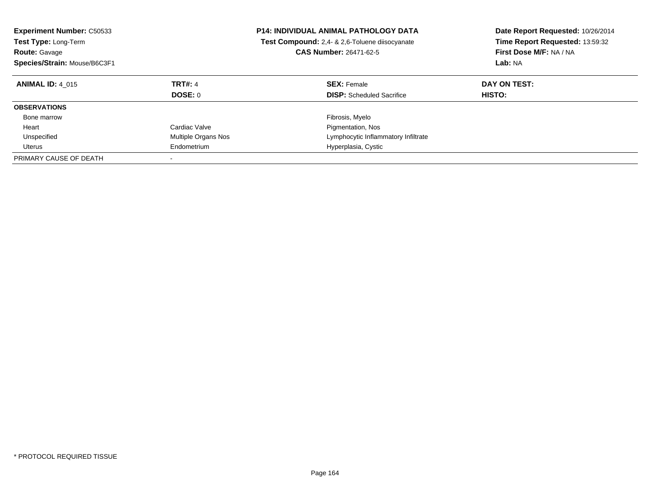| <b>Experiment Number: C50533</b><br><b>Test Type: Long-Term</b><br><b>Route: Gavage</b><br>Species/Strain: Mouse/B6C3F1 |                           | <b>P14: INDIVIDUAL ANIMAL PATHOLOGY DATA</b><br>Test Compound: 2,4- & 2,6-Toluene diisocyanate<br><b>CAS Number: 26471-62-5</b> | Date Report Requested: 10/26/2014<br>Time Report Requested: 13:59:32<br>First Dose M/F: NA / NA<br>Lab: NA |
|-------------------------------------------------------------------------------------------------------------------------|---------------------------|---------------------------------------------------------------------------------------------------------------------------------|------------------------------------------------------------------------------------------------------------|
| <b>ANIMAL ID: 4 015</b>                                                                                                 | <b>TRT#: 4</b><br>DOSE: 0 | <b>SEX: Female</b><br><b>DISP:</b> Scheduled Sacrifice                                                                          | DAY ON TEST:<br>HISTO:                                                                                     |
| <b>OBSERVATIONS</b>                                                                                                     |                           |                                                                                                                                 |                                                                                                            |
| Bone marrow                                                                                                             |                           | Fibrosis, Myelo                                                                                                                 |                                                                                                            |
| Heart                                                                                                                   | Cardiac Valve             | Pigmentation, Nos                                                                                                               |                                                                                                            |
| Unspecified                                                                                                             | Multiple Organs Nos       | Lymphocytic Inflammatory Infiltrate                                                                                             |                                                                                                            |
| Uterus                                                                                                                  | Endometrium               | Hyperplasia, Cystic                                                                                                             |                                                                                                            |
| PRIMARY CAUSE OF DEATH                                                                                                  |                           |                                                                                                                                 |                                                                                                            |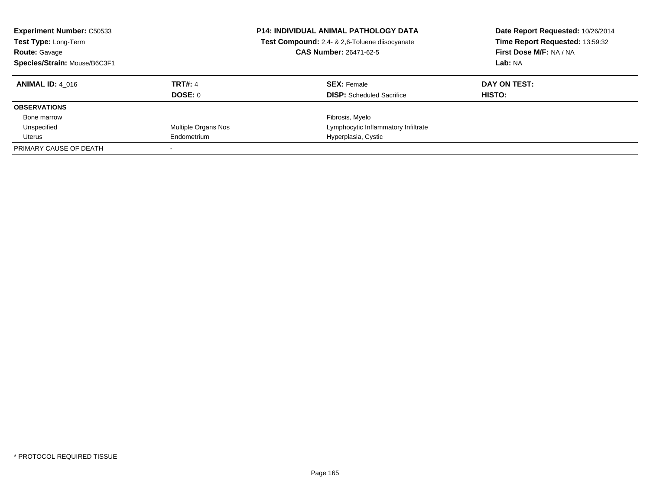| <b>Experiment Number: C50533</b><br>Test Type: Long-Term<br><b>Route: Gavage</b><br>Species/Strain: Mouse/B6C3F1 |                     | <b>P14: INDIVIDUAL ANIMAL PATHOLOGY DATA</b><br>Test Compound: 2,4- & 2,6-Toluene diisocyanate<br><b>CAS Number: 26471-62-5</b> | Date Report Requested: 10/26/2014<br>Time Report Requested: 13:59:32<br>First Dose M/F: NA / NA<br>Lab: NA |  |
|------------------------------------------------------------------------------------------------------------------|---------------------|---------------------------------------------------------------------------------------------------------------------------------|------------------------------------------------------------------------------------------------------------|--|
| <b>ANIMAL ID: 4 016</b>                                                                                          | <b>TRT#: 4</b>      | <b>SEX: Female</b>                                                                                                              | DAY ON TEST:                                                                                               |  |
|                                                                                                                  | DOSE: 0             | <b>DISP:</b> Scheduled Sacrifice                                                                                                | HISTO:                                                                                                     |  |
| <b>OBSERVATIONS</b>                                                                                              |                     |                                                                                                                                 |                                                                                                            |  |
| Bone marrow                                                                                                      |                     | Fibrosis, Myelo                                                                                                                 |                                                                                                            |  |
| Unspecified                                                                                                      | Multiple Organs Nos | Lymphocytic Inflammatory Infiltrate                                                                                             |                                                                                                            |  |
| Uterus                                                                                                           | Endometrium         | Hyperplasia, Cystic                                                                                                             |                                                                                                            |  |
| PRIMARY CAUSE OF DEATH                                                                                           |                     |                                                                                                                                 |                                                                                                            |  |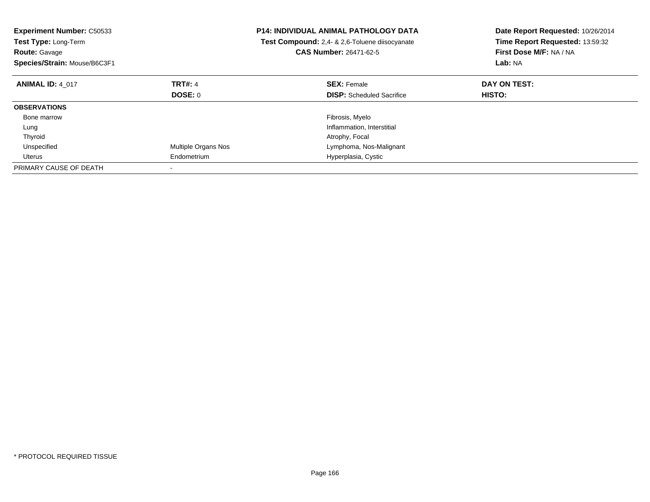| <b>Experiment Number: C50533</b><br>Test Type: Long-Term<br><b>Route: Gavage</b><br>Species/Strain: Mouse/B6C3F1 |                     | <b>P14: INDIVIDUAL ANIMAL PATHOLOGY DATA</b><br>Test Compound: 2,4- & 2,6-Toluene diisocyanate<br><b>CAS Number: 26471-62-5</b> | Date Report Requested: 10/26/2014<br>Time Report Requested: 13:59:32<br>First Dose M/F: NA / NA<br>Lab: NA |
|------------------------------------------------------------------------------------------------------------------|---------------------|---------------------------------------------------------------------------------------------------------------------------------|------------------------------------------------------------------------------------------------------------|
| <b>ANIMAL ID: 4 017</b>                                                                                          | <b>TRT#: 4</b>      | <b>SEX: Female</b>                                                                                                              | DAY ON TEST:                                                                                               |
|                                                                                                                  | <b>DOSE: 0</b>      | <b>DISP:</b> Scheduled Sacrifice                                                                                                | HISTO:                                                                                                     |
| <b>OBSERVATIONS</b>                                                                                              |                     |                                                                                                                                 |                                                                                                            |
| Bone marrow                                                                                                      |                     | Fibrosis, Myelo                                                                                                                 |                                                                                                            |
| Lung                                                                                                             |                     | Inflammation, Interstitial                                                                                                      |                                                                                                            |
| Thyroid                                                                                                          |                     | Atrophy, Focal                                                                                                                  |                                                                                                            |
| Unspecified                                                                                                      | Multiple Organs Nos | Lymphoma, Nos-Malignant                                                                                                         |                                                                                                            |
| Uterus                                                                                                           | Endometrium         | Hyperplasia, Cystic                                                                                                             |                                                                                                            |
| PRIMARY CAUSE OF DEATH                                                                                           |                     |                                                                                                                                 |                                                                                                            |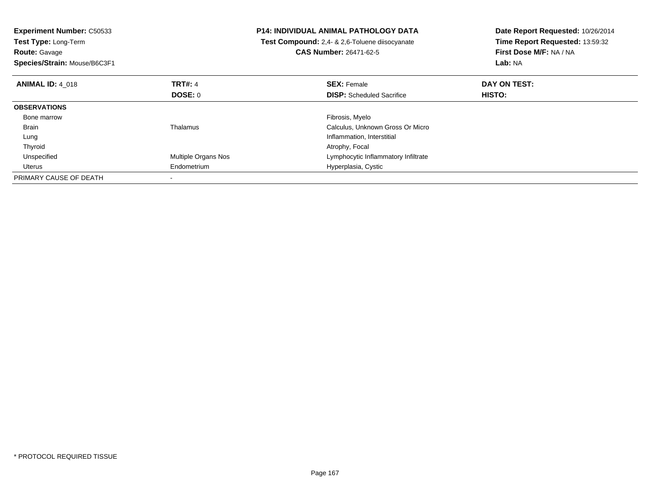| <b>Experiment Number: C50533</b><br>Test Type: Long-Term<br><b>Route: Gavage</b><br>Species/Strain: Mouse/B6C3F1 |                     | <b>P14: INDIVIDUAL ANIMAL PATHOLOGY DATA</b><br>Test Compound: 2,4- & 2,6-Toluene diisocyanate<br><b>CAS Number: 26471-62-5</b> | Date Report Requested: 10/26/2014<br>Time Report Requested: 13:59:32<br>First Dose M/F: NA / NA<br>Lab: NA |
|------------------------------------------------------------------------------------------------------------------|---------------------|---------------------------------------------------------------------------------------------------------------------------------|------------------------------------------------------------------------------------------------------------|
| <b>ANIMAL ID: 4 018</b>                                                                                          | <b>TRT#: 4</b>      | <b>SEX: Female</b>                                                                                                              | DAY ON TEST:                                                                                               |
|                                                                                                                  | <b>DOSE: 0</b>      | <b>DISP:</b> Scheduled Sacrifice                                                                                                | HISTO:                                                                                                     |
| <b>OBSERVATIONS</b>                                                                                              |                     |                                                                                                                                 |                                                                                                            |
| Bone marrow                                                                                                      |                     | Fibrosis, Myelo                                                                                                                 |                                                                                                            |
| <b>Brain</b>                                                                                                     | Thalamus            | Calculus, Unknown Gross Or Micro                                                                                                |                                                                                                            |
| Lung                                                                                                             |                     | Inflammation, Interstitial                                                                                                      |                                                                                                            |
| Thyroid                                                                                                          |                     | Atrophy, Focal                                                                                                                  |                                                                                                            |
| Unspecified                                                                                                      | Multiple Organs Nos | Lymphocytic Inflammatory Infiltrate                                                                                             |                                                                                                            |
| Uterus                                                                                                           | Endometrium         | Hyperplasia, Cystic                                                                                                             |                                                                                                            |
| PRIMARY CAUSE OF DEATH                                                                                           |                     |                                                                                                                                 |                                                                                                            |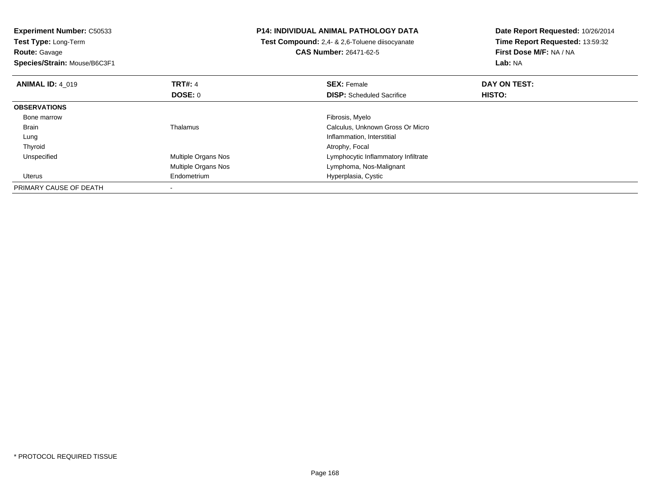| <b>Experiment Number: C50533</b><br>Test Type: Long-Term |                     | <b>P14: INDIVIDUAL ANIMAL PATHOLOGY DATA</b>   | Date Report Requested: 10/26/2014<br>Time Report Requested: 13:59:32 |
|----------------------------------------------------------|---------------------|------------------------------------------------|----------------------------------------------------------------------|
|                                                          |                     | Test Compound: 2,4- & 2,6-Toluene diisocyanate |                                                                      |
| <b>Route: Gavage</b>                                     |                     | <b>CAS Number: 26471-62-5</b>                  | First Dose M/F: NA / NA                                              |
| Species/Strain: Mouse/B6C3F1                             |                     |                                                | Lab: NA                                                              |
| <b>ANIMAL ID: 4 019</b>                                  | <b>TRT#: 4</b>      | <b>SEX: Female</b>                             | DAY ON TEST:                                                         |
|                                                          | <b>DOSE: 0</b>      | <b>DISP:</b> Scheduled Sacrifice               | HISTO:                                                               |
| <b>OBSERVATIONS</b>                                      |                     |                                                |                                                                      |
| Bone marrow                                              |                     | Fibrosis, Myelo                                |                                                                      |
| Brain                                                    | Thalamus            | Calculus, Unknown Gross Or Micro               |                                                                      |
| Lung                                                     |                     | Inflammation, Interstitial                     |                                                                      |
| Thyroid                                                  |                     | Atrophy, Focal                                 |                                                                      |
| Unspecified                                              | Multiple Organs Nos | Lymphocytic Inflammatory Infiltrate            |                                                                      |
|                                                          | Multiple Organs Nos | Lymphoma, Nos-Malignant                        |                                                                      |
| Uterus                                                   | Endometrium         | Hyperplasia, Cystic                            |                                                                      |
| PRIMARY CAUSE OF DEATH                                   |                     |                                                |                                                                      |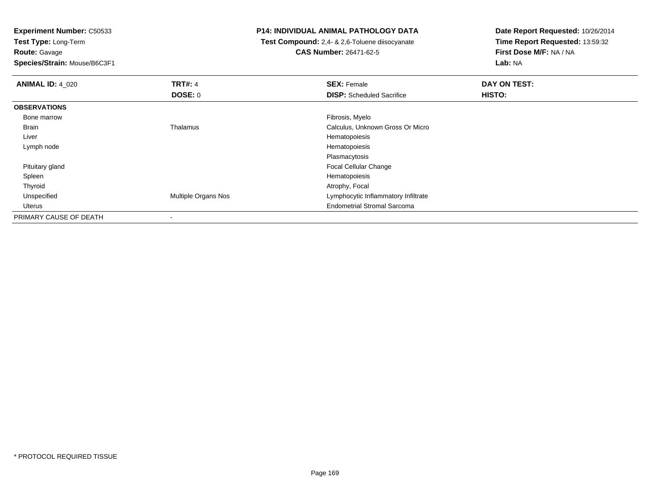**Experiment Number:** C50533**Test Type:** Long-Term

**Route:** Gavage

**Species/Strain:** Mouse/B6C3F1

## **P14: INDIVIDUAL ANIMAL PATHOLOGY DATA**

 **Test Compound:** 2,4- & 2,6-Toluene diisocyanate**CAS Number:** 26471-62-5

**Date Report Requested:** 10/26/2014 **Time Report Requested:** 13:59:32**First Dose M/F:** NA / NA**Lab:** NA

| <b>ANIMAL ID: 4_020</b> | <b>TRT#: 4</b>      | <b>SEX: Female</b>                  | DAY ON TEST: |  |
|-------------------------|---------------------|-------------------------------------|--------------|--|
|                         | DOSE: 0             | <b>DISP:</b> Scheduled Sacrifice    | HISTO:       |  |
| <b>OBSERVATIONS</b>     |                     |                                     |              |  |
| Bone marrow             |                     | Fibrosis, Myelo                     |              |  |
| Brain                   | Thalamus            | Calculus, Unknown Gross Or Micro    |              |  |
| Liver                   |                     | Hematopoiesis                       |              |  |
| Lymph node              |                     | Hematopoiesis                       |              |  |
|                         |                     | Plasmacytosis                       |              |  |
| Pituitary gland         |                     | <b>Focal Cellular Change</b>        |              |  |
| Spleen                  |                     | Hematopoiesis                       |              |  |
| Thyroid                 |                     | Atrophy, Focal                      |              |  |
| Unspecified             | Multiple Organs Nos | Lymphocytic Inflammatory Infiltrate |              |  |
| Uterus                  |                     | <b>Endometrial Stromal Sarcoma</b>  |              |  |
| PRIMARY CAUSE OF DEATH  |                     |                                     |              |  |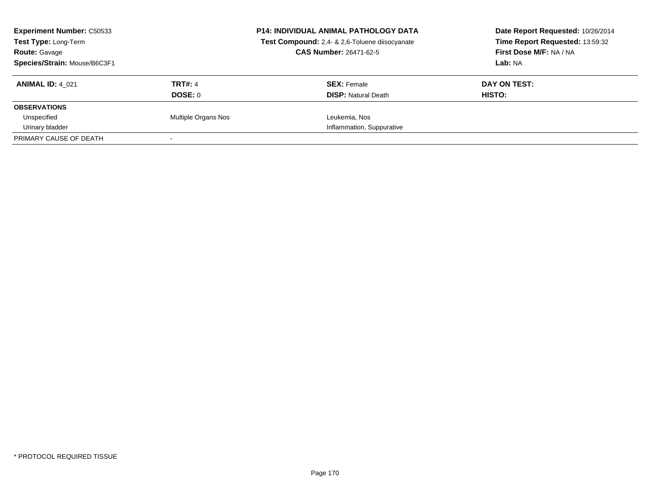| <b>Experiment Number: C50533</b><br>Test Type: Long-Term<br><b>Route: Gavage</b> |                     | <b>P14: INDIVIDUAL ANIMAL PATHOLOGY DATA</b><br>Test Compound: 2,4- & 2,6-Toluene diisocyanate<br><b>CAS Number: 26471-62-5</b> | Date Report Requested: 10/26/2014<br>Time Report Requested: 13:59:32<br>First Dose M/F: NA / NA |
|----------------------------------------------------------------------------------|---------------------|---------------------------------------------------------------------------------------------------------------------------------|-------------------------------------------------------------------------------------------------|
| Species/Strain: Mouse/B6C3F1                                                     |                     |                                                                                                                                 | Lab: NA                                                                                         |
| <b>ANIMAL ID: 4 021</b>                                                          | <b>TRT#: 4</b>      | <b>SEX: Female</b>                                                                                                              | DAY ON TEST:                                                                                    |
|                                                                                  | DOSE: 0             | <b>DISP:</b> Natural Death                                                                                                      | HISTO:                                                                                          |
| <b>OBSERVATIONS</b>                                                              |                     |                                                                                                                                 |                                                                                                 |
| Unspecified                                                                      | Multiple Organs Nos | Leukemia, Nos                                                                                                                   |                                                                                                 |
| Urinary bladder                                                                  |                     | Inflammation, Suppurative                                                                                                       |                                                                                                 |
| PRIMARY CAUSE OF DEATH                                                           |                     |                                                                                                                                 |                                                                                                 |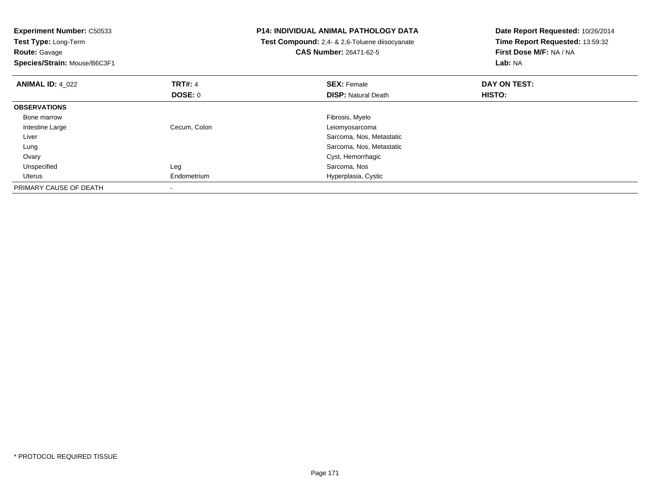| <b>Experiment Number: C50533</b><br>Test Type: Long-Term<br><b>Route: Gavage</b><br>Species/Strain: Mouse/B6C3F1 |                | <b>P14: INDIVIDUAL ANIMAL PATHOLOGY DATA</b><br>Test Compound: 2,4- & 2,6-Toluene diisocyanate<br><b>CAS Number: 26471-62-5</b> | Date Report Requested: 10/26/2014<br>Time Report Requested: 13:59:32<br>First Dose M/F: NA / NA<br>Lab: NA |
|------------------------------------------------------------------------------------------------------------------|----------------|---------------------------------------------------------------------------------------------------------------------------------|------------------------------------------------------------------------------------------------------------|
| <b>ANIMAL ID: 4_022</b>                                                                                          | <b>TRT#: 4</b> | <b>SEX: Female</b>                                                                                                              | DAY ON TEST:                                                                                               |
|                                                                                                                  | <b>DOSE: 0</b> | <b>DISP:</b> Natural Death                                                                                                      | HISTO:                                                                                                     |
| <b>OBSERVATIONS</b>                                                                                              |                |                                                                                                                                 |                                                                                                            |
| Bone marrow                                                                                                      |                | Fibrosis, Myelo                                                                                                                 |                                                                                                            |
| Intestine Large                                                                                                  | Cecum, Colon   | Leiomyosarcoma                                                                                                                  |                                                                                                            |
| Liver                                                                                                            |                | Sarcoma, Nos, Metastatic                                                                                                        |                                                                                                            |
| Lung                                                                                                             |                | Sarcoma, Nos, Metastatic                                                                                                        |                                                                                                            |
| Ovary                                                                                                            |                | Cyst, Hemorrhagic                                                                                                               |                                                                                                            |
| Unspecified                                                                                                      | Leg            | Sarcoma, Nos                                                                                                                    |                                                                                                            |
| Uterus                                                                                                           | Endometrium    | Hyperplasia, Cystic                                                                                                             |                                                                                                            |
| PRIMARY CAUSE OF DEATH                                                                                           |                |                                                                                                                                 |                                                                                                            |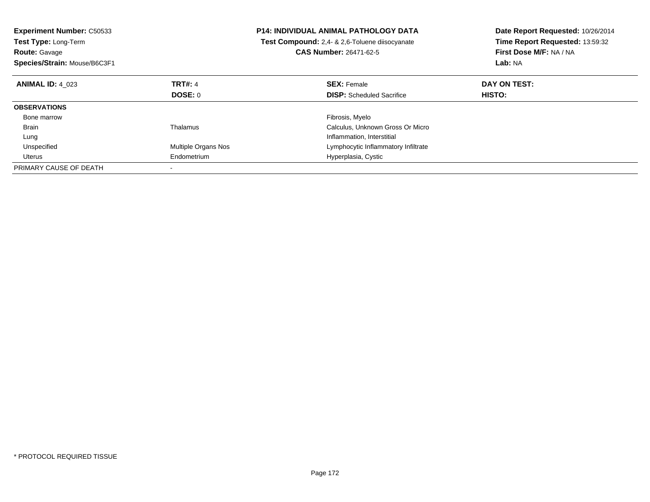| <b>Experiment Number: C50533</b><br><b>Test Type: Long-Term</b><br><b>Route: Gavage</b><br>Species/Strain: Mouse/B6C3F1 |                     | <b>P14: INDIVIDUAL ANIMAL PATHOLOGY DATA</b><br>Test Compound: 2,4- & 2,6-Toluene diisocyanate<br><b>CAS Number: 26471-62-5</b> | Date Report Requested: 10/26/2014<br>Time Report Requested: 13:59:32<br>First Dose M/F: NA / NA<br>Lab: NA |
|-------------------------------------------------------------------------------------------------------------------------|---------------------|---------------------------------------------------------------------------------------------------------------------------------|------------------------------------------------------------------------------------------------------------|
| <b>ANIMAL ID: 4 023</b>                                                                                                 | <b>TRT#: 4</b>      | <b>SEX: Female</b>                                                                                                              | DAY ON TEST:                                                                                               |
|                                                                                                                         | <b>DOSE: 0</b>      | <b>DISP:</b> Scheduled Sacrifice                                                                                                | <b>HISTO:</b>                                                                                              |
| <b>OBSERVATIONS</b>                                                                                                     |                     |                                                                                                                                 |                                                                                                            |
| Bone marrow                                                                                                             |                     | Fibrosis, Myelo                                                                                                                 |                                                                                                            |
| <b>Brain</b>                                                                                                            | Thalamus            | Calculus, Unknown Gross Or Micro                                                                                                |                                                                                                            |
| Lung                                                                                                                    |                     | Inflammation, Interstitial                                                                                                      |                                                                                                            |
| Unspecified                                                                                                             | Multiple Organs Nos | Lymphocytic Inflammatory Infiltrate                                                                                             |                                                                                                            |
| Uterus                                                                                                                  | Endometrium         | Hyperplasia, Cystic                                                                                                             |                                                                                                            |
| PRIMARY CAUSE OF DEATH                                                                                                  |                     |                                                                                                                                 |                                                                                                            |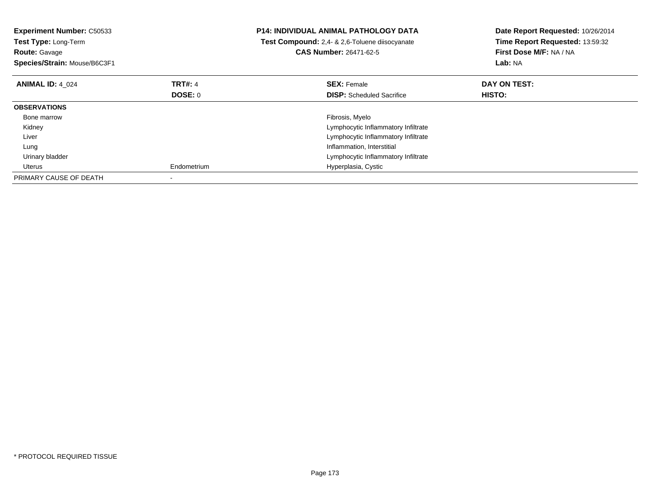| <b>Experiment Number: C50533</b><br><b>Test Type: Long-Term</b><br><b>Route: Gavage</b><br>Species/Strain: Mouse/B6C3F1 |                | <b>P14: INDIVIDUAL ANIMAL PATHOLOGY DATA</b><br>Test Compound: 2,4- & 2,6-Toluene diisocyanate<br><b>CAS Number: 26471-62-5</b> | Date Report Requested: 10/26/2014<br>Time Report Requested: 13:59:32<br>First Dose M/F: NA / NA<br>Lab: NA |
|-------------------------------------------------------------------------------------------------------------------------|----------------|---------------------------------------------------------------------------------------------------------------------------------|------------------------------------------------------------------------------------------------------------|
| <b>ANIMAL ID: 4 024</b>                                                                                                 | <b>TRT#: 4</b> | <b>SEX: Female</b>                                                                                                              | DAY ON TEST:                                                                                               |
|                                                                                                                         | DOSE: 0        | <b>DISP:</b> Scheduled Sacrifice                                                                                                | <b>HISTO:</b>                                                                                              |
| <b>OBSERVATIONS</b>                                                                                                     |                |                                                                                                                                 |                                                                                                            |
| Bone marrow                                                                                                             |                | Fibrosis, Myelo                                                                                                                 |                                                                                                            |
| Kidney                                                                                                                  |                | Lymphocytic Inflammatory Infiltrate                                                                                             |                                                                                                            |
| Liver                                                                                                                   |                | Lymphocytic Inflammatory Infiltrate                                                                                             |                                                                                                            |
| Lung                                                                                                                    |                | Inflammation, Interstitial                                                                                                      |                                                                                                            |
| Urinary bladder                                                                                                         |                | Lymphocytic Inflammatory Infiltrate                                                                                             |                                                                                                            |
| Uterus                                                                                                                  | Endometrium    | Hyperplasia, Cystic                                                                                                             |                                                                                                            |
| PRIMARY CAUSE OF DEATH                                                                                                  |                |                                                                                                                                 |                                                                                                            |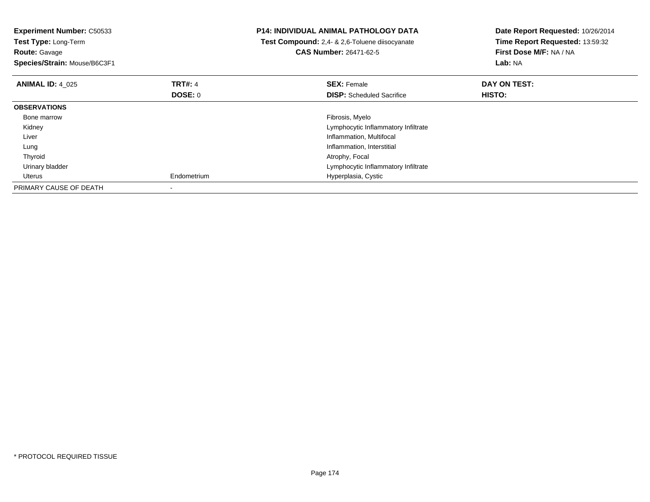| <b>Experiment Number: C50533</b><br>Test Type: Long-Term<br><b>Route:</b> Gavage<br>Species/Strain: Mouse/B6C3F1 |                | <b>P14: INDIVIDUAL ANIMAL PATHOLOGY DATA</b><br>Test Compound: 2,4- & 2,6-Toluene diisocyanate<br><b>CAS Number: 26471-62-5</b> | Date Report Requested: 10/26/2014<br>Time Report Requested: 13:59:32<br>First Dose M/F: NA / NA<br><b>Lab: NA</b> |
|------------------------------------------------------------------------------------------------------------------|----------------|---------------------------------------------------------------------------------------------------------------------------------|-------------------------------------------------------------------------------------------------------------------|
| <b>ANIMAL ID: 4 025</b>                                                                                          | <b>TRT#: 4</b> | <b>SEX: Female</b>                                                                                                              | DAY ON TEST:                                                                                                      |
|                                                                                                                  | DOSE: 0        | <b>DISP:</b> Scheduled Sacrifice                                                                                                | HISTO:                                                                                                            |
| <b>OBSERVATIONS</b>                                                                                              |                |                                                                                                                                 |                                                                                                                   |
| Bone marrow                                                                                                      |                | Fibrosis, Myelo                                                                                                                 |                                                                                                                   |
| Kidney                                                                                                           |                | Lymphocytic Inflammatory Infiltrate                                                                                             |                                                                                                                   |
| Liver                                                                                                            |                | Inflammation, Multifocal                                                                                                        |                                                                                                                   |
| Lung                                                                                                             |                | Inflammation, Interstitial                                                                                                      |                                                                                                                   |
| Thyroid                                                                                                          |                | Atrophy, Focal                                                                                                                  |                                                                                                                   |
| Urinary bladder                                                                                                  |                | Lymphocytic Inflammatory Infiltrate                                                                                             |                                                                                                                   |
| Uterus                                                                                                           | Endometrium    | Hyperplasia, Cystic                                                                                                             |                                                                                                                   |
| PRIMARY CAUSE OF DEATH                                                                                           |                |                                                                                                                                 |                                                                                                                   |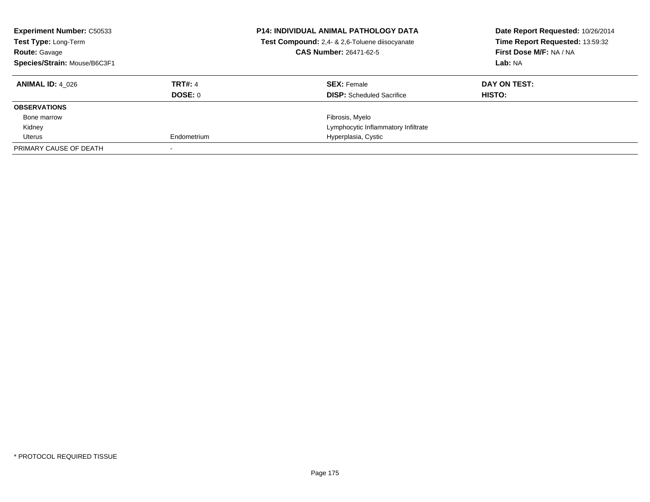| <b>Experiment Number: C50533</b><br>Test Type: Long-Term<br><b>Route: Gavage</b><br>Species/Strain: Mouse/B6C3F1 |                | <b>P14: INDIVIDUAL ANIMAL PATHOLOGY DATA</b><br>Test Compound: 2,4- & 2,6-Toluene diisocyanate<br><b>CAS Number: 26471-62-5</b> | Date Report Requested: 10/26/2014<br>Time Report Requested: 13:59:32<br>First Dose M/F: NA / NA<br>Lab: NA |
|------------------------------------------------------------------------------------------------------------------|----------------|---------------------------------------------------------------------------------------------------------------------------------|------------------------------------------------------------------------------------------------------------|
| <b>ANIMAL ID: 4 026</b>                                                                                          | <b>TRT#: 4</b> | <b>SEX: Female</b>                                                                                                              | DAY ON TEST:                                                                                               |
|                                                                                                                  | <b>DOSE: 0</b> | <b>DISP:</b> Scheduled Sacrifice                                                                                                | HISTO:                                                                                                     |
| <b>OBSERVATIONS</b>                                                                                              |                |                                                                                                                                 |                                                                                                            |
| Bone marrow                                                                                                      |                | Fibrosis, Myelo                                                                                                                 |                                                                                                            |
| Kidney                                                                                                           |                | Lymphocytic Inflammatory Infiltrate                                                                                             |                                                                                                            |
| Uterus                                                                                                           | Endometrium    | Hyperplasia, Cystic                                                                                                             |                                                                                                            |
| PRIMARY CAUSE OF DEATH                                                                                           |                |                                                                                                                                 |                                                                                                            |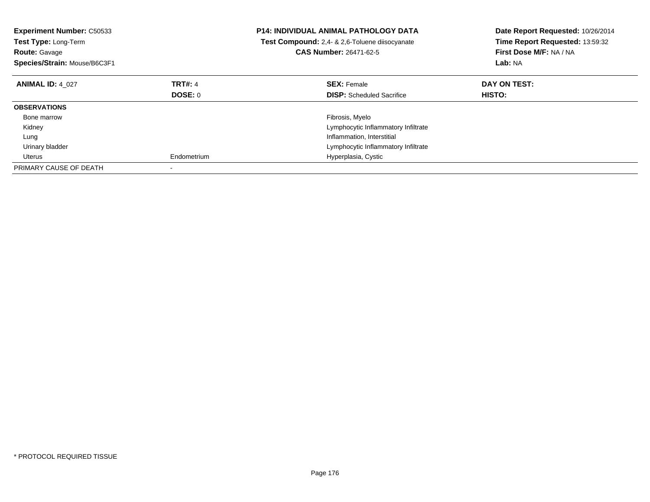| <b>Experiment Number: C50533</b><br>Test Type: Long-Term<br><b>Route: Gavage</b><br>Species/Strain: Mouse/B6C3F1 |                | <b>P14: INDIVIDUAL ANIMAL PATHOLOGY DATA</b><br><b>Test Compound:</b> 2.4- & 2.6-Toluene diisocyanate<br><b>CAS Number: 26471-62-5</b> | Date Report Requested: 10/26/2014<br>Time Report Requested: 13:59:32<br>First Dose M/F: NA / NA<br>Lab: NA |
|------------------------------------------------------------------------------------------------------------------|----------------|----------------------------------------------------------------------------------------------------------------------------------------|------------------------------------------------------------------------------------------------------------|
| <b>ANIMAL ID: 4 027</b>                                                                                          | <b>TRT#: 4</b> | <b>SEX: Female</b>                                                                                                                     | DAY ON TEST:                                                                                               |
|                                                                                                                  | <b>DOSE: 0</b> | <b>DISP:</b> Scheduled Sacrifice                                                                                                       | <b>HISTO:</b>                                                                                              |
| <b>OBSERVATIONS</b>                                                                                              |                |                                                                                                                                        |                                                                                                            |
| Bone marrow                                                                                                      |                | Fibrosis, Myelo                                                                                                                        |                                                                                                            |
| Kidney                                                                                                           |                | Lymphocytic Inflammatory Infiltrate                                                                                                    |                                                                                                            |
| Lung                                                                                                             |                | Inflammation, Interstitial                                                                                                             |                                                                                                            |
| Urinary bladder                                                                                                  |                | Lymphocytic Inflammatory Infiltrate                                                                                                    |                                                                                                            |
| Uterus                                                                                                           | Endometrium    | Hyperplasia, Cystic                                                                                                                    |                                                                                                            |
| PRIMARY CAUSE OF DEATH                                                                                           |                |                                                                                                                                        |                                                                                                            |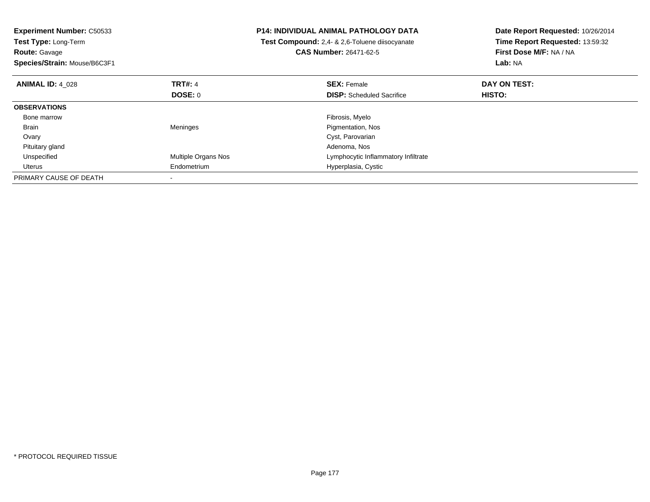| <b>Experiment Number: C50533</b><br>Test Type: Long-Term<br><b>Route: Gavage</b><br>Species/Strain: Mouse/B6C3F1 |                     | <b>P14: INDIVIDUAL ANIMAL PATHOLOGY DATA</b><br>Test Compound: 2,4- & 2,6-Toluene diisocyanate<br><b>CAS Number: 26471-62-5</b> | Date Report Requested: 10/26/2014<br>Time Report Requested: 13:59:32<br>First Dose M/F: NA / NA<br>Lab: NA |
|------------------------------------------------------------------------------------------------------------------|---------------------|---------------------------------------------------------------------------------------------------------------------------------|------------------------------------------------------------------------------------------------------------|
| <b>ANIMAL ID: 4 028</b>                                                                                          | <b>TRT#: 4</b>      | <b>SEX: Female</b>                                                                                                              | DAY ON TEST:                                                                                               |
|                                                                                                                  | DOSE: 0             | <b>DISP:</b> Scheduled Sacrifice                                                                                                | <b>HISTO:</b>                                                                                              |
| <b>OBSERVATIONS</b>                                                                                              |                     |                                                                                                                                 |                                                                                                            |
| Bone marrow                                                                                                      |                     | Fibrosis, Myelo                                                                                                                 |                                                                                                            |
| Brain                                                                                                            | Meninges            | Pigmentation, Nos                                                                                                               |                                                                                                            |
| Ovary                                                                                                            |                     | Cyst, Parovarian                                                                                                                |                                                                                                            |
| Pituitary gland                                                                                                  |                     | Adenoma, Nos                                                                                                                    |                                                                                                            |
| Unspecified                                                                                                      | Multiple Organs Nos | Lymphocytic Inflammatory Infiltrate                                                                                             |                                                                                                            |
| Uterus                                                                                                           | Endometrium         | Hyperplasia, Cystic                                                                                                             |                                                                                                            |
| PRIMARY CAUSE OF DEATH                                                                                           |                     |                                                                                                                                 |                                                                                                            |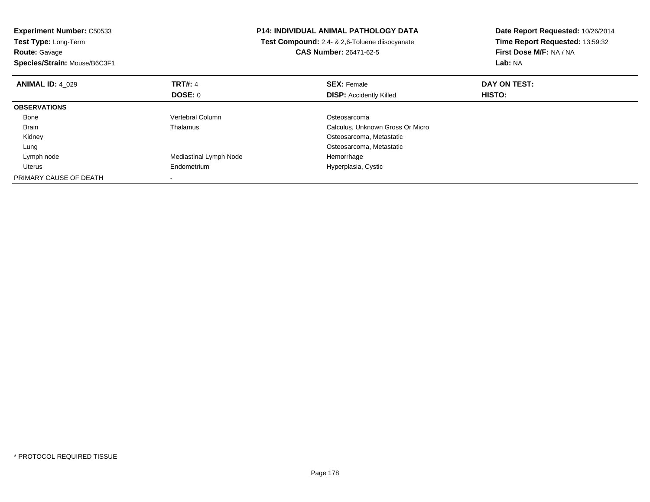| <b>Experiment Number: C50533</b> |                                                       | <b>P14: INDIVIDUAL ANIMAL PATHOLOGY DATA</b> | Date Report Requested: 10/26/2014 |
|----------------------------------|-------------------------------------------------------|----------------------------------------------|-----------------------------------|
| Test Type: Long-Term             | <b>Test Compound:</b> 2,4- & 2,6-Toluene diisocyanate |                                              | Time Report Requested: 13:59:32   |
| <b>Route: Gavage</b>             |                                                       | <b>CAS Number: 26471-62-5</b>                | First Dose M/F: NA / NA           |
| Species/Strain: Mouse/B6C3F1     |                                                       |                                              | Lab: NA                           |
| <b>ANIMAL ID: 4 029</b>          | TRT#: 4                                               | <b>SEX: Female</b>                           | DAY ON TEST:                      |
|                                  | <b>DOSE: 0</b>                                        | <b>DISP: Accidently Killed</b>               | HISTO:                            |
| <b>OBSERVATIONS</b>              |                                                       |                                              |                                   |
| Bone                             | Vertebral Column                                      | Osteosarcoma                                 |                                   |
| Brain                            | Thalamus                                              | Calculus, Unknown Gross Or Micro             |                                   |
| Kidney                           |                                                       | Osteosarcoma, Metastatic                     |                                   |
| Lung                             |                                                       | Osteosarcoma, Metastatic                     |                                   |
| Lymph node                       | Mediastinal Lymph Node                                | Hemorrhage                                   |                                   |
| Uterus                           | Endometrium                                           | Hyperplasia, Cystic                          |                                   |
| PRIMARY CAUSE OF DEATH           |                                                       |                                              |                                   |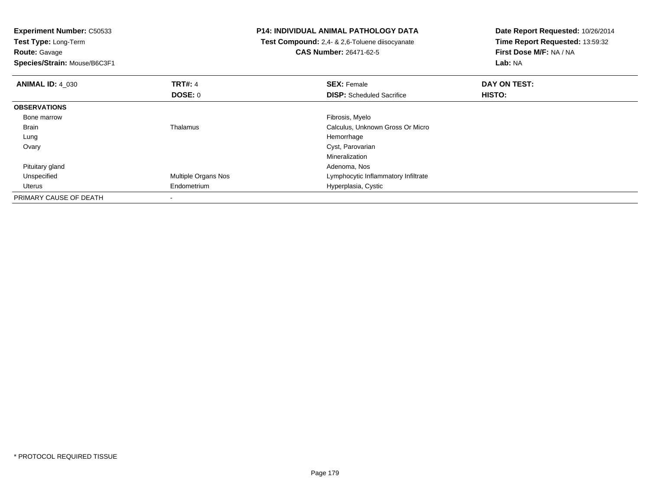| <b>Experiment Number: C50533</b> |                     | <b>P14: INDIVIDUAL ANIMAL PATHOLOGY DATA</b>   | Date Report Requested: 10/26/2014 |
|----------------------------------|---------------------|------------------------------------------------|-----------------------------------|
| Test Type: Long-Term             |                     | Test Compound: 2,4- & 2,6-Toluene diisocyanate | Time Report Requested: 13:59:32   |
| <b>Route: Gavage</b>             |                     | <b>CAS Number: 26471-62-5</b>                  | First Dose M/F: NA / NA           |
| Species/Strain: Mouse/B6C3F1     |                     |                                                | Lab: NA                           |
| <b>ANIMAL ID: 4 030</b>          | <b>TRT#: 4</b>      | <b>SEX: Female</b>                             | DAY ON TEST:                      |
|                                  | <b>DOSE: 0</b>      | <b>DISP:</b> Scheduled Sacrifice               | HISTO:                            |
| <b>OBSERVATIONS</b>              |                     |                                                |                                   |
| Bone marrow                      |                     | Fibrosis, Myelo                                |                                   |
| Brain                            | Thalamus            | Calculus, Unknown Gross Or Micro               |                                   |
| Lung                             |                     | Hemorrhage                                     |                                   |
| Ovary                            |                     | Cyst, Parovarian                               |                                   |
|                                  |                     | Mineralization                                 |                                   |
| Pituitary gland                  |                     | Adenoma, Nos                                   |                                   |
| Unspecified                      | Multiple Organs Nos | Lymphocytic Inflammatory Infiltrate            |                                   |
| Uterus                           | Endometrium         | Hyperplasia, Cystic                            |                                   |
| PRIMARY CAUSE OF DEATH           |                     |                                                |                                   |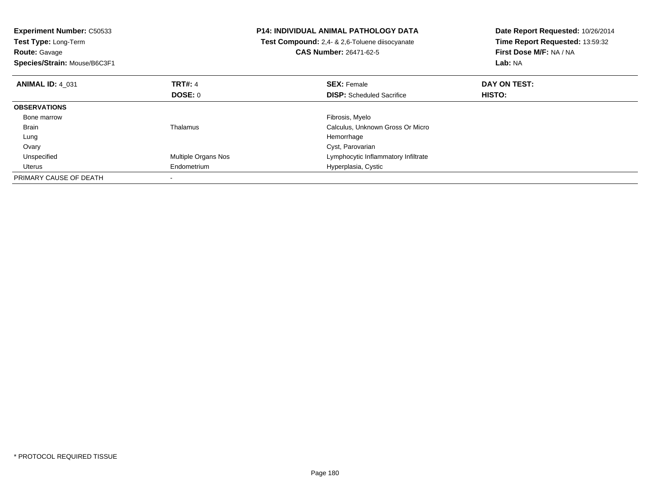| <b>Experiment Number: C50533</b><br>Test Type: Long-Term<br><b>Route: Gavage</b><br>Species/Strain: Mouse/B6C3F1 |                     | P14: INDIVIDUAL ANIMAL PATHOLOGY DATA<br>Test Compound: 2,4- & 2,6-Toluene diisocyanate<br><b>CAS Number: 26471-62-5</b> | Date Report Requested: 10/26/2014<br>Time Report Requested: 13:59:32<br>First Dose M/F: NA / NA<br>Lab: NA |
|------------------------------------------------------------------------------------------------------------------|---------------------|--------------------------------------------------------------------------------------------------------------------------|------------------------------------------------------------------------------------------------------------|
| <b>ANIMAL ID: 4 031</b>                                                                                          | <b>TRT#: 4</b>      | <b>SEX: Female</b>                                                                                                       | DAY ON TEST:                                                                                               |
|                                                                                                                  | <b>DOSE: 0</b>      | <b>DISP:</b> Scheduled Sacrifice                                                                                         | HISTO:                                                                                                     |
| <b>OBSERVATIONS</b>                                                                                              |                     |                                                                                                                          |                                                                                                            |
| Bone marrow                                                                                                      |                     | Fibrosis, Myelo                                                                                                          |                                                                                                            |
| <b>Brain</b>                                                                                                     | Thalamus            | Calculus, Unknown Gross Or Micro                                                                                         |                                                                                                            |
| Lung                                                                                                             |                     | Hemorrhage                                                                                                               |                                                                                                            |
| Ovary                                                                                                            |                     | Cyst, Parovarian                                                                                                         |                                                                                                            |
| Unspecified                                                                                                      | Multiple Organs Nos | Lymphocytic Inflammatory Infiltrate                                                                                      |                                                                                                            |
| Uterus                                                                                                           | Endometrium         | Hyperplasia, Cystic                                                                                                      |                                                                                                            |
| PRIMARY CAUSE OF DEATH                                                                                           |                     |                                                                                                                          |                                                                                                            |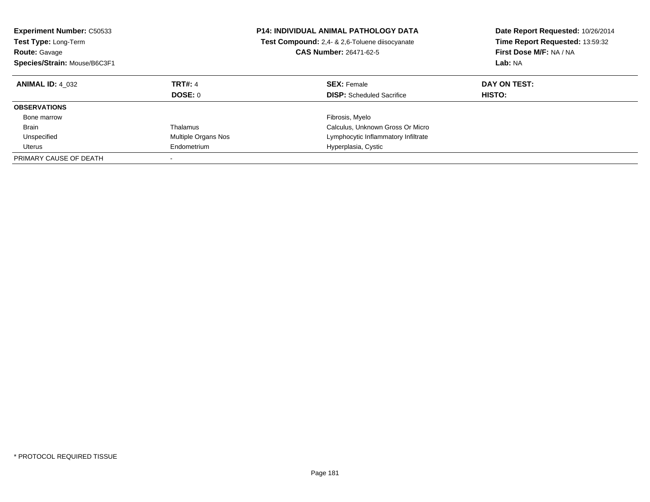| <b>Experiment Number: C50533</b><br><b>Test Type: Long-Term</b><br><b>Route: Gavage</b><br>Species/Strain: Mouse/B6C3F1 |                           | <b>P14: INDIVIDUAL ANIMAL PATHOLOGY DATA</b><br>Test Compound: 2,4- & 2,6-Toluene diisocyanate<br><b>CAS Number: 26471-62-5</b> | Date Report Requested: 10/26/2014<br>Time Report Requested: 13:59:32<br>First Dose M/F: NA / NA<br>Lab: NA |
|-------------------------------------------------------------------------------------------------------------------------|---------------------------|---------------------------------------------------------------------------------------------------------------------------------|------------------------------------------------------------------------------------------------------------|
| <b>ANIMAL ID: 4 032</b>                                                                                                 | <b>TRT#: 4</b><br>DOSE: 0 | <b>SEX: Female</b><br><b>DISP:</b> Scheduled Sacrifice                                                                          | DAY ON TEST:<br><b>HISTO:</b>                                                                              |
| <b>OBSERVATIONS</b>                                                                                                     |                           |                                                                                                                                 |                                                                                                            |
| Bone marrow                                                                                                             |                           | Fibrosis, Myelo                                                                                                                 |                                                                                                            |
| <b>Brain</b>                                                                                                            | Thalamus                  | Calculus, Unknown Gross Or Micro                                                                                                |                                                                                                            |
| Unspecified                                                                                                             | Multiple Organs Nos       | Lymphocytic Inflammatory Infiltrate                                                                                             |                                                                                                            |
| Uterus                                                                                                                  | Endometrium               | Hyperplasia, Cystic                                                                                                             |                                                                                                            |
| PRIMARY CAUSE OF DEATH                                                                                                  |                           |                                                                                                                                 |                                                                                                            |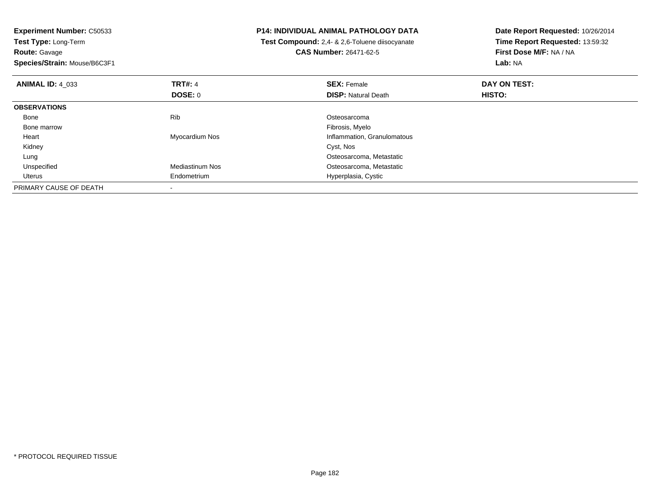| <b>Experiment Number: C50533</b> |                        | <b>P14: INDIVIDUAL ANIMAL PATHOLOGY DATA</b>   | Date Report Requested: 10/26/2014 |
|----------------------------------|------------------------|------------------------------------------------|-----------------------------------|
| Test Type: Long-Term             |                        | Test Compound: 2,4- & 2,6-Toluene diisocyanate | Time Report Requested: 13:59:32   |
| <b>Route: Gavage</b>             |                        | <b>CAS Number: 26471-62-5</b>                  | First Dose M/F: NA / NA           |
| Species/Strain: Mouse/B6C3F1     |                        |                                                | Lab: NA                           |
| <b>ANIMAL ID: 4 033</b>          | <b>TRT#: 4</b>         | <b>SEX: Female</b>                             | DAY ON TEST:                      |
|                                  | <b>DOSE: 0</b>         | <b>DISP:</b> Natural Death                     | <b>HISTO:</b>                     |
| <b>OBSERVATIONS</b>              |                        |                                                |                                   |
| Bone                             | Rib                    | Osteosarcoma                                   |                                   |
| Bone marrow                      |                        | Fibrosis, Myelo                                |                                   |
| Heart                            | Myocardium Nos         | Inflammation, Granulomatous                    |                                   |
| Kidney                           |                        | Cyst, Nos                                      |                                   |
| Lung                             |                        | Osteosarcoma, Metastatic                       |                                   |
| Unspecified                      | <b>Mediastinum Nos</b> | Osteosarcoma, Metastatic                       |                                   |
| Uterus                           | Endometrium            | Hyperplasia, Cystic                            |                                   |
| PRIMARY CAUSE OF DEATH           |                        |                                                |                                   |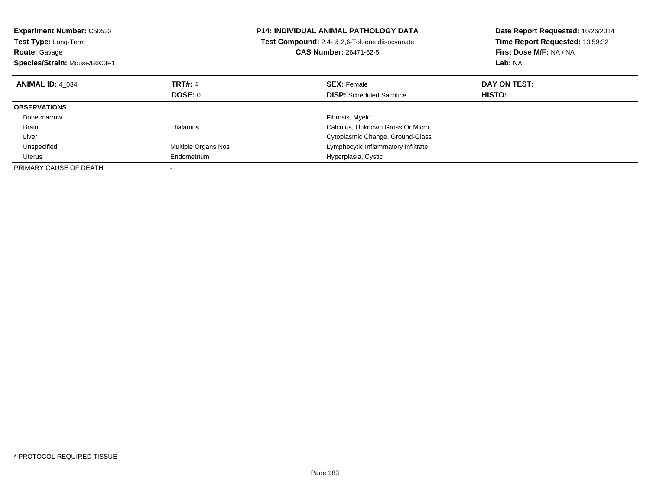| <b>Experiment Number: C50533</b><br><b>Test Type: Long-Term</b><br><b>Route: Gavage</b><br>Species/Strain: Mouse/B6C3F1 |                     | <b>P14: INDIVIDUAL ANIMAL PATHOLOGY DATA</b><br>Test Compound: 2,4- & 2,6-Toluene diisocyanate<br><b>CAS Number: 26471-62-5</b> | Date Report Requested: 10/26/2014<br>Time Report Requested: 13:59:32<br>First Dose M/F: NA / NA<br>Lab: NA |
|-------------------------------------------------------------------------------------------------------------------------|---------------------|---------------------------------------------------------------------------------------------------------------------------------|------------------------------------------------------------------------------------------------------------|
| <b>ANIMAL ID: 4 034</b>                                                                                                 | <b>TRT#: 4</b>      | <b>SEX: Female</b>                                                                                                              | DAY ON TEST:                                                                                               |
|                                                                                                                         | DOSE: 0             | <b>DISP:</b> Scheduled Sacrifice                                                                                                | HISTO:                                                                                                     |
| <b>OBSERVATIONS</b>                                                                                                     |                     |                                                                                                                                 |                                                                                                            |
| Bone marrow                                                                                                             |                     | Fibrosis, Myelo                                                                                                                 |                                                                                                            |
| <b>Brain</b>                                                                                                            | Thalamus            | Calculus, Unknown Gross Or Micro                                                                                                |                                                                                                            |
| Liver                                                                                                                   |                     | Cytoplasmic Change, Ground-Glass                                                                                                |                                                                                                            |
| Unspecified                                                                                                             | Multiple Organs Nos | Lymphocytic Inflammatory Infiltrate                                                                                             |                                                                                                            |
| Uterus                                                                                                                  | Endometrium         | Hyperplasia, Cystic                                                                                                             |                                                                                                            |
| PRIMARY CAUSE OF DEATH                                                                                                  |                     |                                                                                                                                 |                                                                                                            |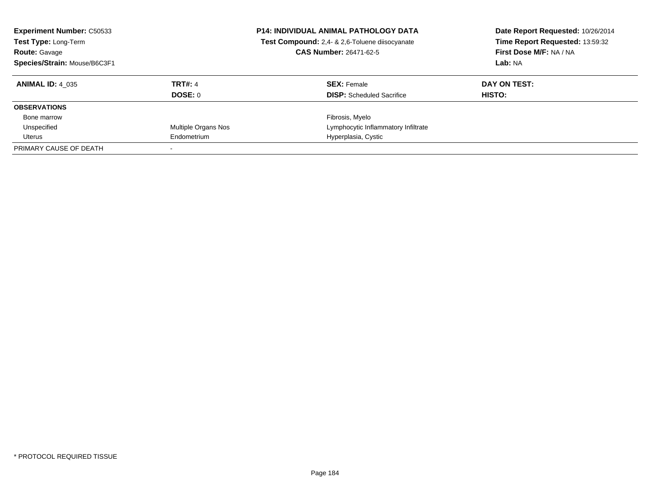| <b>Experiment Number: C50533</b><br>Test Type: Long-Term<br><b>Route: Gavage</b><br>Species/Strain: Mouse/B6C3F1 |                     | <b>P14: INDIVIDUAL ANIMAL PATHOLOGY DATA</b><br>Test Compound: 2,4- & 2,6-Toluene diisocyanate<br><b>CAS Number: 26471-62-5</b> | Date Report Requested: 10/26/2014<br>Time Report Requested: 13:59:32<br>First Dose M/F: NA / NA<br>Lab: NA |  |
|------------------------------------------------------------------------------------------------------------------|---------------------|---------------------------------------------------------------------------------------------------------------------------------|------------------------------------------------------------------------------------------------------------|--|
| <b>ANIMAL ID: 4 035</b>                                                                                          | <b>TRT#: 4</b>      | <b>SEX: Female</b>                                                                                                              | DAY ON TEST:                                                                                               |  |
|                                                                                                                  | <b>DOSE: 0</b>      | <b>DISP:</b> Scheduled Sacrifice                                                                                                | HISTO:                                                                                                     |  |
| <b>OBSERVATIONS</b>                                                                                              |                     |                                                                                                                                 |                                                                                                            |  |
| Bone marrow                                                                                                      |                     | Fibrosis, Myelo                                                                                                                 |                                                                                                            |  |
| Unspecified                                                                                                      | Multiple Organs Nos | Lymphocytic Inflammatory Infiltrate                                                                                             |                                                                                                            |  |
| Uterus                                                                                                           | Endometrium         | Hyperplasia, Cystic                                                                                                             |                                                                                                            |  |
| PRIMARY CAUSE OF DEATH                                                                                           |                     |                                                                                                                                 |                                                                                                            |  |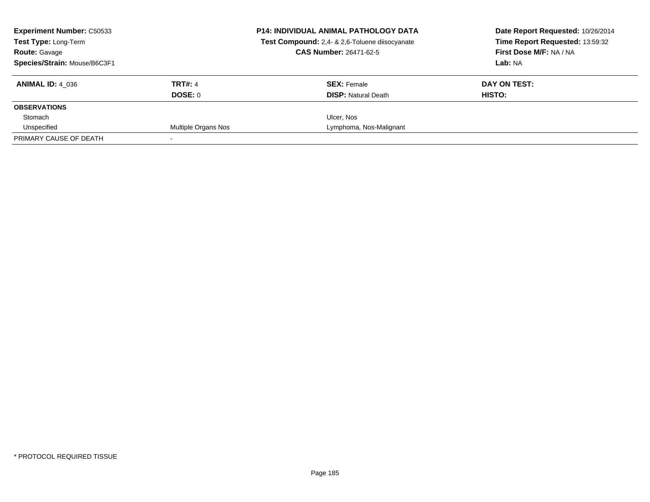| <b>Experiment Number: C50533</b><br>Test Type: Long-Term |                     | <b>P14: INDIVIDUAL ANIMAL PATHOLOGY DATA</b><br>Test Compound: 2,4- & 2,6-Toluene diisocyanate | Date Report Requested: 10/26/2014<br>Time Report Requested: 13:59:32 |
|----------------------------------------------------------|---------------------|------------------------------------------------------------------------------------------------|----------------------------------------------------------------------|
| <b>Route: Gavage</b>                                     |                     | <b>CAS Number: 26471-62-5</b>                                                                  | First Dose M/F: NA / NA                                              |
| Species/Strain: Mouse/B6C3F1                             |                     |                                                                                                | Lab: NA                                                              |
| <b>ANIMAL ID: 4 036</b>                                  | <b>TRT#: 4</b>      | <b>SEX: Female</b>                                                                             | DAY ON TEST:                                                         |
|                                                          | DOSE: 0             | <b>DISP:</b> Natural Death                                                                     | HISTO:                                                               |
| <b>OBSERVATIONS</b>                                      |                     |                                                                                                |                                                                      |
| Stomach                                                  |                     | Ulcer, Nos                                                                                     |                                                                      |
| Unspecified                                              | Multiple Organs Nos | Lymphoma, Nos-Malignant                                                                        |                                                                      |
| PRIMARY CAUSE OF DEATH                                   |                     |                                                                                                |                                                                      |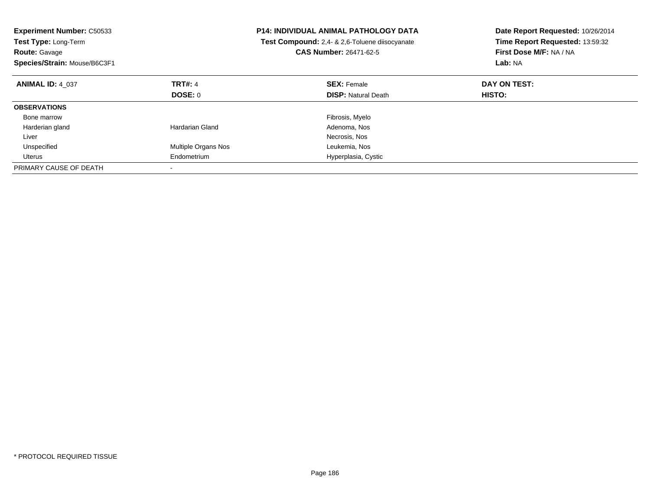| <b>Experiment Number: C50533</b><br>Test Type: Long-Term<br><b>Route: Gavage</b><br>Species/Strain: Mouse/B6C3F1 |                     | <b>P14: INDIVIDUAL ANIMAL PATHOLOGY DATA</b><br>Test Compound: 2,4- & 2,6-Toluene diisocyanate<br><b>CAS Number: 26471-62-5</b> | Date Report Requested: 10/26/2014<br>Time Report Requested: 13:59:32<br>First Dose M/F: NA / NA<br>Lab: NA |
|------------------------------------------------------------------------------------------------------------------|---------------------|---------------------------------------------------------------------------------------------------------------------------------|------------------------------------------------------------------------------------------------------------|
| <b>ANIMAL ID: 4 037</b>                                                                                          | <b>TRT#: 4</b>      | <b>SEX: Female</b>                                                                                                              | DAY ON TEST:                                                                                               |
|                                                                                                                  | DOSE: 0             | <b>DISP:</b> Natural Death                                                                                                      | HISTO:                                                                                                     |
| <b>OBSERVATIONS</b>                                                                                              |                     |                                                                                                                                 |                                                                                                            |
| Bone marrow                                                                                                      |                     | Fibrosis, Myelo                                                                                                                 |                                                                                                            |
| Harderian gland                                                                                                  | Hardarian Gland     | Adenoma, Nos                                                                                                                    |                                                                                                            |
| Liver                                                                                                            |                     | Necrosis, Nos                                                                                                                   |                                                                                                            |
| Unspecified                                                                                                      | Multiple Organs Nos | Leukemia, Nos                                                                                                                   |                                                                                                            |
| Uterus                                                                                                           | Endometrium         | Hyperplasia, Cystic                                                                                                             |                                                                                                            |
| PRIMARY CAUSE OF DEATH                                                                                           |                     |                                                                                                                                 |                                                                                                            |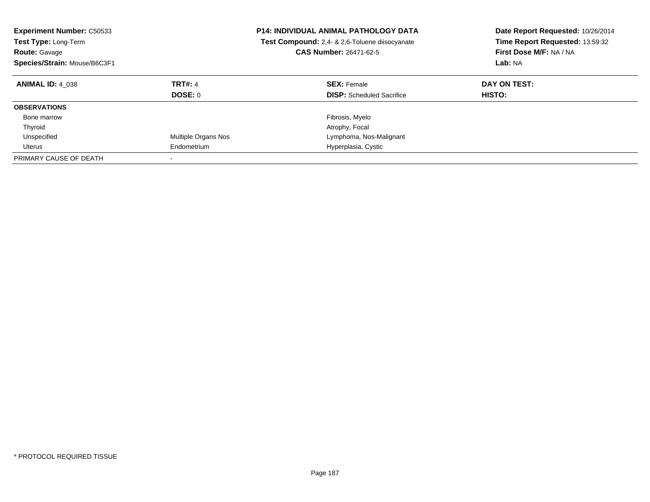| <b>Experiment Number: C50533</b><br><b>Test Type: Long-Term</b><br><b>Route: Gavage</b><br>Species/Strain: Mouse/B6C3F1 |                           | <b>P14: INDIVIDUAL ANIMAL PATHOLOGY DATA</b><br>Test Compound: 2,4- & 2,6-Toluene diisocyanate<br><b>CAS Number: 26471-62-5</b> | Date Report Requested: 10/26/2014<br>Time Report Requested: 13:59:32<br>First Dose M/F: NA / NA<br>Lab: NA |
|-------------------------------------------------------------------------------------------------------------------------|---------------------------|---------------------------------------------------------------------------------------------------------------------------------|------------------------------------------------------------------------------------------------------------|
| <b>ANIMAL ID: 4 038</b>                                                                                                 | <b>TRT#: 4</b><br>DOSE: 0 | <b>SEX: Female</b><br><b>DISP:</b> Scheduled Sacrifice                                                                          | DAY ON TEST:<br><b>HISTO:</b>                                                                              |
| <b>OBSERVATIONS</b>                                                                                                     |                           |                                                                                                                                 |                                                                                                            |
| Bone marrow                                                                                                             |                           | Fibrosis, Myelo                                                                                                                 |                                                                                                            |
| Thyroid                                                                                                                 |                           | Atrophy, Focal                                                                                                                  |                                                                                                            |
| Unspecified                                                                                                             | Multiple Organs Nos       | Lymphoma, Nos-Malignant                                                                                                         |                                                                                                            |
| Uterus                                                                                                                  | Endometrium               | Hyperplasia, Cystic                                                                                                             |                                                                                                            |
| PRIMARY CAUSE OF DEATH                                                                                                  |                           |                                                                                                                                 |                                                                                                            |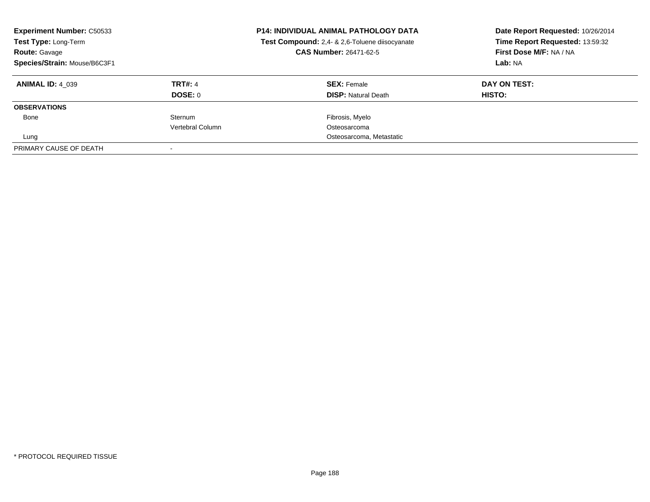| <b>Experiment Number: C50533</b><br>Test Type: Long-Term<br><b>Route: Gavage</b><br>Species/Strain: Mouse/B6C3F1 |                  | <b>P14: INDIVIDUAL ANIMAL PATHOLOGY DATA</b><br>Test Compound: 2,4- & 2,6-Toluene diisocyanate<br>CAS Number: 26471-62-5 | Date Report Requested: 10/26/2014<br>Time Report Requested: 13:59:32<br>First Dose M/F: NA / NA<br>Lab: NA |  |
|------------------------------------------------------------------------------------------------------------------|------------------|--------------------------------------------------------------------------------------------------------------------------|------------------------------------------------------------------------------------------------------------|--|
| <b>ANIMAL ID: 4 039</b>                                                                                          | <b>TRT#: 4</b>   | <b>SEX: Female</b>                                                                                                       | DAY ON TEST:                                                                                               |  |
|                                                                                                                  | DOSE: 0          | <b>DISP:</b> Natural Death                                                                                               | HISTO:                                                                                                     |  |
| <b>OBSERVATIONS</b>                                                                                              |                  |                                                                                                                          |                                                                                                            |  |
| Bone                                                                                                             | Sternum          | Fibrosis, Myelo                                                                                                          |                                                                                                            |  |
|                                                                                                                  | Vertebral Column | Osteosarcoma                                                                                                             |                                                                                                            |  |
| Lung                                                                                                             |                  | Osteosarcoma, Metastatic                                                                                                 |                                                                                                            |  |
| PRIMARY CAUSE OF DEATH                                                                                           |                  |                                                                                                                          |                                                                                                            |  |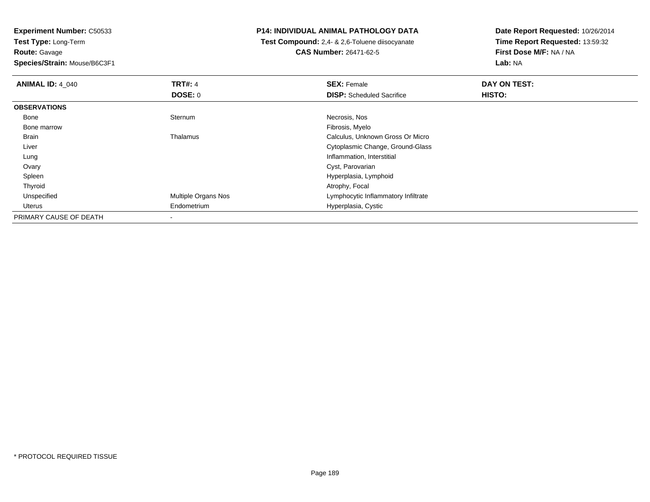**Experiment Number:** C50533**Test Type:** Long-Term**Route:** Gavage

**Species/Strain:** Mouse/B6C3F1

## **P14: INDIVIDUAL ANIMAL PATHOLOGY DATA**

 **Test Compound:** 2,4- & 2,6-Toluene diisocyanate**CAS Number:** 26471-62-5

**Date Report Requested:** 10/26/2014 **Time Report Requested:** 13:59:32**First Dose M/F:** NA / NA**Lab:** NA

| <b>ANIMAL ID: 4 040</b> | <b>TRT#: 4</b>      | <b>SEX: Female</b>                  | DAY ON TEST: |  |
|-------------------------|---------------------|-------------------------------------|--------------|--|
|                         | <b>DOSE: 0</b>      | <b>DISP:</b> Scheduled Sacrifice    | HISTO:       |  |
| <b>OBSERVATIONS</b>     |                     |                                     |              |  |
| Bone                    | Sternum             | Necrosis, Nos                       |              |  |
| Bone marrow             |                     | Fibrosis, Myelo                     |              |  |
| Brain                   | Thalamus            | Calculus, Unknown Gross Or Micro    |              |  |
| Liver                   |                     | Cytoplasmic Change, Ground-Glass    |              |  |
| Lung                    |                     | Inflammation, Interstitial          |              |  |
| Ovary                   |                     | Cyst, Parovarian                    |              |  |
| Spleen                  |                     | Hyperplasia, Lymphoid               |              |  |
| Thyroid                 |                     | Atrophy, Focal                      |              |  |
| Unspecified             | Multiple Organs Nos | Lymphocytic Inflammatory Infiltrate |              |  |
| Uterus                  | Endometrium         | Hyperplasia, Cystic                 |              |  |
| PRIMARY CAUSE OF DEATH  | $\,$                |                                     |              |  |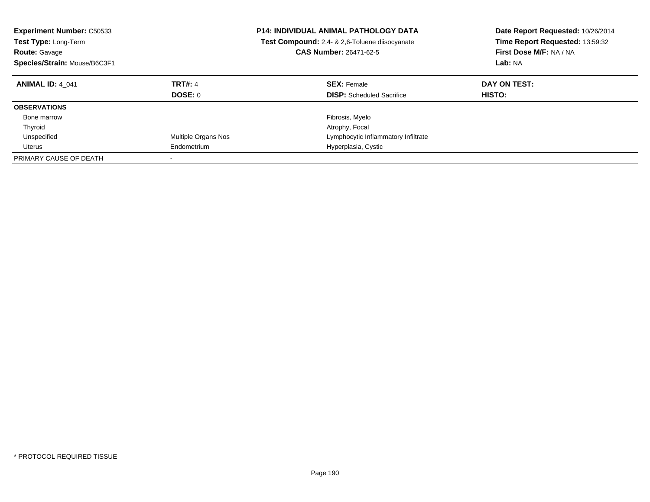| <b>Experiment Number: C50533</b><br><b>Test Type: Long-Term</b><br><b>Route: Gavage</b><br>Species/Strain: Mouse/B6C3F1 |                           | <b>P14: INDIVIDUAL ANIMAL PATHOLOGY DATA</b><br>Test Compound: 2,4- & 2,6-Toluene diisocyanate<br><b>CAS Number: 26471-62-5</b> | Date Report Requested: 10/26/2014<br>Time Report Requested: 13:59:32<br>First Dose M/F: NA / NA<br>Lab: NA |
|-------------------------------------------------------------------------------------------------------------------------|---------------------------|---------------------------------------------------------------------------------------------------------------------------------|------------------------------------------------------------------------------------------------------------|
| <b>ANIMAL ID: 4 041</b>                                                                                                 | <b>TRT#: 4</b><br>DOSE: 0 | <b>SEX: Female</b><br><b>DISP:</b> Scheduled Sacrifice                                                                          | DAY ON TEST:<br><b>HISTO:</b>                                                                              |
| <b>OBSERVATIONS</b>                                                                                                     |                           |                                                                                                                                 |                                                                                                            |
| Bone marrow                                                                                                             |                           | Fibrosis, Myelo                                                                                                                 |                                                                                                            |
| Thyroid                                                                                                                 |                           | Atrophy, Focal                                                                                                                  |                                                                                                            |
| Unspecified                                                                                                             | Multiple Organs Nos       | Lymphocytic Inflammatory Infiltrate                                                                                             |                                                                                                            |
| Uterus                                                                                                                  | Endometrium               | Hyperplasia, Cystic                                                                                                             |                                                                                                            |
| PRIMARY CAUSE OF DEATH                                                                                                  |                           |                                                                                                                                 |                                                                                                            |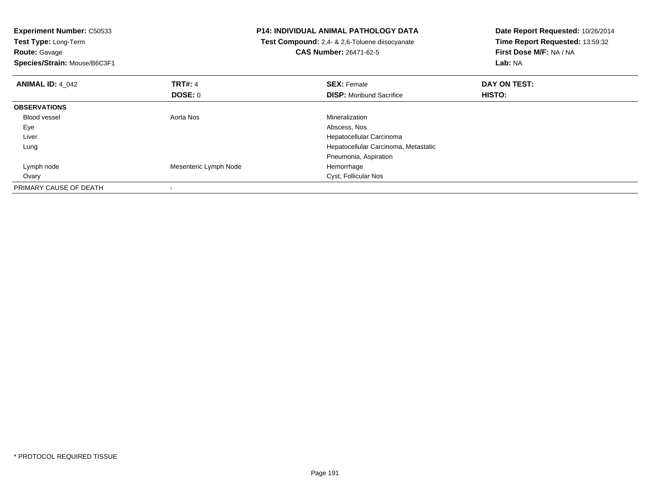| <b>Experiment Number: C50533</b><br>Test Type: Long-Term<br><b>Route: Gavage</b><br>Species/Strain: Mouse/B6C3F1 |                       | <b>P14: INDIVIDUAL ANIMAL PATHOLOGY DATA</b><br>Test Compound: 2,4- & 2,6-Toluene diisocyanate<br><b>CAS Number: 26471-62-5</b> | Date Report Requested: 10/26/2014<br>Time Report Requested: 13:59:32<br>First Dose M/F: NA / NA<br>Lab: NA |
|------------------------------------------------------------------------------------------------------------------|-----------------------|---------------------------------------------------------------------------------------------------------------------------------|------------------------------------------------------------------------------------------------------------|
| <b>ANIMAL ID: 4_042</b>                                                                                          | <b>TRT#: 4</b>        | <b>SEX: Female</b>                                                                                                              | DAY ON TEST:                                                                                               |
|                                                                                                                  | DOSE: 0               | <b>DISP:</b> Moribund Sacrifice                                                                                                 | <b>HISTO:</b>                                                                                              |
| <b>OBSERVATIONS</b>                                                                                              |                       |                                                                                                                                 |                                                                                                            |
| <b>Blood vessel</b>                                                                                              | Aorta Nos             | Mineralization                                                                                                                  |                                                                                                            |
| Eye                                                                                                              |                       | Abscess, Nos                                                                                                                    |                                                                                                            |
| Liver                                                                                                            |                       | Hepatocellular Carcinoma                                                                                                        |                                                                                                            |
| Lung                                                                                                             |                       | Hepatocellular Carcinoma, Metastatic                                                                                            |                                                                                                            |
|                                                                                                                  |                       | Pneumonia, Aspiration                                                                                                           |                                                                                                            |
| Lymph node                                                                                                       | Mesenteric Lymph Node | Hemorrhage                                                                                                                      |                                                                                                            |
| Ovary                                                                                                            |                       | Cyst, Follicular Nos                                                                                                            |                                                                                                            |
| PRIMARY CAUSE OF DEATH                                                                                           |                       |                                                                                                                                 |                                                                                                            |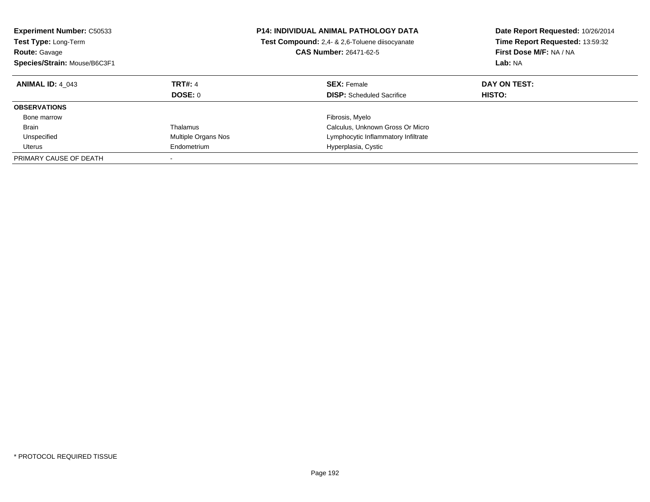| <b>Experiment Number: C50533</b><br><b>Test Type: Long-Term</b><br><b>Route: Gavage</b><br>Species/Strain: Mouse/B6C3F1 |                           | <b>P14: INDIVIDUAL ANIMAL PATHOLOGY DATA</b><br>Test Compound: 2,4- & 2,6-Toluene diisocyanate<br><b>CAS Number: 26471-62-5</b> | Date Report Requested: 10/26/2014<br>Time Report Requested: 13:59:32<br>First Dose M/F: NA / NA<br>Lab: NA |
|-------------------------------------------------------------------------------------------------------------------------|---------------------------|---------------------------------------------------------------------------------------------------------------------------------|------------------------------------------------------------------------------------------------------------|
| <b>ANIMAL ID: 4 043</b>                                                                                                 | <b>TRT#: 4</b><br>DOSE: 0 | <b>SEX: Female</b><br><b>DISP:</b> Scheduled Sacrifice                                                                          | DAY ON TEST:<br><b>HISTO:</b>                                                                              |
| <b>OBSERVATIONS</b>                                                                                                     |                           |                                                                                                                                 |                                                                                                            |
| Bone marrow                                                                                                             |                           | Fibrosis, Myelo                                                                                                                 |                                                                                                            |
| <b>Brain</b>                                                                                                            | Thalamus                  | Calculus, Unknown Gross Or Micro                                                                                                |                                                                                                            |
| Unspecified                                                                                                             | Multiple Organs Nos       | Lymphocytic Inflammatory Infiltrate                                                                                             |                                                                                                            |
| Uterus                                                                                                                  | Endometrium               | Hyperplasia, Cystic                                                                                                             |                                                                                                            |
| PRIMARY CAUSE OF DEATH                                                                                                  |                           |                                                                                                                                 |                                                                                                            |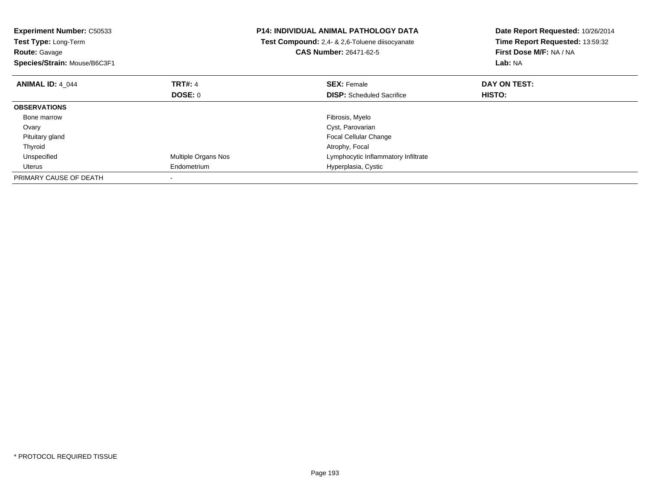| <b>Experiment Number: C50533</b><br>Test Type: Long-Term<br><b>Route: Gavage</b><br>Species/Strain: Mouse/B6C3F1 |                            | <b>P14: INDIVIDUAL ANIMAL PATHOLOGY DATA</b><br>Test Compound: 2,4- & 2,6-Toluene diisocyanate<br><b>CAS Number: 26471-62-5</b> | Date Report Requested: 10/26/2014<br>Time Report Requested: 13:59:32<br>First Dose M/F: NA / NA<br>Lab: NA |
|------------------------------------------------------------------------------------------------------------------|----------------------------|---------------------------------------------------------------------------------------------------------------------------------|------------------------------------------------------------------------------------------------------------|
| <b>ANIMAL ID: 4 044</b>                                                                                          | <b>TRT#: 4</b>             | <b>SEX: Female</b>                                                                                                              | DAY ON TEST:                                                                                               |
|                                                                                                                  | <b>DOSE: 0</b>             | <b>DISP:</b> Scheduled Sacrifice                                                                                                | HISTO:                                                                                                     |
| <b>OBSERVATIONS</b>                                                                                              |                            |                                                                                                                                 |                                                                                                            |
| Bone marrow                                                                                                      |                            | Fibrosis, Myelo                                                                                                                 |                                                                                                            |
| Ovary                                                                                                            |                            | Cyst, Parovarian                                                                                                                |                                                                                                            |
| Pituitary gland                                                                                                  |                            | <b>Focal Cellular Change</b>                                                                                                    |                                                                                                            |
| Thyroid                                                                                                          |                            | Atrophy, Focal                                                                                                                  |                                                                                                            |
| Unspecified                                                                                                      | <b>Multiple Organs Nos</b> | Lymphocytic Inflammatory Infiltrate                                                                                             |                                                                                                            |
| Uterus                                                                                                           | Endometrium                | Hyperplasia, Cystic                                                                                                             |                                                                                                            |
| PRIMARY CAUSE OF DEATH                                                                                           |                            |                                                                                                                                 |                                                                                                            |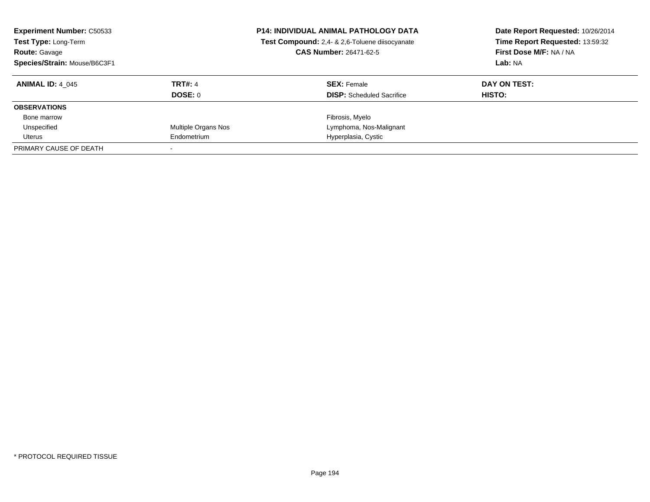| <b>Experiment Number: C50533</b><br>Test Type: Long-Term<br><b>Route: Gavage</b><br>Species/Strain: Mouse/B6C3F1 |                     | <b>P14: INDIVIDUAL ANIMAL PATHOLOGY DATA</b><br>Test Compound: 2,4- & 2,6-Toluene diisocyanate<br><b>CAS Number: 26471-62-5</b> | Date Report Requested: 10/26/2014<br>Time Report Requested: 13:59:32<br>First Dose M/F: NA / NA<br>Lab: NA |
|------------------------------------------------------------------------------------------------------------------|---------------------|---------------------------------------------------------------------------------------------------------------------------------|------------------------------------------------------------------------------------------------------------|
| <b>ANIMAL ID: 4 045</b>                                                                                          | <b>TRT#: 4</b>      | <b>SEX: Female</b>                                                                                                              | DAY ON TEST:                                                                                               |
|                                                                                                                  | DOSE: 0             | <b>DISP:</b> Scheduled Sacrifice                                                                                                | HISTO:                                                                                                     |
| <b>OBSERVATIONS</b>                                                                                              |                     |                                                                                                                                 |                                                                                                            |
| Bone marrow                                                                                                      |                     | Fibrosis, Myelo                                                                                                                 |                                                                                                            |
| Unspecified                                                                                                      | Multiple Organs Nos | Lymphoma, Nos-Malignant                                                                                                         |                                                                                                            |
| Uterus                                                                                                           | Endometrium         | Hyperplasia, Cystic                                                                                                             |                                                                                                            |
| PRIMARY CAUSE OF DEATH                                                                                           |                     |                                                                                                                                 |                                                                                                            |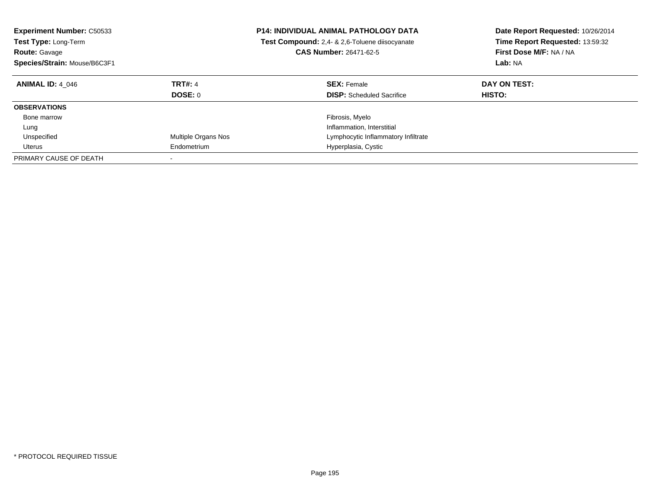| <b>Experiment Number: C50533</b><br><b>Test Type: Long-Term</b><br><b>Route: Gavage</b><br>Species/Strain: Mouse/B6C3F1 |                           | <b>P14: INDIVIDUAL ANIMAL PATHOLOGY DATA</b><br>Test Compound: 2,4- & 2,6-Toluene diisocyanate<br><b>CAS Number: 26471-62-5</b> | Date Report Requested: 10/26/2014<br>Time Report Requested: 13:59:32<br>First Dose M/F: NA / NA<br>Lab: NA |
|-------------------------------------------------------------------------------------------------------------------------|---------------------------|---------------------------------------------------------------------------------------------------------------------------------|------------------------------------------------------------------------------------------------------------|
| <b>ANIMAL ID: 4 046</b>                                                                                                 | <b>TRT#: 4</b><br>DOSE: 0 | <b>SEX: Female</b><br><b>DISP:</b> Scheduled Sacrifice                                                                          | DAY ON TEST:<br>HISTO:                                                                                     |
| <b>OBSERVATIONS</b>                                                                                                     |                           |                                                                                                                                 |                                                                                                            |
| Bone marrow                                                                                                             |                           | Fibrosis, Myelo                                                                                                                 |                                                                                                            |
| Lung                                                                                                                    |                           | Inflammation, Interstitial                                                                                                      |                                                                                                            |
| Unspecified                                                                                                             | Multiple Organs Nos       | Lymphocytic Inflammatory Infiltrate                                                                                             |                                                                                                            |
| Uterus                                                                                                                  | Endometrium               | Hyperplasia, Cystic                                                                                                             |                                                                                                            |
| PRIMARY CAUSE OF DEATH                                                                                                  |                           |                                                                                                                                 |                                                                                                            |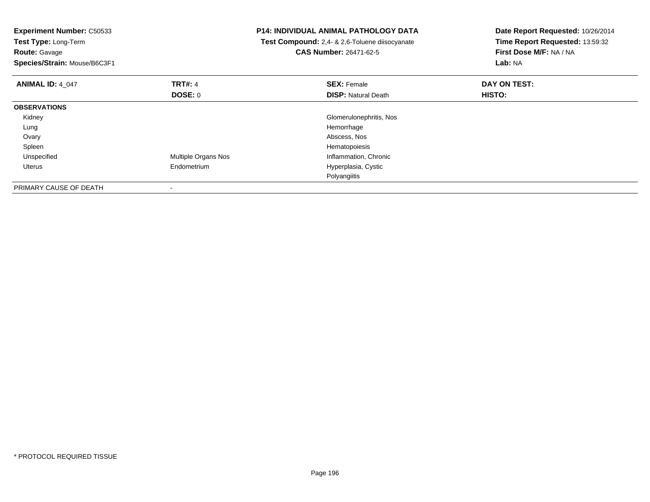| <b>Experiment Number: C50533</b><br>Test Type: Long-Term<br><b>Route: Gavage</b><br>Species/Strain: Mouse/B6C3F1 |                     | P14: INDIVIDUAL ANIMAL PATHOLOGY DATA<br>Test Compound: 2,4- & 2,6-Toluene diisocyanate<br><b>CAS Number: 26471-62-5</b> | Date Report Requested: 10/26/2014<br>Time Report Requested: 13:59:32<br>First Dose M/F: NA / NA<br>Lab: NA |
|------------------------------------------------------------------------------------------------------------------|---------------------|--------------------------------------------------------------------------------------------------------------------------|------------------------------------------------------------------------------------------------------------|
| <b>ANIMAL ID: 4_047</b>                                                                                          | <b>TRT#: 4</b>      | <b>SEX: Female</b>                                                                                                       | DAY ON TEST:                                                                                               |
|                                                                                                                  | DOSE: 0             | <b>DISP:</b> Natural Death                                                                                               | HISTO:                                                                                                     |
| <b>OBSERVATIONS</b>                                                                                              |                     |                                                                                                                          |                                                                                                            |
| Kidney                                                                                                           |                     | Glomerulonephritis, Nos                                                                                                  |                                                                                                            |
| Lung                                                                                                             |                     | Hemorrhage                                                                                                               |                                                                                                            |
| Ovary                                                                                                            |                     | Abscess, Nos                                                                                                             |                                                                                                            |
| Spleen                                                                                                           |                     | Hematopoiesis                                                                                                            |                                                                                                            |
| Unspecified                                                                                                      | Multiple Organs Nos | Inflammation, Chronic                                                                                                    |                                                                                                            |
| Uterus                                                                                                           | Endometrium         | Hyperplasia, Cystic                                                                                                      |                                                                                                            |
|                                                                                                                  |                     | Polyangiitis                                                                                                             |                                                                                                            |
| PRIMARY CAUSE OF DEATH                                                                                           |                     |                                                                                                                          |                                                                                                            |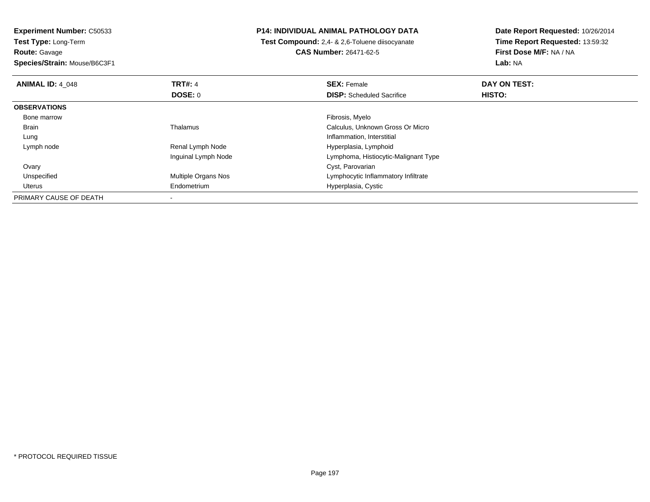**Experiment Number:** C50533**Test Type:** Long-Term

**Route:** Gavage

**Species/Strain:** Mouse/B6C3F1

## **P14: INDIVIDUAL ANIMAL PATHOLOGY DATA**

 **Test Compound:** 2,4- & 2,6-Toluene diisocyanate**CAS Number:** 26471-62-5

**Date Report Requested:** 10/26/2014 **Time Report Requested:** 13:59:32**First Dose M/F:** NA / NA**Lab:** NA

| <b>ANIMAL ID: 4 048</b> | <b>TRT#: 4</b>      | <b>SEX: Female</b>                   | DAY ON TEST: |  |
|-------------------------|---------------------|--------------------------------------|--------------|--|
|                         | <b>DOSE: 0</b>      | <b>DISP:</b> Scheduled Sacrifice     | HISTO:       |  |
| <b>OBSERVATIONS</b>     |                     |                                      |              |  |
| Bone marrow             |                     | Fibrosis, Myelo                      |              |  |
| Brain                   | Thalamus            | Calculus, Unknown Gross Or Micro     |              |  |
| Lung                    |                     | Inflammation, Interstitial           |              |  |
| Lymph node              | Renal Lymph Node    | Hyperplasia, Lymphoid                |              |  |
|                         | Inguinal Lymph Node | Lymphoma, Histiocytic-Malignant Type |              |  |
| Ovary                   |                     | Cyst, Parovarian                     |              |  |
| Unspecified             | Multiple Organs Nos | Lymphocytic Inflammatory Infiltrate  |              |  |
| Uterus                  | Endometrium         | Hyperplasia, Cystic                  |              |  |
| PRIMARY CAUSE OF DEATH  |                     |                                      |              |  |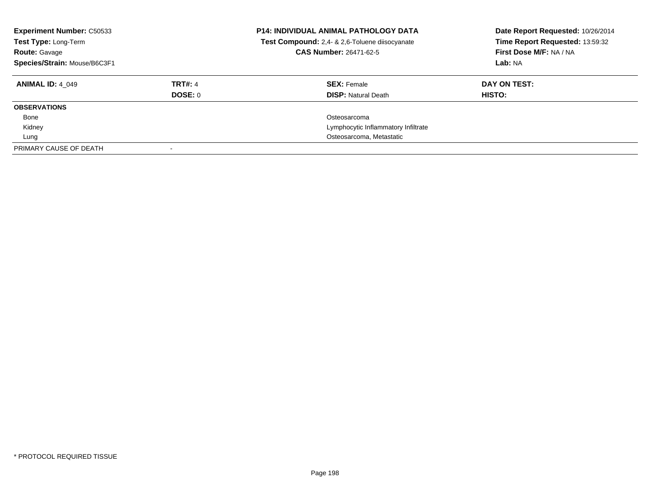| <b>Experiment Number: C50533</b><br>Test Type: Long-Term<br><b>Route: Gavage</b><br>Species/Strain: Mouse/B6C3F1 |                | <b>P14: INDIVIDUAL ANIMAL PATHOLOGY DATA</b><br>Test Compound: 2,4- & 2,6-Toluene diisocyanate<br>CAS Number: 26471-62-5 | Date Report Requested: 10/26/2014<br>Time Report Requested: 13:59:32<br>First Dose M/F: NA / NA<br>Lab: NA |
|------------------------------------------------------------------------------------------------------------------|----------------|--------------------------------------------------------------------------------------------------------------------------|------------------------------------------------------------------------------------------------------------|
| <b>ANIMAL ID: 4 049</b>                                                                                          | <b>TRT#: 4</b> | <b>SEX: Female</b>                                                                                                       | DAY ON TEST:                                                                                               |
|                                                                                                                  | <b>DOSE: 0</b> | <b>DISP: Natural Death</b>                                                                                               | <b>HISTO:</b>                                                                                              |
| <b>OBSERVATIONS</b>                                                                                              |                |                                                                                                                          |                                                                                                            |
| Bone                                                                                                             |                | Osteosarcoma                                                                                                             |                                                                                                            |
| Kidney                                                                                                           |                | Lymphocytic Inflammatory Infiltrate                                                                                      |                                                                                                            |
| Lung                                                                                                             |                | Osteosarcoma, Metastatic                                                                                                 |                                                                                                            |
| PRIMARY CAUSE OF DEATH                                                                                           |                |                                                                                                                          |                                                                                                            |